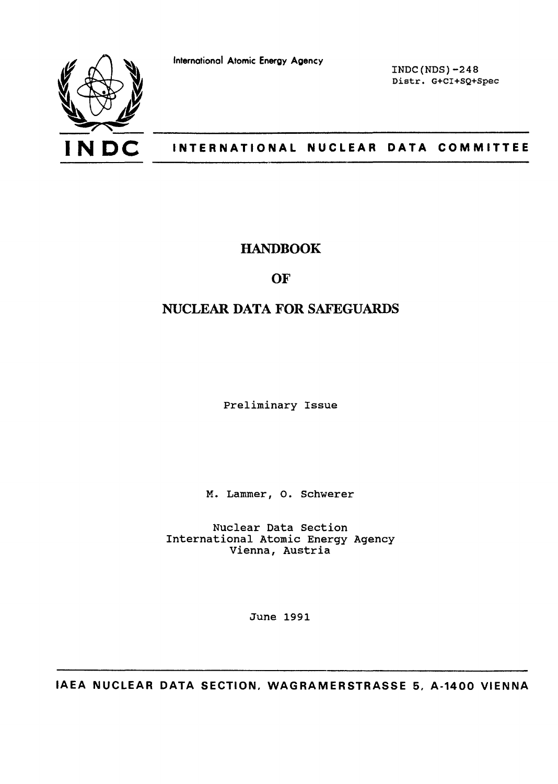

**International Atomic Energy Agency**

INDC(NDS)-248 Distr. G+CI+SQ+Spec

## INTERNATIONAL NUCLEAR DATA COMMITTEE

## HANDBOOK

## **OF**

# NUCLEAR DATA FOR SAFEGUARDS

Preliminary Issue

M. Lammer, O. Schwerer

Nuclear Data Section International Atomic Energy Agency Vienna, Austria

June 1991

**IAEA NUCLEAR DATA SECTION, WAGRAMERSTRASSE 5, A-1400 VIENNA**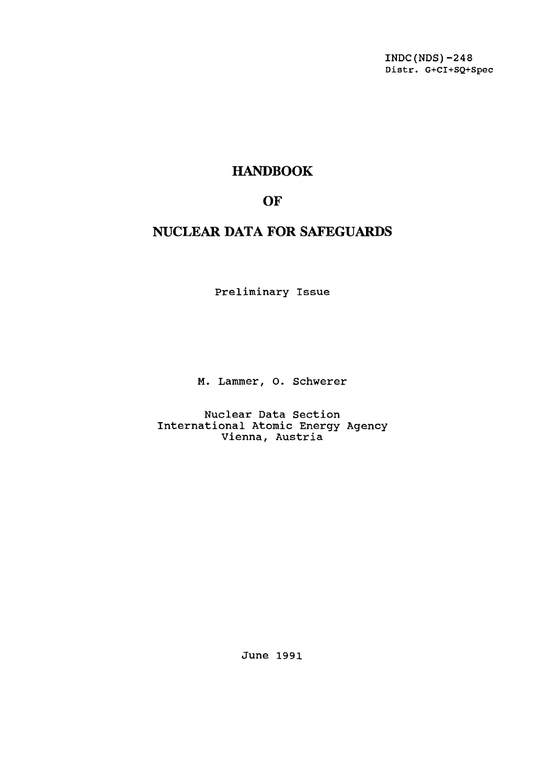INDC(NDS)-248 Distr. G+CI+SQ+Spec

# HANDBOOK

# **OF**

# NUCLEAR DATA FOR SAFEGUARDS

Preliminary Issue

M. Lammer, O. Schwerer

Nuclear Data Section International Atomic Energy Agency Vienna, Austria

June 1991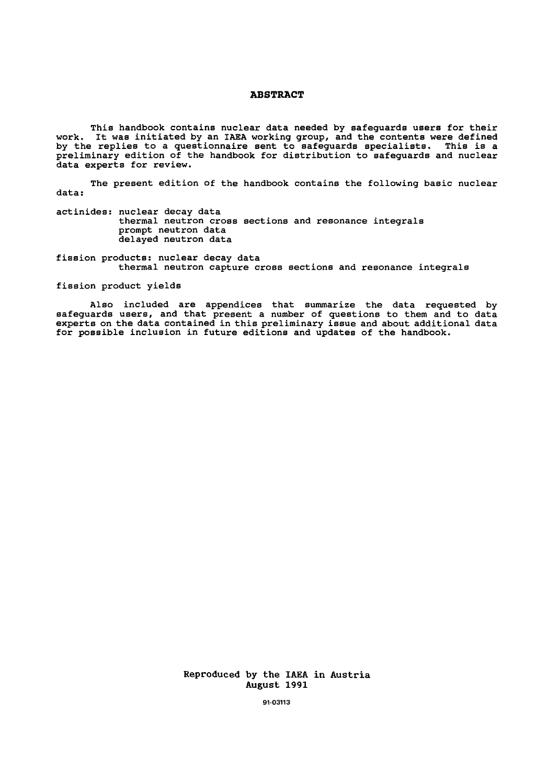#### **ABSTRACT**

This handbook contains nuclear data needed by safeguards users for their work. It was initiated by an IAEA working group, and the contents were defined by the replies to a questionnaire sent to safeguards specialists. This is a preliminary edition of the handbook for distribution to safeguards and nuclear data experts for review.

The present edition of the handbook contains the following basic nuclear data:

actinides: nuclear decay data thermal neutron cross sections and resonance integrals prompt neutron data delayed neutron data

fission products: nuclear decay data thermal neutron capture cross sections and resonance integrals

fission product yields

Also included are appendices that summarize the data requested by safeguards users, and that present a number of questions to them and to data experts on the data contained in this preliminary issue and about additional data for possible inclusion in future editions and updates of the handbook.

> Reproduced by the IAEA in Austria August 1991

> > **91-03113**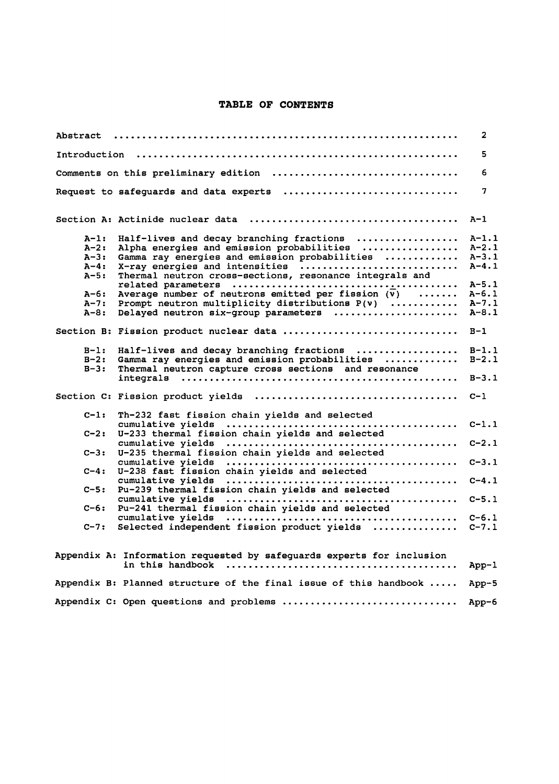## **TABLE OF CONTENTS**

| Abstract                                                             |                                                                                                                                                                                                                                                                                                                                                          | 2                                                                         |
|----------------------------------------------------------------------|----------------------------------------------------------------------------------------------------------------------------------------------------------------------------------------------------------------------------------------------------------------------------------------------------------------------------------------------------------|---------------------------------------------------------------------------|
|                                                                      |                                                                                                                                                                                                                                                                                                                                                          | 5.                                                                        |
|                                                                      | Comments on this preliminary edition                                                                                                                                                                                                                                                                                                                     | 6                                                                         |
|                                                                      | Request to safeguards and data experts                                                                                                                                                                                                                                                                                                                   | 7                                                                         |
|                                                                      |                                                                                                                                                                                                                                                                                                                                                          | $A-1$                                                                     |
| $A-1:$<br>$A - 2:$<br>$A-3:$<br>$A-4:$<br>$A-5:$<br>$A-6:$<br>$A-7:$ | Half-lives and decay branching fractions<br>Alpha energies and emission probabilities<br>Gamma ray energies and emission probabilities<br>X-ray energies and intensities<br>Thermal neutron cross-sections, resonance integrals and<br>Average number of neutrons emitted per fission $(\overline{v})$<br>Prompt neutron multiplicity distributions P(v) | $A-1.1$<br>$A-2.1$<br>$A-3.1$<br>$A-4.1$<br>$A-5.1$<br>$A-6.1$<br>$A-7.1$ |
| $A-8:$                                                               | Delayed neutron six-group parameters                                                                                                                                                                                                                                                                                                                     | $A - 8.1$                                                                 |
|                                                                      | Section B: Fission product nuclear data                                                                                                                                                                                                                                                                                                                  | $B-1$                                                                     |
| $B-1:$<br>$B-2:$<br>$B-3:$                                           | Half-lives and decay branching fractions<br>Gamma ray energies and emission probabilities<br>Thermal neutron capture cross sections and resonance                                                                                                                                                                                                        | $B-1.1$<br>$B-2.1$                                                        |
|                                                                      |                                                                                                                                                                                                                                                                                                                                                          | $B - 3.1$                                                                 |
|                                                                      |                                                                                                                                                                                                                                                                                                                                                          | $C-1$                                                                     |
| $C-1:$                                                               | Th-232 fast fission chain yields and selected                                                                                                                                                                                                                                                                                                            |                                                                           |
| $C-2:$                                                               | cumulative vields<br>U-233 thermal fission chain yields and selected                                                                                                                                                                                                                                                                                     | $C-1.1$                                                                   |
| $C-3:$                                                               | cumulative yields<br>U-235 thermal fission chain yields and selected                                                                                                                                                                                                                                                                                     | $C-2.1$                                                                   |
| $C-4:$                                                               | cumulative yields<br>U-238 fast fission chain yields and selected                                                                                                                                                                                                                                                                                        | $C-3.1$                                                                   |
| $C-5:$                                                               | Pu-239 thermal fission chain yields and selected                                                                                                                                                                                                                                                                                                         | $C-4.1$                                                                   |
| $C-6:$                                                               | cumulative yields<br>Pu-241 thermal fission chain yields and selected                                                                                                                                                                                                                                                                                    | $C-5.1$                                                                   |
| $C-7:$                                                               | cumulative yields<br>Selected independent fission product yields                                                                                                                                                                                                                                                                                         | $C-6.1$<br>$C-7.1$                                                        |
|                                                                      | Appendix A: Information requested by safeguards experts for inclusion                                                                                                                                                                                                                                                                                    | $App-1$                                                                   |
|                                                                      | Appendix B: Planned structure of the final issue of this handbook                                                                                                                                                                                                                                                                                        | $App-5$                                                                   |
|                                                                      | Appendix C: Open questions and problems                                                                                                                                                                                                                                                                                                                  | App $-6$                                                                  |

Appendix C: Open questions and problems App-6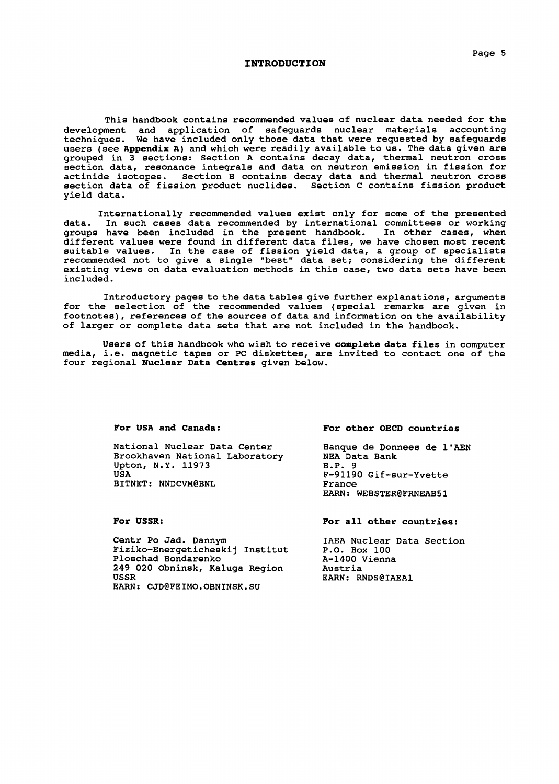#### **INTRODUCTION**

This handbook contains recommended values of nuclear data needed for the development and application of safeguards nuclear materials accounting techniques. We have included only those data that were requested by safeguards users (see **Appendix A)** and which were readily available to us. The data given are grouped in 3 sections: Section A contains decay data, thermal neutron cross section data, resonance integrals and data on neutron emission in fission for actinide isotopes. Section B contains decay data and thermal neutron cross section data of fission product nuclides. Section C contains fission product yield data.

Internationally recommended values exist only for some of the presented data. In such cases data recommended by international committees or working groups have been included in the present handbook. In other cases, when different values were found in different data files, we have chosen most recent suitable values. In the case of fission yield data, a group of specialists recommended not to give a single "best" data set; considering the different existing views on data evaluation methods in this case, two data sets have been included.

Introductory pages to the data tables give further explanations, arguments for the selection of the recommended values (special remarks are given in footnotes), references of the sources of data and information on the availability of larger or complete data sets that are not included in the handbook.

Users of this handbook who wish to receive **complete data files** in computer media, i.e. magnetic tapes or PC diskettes, are invited to contact one of the four regional **Nuclear Data Centres** given below.

**For USA and Canada:**

National Nuclear Data Center Brookhaven National Laboratory Upton, N.Y. 11973 USA BITNET: NNDCVM@BNL

**For USSR:**

Centr Po Jad. Dannym Fiziko-Energeticheskij Institut Ploschad Bondarenko 249 020 Obninsk, Kaluga Region USSR EARN: CJD@FEIMO.OBNINSK.SU

#### **For other OECD countries**

Banque de Donnees de 1'AEN NEA Data Bank B.P. 9 F-91190 Gif-sur-Yvette France EARN: WEBSTER0FRNEAB51

**For all other countries:**

IAEA Nuclear Data Section P.O. Box 100 A-1400 Vienna Austria EARN: RNDS@IAEA1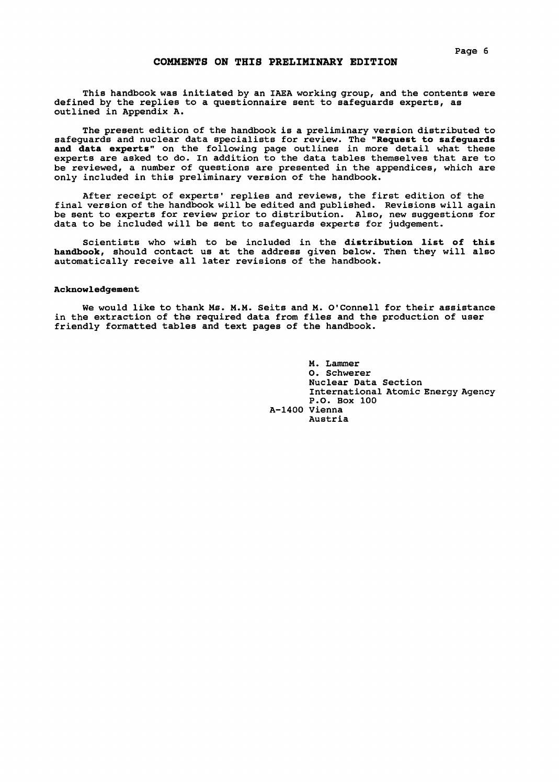#### **COMMENTS ON THIS PRELIMINARY EDITION**

This handbook was initiated by an IAEA working group, and the contents were defined by the replies to a questionnaire sent to safeguards experts, as outlined in Appendix A.

The present edition of the handbook is a preliminary version distributed to safeguards and nuclear data specialists for review. The **"Request** to safeguards **and data experts"** on the following page outlines in more detail what these experts are asked to do. In addition to the data tables themselves that are to be reviewed, a number of questions are presented in the appendices, which are only included in this preliminary version of the handbook.

After receipt of experts' replies and reviews, the first edition of the final version of the handbook will be edited and published. Revisions will again be sent to experts for review prior to distribution. Also, new suggestions for data to be included will be sent to safeguards experts for judgement.

Scientists who wish to be included in the distribution list of this **handbook,** should contact us at the address given below. Then they will also automatically receive all later revisions of the handbook.

#### **Acknowledgement**

We would like to thank Ms. M.M. Seits and M. O'Connell for their assistance in the extraction of the required data from files and the production of user friendly formatted tables and text pages of the handbook.

> M. Lammer O. Schwerer Nuclear Data Section International Atomic Energy Agency P.O. Box 100 A-1400 Vienna Austria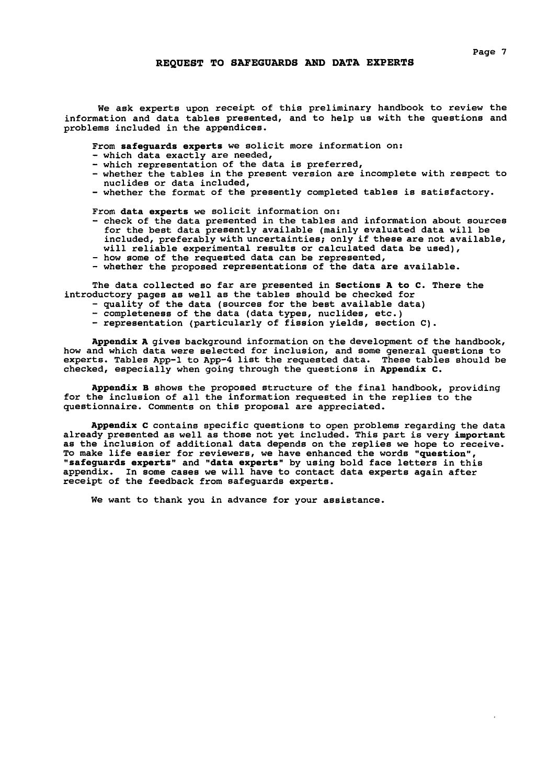We ask experts upon receipt of this preliminary handbook to review the information and data tables presented, and to help us with the questions and problems included in the appendices.

From **safeguards experts** we solicit more information on:

- which data exactly are needed,
- which representation of the data is preferred,
- whether the tables in the present version are incomplete with respect to nuclides or data included,

- whether the format of the presently completed tables is satisfactory.

From **data experts** we solicit information on:

- check of the data presented in the tables and information about sources for the best data presently available (mainly evaluated data will be included, preferably with uncertainties; only if these are not available, will reliable experimental results or calculated data be used),
- how some of the requested data can be represented, - whether the proposed representations of the data are available.

The data collected so far are presented in **Sections A to C.** There the introductory pages as well as the tables should be checked for

- quality of the data (sources for the best available data)
- completeness of the data (data types, nuclides, etc.)
- representation (particularly of fission yields, section C) .

**Appendix A** gives background information on the development of the handbook, how and which data were selected for inclusion, and some general questions to experts. Tables App-1 to App-4 list the requested data. These tables should be checked, especially when going through the questions in **Appendix C.**

**Appendix B** shows the proposed structure of the final handbook, providing for the inclusion of all the information requested in the replies to the questionnaire. Comments on this proposal are appreciated.

**Appendix C** contains specific questions to open problems regarding the data already presented as well as those not yet included. This part is very **important** as the inclusion of additional data depends on the replies we hope to receive. To make life easier for reviewers, we have enhanced the words **"question", "safeguards experts"** and **"data experts"** by using bold face letters in this appendix. In some cases we will have to contact data experts again after receipt of the feedback from safeguards experts.

We want to thank you in advance for your assistance.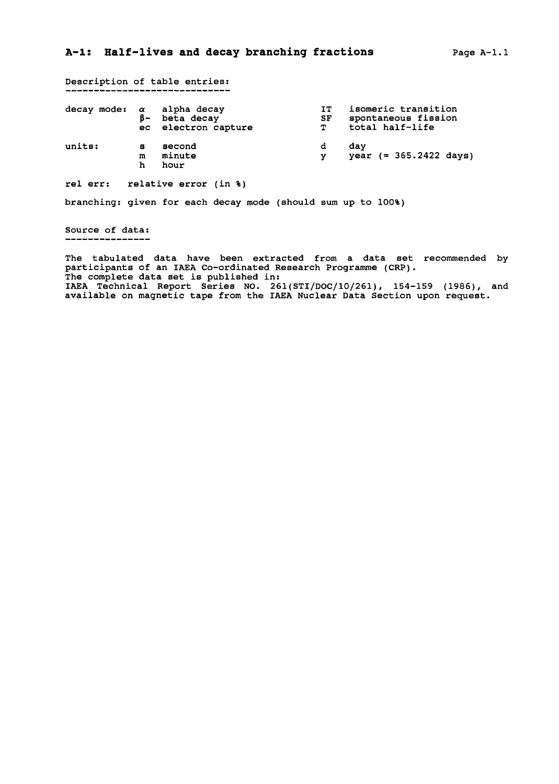Description of table entries:<br>-----------------------------

| $decay$ mode: $\alpha$ alpha decay | $B -$       | beta decay<br>ec electron capture | IT.<br>SF<br>T | isomeric transition<br>spontaneous fission<br>total half-life |
|------------------------------------|-------------|-----------------------------------|----------------|---------------------------------------------------------------|
| units:                             | s<br>m<br>h | second<br>minute<br>hour          | d              | dav<br>year $(= 365.2422 \text{ days})$                       |

rel err: relative error (in %)

branching: given for each decay mode (should sum up to 100%)

Source of data:

The tabulated data have been extracted from a data set recommended by participants of an IAEA Co-ordinated Research Programme (CRP). The complete data set is published in: IAEA Technical Report Series NO. 261(STI/DOC/10/261), 154-159 (1986), and available on magnetic tape from the IAEA Nuclear Data Section upon request.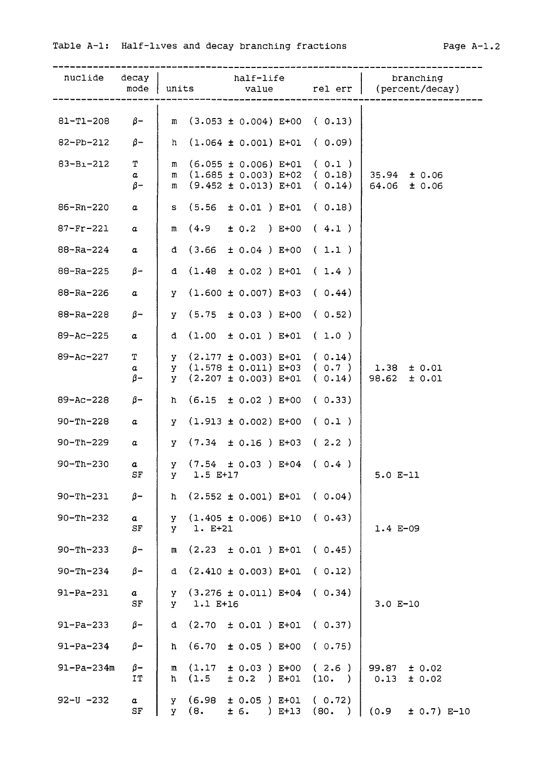| nuclide decay    |                              | half-life<br>$mode$ units                                                                        |                          | branching<br>value         rel err    (percent/decay) |
|------------------|------------------------------|--------------------------------------------------------------------------------------------------|--------------------------|-------------------------------------------------------|
| 81-T1-208        | $\beta-$                     | m $(3.053 \pm 0.004)$ E+00 $(0.13)$                                                              |                          |                                                       |
| 82-Pb-212        | $\beta$ -                    | $h$ (1.064 ± 0.001) E+01 (0.09)                                                                  |                          |                                                       |
| $83 - B1 - 212$  | $\mathbf T$<br>a             | $(6.055 \pm 0.006)$ E+01 $(0.1)$<br>m<br>$(1.685 \pm 0.003)$ E+02 (0.18)<br>m                    |                          | $35.94 \pm 0.06$                                      |
|                  | $\beta$ -                    | $(9.452 \pm 0.013)$ E+01 ( 0.14)<br>m                                                            |                          | $64.06 \pm 0.06$                                      |
| 86-Rn-220        | $\alpha$                     | $S$ (5.56 $\pm$ 0.01) E+01 (0.18)                                                                |                          |                                                       |
| 87-Fr-221        | a                            | m $(4.9 \pm 0.2)$ E+00 $(4.1)$                                                                   |                          |                                                       |
| 88-Ra-224        | $\alpha$                     | d $(3.66 \pm 0.04)$ E+00 $(1.1)$                                                                 |                          |                                                       |
| 88-Ra-225        | $\beta$ –                    | d $(1.48 \pm 0.02)$ E+01                                                                         | (1.4)                    |                                                       |
| 88-Ra-226        | $\alpha$                     | $(1.600 \pm 0.007)$ E+03<br>y -                                                                  | (0.44)                   |                                                       |
| 88-Ra-228        | $\beta$ -                    | $y$ (5.75 $\pm$ 0.03 ) E+00 (0.52)                                                               |                          |                                                       |
| 89-Ac-225        | $\alpha$                     | d $(1.00 \pm 0.01)$ E+01 $(1.0)$                                                                 |                          |                                                       |
| $89 - AC - 227$  | $\mathbf T$<br>a<br>$\beta-$ | $\gamma$ (2.177 ± 0.003) E+01 (0.14)<br>$y$ (1.578 ± 0.011) E+03<br>$(2.207 + 0.003)$ E+01<br>y. | (0.7)<br>(0.14)          | $1.38 \pm 0.01$<br>$98.62 \pm 0.01$                   |
| 89-Ac-228        | $\beta-$                     | $(6.15 \pm 0.02)$ E+00<br>h.                                                                     | (0.33)                   |                                                       |
| $90 - Th - 228$  | a                            | $(1.913 \pm 0.002)$ E+00 (0.1)<br>y -                                                            |                          |                                                       |
| $90 - Th - 229$  | $\alpha$                     | $y$ (7.34 $\pm$ 0.16) E+03 (2.2)                                                                 |                          |                                                       |
| $90 - Th - 230$  | a<br>SF                      | $y$ (7.54 $\pm$ 0.03) E+04 (0.4)<br>1.5 E+17<br>y -                                              |                          | $5.0 E-11$                                            |
| $90 - Th - 231$  | $\beta-$                     | h $(2.552 \pm 0.001)$ E+01 $(0.04)$                                                              |                          |                                                       |
| $90 - Th - 232$  | $\boldsymbol{a}$<br>SF       | $(1.405 \pm 0.006)$ E+10<br>У<br>1. E+21<br>Y.                                                   | (0.43)                   | $1.4 E-09$                                            |
| $90 - Th - 233$  | $\beta-$                     | (2.23)<br>$± 0.01$ ) $E+01$<br>m                                                                 | (0.45)                   |                                                       |
| $90 - Th - 234$  | $\beta-$                     | $(2.410 \pm 0.003)$ E+01<br>đ.                                                                   | (0.12)                   |                                                       |
| $91 - Pa - 231$  | a<br>SF                      | $(3.276 \pm 0.011)$ E+04<br>У<br>1.1 E+16<br>У                                                   | (0.34)                   | $3.0 E-10$                                            |
| $91-Pa-233$      | $\beta-$                     | (2.70)<br>$± 0.01$ ) $E+01$<br>đ.                                                                | (0.37)                   |                                                       |
| $91 - Pa - 234$  | $\beta-$                     | (6.70)<br>$\pm$ 0.05 ) E+00<br>h.                                                                | (0.75)                   |                                                       |
| $91 - Pa - 234m$ | $\beta-$<br>IT               | (1.17)<br>$\pm$ 0.03 ) E+00<br>m<br>(1.5)<br>$± 0.2$ ) $E+01$<br>h.                              | (2.6)<br>(10. )          | 99.87<br>± 0.02<br>0.13<br>± 0.02                     |
| $92 - U - 232$   | $\alpha$<br>SF               | (6.98)<br>$± 0.05$ ) $E+01$<br>У<br>(8,<br>± 6.<br>$)$ E+13<br>y.                                | (0.72)<br>(80.<br>$\Box$ | (0.9)<br>$\pm$ 0.7) E-10                              |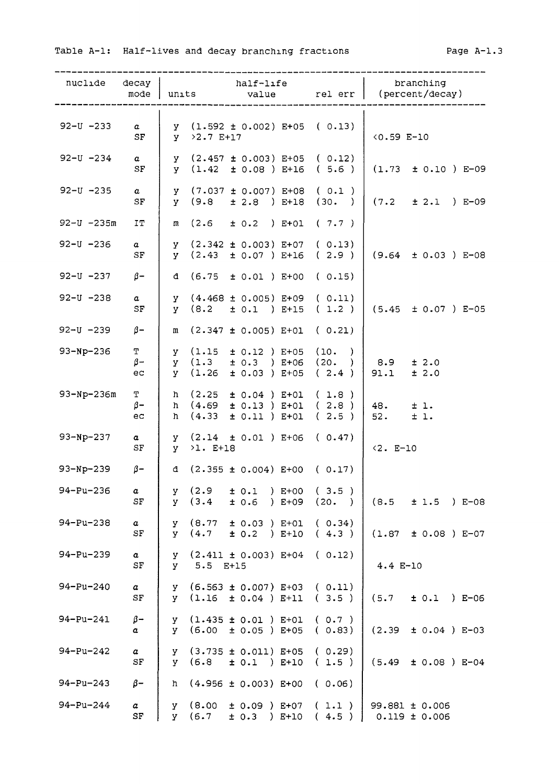| $nuc1ide$ $decay$   | mode                           | units                        | half-life<br>value                                                                                                          | rel err         | branching<br>(percent/decay)            |
|---------------------|--------------------------------|------------------------------|-----------------------------------------------------------------------------------------------------------------------------|-----------------|-----------------------------------------|
| $92 - U - 233$      | $\alpha$<br>SF                 | $y > 2.7 E+17$               | $y$ (1.592 ± 0.002) E+05 (0.13)                                                                                             |                 | $(0.59 E-10$                            |
| 92-U -234           | $\boldsymbol{a}$<br>SF         |                              | $y$ (2.457 ± 0.003) E+05 (0.12)<br>$y$ (1.42 $\pm$ 0.08 ) E+16 (5.6 )                                                       |                 | $(1.73 \pm 0.10) E-09$                  |
| $92 - U - 235$      | $\alpha$<br>SF                 |                              | $y$ (7.037 ± 0.007) E+08 (0.1)<br>$y$ (9.8 $\pm$ 2.8 ) E+18 (30. )                                                          |                 | $(7.2 \pm 2.1) E-09$                    |
| $92 - U - 235m$     | IT                             |                              | $m$ (2.6 $\pm$ 0.2 ) E+01 (7.7)                                                                                             |                 |                                         |
| $92 - U - 236$      | $\boldsymbol{a}$<br>${\tt SF}$ |                              | $y$ (2.342 ± 0.003) E+07 (0.13)<br>$y$ (2.43 $\pm$ 0.07 ) E+16 (2.9 )                                                       |                 | $(9.64 \pm 0.03) E-08$                  |
| 92-U -237 $\beta$ - |                                |                              | d $(6.75 \pm 0.01)$ E+00 (0.15)                                                                                             |                 |                                         |
| $92 - U - 238$      | $\boldsymbol{a}$<br>SF         |                              | $Y$ (4.468 ± 0.005) E+09 (0.11)<br>$y$ (8.2 $\pm$ 0.1 ) E+15 (1.2)                                                          |                 | $(5.45 \pm 0.07)$ E-05                  |
| 92-U -239 $\beta$ - |                                |                              | $m$ (2.347 ± 0.005) E+01 (0.21)                                                                                             |                 |                                         |
| $93-Np-236$         | $\mathbf T$<br>$\beta-$<br>ec  |                              | $y$ (1.15 $\pm$ 0.12 ) E+05 (10. )<br>$y$ (1.3 $\pm$ 0.3 ) E+06 (20. )   8.9<br>$\texttt{y}$ (1.26 $\pm$ 0.03 ) E+05 (2.4 ) |                 | ± 2.0<br>91.1<br>± 2.0                  |
| 93-Np-236m          | T<br>$\beta-$<br>ec            | $h \quad (4.33)$             | $h$ $(2.25 \pm 0.04)$ E+01<br>h $(4.69 \pm 0.13)$ E+01 (2.8)<br>$\pm$ 0.11 ) E+01                                           | (1.8)<br>(2.5)  | 48.<br>±1.<br>52.<br>±1.                |
| 93-Np-237           | $\alpha$<br>SF                 | $y \rightarrow 1$ . E+18     | $\texttt{y}$ (2.14 $\pm$ 0.01 ) E+06 (0.47)                                                                                 |                 | $< 2. E - 10$                           |
| 93-Np-239 $\beta$ - |                                |                              | d $(2.355 \pm 0.004)$ E+00 (0.17)                                                                                           |                 |                                         |
| 94-Pu-236           | a<br>SF                        | (2.9)<br>У<br>(3.4)<br>V.    | ± 0.1<br>) E+00<br>± 0.6<br>$) E + 09$                                                                                      | (3.5)<br>(20. ) | (8.5<br>±1.5<br>) E-08                  |
| $94 - Pu - 238$     | $\alpha$<br>$\rm SF$           | y (8.77<br>$y = (4.7)$       | $± 0.03$ ) $E+01$<br>$\pm$ 0.2 ) E+10                                                                                       | (0.34)<br>(4.3) | $± 0.08$ ) $E-07$<br>(1.87)             |
| $94 - Pu - 239$     | $\alpha$<br>SF                 | $5.5$ E+15<br>y -            | $y$ (2.411 ± 0.003) E+04 (0.12)                                                                                             |                 | $4.4 E-10$                              |
| $94 - Pu - 240$     | $\alpha$<br>SF                 | y -                          | $(6.563 \pm 0.007)$ E+03 (0.11)<br>$y$ (1.16 $\pm$ 0.04 ) E+11 (3.5)                                                        |                 | (5.7)<br>$\pm$ 0.1 ) E-06               |
| 94-Pu-241           | $\beta -$<br>$\alpha$          | у (б.00                      | $Y$ (1.435 ± 0.01) E+01 (0.7)<br>$± 0.05$ ) E+05                                                                            | (0.83)          | (2.39)<br>$± 0.04$ ) E-03               |
| $94 - Pu - 242$     | $\alpha$<br>SF                 | у (б.8                       | $y$ (3.735 ± 0.011) E+05 (0.29)<br>$\pm$ 0.1 ) E+10                                                                         | (1.5)           | (5.49)<br>$± 0.08$ ) E-04               |
| $94 - Pu - 243$     | $\beta-$                       | h.                           | $(4.956 \pm 0.003)$ E+00                                                                                                    | (0.06)          |                                         |
| 94-Pu-244           | $\alpha$<br>SF                 | (8.00)<br>y.<br>(6.7)<br>y - | $± 0.09$ ) E+07<br>$\pm$ 0.3 ) E+10                                                                                         | (1.1)<br>(4.5)  | $99.881 \pm 0.006$<br>$0.119 \pm 0.006$ |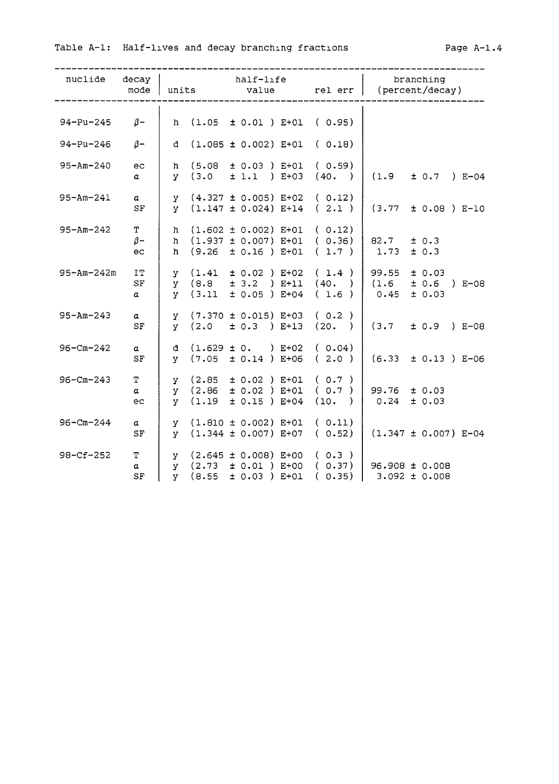| nuclide decay       | mode                                | half-life<br>units<br>value |                                                                                                                           | rel err       | branching<br>(percent/decay)                                                                                               |  |
|---------------------|-------------------------------------|-----------------------------|---------------------------------------------------------------------------------------------------------------------------|---------------|----------------------------------------------------------------------------------------------------------------------------|--|
|                     |                                     |                             |                                                                                                                           |               |                                                                                                                            |  |
| 94-Pu-245 $\beta$ - |                                     | h.                          | $(1.05 \pm 0.01)$ E+01 (0.95)                                                                                             |               |                                                                                                                            |  |
| 94-Pu-246           | $\beta$ -                           |                             | d $(1.085 \pm 0.002) E+01$                                                                                                | (0.18)        |                                                                                                                            |  |
| $95 - Am - 240$     | ec<br>$\alpha$                      |                             | h $(5.08 \pm 0.03)$ E+01 (0.59)<br>$\begin{array}{cccc} y & (3.0 & \pm 1.1) & E+03 & (40.) \end{array}$                   |               | (1.9)<br>$\pm$ 0.7 ) E-04                                                                                                  |  |
| $95 - Am - 241$     | $\alpha$<br>SF                      |                             | $y$ (4.327 ± 0.005) E+02 (0.12)<br>y $(1.147 \pm 0.024)$ E+14 $(2.1)$ (3.77                                               |               | $\pm$ 0.08 ) E-10                                                                                                          |  |
| $95 - Am - 242$     | T<br>$\beta-$<br>ec                 |                             | $h$ (1.602 ± 0.002) E+01 (0.12)<br>h $(1.937 \pm 0.007)$ E+01 $(0.36)$ 82.7 $\pm 0.3$<br>h $(9.26 \pm 0.16)$ E+01 $(1.7)$ |               | 1.73<br>± 0.3                                                                                                              |  |
| $95 - Am - 242m$    | <b>IT</b><br>${\rm SF}$<br>$\alpha$ |                             | $y$ (1.41 $\pm$ 0.02 ) E+02 (1.4)<br>$Y$ (8.8 ± 3.2 ) E+11 (40. ) (1.6<br>$y$ (3.11 $\pm$ 0.05 ) E+04                     | (1.6)         | 99.55<br>± 0.03<br>$± 0.6$ ) E-08<br>± 0.03<br>0.45                                                                        |  |
| $95 - Am - 243$     | $\boldsymbol{a}$<br>SF              |                             | $y$ (7.370 ± 0.015) E+03 (0.2)<br>$\begin{array}{ccccccccc} y & (2.0 & \pm 0.3) & E+13 & (20.) & (3.7) \end{array}$       |               | $\pm$ 0.9 ) E-08                                                                                                           |  |
| $96 - Cm - 242$     | $\boldsymbol{a}$<br>SF              |                             | d $(1.629 \pm 0. ) E+02$ (0.04)<br>y $(7.05 \pm 0.14)$ E+06 $(2.0)$ $(6.33)$                                              |               | $± 0.13$ ) E-06                                                                                                            |  |
| $96 - Cm - 243$     | T.<br>a<br>ec                       |                             | $y$ (2.85 $\pm$ 0.02 ) E+01 (0.7)<br>y $(2.86 \pm 0.02)$ E+01 $(0.7)$ 99.76<br>$y$ (1.19 $\pm$ 0.15 ) E+04                | $(10. )$ 0.24 | ± 0.03<br>± 0.03                                                                                                           |  |
| $96 - Cm - 244$     | $\boldsymbol{a}$<br>SF              |                             | $y$ (1.810 $\pm$ 0.002) E+01 (0.11)<br>$\mathbf{y}$ (1.344 ± 0.007) E+07 (0.52)                                           |               | $(1.347 \pm 0.007)$ E-04                                                                                                   |  |
| $98 - Cf - 252$     | T<br>$\alpha$<br>$\rm SF$           |                             | $\gamma$ (2.645 ± 0.008) E+00 (0.3)<br>$Y$ (8.55 ± 0.03) E+01                                                             | (0.35)        | $\begin{array}{ccc} \text{y} & (2.73 \pm 0.01) & \text{E+00} & (0.37) & 96.908 \pm 0.008 \end{array}$<br>$3.092 \pm 0.008$ |  |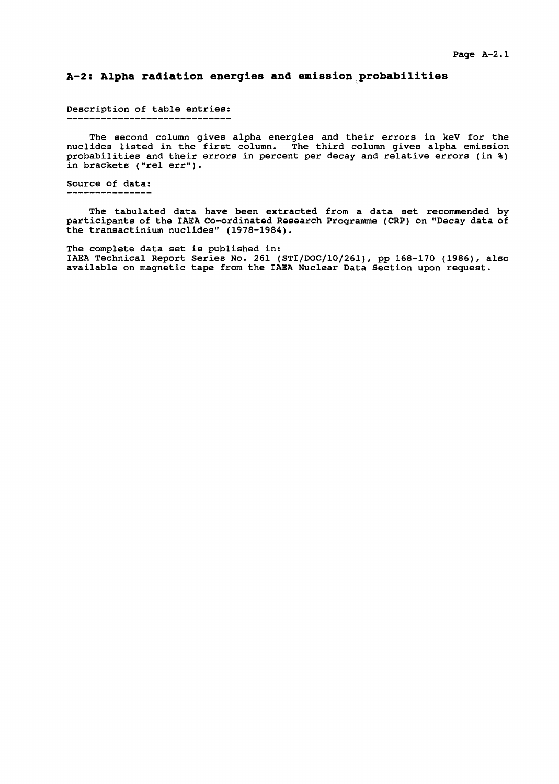### **A-2: Alpha radiation energies and emission probabilities**

Description of table entries:

The second column gives alpha energies and their errors in keV for the nuclides listed in the first column. The third column gives alpha emission probabilities and their errors in percent per decay and relative errors (in %) in brackets ("rel err").

Source of data:

The tabulated data have been extracted from a data set recommended byparticipants of the IAEA Co-ordinated Research Programme (CRP) on "Decay data of the transactinium nuclides" (1978-1984).

The complete data set is published in: IAEA Technical Report Series No. 261 (STI/DOC/10/261), pp 168-170 (1986), also available on magnetic tape from the IAEA Nuclear Data Section upon request.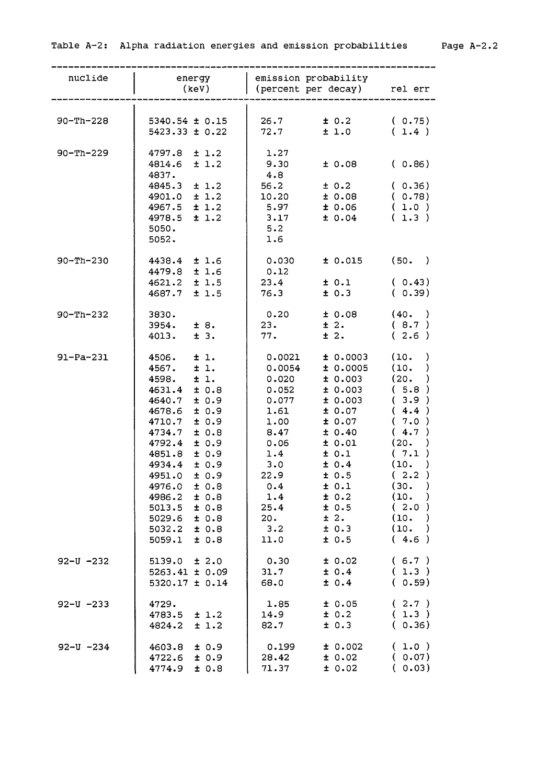| nuclide         | energy<br>(key)                                                                                                                                                                                                                                                                                                                                     | emission probability<br>(percent per decay) rel err                                                                                                                                                                                                                                                                                    |                                                                                                                                                                                                                          |
|-----------------|-----------------------------------------------------------------------------------------------------------------------------------------------------------------------------------------------------------------------------------------------------------------------------------------------------------------------------------------------------|----------------------------------------------------------------------------------------------------------------------------------------------------------------------------------------------------------------------------------------------------------------------------------------------------------------------------------------|--------------------------------------------------------------------------------------------------------------------------------------------------------------------------------------------------------------------------|
| $90 - Th - 228$ | $5340.54 \pm 0.15$<br>$5423.33 \pm 0.22$                                                                                                                                                                                                                                                                                                            | 26.7<br>± 0.2<br>72.7<br>±1.0                                                                                                                                                                                                                                                                                                          | (0.75)<br>(1.4)                                                                                                                                                                                                          |
| $90 - Th - 229$ | 4797.8<br>±1.2<br>±1.2<br>4814.6<br>4837.<br>4845.3<br>±1.2<br>$4901.0 \pm 1.2$<br>$4967.5 \pm 1.2$<br>4978.5<br>± 1.2<br>5050.<br>5052.                                                                                                                                                                                                            | 1.27<br>9.30<br>± 0.08<br>4.8<br>56.2<br>± 0.2<br>± 0.08<br>10.20<br>± 0.06<br>5.97<br>3.17<br>± 0.04<br>5.2<br>1.6                                                                                                                                                                                                                    | (0.86)<br>(0.36)<br>(0.78)<br>(1.0)<br>(1.3)                                                                                                                                                                             |
| $90 - Th - 230$ | 4438.4 ± 1.6<br>4479.8 ± 1.6<br>$4621.2 \pm 1.5$<br>4687.7<br>±1.5                                                                                                                                                                                                                                                                                  | ± 0.015<br>0.030<br>0.12<br>± 0.1<br>23.4<br>± 0.3<br>76.3                                                                                                                                                                                                                                                                             | (50. )<br>(0.43)<br>(0.39)                                                                                                                                                                                               |
| $90 - Th - 232$ | 3830.<br>$3954. \pm 8.$<br>± 3.<br>4013.                                                                                                                                                                                                                                                                                                            | 0.20<br>± 0.08<br>$\pm$ 2.<br>23.<br>$\pm$ 2.<br>77.                                                                                                                                                                                                                                                                                   | (40. )<br>(8.7)<br>(2.6)                                                                                                                                                                                                 |
| $91 - Pa - 231$ | 4506.<br>±1.<br>$\pm$ 1.<br>4567.<br>4598.<br>$\pm$ 1.<br>± 0.8<br>4631.4<br>± 0.9<br>4640.7<br>± 0.9<br>4678.6<br>± 0.9<br>4710.7<br>± 0.8<br>4734.7<br>4792.4<br>± 0.9<br>4851.8<br>± 0.9<br>± 0.9<br>4934.4<br>4951.0<br>± 0.9<br>± 0.8<br>4976.0<br>4986.2<br>± 0.8<br>5013.5<br>± 0.8<br>5029.6<br>± 0.8<br>5032.2<br>± 0.8<br>5059.1<br>± 0.8 | ± 0.0003<br>0.0021<br>0.0054<br>± 0.0005<br>± 0.003<br>0.020<br>± 0.003<br>0.052<br>± 0.003<br>0.077<br>± 0.07<br>1.61<br>± 0.07<br>1.00<br>± 0.40<br>8.47<br>± 0.01<br>0.06<br>± 0.1<br>1.4<br>3.0<br>± 0.4<br>22.9<br>± 0.5<br>± 0.1<br>0.4<br>1.4<br>± 0.2<br>± 0.5<br>25.4<br>± 2.<br>20.<br>± 0.3<br>$3 \cdot 2$<br>± 0.5<br>11.0 | (10.<br>)<br>(10.<br>(20.<br>(5.8)<br>(3.9)<br>(4.4)<br>(7.0)<br>4.7<br>€<br>(20.<br>(7.1<br>(10.<br>(2.2)<br>$\rightarrow$<br>(30.<br>(10.<br>$\lambda$<br>(2.0)<br>(10.<br>$\rightarrow$<br>(10.<br>$\lambda$<br>(4.6) |
| $92 - U - 232$  | ± 2.0<br>5139.0<br>$5263.41 \pm 0.09$<br>$5320.17 \pm 0.14$                                                                                                                                                                                                                                                                                         | 0.30<br>± 0.02<br>31.7<br>± 0.4<br>68.0<br>± 0.4                                                                                                                                                                                                                                                                                       | (6.7)<br>(1.3)<br>(0.59)                                                                                                                                                                                                 |
| $92 - U - 233$  | 4729.<br>4783.5<br>± 1.2<br>4824.2<br>±1.2                                                                                                                                                                                                                                                                                                          | ± 0.05<br>1.85<br>± 0.2<br>14.9<br>± 0.3<br>82.7                                                                                                                                                                                                                                                                                       | (2.7)<br>(1.3)<br>(0.36)                                                                                                                                                                                                 |
| $92 - U - 234$  | 4603.8<br>± 0.9<br>4722.6<br>± 0.9<br>4774.9<br>± 0.8                                                                                                                                                                                                                                                                                               | 0.199<br>± 0.002<br>28.42<br>± 0.02<br>71.37<br>± 0.02                                                                                                                                                                                                                                                                                 | (1.0)<br>(0.07)<br>(0.03)                                                                                                                                                                                                |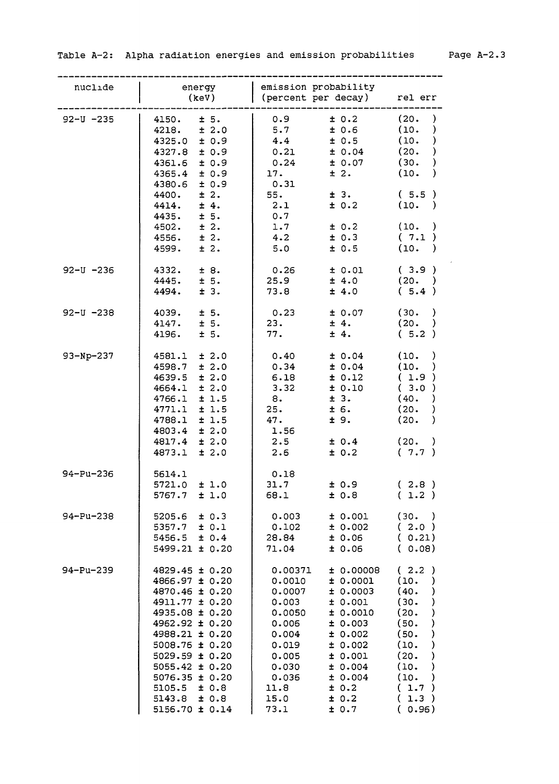$\mathcal{L}^{\text{max}}$ 

| nuclide        | energy<br>(keV)                                                                                                                                                                                                                                                                  | emission probability<br>(percent per decay) rel err                                                                                                                                                                                                                                  |                                                                                                                                                                                                                                 |
|----------------|----------------------------------------------------------------------------------------------------------------------------------------------------------------------------------------------------------------------------------------------------------------------------------|--------------------------------------------------------------------------------------------------------------------------------------------------------------------------------------------------------------------------------------------------------------------------------------|---------------------------------------------------------------------------------------------------------------------------------------------------------------------------------------------------------------------------------|
| $92 - U - 235$ | ± 5.<br>4150.<br>± 2.0<br>4218.<br>±0.9<br>4325.0<br>4327.8<br>$\pm$ 0.9<br>4361.6<br>±0.9<br>$4365.4 \pm 0.9$<br>$4380.6 \pm 0.9$<br>4400.<br>$\pm$ 2.<br>$4414. \pm 4.$<br>4435.<br>$\pm$ 5.<br>4502.<br>$\pm$ 2.                                                              | 0.9<br>± 0.2<br>5.7<br>±0.6<br>± 0.5<br>4.4<br>± 0.04<br>0.21<br>0.24<br>± 0.07<br>± 2.<br>17.<br>0.31<br>55.<br>± 3.<br>2.1<br>± 0.2<br>0.7<br>1.7<br>± 0.2                                                                                                                         | (20.<br>$\mathcal{Y}$<br>(10.<br>$\lambda$<br>(10.<br>$\mathcal{Y}$<br>(20.<br>$\mathcal{C}$<br>(30.<br>$\mathcal{Y}$<br>(10.<br>$\lambda$<br>(5.5)<br>(10. )<br>(10. )                                                         |
|                | 4556.<br>$\pm$ 2.<br>4599.<br>± 2.                                                                                                                                                                                                                                               | $4 \cdot 2$<br>± 0.3<br>5.0<br>± 0.5                                                                                                                                                                                                                                                 | (7.1)<br>(10. )                                                                                                                                                                                                                 |
| $92 - U - 236$ | 4332.<br>± 8.<br>$4445. \pm 5.$<br>4494.<br>± 3.                                                                                                                                                                                                                                 | 0.26<br>± 0.01<br>25.9<br>± 4.0<br>73.8<br>± 4.0                                                                                                                                                                                                                                     | (3.9)<br>(20. )<br>(5.4)                                                                                                                                                                                                        |
| $92 - U - 238$ | ± 5.<br>4039.<br>4147.<br>$\pm 5.$<br>4196.<br>$\pm$ 5.                                                                                                                                                                                                                          | 0.23<br>± 0.07<br>23.<br>± 4.<br>77.<br>± 4.                                                                                                                                                                                                                                         | (30. )<br>(20. )<br>(5.2)                                                                                                                                                                                                       |
| $93-Np-237$    | $4581.1$ ± 2.0<br>$4598.7 \pm 2.0$<br>± 2.0<br>4639.5<br>± 2.0<br>4664.1<br>$\pm$ 1.5<br>4766.1<br>4771.1<br>$\pm$ 1.5<br>4788.1 ± 1.5<br>$4803.4 \pm 2.0$<br>4817.4<br>$\pm 2.0$<br>4873.1<br>$\pm 2.0$                                                                         | ± 0.04<br>0.40<br>0.34<br>± 0.04<br>6.18<br>± 0.12<br>3.32<br>± 0.10<br>± 3.<br>8.<br>25.<br>± 6.<br>47.<br>± 9.<br>1.56<br>2.5<br>± 0.4<br>± 0.2<br>$2 \cdot 6$                                                                                                                     | (10.<br>$\rightarrow$<br>(10.<br>$\rightarrow$<br>(1.9)<br>(3.0)<br>(40.<br>$\lambda$<br>(20.<br>)<br>(20.<br>$\lambda$<br>(20.<br>$\rightarrow$<br>(7.7)                                                                       |
| 94-Pu-236      | 5614.1<br>5721.0<br>±1.0<br>5767.7<br>±1.0                                                                                                                                                                                                                                       | 0.18<br>31.7<br>± 0.9<br>68.1<br>±0.8                                                                                                                                                                                                                                                | (2.8)<br>(1.2)                                                                                                                                                                                                                  |
| 94-Pu-238      | ± 0.3<br>5205.6<br>5357.7<br>± 0.1<br>5456.5<br>± 0.4<br>$5499.21 \pm 0.20$                                                                                                                                                                                                      | 0.003<br>± 0.001<br>0.102<br>± 0.002<br>28.84<br>± 0.06<br>± 0.06<br>71.04                                                                                                                                                                                                           | (30. )<br>(2.0)<br>(0.21)<br>(0.08)                                                                                                                                                                                             |
| 94-Pu-239      | $4829.45 \pm 0.20$<br>4866.97 ± 0.20<br>4870.46 ± 0.20<br>4911.77 ± 0.20<br>4935.08 ± 0.20<br>4962.92 ± 0.20<br>4988.21 ± 0.20<br>$5008.76 \pm 0.20$<br>$5029.59 \pm 0.20$<br>$5055.42 \pm 0.20$<br>$5076.35 \pm 0.20$<br>$5105.5 \pm 0.8$<br>$5143.8 \pm 0.8$<br>5156.70 ± 0.14 | 0.00371<br>10.00008<br>0.0010<br>± 0.0001<br>0.0007<br>± 0.0003<br>0.003<br>± 0.001<br>± 0.0010<br>0.0050<br>0.006<br>± 0.003<br>0.004<br>± 0.002<br>0.019<br>± 0.002<br>± 0.001<br>0.005<br>0.030<br>± 0.004<br>0.036<br>± 0.004<br>11.8<br>± 0.2<br>15.0<br>± 0.2<br>73.1<br>± 0.7 | (2.2)<br>(10.<br>$\lambda$<br>(40.<br>$\mathcal{Y}$<br>$\mathcal{C}^{\prime}$<br>(30.<br>(20.<br>)<br>(50.<br>$\mathcal{C}$<br>(50.<br>$\mathcal{Y}$<br>(10.<br>)<br>(20.<br>)<br>(10.<br>)<br>(10.<br>(1.7)<br>(1.3)<br>(0.96) |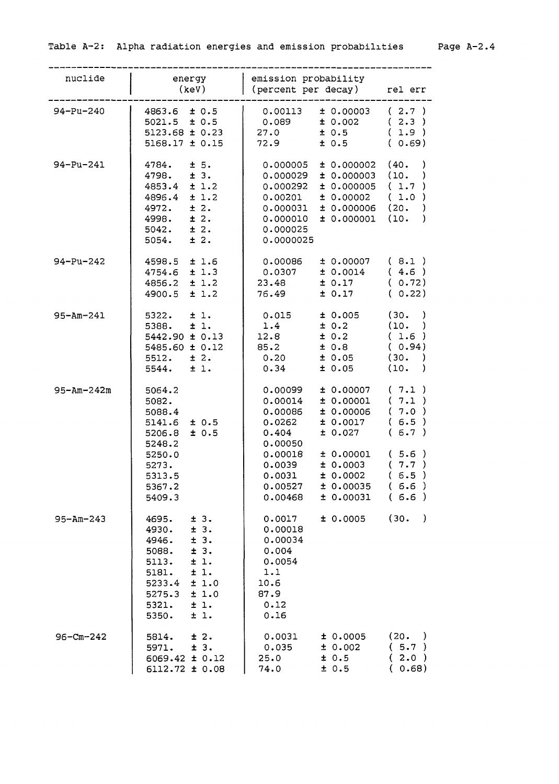| nuclide          | energy<br>(keV)                                                                                                                                                      | emission probability<br>(percent per decay)                                                                                                                                                                 | rel err                                                                    |
|------------------|----------------------------------------------------------------------------------------------------------------------------------------------------------------------|-------------------------------------------------------------------------------------------------------------------------------------------------------------------------------------------------------------|----------------------------------------------------------------------------|
| 94-Pu-240        | $4863.6 \pm 0.5$<br>$5021.5 \pm 0.5$<br>$5123.68 \pm 0.23$<br>$5168.17 \pm 0.15$                                                                                     | $0.00113 + 0.00003$<br>$0.089$ $\pm 0.002$<br>$\pm$ 0.5<br>27.0<br>± 0.5<br>72.9                                                                                                                            | (2.7)<br>(2.3)<br>(1.9)<br>(0.69)                                          |
| 94-Pu-241        | ± 5.<br>4784.<br>$4798. \pm 3.$<br>±1.2<br>4853.4<br>4896.4<br>±1.2<br>± 2.<br>4972.<br>± 2.<br>4998.<br>$5042. \pm 2.$<br>± 2.<br>5054.                             | $\pm$ 0.000002 (40.<br>0.000005<br>0.000029<br>$\pm$ 0.000003 (10.<br>0.000292<br>± 0.000005<br>± 0.00002<br>0.00201<br>$0.000031 \pm 0.000006$ (20.<br>$0.000010 + 0.000001$ (10.<br>0.000025<br>0.0000025 | )<br>)<br>(1.7)<br>(1.0)<br>-)<br>$\lambda$                                |
| $94 - Pu - 242$  | $4598.5 \pm 1.6$<br>$4754.6 \pm 1.3$<br>$4856.2 \pm 1.2$<br>4900.5 ± 1.2                                                                                             | $\pm$ 0.00007 (8.1)<br>0.00086<br>0.0307<br>± 0.0014<br>23.48<br>± 0.17<br>± 0.17<br>76.49                                                                                                                  | (4.6)<br>(0.72)<br>(0.22)                                                  |
| $95 - Am - 241$  | $5322. \pm 1.$<br>$\pm$ 1.<br>5388.<br>$5442.90 \pm 0.13$<br>$5485.60 \pm 0.12$<br>$5512. \t\pm 2.$<br>$5544. \pm 1.$                                                | $0.015$ $\pm$ 0.005<br>1.4<br>± 0.2<br>± 0.2<br>12.8<br>85.2<br>± 0.8<br>0.20<br>± 0.05<br>0.34<br>± 0.05                                                                                                   | (30.<br>-)<br>(10.<br>$\rightarrow$<br>(1.6)<br>(0.94)<br>(30. )<br>(10. ) |
| $95 - Am - 242m$ | 5064.2<br>5082.<br>5088.4<br>$5141.6 \pm 0.5$<br>± 0.5<br>5206.8<br>5248.2<br>5250.0<br>5273.                                                                        | ± 0.00007<br>0.00099<br>0.00014<br>± 0.00001<br>0.00086<br>± 0.00006<br>± 0.0017<br>0.0262<br>± 0.027<br>0.404<br>0.00050<br>0.00018<br>± 0.00001<br>± 0.0003<br>0.0039                                     | (7.1)<br>(7.1)<br>(7.0)<br>(6.5)<br>(6.7)<br>(5.6)<br>(7.7)                |
|                  | 5313.5<br>5367.2<br>5409.3                                                                                                                                           | 0.0031<br>± 0.0002<br>± 0.00035<br>0.00527<br>0.00468<br>± 0.00031                                                                                                                                          | (6.5)<br>(6.6)<br>(6.6)                                                    |
| $95 - Am - 243$  | ± 3.<br>4695.<br>± 3.<br>4930.<br>± 3.<br>4946.<br>± 3.<br>5088.<br>±1.<br>5113.<br>5181.<br>±1.<br>5233.4<br>±1.0<br>5275.3<br>±1.0<br>5321.<br>±1.<br>±1.<br>5350. | ± 0.0005<br>0.0017<br>0.00018<br>0.00034<br>0.004<br>0.0054<br>1.1<br>10.6<br>87.9<br>0.12<br>0.16                                                                                                          | (30.<br>$\rightarrow$                                                      |
| $96 - cm - 242$  | ± 2.<br>5814.<br>± 3.<br>5971.<br>6069.42 ± 0.12<br>6112.72 ± 0.08                                                                                                   | 0.0031<br>± 0.0005<br>0.035<br>± 0.002<br>± 0.5<br>25.0<br>± 0.5<br>74.0                                                                                                                                    | (20. )<br>(5.7)<br>(2.0)<br>(0.68)                                         |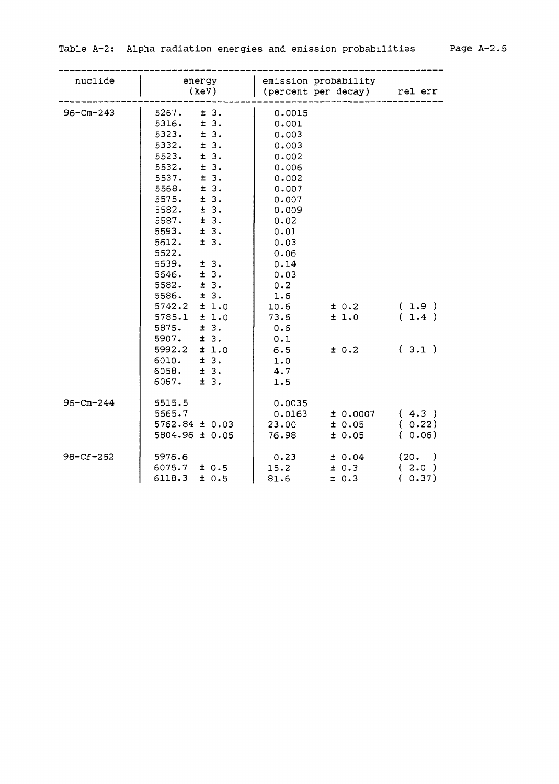| nuclide         | energy<br>(key)                                                                                                                                                                                                                                                                                                                                                                                                                                | emission probability<br>(percent per decay) rel err                                                                                                                                                                                       |                                          |
|-----------------|------------------------------------------------------------------------------------------------------------------------------------------------------------------------------------------------------------------------------------------------------------------------------------------------------------------------------------------------------------------------------------------------------------------------------------------------|-------------------------------------------------------------------------------------------------------------------------------------------------------------------------------------------------------------------------------------------|------------------------------------------|
| $96 - cm - 243$ | ± 3.<br>5267.<br>± 3.<br>5316.<br>±3.<br>5323.<br>5332.<br>± 3.<br>± 3.<br>5523.<br>± 3.<br>5532.<br>± 3.<br>5537.<br>5568.<br>± 3.<br>5575.<br>±3.<br>5582.<br>± 3.<br>± 3.<br>5587.<br>5593.<br>± 3.<br>5612.<br>± 3.<br>5622.<br>5639.<br>± 3.<br>± 3.<br>5646.<br>5682.<br>± 3.<br>± 3.<br>5686.<br>5742.2<br>±1.0<br>5785.1<br>±1.0<br>5876.<br>±3.<br>5907.<br>± 3.<br>5992.2<br>±1.0<br>6010.<br>± 3.<br>6058.<br>± 3.<br>6067.<br>± 3. | 0.0015<br>0.001<br>0.003<br>0.003<br>0.002<br>0.006<br>0.002<br>0.007<br>0.007<br>0.009<br>0.02<br>0.01<br>0.03<br>0.06<br>0.14<br>0.03<br>0.2<br>1.6<br>10.6<br>± 0.2<br>73.5<br>±1.0<br>0.6<br>0.1<br>6.5<br>± 0.2<br>1.0<br>4.7<br>1.5 | (1.9)<br>(1.4)<br>(3.1)                  |
| $96 - Cm - 244$ | 5515.5<br>5665.7<br>$5762.84 \pm 0.03$<br>5804.96 ± 0.05                                                                                                                                                                                                                                                                                                                                                                                       | 0.0035<br>0.0163<br>± 0.0007<br>23.00<br>± 0.05<br>76.98<br>± 0.05                                                                                                                                                                        | (4.3)<br>(0.22)<br>(0.06)                |
| 98-Cf-252       | 5976.6<br>$6075.7 \pm 0.5$<br>6118.3<br>± 0.5                                                                                                                                                                                                                                                                                                                                                                                                  | 0.23<br>± 0.04<br>15.2<br>± 0.3<br>81.6<br>± 0.3                                                                                                                                                                                          | (20.<br>$\rightarrow$<br>(2.0)<br>(0.37) |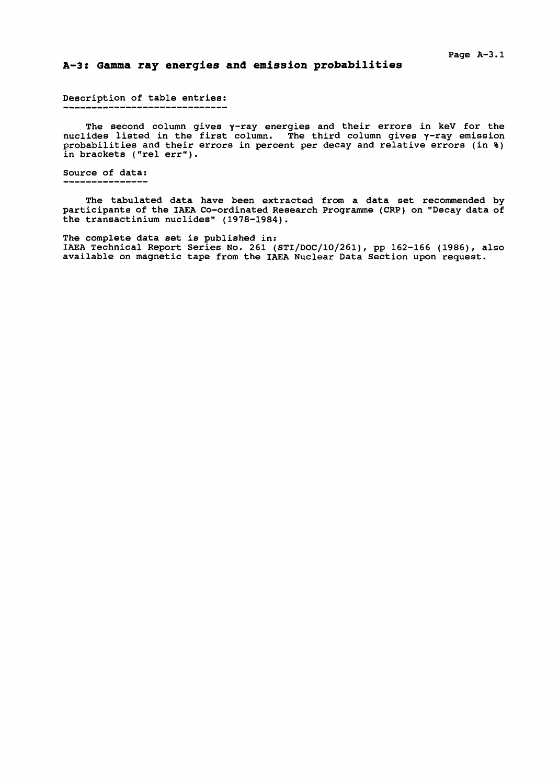### **A-3: Gamma ray energies and emission probabilities**

# Description of table entries:

The second column gives y-ray energies and their errors in keV for the nuclides listed in the first column. The third column gives  $\gamma$ -ray emission probabilities and their errors in percent per decay and relative errors (in %) in brackets ("rel err").

## Source of data:

The tabulated data have been extracted from a data set recommended by participants of the IAEA Co-ordinated Research Programme (CRP) on "Decay data of the transactinium nuclides" (1978-1984).

The complete data set is published in: IAEA Technical Report Series No. 261 (STI/DOC/10/261), pp 162-166 (1986), also available on magnetic tape from the IAEA Nuclear Data Section upon request.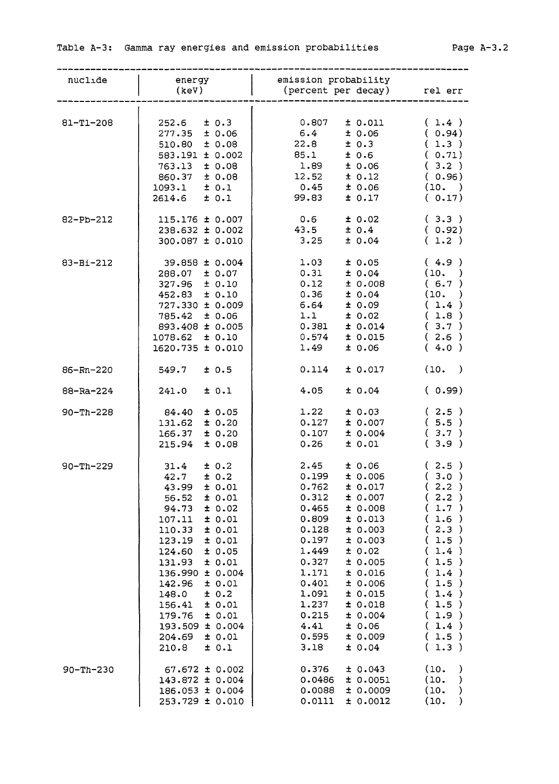| nuclide         | energy<br>(keV)                                                                                                                                                                                                                                                                                                                                          | emission probability<br>(percent per decay) rel err                                                                                                                                                                                                                                                                                                                |                                                                                                                                                                                |
|-----------------|----------------------------------------------------------------------------------------------------------------------------------------------------------------------------------------------------------------------------------------------------------------------------------------------------------------------------------------------------------|--------------------------------------------------------------------------------------------------------------------------------------------------------------------------------------------------------------------------------------------------------------------------------------------------------------------------------------------------------------------|--------------------------------------------------------------------------------------------------------------------------------------------------------------------------------|
| 81-T1-208       | $252.6$ $\pm$ 0.3<br>$277.35 \pm 0.06$<br>$510.80 \pm 0.08$<br>583.191 ± 0.002<br>$763.13 \pm 0.08$<br>$860.37 \pm 0.08$<br>$1093.1$ $\pm 0.1$<br>$2614.6$ $\pm$ 0.1                                                                                                                                                                                     | $0.807 \pm 0.011$ (1.4)<br>$6.4$ $\pm$ 0.06 (0.94)<br>$22.8$ $\pm 0.3$ (1.3)<br>85.1 ± 0.6 (0.71)<br>$1.89$ $\pm 0.06$ (3.2)<br>$12.52$ $\pm$ 0.12<br>$0.45$ $\pm$ 0.06<br>99.83<br>$\pm 0.17$ ( 0.17)                                                                                                                                                             | (0.96)<br>(10. )                                                                                                                                                               |
| 82-Pb-212       | $115.176 \pm 0.007$<br>$238.632 \pm 0.002$<br>$300.087 \pm 0.010$                                                                                                                                                                                                                                                                                        | 0.6<br>± 0.02<br>43.5<br>± 0.4<br>3.25<br>± 0.04                                                                                                                                                                                                                                                                                                                   | (3.3)<br>(0.92)<br>(1.2)                                                                                                                                                       |
| 83-Bi-212       | 39.858 ± 0.004<br>$288.07 \pm 0.07$<br>$327.96 \pm 0.10$<br>$452.83 \pm 0.10$<br>$727.330 \pm 0.009$<br>$785.42 \pm 0.06$<br>893.408 ± 0.005<br>$1078.62 \pm 0.10$<br>1620.735 ± 0.010                                                                                                                                                                   | 1.03<br>$\pm 0.05$ (4.9)<br>0.31<br>$\pm 0.04$ (10.)<br>0.12<br>$\pm 0.008$ (6.7)<br>$0.36$ $\pm 0.04$<br>$6.64$ $\pm 0.09$ (1.4)<br>$1.1$ $\pm 0.02$<br>$0.381 \pm 0.014$<br>$0.574$ $\pm$ 0.015<br>± 0.06<br>1.49                                                                                                                                                | (10, )<br>(1.8)<br>(3.7)<br>(2.6)<br>(4.0)                                                                                                                                     |
| $86 - Rn - 220$ | $549.7$ $\pm$ 0.5                                                                                                                                                                                                                                                                                                                                        | 0.114<br>± 0.017                                                                                                                                                                                                                                                                                                                                                   | (10. )                                                                                                                                                                         |
| $88 - Ra - 224$ | $241.0 \pm 0.1$                                                                                                                                                                                                                                                                                                                                          | ± 0.04<br>4.05                                                                                                                                                                                                                                                                                                                                                     | (0.99)                                                                                                                                                                         |
| $90 - Th - 228$ | $84.40 \pm 0.05$<br>$131.62 \pm 0.20$<br>$166.37 \pm 0.20$<br>$215.94 \pm 0.08$                                                                                                                                                                                                                                                                          | 1.22<br>$\pm 0.03$ (2.5)<br>$0.127$ $\pm$ 0.007 (5.5)<br>$0.107 \pm 0.004$ (3.7)<br>$0.26$ $\pm$ 0.01                                                                                                                                                                                                                                                              | (3.9)                                                                                                                                                                          |
| $90 - Th - 229$ | $31.4 \pm 0.2$<br>$42.7 \pm 0.2$<br>$43.99 \pm 0.01$<br>± 0.01<br>56.52<br>± 0.02<br>94.73<br>± 0.01<br>107.11<br>± 0.01<br>110.33<br>± 0.01<br>123.19<br>± 0.05<br>124.60<br>131.93<br>± 0.01<br>136.990 ± 0.004<br>142.96<br>± 0.01<br>± 0.2<br>148.0<br>± 0.01<br>156.41<br>179.76<br>± 0.01<br>193.509 ± 0.004<br>± 0.01<br>204.69<br>± 0.1<br>210.8 | $2.45 + 0.06$<br>$0.199 \pm 0.006$<br>$0.762$ $\pm$ $0.017$<br>0.312<br>± 0.007<br>0.465<br>± 0.008<br>0.809<br>± 0.013<br>0.128<br>± 0.003<br>0.197<br>± 0.003<br>1.449<br>± 0.02<br>0.327<br>± 0.005<br>1.171<br>± 0.016<br>0.401<br>± 0.006<br>1.091<br>± 0.015<br>1.237<br>± 0.018<br>0.215<br>± 0.004<br>4.41<br>± 0.06<br>0.595<br>± 0.009<br>± 0.04<br>3.18 | (2.5)<br>(3.0)<br>(2.2)<br>(2.2)<br>(1.7)<br>(1.6)<br>(2.3)<br>1.5)<br>€<br>1.4)<br>€<br>(1.5)<br>(1.4)<br>(1.5)<br>(1.4)<br>1.5)<br>€<br>1.9)<br>€<br>(1.4)<br>(1.5)<br>(1.3) |
| $90 - Th - 230$ | $67.672 \pm 0.002$<br>143.872 ± 0.004<br>186.053 ± 0.004<br>253.729 ± 0.010                                                                                                                                                                                                                                                                              | 0.376<br>± 0.043<br>0.0486<br>± 0.0051<br>0.0088<br>± 0.0009<br>0.0111<br>± 0.0012                                                                                                                                                                                                                                                                                 | (10,<br>$\mathcal{C}^{\prime}$<br>(10.<br>$\mathcal Y$<br>(10.<br>)<br>(10.<br>$\mathcal{Y}$                                                                                   |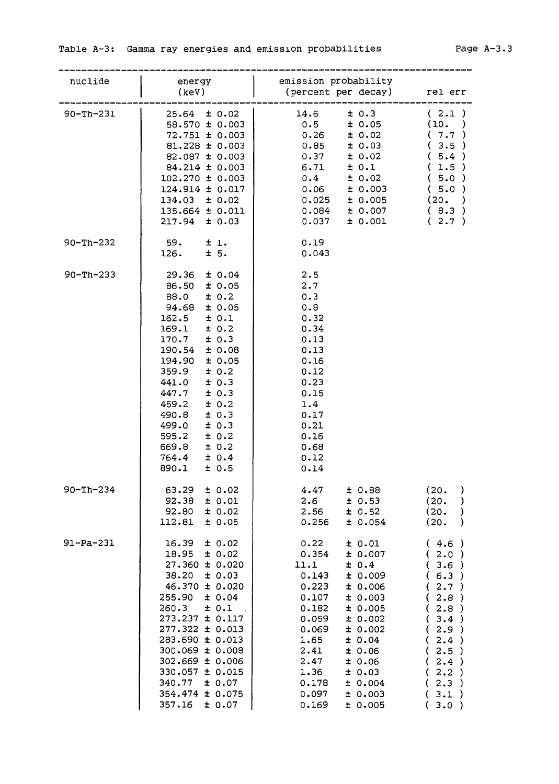| nuclide         | energy<br>(keV)                                                                                                                                                                                                                                                                                                                                                     | emission probability<br>percent per decay) relerr                                                                                                                                                                                                                                                               |                                                                                                                                                |
|-----------------|---------------------------------------------------------------------------------------------------------------------------------------------------------------------------------------------------------------------------------------------------------------------------------------------------------------------------------------------------------------------|-----------------------------------------------------------------------------------------------------------------------------------------------------------------------------------------------------------------------------------------------------------------------------------------------------------------|------------------------------------------------------------------------------------------------------------------------------------------------|
| $90 - Th - 231$ | $25.64 \pm 0.02$<br>$58.570 \pm 0.003$<br>$72.751 \pm 0.003$<br>$81.228 \pm 0.003$<br>82.087 ± 0.003<br>$84.214 \pm 0.003$<br>$102.270 \pm 0.003$<br>124.914 ± 0.017<br>$134.03 \pm 0.02$<br>135.664 ± 0.011<br>$217.94 \pm 0.03$                                                                                                                                   | ± 0.3<br>14.6<br>0.5<br>± 0.05<br>± 0.02<br>0.26<br>± 0.03<br>0.85<br>± 0.02<br>0.37<br>± 0.1<br>6.71<br>0.4<br>± 0.02<br>0.06<br>± 0.003<br>0.025<br>± 0.005<br>0.084<br>± 0.007<br>± 0.001<br>0.037                                                                                                           | (2.1)<br>(10.<br>(7.7)<br>(3.5)<br>(5.4)<br>(1.5)<br>(5.0)<br>(5.0)<br>(20. )<br>(8.3)<br>(2.7)                                                |
| $90 - Th - 232$ | $59. \pm 1.$<br>$126. \t\pm 5.$                                                                                                                                                                                                                                                                                                                                     | 0.19<br>0.043                                                                                                                                                                                                                                                                                                   |                                                                                                                                                |
| $90 - Th - 233$ | $29.36 \pm 0.04$<br>86.50 ± 0.05<br>88.0<br>± 0.2<br>$94.68 \pm 0.05$<br>$\pm$ 0.1<br>162.5<br>± 0.2<br>169.1<br>$\pm$ 0.3<br>170.7<br>190.54<br>± 0.08<br>± 0.05<br>194.90<br>± 0.2<br>359.9<br>± 0.3<br>441.0<br>447.7<br>± 0.3<br>459.2<br>± 0.2<br>± 0.3<br>490.8<br>499.0<br>± 0.3<br>595.2<br>$\pm$ 0.2<br>669.8<br>± 0.2<br>764.4<br>± 0.4<br>890.1<br>± 0.5 | 2.5<br>2.7<br>0.3<br>0.8<br>0.32<br>0.34<br>0.13<br>0.13<br>0.16<br>0.12<br>0.23<br>0.15<br>1.4<br>0.17<br>0.21<br>0.16<br>0.68<br>0.12<br>0.14                                                                                                                                                                 |                                                                                                                                                |
| $90 - Th - 234$ | ± 0.02<br>63.29<br>92.38<br>± 0.01<br>92.80<br>± 0.02<br>112.81<br>± 0.05                                                                                                                                                                                                                                                                                           | 4.47<br>± 0.88<br>2.6<br>± 0.53<br>2.56<br>± 0.52<br>± 0.054<br>0.256                                                                                                                                                                                                                                           | -)<br>(20.<br>(20.<br>$\mathcal{Y}$<br>(20.<br>$\mathcal{Y}$<br>(20.<br>$\lambda$                                                              |
| $91 - Pa - 231$ | ± 0.02<br>16.39<br>18.95<br>± 0.02<br>$27.360 \pm 0.020$<br>38.20<br>± 0.03<br>$46.370 \pm 0.020$<br>255.90<br>± 0.04<br>260.3<br>± 0.1<br>273.237 ± 0.117<br>$277.322 \pm 0.013$<br>283.690 ± 0.013<br>300.069 ± 0.008<br>$302.669 \pm 0.006$<br>330.057 ± 0.015<br>340.77<br>± 0.07<br>354.474 ± 0.075<br>357.16<br>± 0.07                                        | 0.22<br>± 0.01<br>± 0.007<br>0.354<br>± 0.4<br>11.1<br>0.143<br>± 0.009<br>0.223<br>± 0.006<br>± 0.003<br>0.107<br>0.182<br>± 0.005<br>± 0.002<br>0.059<br>0.069<br>± 0.002<br>1.65<br>± 0.04<br>2.41<br>± 0.06<br>2.47<br>± 0.06<br>1.36<br>± 0.03<br>0.178<br>± 0.004<br>0.097<br>± 0.003<br>0.169<br>± 0.005 | (4.6)<br>(2.0)<br>(3.6)<br>(6.3)<br>(2.7)<br>(2.8)<br>(2.8)<br>(3.4)<br>(2.9)<br>(2.4)<br>(2.5)<br>(2.4)<br>(2.2)<br>(2.3)<br>(.3.1)<br>(.3.0) |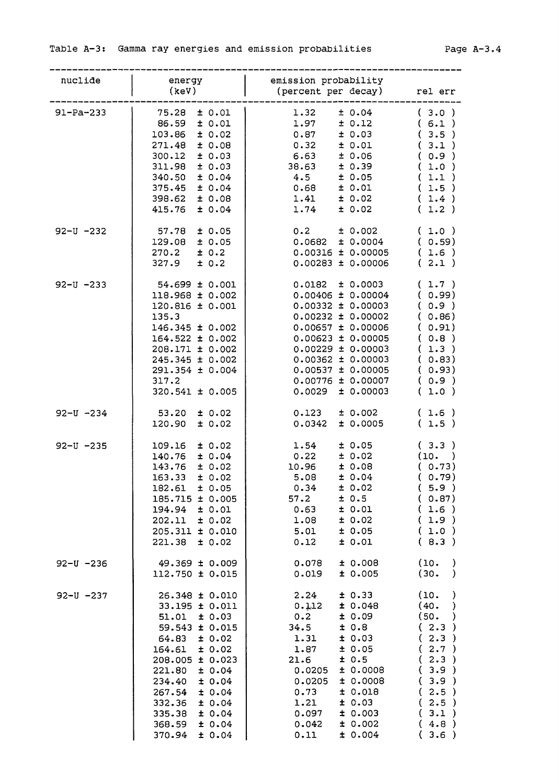| nuclide        | energy                               | emission probability                   |                       |
|----------------|--------------------------------------|----------------------------------------|-----------------------|
|                | (key)                                | (percent per decay) rel err            |                       |
|                |                                      |                                        |                       |
| $91-Pa-233$    | 75.28 ± 0.01                         | ± 0.04<br>1.32                         | (3.0)                 |
|                | 86.59 ± 0.01                         | 1.97<br>± 0.12                         | (6.1)                 |
|                | $103.86 \pm 0.02$                    | 0.87<br>± 0.03                         | (3.5)                 |
|                | $271.48 \pm 0.08$                    | 0.32<br>± 0.01                         | (3.1)                 |
|                | $300.12 \pm 0.03$                    | ± 0.06<br>6.63                         | (0.9)                 |
|                | $311.98 \pm 0.03$                    | 38.63<br>± 0.39                        | (1.0)                 |
|                | 340.50 ± 0.04                        | 4.5<br>± 0.05                          | (1.1)                 |
|                | $375.45 \pm 0.04$                    | 0.68<br>± 0.01                         | (1.5)                 |
|                | 398.62 ± 0.08                        | ± 0.02<br>1.41                         | (1.4)                 |
|                | $415.76 \pm 0.04$                    | 1.74<br>± 0.02                         | (1.2)                 |
| $92 - U - 232$ | $57.78$ $\pm$ 0.05                   | 0.2<br>± 0.002                         | (1.0)                 |
|                | 129.08 ± 0.05                        | $0.0682 \pm 0.0004$                    | (0.59)                |
|                | $270.2 \pm 0.2$                      | $0.00316 \pm 0.00005$                  | (1.6)                 |
|                | $327.9$ $\pm$ 0.2                    | $0.00283 \pm 0.00006$                  | (2.1)                 |
| $92 - U - 233$ | $54.699 \pm 0.001$                   | $0.0182 \pm 0.0003$                    | (1.7)                 |
|                | 118.968 ± 0.002                      | $0.00406 \pm 0.00004$                  | (0.99)                |
|                | $120.816 \pm 0.001$                  | $0.00332 \pm 0.00003$                  | (0.9)                 |
|                | 135.3                                | $0.00232 \pm 0.00002$                  | (0.86)                |
|                | $146.345 \pm 0.002$                  | $0.00657 \pm 0.00006$                  | (0.91)                |
|                | $164.522 \pm 0.002$                  | $0.00623 \pm 0.00005$                  | (0.8)                 |
|                | $208.171 \pm 0.002$                  | $0.00229 \pm 0.00003$                  | (1.3)                 |
|                | $245.345 \pm 0.002$                  | $0.00362 \pm 0.00003$                  | (0.83)                |
|                | $291.354 \pm 0.004$                  | $0.00537 \pm 0.00005$                  | (0.93)                |
|                | 317.2                                | 0.00776 ± 0.00007                      | (0.9)                 |
|                | $320.541 \pm 0.005$                  | $0.0029 \pm 0.00003$                   | (1.0)                 |
|                |                                      |                                        |                       |
| $92 - U - 234$ | $53.20 \pm 0.02$<br>± 0.02<br>120.90 | ± 0.002<br>0.123<br>± 0.0005<br>0.0342 | (1.6)<br>(1.5)        |
|                |                                      |                                        |                       |
| $92 - U - 235$ | ± 0.02<br>109.16                     | ± 0.05<br>1.54                         | (3.3)                 |
|                | 140.76 ± 0.04                        | 0.22<br>± 0.02                         | (10. )                |
|                | ± 0.02<br>143.76                     | 10.96<br>± 0.08                        | (0.73)                |
|                | 163.33<br>± 0.02                     | ± 0.04<br>5.08                         | (0.79)                |
|                | 182.61<br>± 0.05                     | 0.34<br>± 0.02                         | (5.9)                 |
|                | 185.715 ± 0.005                      | ± 0.5<br>57.2                          | (0.87)                |
|                | $194.94 \pm 0.01$                    | 0.63<br>$\pm$ 0.01                     | (1.6)                 |
|                | ± 0.02<br>202.11                     | 1.08<br>± 0.02                         | (1.9)                 |
|                | 205.311 ± 0.010                      | 5.01<br>± 0.05                         | (1.0)                 |
|                | 221.38<br>± 0.02                     | 0.12<br>± 0.01                         | (8.3)                 |
| $92 - U - 236$ | 49.369 ± 0.009                       | ± 0.008<br>0.078                       | (10.<br>)             |
|                | 112.750 ± 0.015                      | ± 0.005<br>0.019                       | (30.<br>$\lambda$     |
| $92 - U - 237$ | 26.348 ± 0.010                       | 2.24<br>± 0.33                         | (10.<br>$\lambda$     |
|                | 33.195 ± 0.011                       | 0.112<br>± 0.048                       | (40.<br>$\rightarrow$ |
|                | ± 0.03<br>51.01                      | ± 0.09<br>0.2                          | (50.<br>$\rightarrow$ |
|                | 59.543 ± 0.015                       | 34.5<br>± 0.8                          | (2.3)                 |
|                | ± 0.02<br>64.83                      | ± 0.03<br>1.31                         | (2.3)                 |
|                | ± 0.02<br>164.61                     | 1.87<br>± 0.05                         | (2.7)                 |
|                | 208.005 ± 0.023                      | 21.6<br>± 0.5                          | (2.3)                 |
|                | 221.80<br>± 0.04                     | 0.0205<br>± 0.0008                     | (3.9)                 |
|                | 234.40<br>± 0.04                     | 0.0205<br>± 0.0008                     | (3.9)                 |
|                | 267.54<br>± 0.04                     | ± 0.018<br>0.73                        | (2.5)                 |
|                | ± 0.04<br>332.36                     | ± 0.03<br>1.21                         | (2.5)                 |
|                | 335.38<br>± 0.04                     | 0.097<br>± 0.003                       | 3.1)<br>t.            |
|                | 368.59<br>± 0.04                     | ± 0.002<br>0.042                       | (4.8)                 |
|                | ± 0.04<br>370.94                     | 0.11<br>± 0.004                        | (3.6)                 |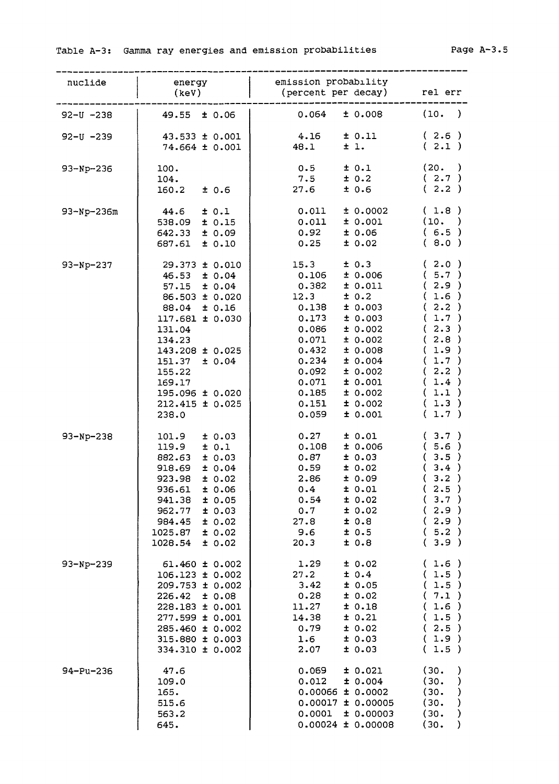| nuclide        | energy<br>(keV)                                                                                                                                                                                                                                            | emission probability<br>(percent per decay) rel err                                                                                                                                                                                                                                              |                                                                                                                                     |
|----------------|------------------------------------------------------------------------------------------------------------------------------------------------------------------------------------------------------------------------------------------------------------|--------------------------------------------------------------------------------------------------------------------------------------------------------------------------------------------------------------------------------------------------------------------------------------------------|-------------------------------------------------------------------------------------------------------------------------------------|
| $92 - U - 238$ | $49.55 \pm 0.06$                                                                                                                                                                                                                                           | ± 0.008<br>0.064                                                                                                                                                                                                                                                                                 | (10. )                                                                                                                              |
| $92 - U - 239$ | $43.533 \pm 0.001$<br>$74.664 \pm 0.001$                                                                                                                                                                                                                   | ± 0.11<br>4.16<br>48.1<br>$\pm$ 1.                                                                                                                                                                                                                                                               | (2.6)<br>(2.1)                                                                                                                      |
| $93-Np-236$    | 100.<br>104.<br>160.2<br>±0.6                                                                                                                                                                                                                              | ± 0.1<br>0.5<br>± 0.2<br>7.5<br>27.6<br>± 0.6                                                                                                                                                                                                                                                    | (20. )<br>(2.7)<br>(2.2)                                                                                                            |
| 93-Np-236m     | 44.6<br>± 0.1<br>538.09 ± 0.15<br>$642.33 \pm 0.09$<br>687.61 ± 0.10                                                                                                                                                                                       | 0.011<br>± 0.0002<br>± 0.001<br>0.011<br>0.92<br>±0.06<br>0.25<br>± 0.02                                                                                                                                                                                                                         | (1.8)<br>(10. )<br>(6.5)<br>(8.0)                                                                                                   |
| $93-Np-237$    | $29.373 \pm 0.010$<br>$46.53 \pm 0.04$<br>$57.15 \pm 0.04$<br>86.503 ± 0.020<br>88.04 ± 0.16<br>$117.681 \pm 0.030$<br>131.04<br>134.23<br>$143.208 \pm 0.025$<br>$151.37 \pm 0.04$<br>155.22<br>169.17<br>195.096 ± 0.020<br>$212.415 \pm 0.025$<br>238.0 | 15.3<br>± 0.3<br>0.106<br>± 0.006<br>0.382<br>± 0.011<br>12.3<br>± 0.2<br>0.138<br>± 0.003<br>0.173<br>± 0.003<br>0.086<br>± 0.002<br>± 0.002<br>0.071<br>0.432<br>0.008<br>0.234<br>± 0.004<br>0.092<br>± 0.002<br>0.071<br>± 0.001<br>0.185<br>± 0.002<br>0.151<br>± 0.002<br>0.059<br>± 0.001 | (2.0)<br>(5.7)<br>(2.9)<br>(1.6)<br>(2.2)<br>(1.7)<br>(2.3)<br>(2.8)<br>(1.9)<br>(1.7)<br>(2.2)<br>(1.4)<br>(1.1)<br>(1.3)<br>(1.7) |
| $93-Np-238$    | ± 0.03<br>101.9<br>$119.9 \pm 0.1$<br>± 0.03<br>882.63<br>918.69<br>± 0.04<br>923.98<br>± 0.02<br>936.61<br>± 0.06<br>941.38<br>± 0.05<br>962.77<br>± 0.03<br>± 0.02<br>984.45<br>± 0.02<br>1025.87<br>1028.54<br>± 0.02                                   | 0.27<br>± 0.01<br>0.108<br>± 0.006<br>± 0.03<br>0.87<br>± 0.02<br>0.59<br>2.86<br>± 0.09<br>0.4<br>± 0.01<br>± 0.02<br>0.54<br>0.7<br>± 0.02<br>0.8<br>27.8<br>± 0.5<br>9.6<br>20.3<br>± 0.8                                                                                                     | (3.7)<br>(5.6)<br>(3.5)<br>(3.4)<br>(3.2)<br>(2.5)<br>(3.7)<br>(2.9)<br>(2.9)<br>(5.2)<br>(3.9)                                     |
| $93-Np-239$    | 61.460 ± 0.002<br>106.123 ± 0.002<br>209.753 ± 0.002<br>226.42<br>10.08<br>$228.183 \pm 0.001$<br>277.599 ± 0.001<br>285.460 ± 0.002<br>315.880 ± 0.003<br>334.310 ± 0.002                                                                                 | ± 0.02<br>1.29<br>27.2<br>± 0.4<br>3.42<br>± 0.05<br>0.28<br>± 0.02<br>11.27<br>± 0.18<br>± 0.21<br>14.38<br>± 0.02<br>0.79<br>± 0.03<br>1.6<br>2.07<br>± 0.03                                                                                                                                   | (1.6)<br>(1.5)<br>(1.5)<br>(7.1)<br>(1.6)<br>(1.5)<br>(2.5)<br>(1.9)<br>1.5)<br>€.                                                  |
| 94-Pu-236      | 47.6<br>109.0<br>165.<br>515.6<br>563.2<br>645.                                                                                                                                                                                                            | ± 0.021<br>0.069<br>± 0.004<br>0.012<br>$0.00066 \pm 0.0002$<br>$0.00017 \pm 0.00005$<br>0.0001<br>± 0.00003<br>$0.00024 \pm 0.00008$                                                                                                                                                            | (30.<br>)<br>(30.<br>$\mathcal{Y}$<br>(30.<br>)<br>(30.<br>$\mathcal{Y}$<br>(30.<br>$\mathcal{Y}$<br>(30.<br>$\lambda$              |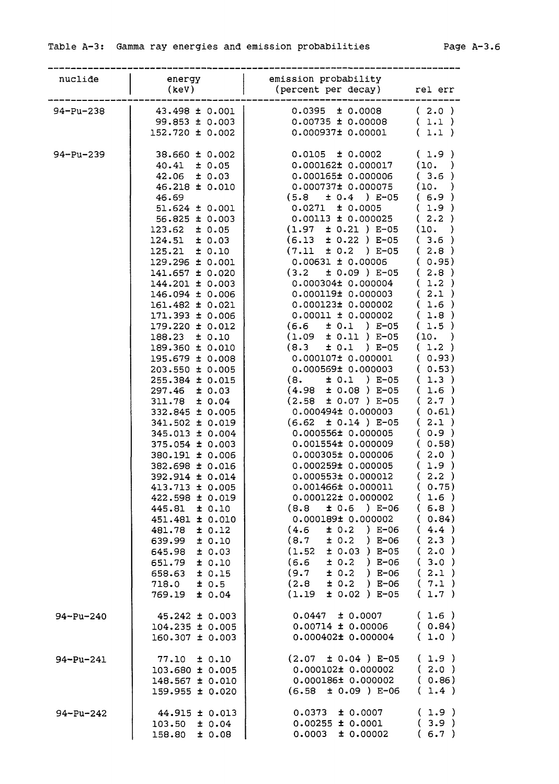| nuclide         |                                            | emission probability                                                                                                                                                                                       |                                |
|-----------------|--------------------------------------------|------------------------------------------------------------------------------------------------------------------------------------------------------------------------------------------------------------|--------------------------------|
|                 | energy<br>(keV)                            | (percent per decay) rel err                                                                                                                                                                                |                                |
| 94-Pu-238       | 43.498 ± 0.001                             | $0.0395 \pm 0.0008$ (2.0)                                                                                                                                                                                  |                                |
|                 | $99.853 \pm 0.003$                         | $\vert$ 0.00735 ± 0.00008 (1.1)                                                                                                                                                                            |                                |
|                 | $152.720 \pm 0.002$                        | $0.000937\pm 0.00001$ (1.1)                                                                                                                                                                                |                                |
| 94-Pu-239       | $38.660 \pm 0.002$                         | $0.0105 \pm 0.0002$ (1.9)                                                                                                                                                                                  |                                |
|                 | $40.41 \pm 0.05$                           | $0.000162 \pm 0.000017$ (10. )                                                                                                                                                                             |                                |
|                 | $42.06 \pm 0.03$<br>$46.218 \pm 0.010$     | $0.000165 \pm 0.000006$ (3.6)                                                                                                                                                                              |                                |
|                 | 46.69                                      |                                                                                                                                                                                                            |                                |
|                 | $51.624 \pm 0.001$                         |                                                                                                                                                                                                            |                                |
|                 | $56.825 \pm 0.003$                         |                                                                                                                                                                                                            |                                |
|                 | $123.62 \pm 0.05$                          | $0.000737\pm 0.000075$ (10.)<br>$(5.8 \pm 0.4) E-05$ (6.9)<br>$0.0271 \pm 0.0005$ (1.9)<br>$0.00113 \pm 0.000025$ (2.2)<br>$(1.97 \pm 0.21) E-05$ (10.)                                                    |                                |
|                 | $124.51 \pm 0.03$                          | $(6.13 \pm 0.22) E-05$ (3.6)                                                                                                                                                                               |                                |
|                 | $125.21 \pm 0.10$                          | $(7.11 \pm 0.2) E-05$ (2.8)<br>$0.00631 \pm 0.00006$ (0.95)                                                                                                                                                |                                |
|                 | $129.296 \pm 0.001$<br>$141.657 \pm 0.020$ | $(3.2 \pm 0.09) E-05$ (2.8)                                                                                                                                                                                |                                |
|                 | $144.201 \pm 0.003$                        | $0.000304\pm 0.000004$ (1.2)                                                                                                                                                                               |                                |
|                 | 146.094 ± 0.006                            | 0.000119± 0.000003 (2.1)                                                                                                                                                                                   |                                |
|                 | $161.482 \pm 0.021$                        | $0.000123 \pm 0.000002$ (1.6)                                                                                                                                                                              |                                |
|                 | $171.393 \pm 0.006$                        |                                                                                                                                                                                                            |                                |
|                 | $179.220 \pm 0.012$                        |                                                                                                                                                                                                            |                                |
|                 | $188.23 \pm 0.10$<br>189.360 ± 0.010       |                                                                                                                                                                                                            |                                |
|                 | $195.679 \pm 0.008$                        | $0.00011 \pm 0.000002$ (1.8)<br>(6.6 ± 0.1 ) E-05 (1.5)<br>(1.09 ± 0.11 ) E-05 (10. )<br>(8.3 ± 0.1 ) E-05 (1.2 )<br>0.000107± 0.000001 (0.93)                                                             |                                |
|                 | $203.550 \pm 0.005$                        | $0.000569 \pm 0.000003$ (0.53)                                                                                                                                                                             |                                |
|                 | $255.384 \pm 0.015$                        | $(8. \pm 0.1) E-05$ (1.3)                                                                                                                                                                                  |                                |
|                 | $297.46 \pm 0.03$                          | $(4.98 \pm 0.08) E-05$ (1.6)                                                                                                                                                                               |                                |
|                 | $311.78 \pm 0.04$                          | $(2.58 \pm 0.07) E-05$ (2.7)                                                                                                                                                                               |                                |
|                 | $332.845 \pm 0.005$<br>$341.502 \pm 0.019$ | $0.000494\pm 0.000003$ ( $0.61$ )<br>$(6.62 \pm 0.14) E-05$ $(2.1)$                                                                                                                                        |                                |
|                 | 345.013 ± 0.004                            |                                                                                                                                                                                                            |                                |
|                 | $375.054 \pm 0.003$                        | $\begin{array}{cccc} 0.000556 \pm & 0.000005 & (0.9) \ 0.001554 \pm & 0.000009 & (0.58) \ 0.000305 \pm & 0.000006 & (2.0) \ 0.000259 \pm & 0.000005 & (1.9) \ 0.000553 \pm & 0.000012 & (2.2) \end{array}$ |                                |
|                 | 380.191 ± 0.006                            |                                                                                                                                                                                                            |                                |
|                 | 382.698 ± 0.016                            |                                                                                                                                                                                                            |                                |
|                 | 392.914 ± 0.014<br>$413.713 \pm 0.005$     | 0.001466± 0.000011                                                                                                                                                                                         | (0.75)                         |
|                 | 422.598 ± 0.019                            | $0.000122 \pm 0.000002$                                                                                                                                                                                    | (1.6)                          |
|                 | 445.81<br>± 0.10                           | $(8.8 \pm 0.6) E-06$                                                                                                                                                                                       | (6.8)                          |
|                 | 451.481 ± 0.010                            | $0.000189$ $10.000002$                                                                                                                                                                                     | (0.84)                         |
|                 | ± 0.12<br>481.78                           | (4.6)<br>$\pm$ 0.2 ) E-06                                                                                                                                                                                  | (4.4)                          |
|                 | 639.99<br>± 0.10                           | $(8.7 \pm 0.2)$ E-06                                                                                                                                                                                       | 2.3)<br>€                      |
|                 | 645.98<br>± 0.03<br>± 0.10<br>651.79       | $(1.52 \pm 0.03)$ E-05<br>$(6.6 \pm 0.2)$ E-06                                                                                                                                                             | $2.0$ )<br>€.<br>$3.0$ )<br>€. |
|                 | ± 0.15<br>658.63                           | (9.7)<br>$\pm$ 0.2 ) E-06                                                                                                                                                                                  | 2.1)<br>€                      |
|                 | ± 0.5<br>718.0                             | $(2.8 \pm 0.2)$ E-06                                                                                                                                                                                       | (7.1)                          |
|                 | 769.19<br>± 0.04                           | $(1.19 \pm 0.02) E-05$                                                                                                                                                                                     | (1.7)                          |
| 94-Pu-240       | $45.242 \pm 0.003$                         | 0.0447<br>± 0.0007                                                                                                                                                                                         | (1.6)                          |
|                 | $104.235 \pm 0.005$                        | $0.00714 \pm 0.00006$                                                                                                                                                                                      | (0.84)                         |
|                 | $160.307 \pm 0.003$                        | $0.000402 \pm 0.000004$                                                                                                                                                                                    | (1.0)                          |
| $94 - Pu - 241$ | 77.10<br>± 0.10                            | $(2.07 \pm 0.04)$ E-05                                                                                                                                                                                     | (1.9)                          |
|                 | 103.680 ± 0.005                            | $0.000102 \pm 0.000002$                                                                                                                                                                                    | (2.0)                          |
|                 | 148.567 ± 0.010                            | $0.000186\pm0.000002$                                                                                                                                                                                      | (0.86)                         |
|                 | 159.955 ± 0.020                            | $(6.58 \pm 0.09)$ E-06                                                                                                                                                                                     | (1.4)                          |
| 94-Pu-242       | $44.915 \pm 0.013$                         | ± 0.0007<br>0.0373                                                                                                                                                                                         | (1.9)                          |
|                 | $103.50 \pm 0.04$                          | $0.00255 \pm 0.0001$                                                                                                                                                                                       | (3.9)                          |
|                 | 158.80<br>± 0.08                           | 0.0003<br>± 0.00002                                                                                                                                                                                        | (6.7)                          |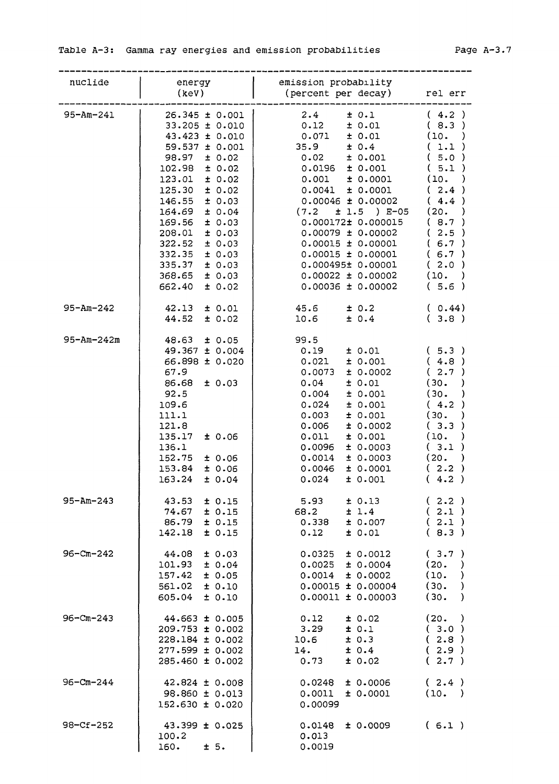| nuclide          | energy<br>(keV)                                                                                                                                                                                                                                                                                                                                                 | emission probability<br>(percent per decay) rel err                                                                                                                                                                                                                                                                                                                                                |                                                                                                                                                       |
|------------------|-----------------------------------------------------------------------------------------------------------------------------------------------------------------------------------------------------------------------------------------------------------------------------------------------------------------------------------------------------------------|----------------------------------------------------------------------------------------------------------------------------------------------------------------------------------------------------------------------------------------------------------------------------------------------------------------------------------------------------------------------------------------------------|-------------------------------------------------------------------------------------------------------------------------------------------------------|
| 95-Am-241        | $26.345 \pm 0.001$<br>$33.205 \pm 0.010$<br>$43.423 \pm 0.010$<br>$59.537 \pm 0.001$<br>$98.97 \pm 0.02$<br>$102.98 \pm 0.02$<br>$123.01 \pm 0.02$<br>$125.30 \pm 0.02$<br>146.55<br>± 0.03<br>$164.69 \pm 0.04$<br>± 0.03<br>169.56<br>$208.01 \pm 0.03$<br>322.52<br>± 0.03<br>$332.35 \pm 0.03$<br>$335.37 \pm 0.03$<br>368.65<br>± 0.03<br>± 0.02<br>662.40 | 2.4<br>± 0.1<br>$0.12 \pm 0.01$<br>$0.071$ $\pm$ $0.01$<br>35.9<br>± 0.4<br>$0.02$ $\pm$ 0.001<br>$0.0196$ $\pm$ 0.001<br>$0.001$ $\pm$ 0.0001<br>± 0.0001<br>0.0041<br>$0.00046 \pm 0.00002$<br>(7.2)<br>± 1.5 ) E-05<br>0.000172± 0.000015<br>$0.00079 \pm 0.00002$<br>$0.00015 \pm 0.00001$<br>$0.00015 \pm 0.00001$<br>$0.000495\pm 0.00001$<br>$0.00022 \pm 0.00002$<br>$0.00036 \pm 0.00002$ | (4.2)<br>(8.3)<br>(10. )<br>(1.1)<br>(5.0)<br>(5.1)<br>(10.<br>(2.4)<br>(4.4)<br>(20.<br>(8.7)<br>(2.5)<br>(6.7)<br>(6.7)<br>(2.0)<br>(10. )<br>(5.6) |
| $95 - Am - 242$  | $42.13 \pm 0.01$<br>$44.52 \pm 0.02$                                                                                                                                                                                                                                                                                                                            | $45.6$ $\pm$ 0.2<br>$10.6$ $\pm 0.4$                                                                                                                                                                                                                                                                                                                                                               | (0.44)<br>(3.8)                                                                                                                                       |
| $95 - Am - 242m$ | $48.63 \pm 0.05$<br>49.367 ± 0.004<br>66.898 ± 0.020<br>67.9<br>$86.68 \pm 0.03$<br>92.5<br>109.6<br>111.1<br>121.8<br>± 0.06<br>135.17<br>136.1<br>$152.75 \pm 0.06$<br>153.84 ± 0.06<br>163.24<br>± 0.04                                                                                                                                                      | 99.5<br>0.19<br>± 0.01<br>± 0.001<br>0.021<br>0.0073<br>± 0.0002<br>0.04<br>± 0.01<br>0.004<br>± 0.001<br>0.024<br>± 0.001<br>0.003<br>± 0.001<br>0.006<br>± 0.0002<br>± 0.001<br>0.011<br>0.0096<br>± 0.0003<br>0.0014<br>± 0.0003<br>0.0046<br>± 0.0001<br>0.024<br>± 0.001                                                                                                                      | (5.3)<br>(4.8)<br>(2.7)<br>(30.<br>(30.<br>(4.2)<br>(30.<br>(3.3)<br>(10.<br>(.3.1)<br>(20.<br>(2.2)<br>(4.2)                                         |
| $95 - Am - 243$  | $43.53 \pm 0.15$<br>74.67<br>± 0.15<br>86.79<br>± 0.15<br>± 0.15<br>142.18                                                                                                                                                                                                                                                                                      | ± 0.13<br>5.93<br>68.2<br>$\pm$ 1.4<br>0.338<br>± 0.007<br>0.12<br>± 0.01                                                                                                                                                                                                                                                                                                                          | (2.2)<br>(2.1)<br>(2.1)<br>(8.3)                                                                                                                      |
| $96 - Cm - 242$  | $44.08$ ± 0.03<br>$101.93 \pm 0.04$<br>157.42<br>± 0.05<br>561.02<br>± 0.10<br>605.04<br>± 0.10                                                                                                                                                                                                                                                                 | 0.0325<br>± 0.0012<br>$0.0025 \pm 0.0004$<br>$0.0014 \pm 0.0002$<br>$0.00015 \pm 0.00004$<br>$0.00011 \pm 0.00003$                                                                                                                                                                                                                                                                                 | (3.7)<br>(20.<br>$\lambda$<br>(10.<br>$\rightarrow$<br>(30.<br>$\rightarrow$<br>(30.<br>$\rightarrow$                                                 |
| $96 - Cm - 243$  | $44.663 \pm 0.005$<br>$209.753 \pm 0.002$<br>$228.184 \pm 0.002$<br>$277.599 \pm 0.002$<br>$285.460 \pm 0.002$                                                                                                                                                                                                                                                  | 0.12<br>± 0.02<br>3.29<br>± 0.1<br>10.6<br>± 0.3<br>± 0.4<br>14.<br>0.73<br>± 0.02                                                                                                                                                                                                                                                                                                                 | (20. )<br>(3.0)<br>(2.8)<br>(2.9)<br>(2.7)                                                                                                            |
| $96 - Cm - 244$  | $42.824 \pm 0.008$<br>$98.860 \pm 0.013$<br>152.630 ± 0.020                                                                                                                                                                                                                                                                                                     | 0.0248<br>± 0.0006<br>± 0.0001<br>0.0011<br>0.00099                                                                                                                                                                                                                                                                                                                                                | (2.4)<br>(10. )                                                                                                                                       |
| $98 - Cf - 252$  | $43.399 \pm 0.025$<br>100.2<br>$160.$ $\pm 5.$                                                                                                                                                                                                                                                                                                                  | 0.0148<br>± 0.0009<br>0.013<br>0.0019                                                                                                                                                                                                                                                                                                                                                              | (6.1)                                                                                                                                                 |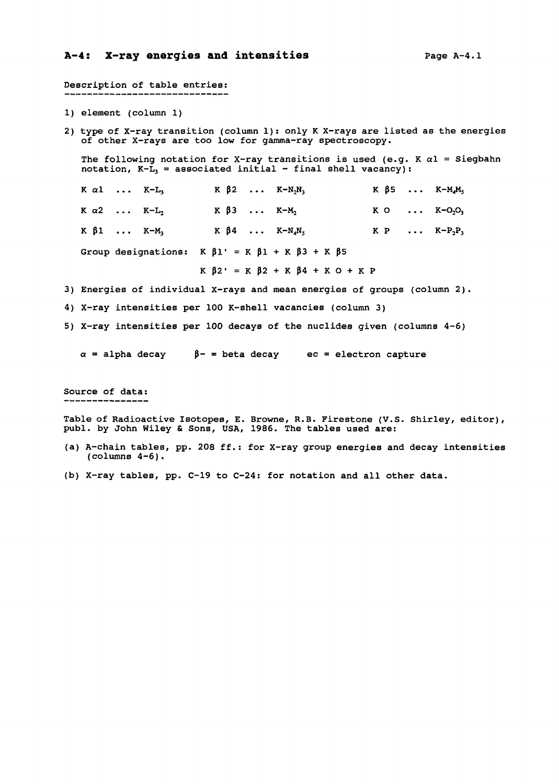### A-4: X-ray energies and intensities **page A-4.1**

Description of table entries: 1) element (column 1) 2) type of X-ray transition (column 1): only K X-rays are listed as the energies of other X-rays are too low for gamma-ray spectroscopy. The following notation for X-ray transitions is used (e.g. K  $\alpha$ l = Siegbahn notation,  $K-\tilde{L}_1$  = associated initial - final shell vacancy):  $K \alpha l$  ...  $K-L_3$ K  $\alpha$ 2 ...  $K-L_2$  $K \beta 1 \ldots K-M_3$ Group designations:  $K \beta 1' = K \beta 1 + K \beta 3 + K \beta 5$  $K \beta 2' = K \beta 2 + K \beta 4 + K O + K P$ 3) Energies of individual X-rays and mean energies of groups (column 2). 4) X-ray intensities per 100 K-shell vacancies (column 3) 5) X-ray intensities per 100 decays of the nuclides given (columns 4-6)  $\alpha$  = alpha decay  $\beta$ - = beta decay ec = electron capture Source of data: **K 02 . . . K-N2N<sup>3</sup> K 03 . . . K-Mj K 04 . . . K-N4N<sup>5</sup> K 05 . . . K-M4M<sup>5</sup> K O K-O2O<sup>3</sup> K P . . . K-P2P<sup>3</sup>**

Table of Radioactive Isotopes, E. Browne, R.B. Firestone (V.S. Shirley, editor), publ. by John Wiley & Sons, USA, 1986. The tables used are:

- (a) A-chain tables, pp. 208 ff.: for X-ray group energies and decay intensities  $(column 4-6)$ .
- (b) X-ray tables, pp. C-19 to C-24: for notation and all other data.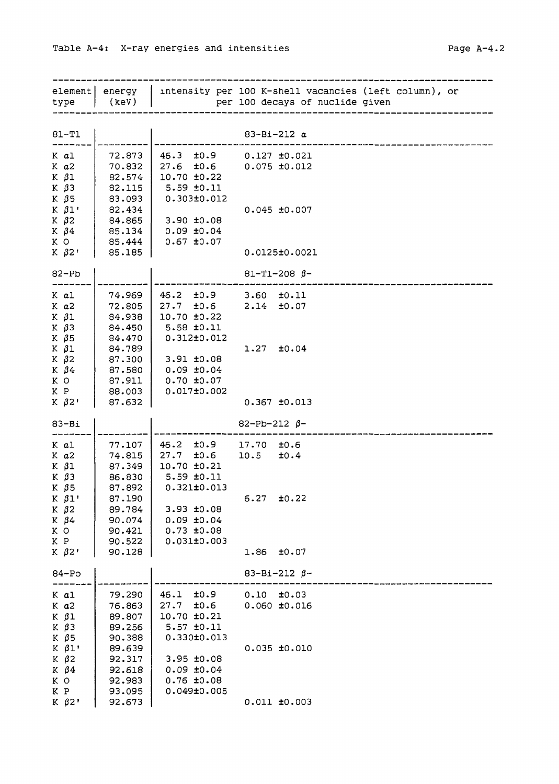| type                                                                       | element  energy<br>(kev)                                 | intensity per 100 K-shell vacancies (left column), or<br>per 100 decays of nuclide given                                   |  |
|----------------------------------------------------------------------------|----------------------------------------------------------|----------------------------------------------------------------------------------------------------------------------------|--|
| $81 - T1$                                                                  |                                                          | $83 - B1 - 212 a$                                                                                                          |  |
| K al<br>$K$ $a2$<br>$K$ $\beta$ 1<br>$K$ $\beta$ 3<br>$K$ $\beta$ 5        | 72.873<br>70.832<br>82.574<br>82.115<br>83.093           | $46.3 \pm 0.9$<br>$0.127$ $\pm 0.021$<br>$27.6$ $\pm 0.6$<br>0.075 ±0.012<br>10.70 ±0.22<br>$5.59 \pm 0.11$<br>0.303±0.012 |  |
| $K$ $\beta$ 1'<br>$K$ $\beta$ 2<br>K $\beta$ 4<br>K O                      | 82.434<br>84.865<br>$85.134$  <br>85.444                 | $0.045$ ±0.007<br>3.90 ±0.08<br>$0.09$ $±0.04$<br>$0.67$ ±0.07                                                             |  |
| $K$ $\beta$ 2'                                                             | 85.185                                                   | 0.0125±0.0021                                                                                                              |  |
| $82-Pb$                                                                    |                                                          | $81 - T1 - 208$ $\beta$ -                                                                                                  |  |
| K al<br>$K$ $a2$<br>$K$ $\beta$ 1<br>$K$ $\beta$ 3                         | 74.969<br>72.805<br>84.938<br>84.450                     | $46.2 \pm 0.9$<br>$3.60$ $\pm 0.11$<br>2.14<br>$27.7 \pm 0.6$<br>±0.07<br>10.70 ±0.22<br>5.58 ±0.11                        |  |
| K $\beta$ 5<br>$K$ $\beta$ 1<br>$K$ $\beta$ 2<br>K $\beta$ 4<br>K O<br>K P | 84.470<br>84.789<br>87.300<br>87.580<br>87.911<br>88.003 | $0.312 \pm 0.012$<br>$1.27$ $\pm 0.04$<br>$3.91 \pm 0.08$<br>$0.09$ $±0.04$<br>$0.70$ $±0.07$<br>0.017±0.002               |  |
| $K$ $\beta$ 2'                                                             | 87.632                                                   | $0.367$ $\pm 0.013$                                                                                                        |  |
| $83 - Bi$                                                                  |                                                          | $82 - Pb - 212 \beta -$                                                                                                    |  |
| K al<br>$K$ $a2$<br>$K$ $\beta$ 1<br>$K$ $\beta$ 3<br>K $\beta$ 5          | 77.107<br>74.815<br>87.349<br>86.830<br>87.892           | $46.2 \pm 0.9$<br>17.70<br>±0.6<br>$27.7 \pm 0.6$<br>10.5<br>±0.4<br>10.70 ±0.21<br>$5.59$ $±0.11$<br>$0.321 \pm 0.013$    |  |
| $K$ $\beta$ 1'<br>$K$ $\beta$ 2<br>K $\beta$ 4<br>K O<br>K P               | 87.190<br>89.784<br>90.074<br>90.421<br>90.522           | 6.27<br>±0.22<br>$3.93 + 0.08$<br>$0.09 \pm 0.04$<br>$0.73 \pm 0.08$<br>0.031±0.003                                        |  |
| $K$ $\beta$ 2'                                                             | 90.128                                                   | 1.86<br>±0.07                                                                                                              |  |
| $84 - PO$                                                                  |                                                          | $83 - Bi - 212 \beta -$                                                                                                    |  |
| K al<br>$K$ $a2$<br>$K$ $\beta$ 1<br>$K$ $\beta$ 3<br>K $\beta$ 5          | 79.290<br>76.863<br>89.807<br>89.256<br>90.388           | ±0.9<br>0.10<br>±0.03<br>46.1<br>27.7<br>±0.6<br>$0.060$ $±0.016$<br>10.70 ±0.21<br>$5.57$ $\pm 0.11$<br>$0.330 \pm 0.013$ |  |
| $K$ $\beta$ 1'<br>$K$ $\beta$ 2<br>K $\beta$ 4<br>K O<br>K P               | 89.639<br>92.317<br>92.618<br>92.983<br>93.095           | $0.035$ $±0.010$<br>$3.95 \pm 0.08$<br>$0.09 \pm 0.04$<br>$0.76$ ±0.08<br>0.049±0.005                                      |  |
| $K$ $\beta$ 2'                                                             | 92.673                                                   | $0.011$ $±0.003$                                                                                                           |  |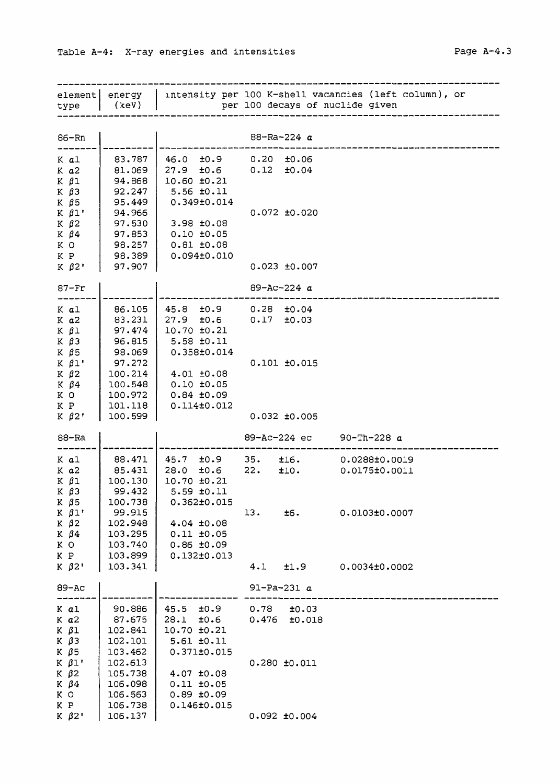| element <br>type                                               | (keV)                                              |                                                                                       | per 100 decays of nuclide given        | energy   intensity per 100 K-shell vacancies (left column), or |
|----------------------------------------------------------------|----------------------------------------------------|---------------------------------------------------------------------------------------|----------------------------------------|----------------------------------------------------------------|
| 86-Rn                                                          |                                                    |                                                                                       | 88-Ra-224 $a$                          |                                                                |
| K al<br>K a2<br>$K$ $\beta$ 1<br>КβЗ<br>К β5                   | 83.787<br>81.069<br>94.868<br>92.247<br>95.449     | $46.0 \pm 0.9$<br>$27.9$ $\pm 0.6$<br>$10.60 \pm 0.21$<br>$5.56$ ±0.11<br>0.349±0.014 | $0.20$ $\pm 0.06$<br>$0.12$ $\pm 0.04$ |                                                                |
| $K$ $\beta$ 1'<br>$K$ $\beta$ 2<br>$K$ $\beta$ 4<br>K O<br>K P | 94.966<br>97.530<br>97.853<br>98.257<br>98.389     | 3.98 ±0.08<br>$0.10 \pm 0.05$<br>$0.81$ $\pm 0.08$<br>0.094±0.010                     | $0.072$ $\pm 0.020$                    |                                                                |
| $K$ $\beta$ 2'                                                 | 97.907                                             |                                                                                       | $0.023 + 0.007$                        |                                                                |
| $87 - Fr$                                                      |                                                    |                                                                                       | $89 - AC - 224 a$                      |                                                                |
| K al<br>K a2<br>$K$ $\beta$ 1<br>$K$ $\beta$ 3                 | 86.105<br>83.231<br>97.474<br>96.815               | $45.8$ $\pm 0.9$<br>27.9<br>±0.6<br>$10.70 \pm 0.21$<br>$5.58$ $±0.11$                | $0.28$ $\pm 0.04$<br>$0.17$ $\pm 0.03$ |                                                                |
| К β5<br>$K$ $\beta$ 1'<br>$K$ $\beta$ 2<br>K $\beta$ 4<br>K O  | 98.069<br>97.272<br>100.214<br>100.548<br>100.972  | 0.358±0.014<br>4.01 ±0.08<br>$0.10 \pm 0.05$<br>0.84 ±0.09                            | $0.101$ $±0.015$                       |                                                                |
| K P<br>$K$ $\beta$ 2'                                          | 101.118<br>100.599                                 | 0.114±0.012                                                                           | $0.032$ $\pm 0.005$                    |                                                                |
| 88-Ra                                                          |                                                    |                                                                                       | 89-Ac-224 ec                           | 90-Th-228 $a$                                                  |
| K al<br>K a2<br>K β1<br>К βЗ<br>K $\beta$ 5                    | 88.471<br>85.431<br>100.130<br>99.432<br>100.738   | 45.7 ±0.9<br>28.0<br>±0.6<br>$10.70$ $\pm 0.21$<br>5.59 ±0.11<br>$0.362 \pm 0.015$    | 35.<br>±16.<br>22.<br>t10.             | 0.0288±0.0019<br>0.0175±0.0011                                 |
| $K$ $\beta$ 1'<br>$K$ $\beta$ 2<br>$K$ $\beta$ 4<br>K O<br>K P | 99.915<br>102.948<br>103.295<br>103.740<br>103.899 | 4.04 ±0.08<br>$0.11$ $\pm 0.05$<br>$0.86 \pm 0.09$<br>$0.132 \pm 0.013$               | 13.<br>±6.                             | 0.0103±0.0007                                                  |
| $K$ $\beta$ 2'                                                 | 103.341                                            |                                                                                       | 4.1<br>±1.9                            | 0.0034±0.0002                                                  |
| 89-Ac                                                          |                                                    |                                                                                       | 91-Pa-231 $a$                          |                                                                |
| K al<br>K a2<br>K β1<br>К βЗ<br>К β5                           | 90.886<br>87.675<br>102.841<br>102.101<br>103.462  | 45.5<br>±0.9<br>±0.6<br>28.1<br>$10.70$ $\pm 0.21$<br>5.61 ±0.11<br>$0.371 \pm 0.015$ | 0.78<br>±0.03<br>0.476<br>±0.018       |                                                                |
| $K$ $\beta$ 1'<br>K $\beta$ 2<br>Κ β4<br>ΚO                    | 102.613<br>105.738<br>106.098<br>106.563           | $4.07 \pm 0.08$<br>$0.11$ $\pm 0.05$<br>$0.89 \pm 0.09$                               | $0.280$ $\pm 0.011$                    |                                                                |

0.092 ±0.004

K K P 02' 106.738 106.137

0.146±0.015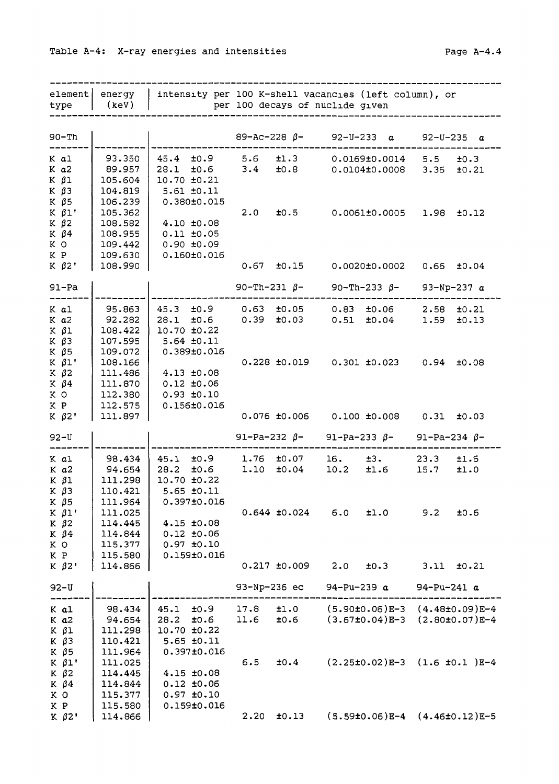| element <br>type                                                       | energy<br>(keV)                                                | intensity per 100 K-shell vacancies (left column), or                                  |                     | per 100 decays of nuclide given      |                   |                                                                  |                   |                   |
|------------------------------------------------------------------------|----------------------------------------------------------------|----------------------------------------------------------------------------------------|---------------------|--------------------------------------|-------------------|------------------------------------------------------------------|-------------------|-------------------|
| 90-Th                                                                  |                                                                |                                                                                        |                     | $89 - Ac - 228 \beta - 92 - U - 233$ |                   | $\alpha$                                                         | $92 - U - 235$    | a                 |
| K al<br>K a2<br>K βl<br>КβЗ                                            | 93.350<br>89.957<br>105.604<br>104.819                         | $45.4$ $\pm 0.9$<br>$28.1$ $\pm 0.6$<br>10.70 ±0.21<br>$5.61$ $\pm 0.11$               | 5.6<br>3.4          | ±1.3<br>±0.8                         |                   | $0.0169 {\pm} 0.0014$<br>0.0104±0.0008                           | 5.5<br>3.36       | ±0.3<br>±0.21     |
| Κ β5<br>$K$ $\beta$ 1'<br>K $\beta$ 2<br>Κ β4<br>КO<br>ΚP              | 106.239<br>105.362<br>108.582<br>108.955<br>109.442<br>109.630 | 0.380±0.015<br>4.10 ±0.08<br>$0.11$ $±0.05$<br>$0.90 + 0.09$<br>$0.160 \pm 0.016$      | 2.0                 | ±0.5                                 |                   | 0.0061±0.0005                                                    |                   | $1.98$ $\pm 0.12$ |
| $K$ $\beta$ 2'                                                         | 108.990                                                        |                                                                                        | 0.67                |                                      |                   | $\pm 0.15$ 0.0020 $\pm 0.0002$ 0.66 $\pm 0.04$                   |                   |                   |
| 91-Pa                                                                  |                                                                |                                                                                        | 90-Th-231 $\beta$ - |                                      |                   | 90-Th-233 $\beta$ -                                              |                   | 93-Np-237 $a$     |
| K al<br>K a2<br>K β1<br>КβЗ<br>Κ β5                                    | 95.863<br>92.282<br>108.422<br>107.595<br>109.072              | $45.3$ $\pm 0.9$<br>$28.1$ $\pm 0.6$<br>10.70 ±0.22<br>$5.64$ $\pm0.11$<br>0.389±0.016 | 0.63<br>0.39        | ±0.05<br>±0.03                       | $0.51$ $\pm 0.04$ | $0.83$ $\pm 0.06$                                                | 2.58<br>1.59      | ±0.21<br>±0.13    |
| K β1'<br>Κ β2<br>$K$ $\beta$ 4<br>K O<br>K P                           | 108.166<br>111.486<br>111.870<br>112.380<br>112.575            | $4.13 + 0.08$<br>$0.12$ $\pm 0.06$<br>$0.93 \pm 0.10$<br>0.156±0.016                   |                     |                                      |                   | $0.228 \pm 0.019$ $0.301 \pm 0.023$ $0.94 \pm 0.08$              |                   |                   |
| К β2'                                                                  | 111.897                                                        |                                                                                        |                     |                                      |                   | $0.076 \pm 0.006$ 0.100 $\pm 0.008$ 0.31                         |                   | ±0.03             |
| $92 - U$                                                               |                                                                |                                                                                        |                     |                                      |                   | 91-Pa-232 β- 91-Pa-233 β-                                        | 91-Pa-234 β-      |                   |
| K al<br>K a2<br>$K$ $\beta$ 1<br>$K$ $\beta$ 3                         | 98.434<br>94.654<br>111.298<br>110.421                         | $45.1 \pm 0.9$<br>28.2<br>±0.6<br>10.70 ±0.22<br>$5.65$ $\pm0.11$<br>$0.397 \pm 0.016$ | 1.10                | $1.76$ $\pm 0.07$<br>±0.04           | 16.<br>10.2       | ±3.<br>±1.6                                                      | 23.3<br>15.7      | ±1.6<br>±1.0      |
| Κ β5<br>$K$ $\beta$ 1'<br>$K$ $\beta$ 2<br>$K$ $\beta$ 4<br>K O<br>K P | 111.964<br>111.025<br>114.445<br>114.844<br>115.377<br>115.580 | $4.15$ $\pm 0.08$<br>$0.12 \pm 0.06$<br>$0.97$ $±0.10$<br>0.159±0.016                  |                     | $0.644 \pm 0.024$                    | 6.0               | ±1.0                                                             | 9.2               | ±0.6              |
| $K$ $\beta$ 2'                                                         | 114.866                                                        |                                                                                        |                     | $0.217$ ±0.009                       | 2.0               | ±0.3                                                             | 3.11              | ±0.21             |
| 92-U                                                                   |                                                                |                                                                                        | 93-Np-236 ec        |                                      | 94-Pu-239 $a$     |                                                                  | $94 - Pu - 241 a$ |                   |
| K al<br>$K$ $a2$<br>$K$ $\beta$ 1<br>$K$ $\beta$ 3<br>$K$ $\beta$ 5    | 98.434<br>94.654<br>111.298<br>110.421<br>111.964              | 45.1<br>t0.9<br>28.2<br>±0.6<br>10.70 ±0.22<br>$5.65 \pm 0.11$<br>$0.397 \pm 0.016$    | 17.8<br>11.6        | ±1.0<br>±0.6                         |                   | $(5.90\pm0.06)E-3$ $(4.48\pm0.09)E-4$<br>$(3.67 \pm 0.04) E - 3$ |                   | $(2.80±0.07)E-4$  |
| $K$ $\beta$ 1'<br>$K$ $\beta$ 2<br>K $\beta$ 4<br>K O<br>K P           | 111.025<br>114.445<br>114.844<br>115.377<br>115.580            | $4.15$ $\pm 0.08$<br>$0.12$ $±0.06$<br>$0.97$ $\pm 0.10$<br>0.159±0.016                | 6.5                 | ±0.4                                 |                   | $(2.25\pm0.02)E-3$ $(1.6 \pm0.1)E-4$                             |                   |                   |
| $K$ $\beta$ 2'                                                         | 114.866                                                        |                                                                                        | 2.20                | ±0.13                                |                   | $(5.59\pm0.06)E-4$ $(4.46\pm0.12)E-5$                            |                   |                   |

Table A-4 : X-ray energies and intensities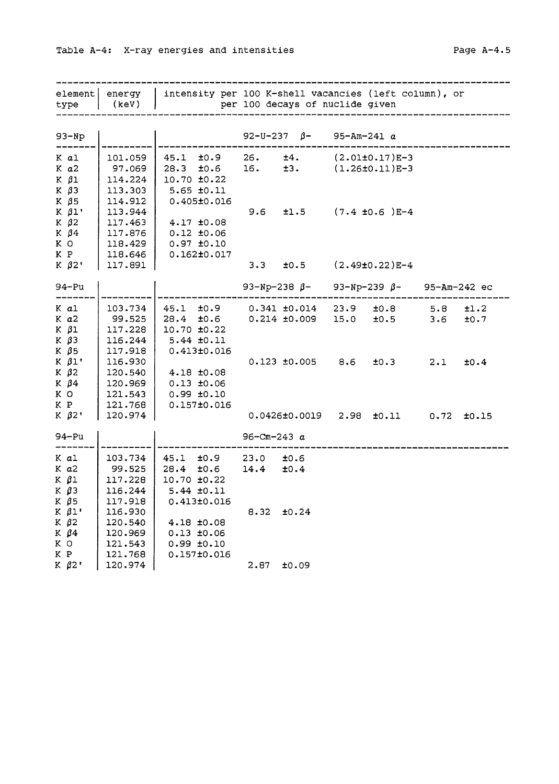| Table A-4: X-ray energies and intensities | Page $A-4.5$ |
|-------------------------------------------|--------------|
|                                           |              |

| element<br>type | energy<br>(kev) | intensity per 100 K-shell vacancies (left column), or<br>per 100 decays of nuclide given |                  |                                     |               |                                    |      |       |
|-----------------|-----------------|------------------------------------------------------------------------------------------|------------------|-------------------------------------|---------------|------------------------------------|------|-------|
|                 |                 |                                                                                          |                  |                                     |               |                                    |      |       |
| $93-Np$         |                 |                                                                                          |                  | 92-U-237 $\beta$ -                  | 95-Am-241 $a$ |                                    |      |       |
| K al            | 101.059         | $45.1$ $\pm 0.9$ 26.                                                                     |                  | ±4.                                 |               | $(2.01\pm0.17)E-3$                 |      |       |
| $K$ $a2$        | 97.069          | 28.3 $\pm 0.6$ 16. $\pm 3$ . $(1.26\pm0.11)E-3$                                          |                  |                                     |               |                                    |      |       |
| $K$ $\beta$ 1   | 114.224         | 10.70 ±0.22                                                                              |                  |                                     |               |                                    |      |       |
| $K$ $\beta$ 3   | 113.303         | $5.65 \pm 0.11$                                                                          |                  |                                     |               |                                    |      |       |
| $K$ $\beta$ 5   | 114.912         | $0.405 \pm 0.016$                                                                        |                  |                                     |               |                                    |      |       |
| $K$ $\beta$ 1'  | 113.944         |                                                                                          | 9.6              |                                     |               | $\pm 1.5$ (7.4 $\pm 0.6$ ) E-4     |      |       |
| $K$ $\beta$ 2   | 117.463         | 4.17 ±0.08                                                                               |                  |                                     |               |                                    |      |       |
| K $\beta$ 4     | 117.876         | $0.12$ ±0.06                                                                             |                  |                                     |               |                                    |      |       |
| K O             | 118.429         | $0.97$ $\pm 0.10$                                                                        |                  |                                     |               |                                    |      |       |
| K P             | 118.646         | $0.162 \pm 0.017$                                                                        |                  |                                     |               |                                    |      |       |
| $K$ $\beta$ 2'  | 117.891         |                                                                                          |                  | $3.3$ $\pm 0.5$                     |               | $(2.49\pm0.22)$ E-4                |      |       |
|                 |                 |                                                                                          |                  |                                     |               |                                    |      |       |
| 94-Pu           |                 |                                                                                          |                  | 93-Np-238 $β-$                      |               | $93-Np-239 \ \beta$ - 95-Am-242 ec |      |       |
| K al            | 103.734         | $45.1 + 0.9$                                                                             |                  | $0.341$ $\pm 0.014$                 |               | $23.9$ $\pm 0.8$                   | 5.8  | ±1.2  |
| K a2            | 99.525          | $28.4$ $\pm 0.6$                                                                         |                  | $0.214$ $\pm 0.009$                 |               | $15.0$ $\pm 0.5$                   | 3.6  | ±0.7  |
| $K$ $\beta$ 1   | 117.228         | $10.70 \pm 0.22$                                                                         |                  |                                     |               |                                    |      |       |
| $K$ $\beta$ 3   | 116.244         | $5.44$ $\pm0.11$                                                                         |                  |                                     |               |                                    |      |       |
| $K$ $\beta$ 5   | 117.918         | 0.413±0.016                                                                              |                  |                                     |               |                                    |      |       |
| $K$ $\beta$ 1'  | 116.930         |                                                                                          |                  | $0.123 \pm 0.005$ $8.6 \pm 0.3$     |               |                                    | 2.1  | ±0.4  |
| $K$ $\beta$ 2   | 120.540         | 4.18 ±0.08                                                                               |                  |                                     |               |                                    |      |       |
| $K$ $\beta$ 4   | 120.969         | $0.13 \pm 0.06$                                                                          |                  |                                     |               |                                    |      |       |
| K O             | 121.543         | $0.99 \pm 0.10$                                                                          |                  |                                     |               |                                    |      |       |
| K P             | 121.768         | $0.157 \pm 0.016$                                                                        |                  |                                     |               |                                    |      |       |
| $K$ $\beta$ 2'  | 120.974         |                                                                                          |                  | $0.0426 \pm 0.0019$ 2.98 $\pm 0.11$ |               |                                    | 0.72 | ±0.15 |
| 94-Pu           |                 |                                                                                          | 96-Cm-243 $a$    |                                     |               |                                    |      |       |
| K al            | 103.734         | $45.1$ $\pm 0.9$                                                                         | $23.0$ $\pm 0.6$ |                                     |               |                                    |      |       |
| $K$ $a2$        | 99.525          | $28.4$ $\pm 0.6$                                                                         | 14.4             | ±0.4                                |               |                                    |      |       |
| K βl            | 117.228         | 10.70 ±0.22                                                                              |                  |                                     |               |                                    |      |       |
| $K$ $\beta$ 3   | 116.244         | 5.44 ±0.11                                                                               |                  |                                     |               |                                    |      |       |
| $K$ $\beta$ 5   | 117.918         | $0.413 \pm 0.016$                                                                        |                  |                                     |               |                                    |      |       |
| $K$ $\beta$ 1'  | 116.930         |                                                                                          | 8.32             | ±0.24                               |               |                                    |      |       |
| $K$ $\beta$ 2   | 120.540         | $4.18 \pm 0.08$                                                                          |                  |                                     |               |                                    |      |       |
| $K$ $\beta$ 4   | 120.969         | $0.13 \pm 0.06$                                                                          |                  |                                     |               |                                    |      |       |
| K O             | 121.543         | $0.99 \pm 0.10$                                                                          |                  |                                     |               |                                    |      |       |
| K P             | 121.768         | $0.157 \pm 0.016$                                                                        |                  |                                     |               |                                    |      |       |
| Κ β2'           | 120.974         |                                                                                          | 2.87             | ±0.09                               |               |                                    |      |       |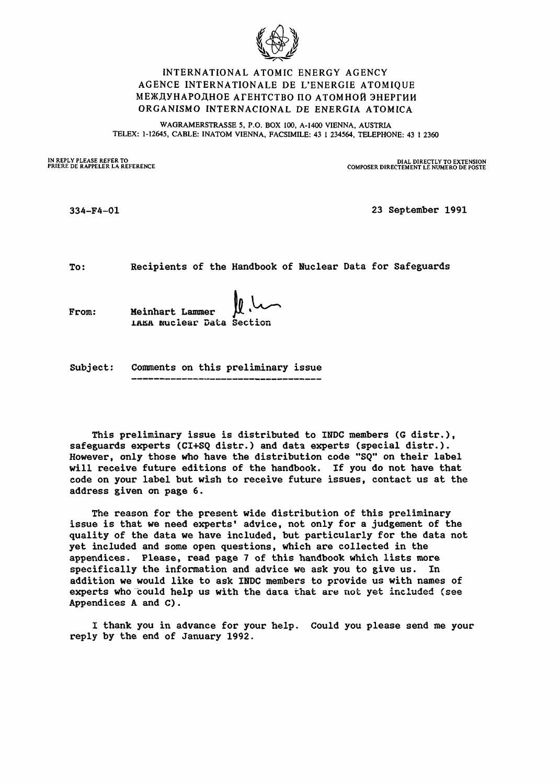

## INTERNATIONAL ATOMIC ENERGY AGENCY AGENCE INTERNATIONALE DE L'ENERGIE ATOMIQUE МЕЖДУНАРОДНОЕ АГЕНТСТВО ПО АТОМНОЙ ЭНЕРГИИ ORGANISMO INTERNACIONAL DE ENERGIA ATOMICA

WAGRAMERSTRASSE 5, P.O. BOX 100, A-1400 VIENNA, AUSTRIA TELEX: 1-12645, CABLE: INATOM VIENNA, FACSIMILE: 43 1 234564, TELEPHONE: 43 1 2360

**IN REPLY PLEASE REFER TO DIAL DIRECTLY TO EXTENSION PRIERE DE RAPPELER LA REFERENCE COMPOSER DIRECTEMENT LE NUMERO DE POSTE**

334-F4-01 23 September 1991

To: Recipients of the Handbook of Nuclear Data for Safeguards

From: Meinhart Lammer nuclear Data Section

Subject: Comments on this preliminary issue

This preliminary issue is distributed to INDC members (6 distr.), safeguards experts (CI+SQ distr.) and data experts (special distr.). However, only those who have the distribution code "SQ" on their label will receive future editions of the handbook. If you do not have that code on your label but wish to receive future issues, contact us at the address given on page 6.

The reason for the present wide distribution of this preliminary issue is that we need experts' advice, not only for a judgement of the quality of the data we have included, but particularly for the data not yet included and some open questions, which are collected in the appendices. Please, read page 7 of this handbook which lists more specifically the information and advice we ask you to give us. In addition we would like to ask INDC members to provide us with names of experts who could help us with the data that are not yet included (see Appendices A and C).

I thank you in advance for your help. Could you please send me your reply by the end of January 1992.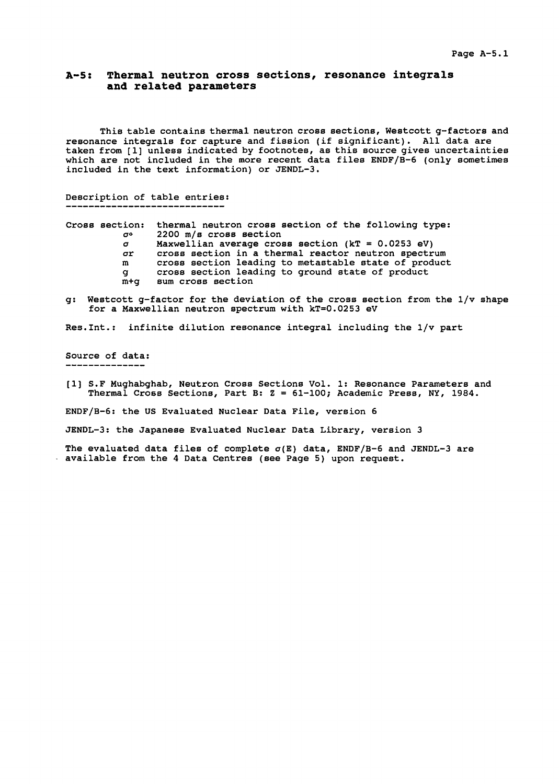### **A-5: Thermal neutron cross sections, resonance integrals and related parameters**

This table contains thermal neutron cross sections, Westcott g-factors and resonance integrals for capture and fission (if significant). All data are taken from [1] unless indicated by footnotes, as this source gives uncertainties which are not included in the more recent data files ENDF/B-6 (only sometimes included in the text information) or JENDL-3.

# Description of table entries:

|          | Cross section: thermal neutron cross section of the following type:            |
|----------|--------------------------------------------------------------------------------|
| σο       | 2200 m/s cross section                                                         |
| $\sigma$ | Maxwellian average cross section ( $kT = 0.0253$ eV)                           |
| σr       | cross section in a thermal reactor neutron spectrum                            |
| m        | cross section leading to metastable state of product                           |
| q        | cross section leading to ground state of product                               |
| m+a      | sum cross section                                                              |
|          | a: Westcott a-factor for the deviation of the cross section from the 1/v shape |

g: Westcott g-factor for the deviation of the cross section from the 1/v shape for a Maxwellian neutron spectrum with kT=0.0253 eV

Res.Int.: infinite dilution resonance integral including the 1/v part

Source of data:

[1] S.F Mughabghab, Neutron Cross Sections Vol. 1: Resonance Parameters and Thermal Cross Sections, Part B: Z = 61-100; Academic Press, NY, 1984.

ENDF/B-6: the US Evaluated Nuclear Data File, version 6

JENDL-3: the Japanese Evaluated Nuclear Data Library, version 3

The evaluated data files of complete  $\sigma(E)$  data, ENDF/B-6 and JENDL-3 are available from the 4 Data Centres (see Page 5) upon request.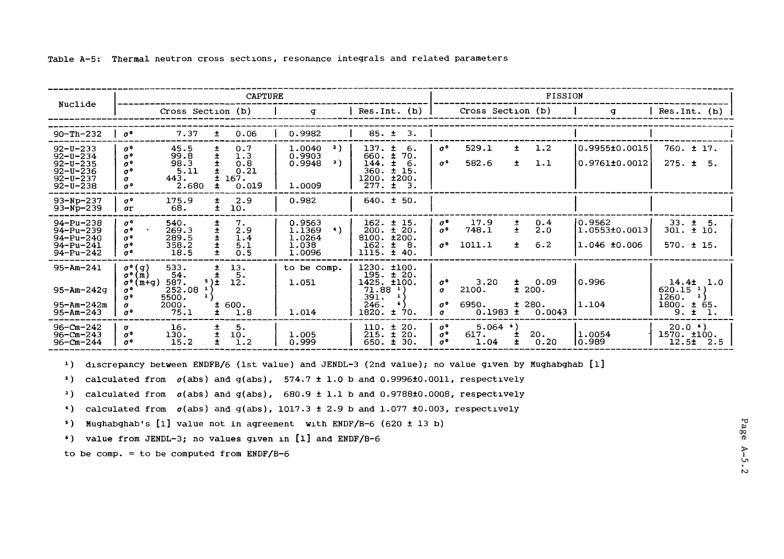|                                                                                                          | <b>CAPTURE</b>                                                                                                                                                                                                                                                                                            |                                                                                          |                                                                              |                                                                                  | FISSION                                                                |                                                   |                                                                                                |
|----------------------------------------------------------------------------------------------------------|-----------------------------------------------------------------------------------------------------------------------------------------------------------------------------------------------------------------------------------------------------------------------------------------------------------|------------------------------------------------------------------------------------------|------------------------------------------------------------------------------|----------------------------------------------------------------------------------|------------------------------------------------------------------------|---------------------------------------------------|------------------------------------------------------------------------------------------------|
| Nuclide                                                                                                  | Cross Section (b)                                                                                                                                                                                                                                                                                         | $\sigma$                                                                                 | $Res.Int.$ (b)                                                               |                                                                                  | Cross Section (b)                                                      | q                                                 | Res.Int. (b)                                                                                   |
| $90 - Th - 232$                                                                                          | 7.37<br>0.06<br>$\sigma^{\bullet}$<br>土                                                                                                                                                                                                                                                                   | 0.9982                                                                                   | 85. t<br>3.                                                                  |                                                                                  |                                                                        |                                                   |                                                                                                |
| $92 - U - 233$<br>$92 - U - 234$<br>$92 - U - 235$<br>$92 - U - 236$<br>$92 - U - 237$<br>$92 - U - 238$ | 45.5<br>0.7<br>$\sigma^{\mathfrak{a}}$<br>$\pm$<br>1.3<br>99.8<br>士<br>$\sigma^{\mathbf{0}}$<br>98.3<br>0.8<br>$\sigma^{\,0}$<br>0.21<br>5.11<br>$\sigma^0$<br>443.<br>167.<br>$\sigma$<br>2.680<br>0.019<br>$\sigma^{\mathfrak{a}}$<br>士                                                                 | 2)<br>137. t<br>1.0040<br>$660. \pm$<br>0.9903<br>э)<br>144.<br>0.9948<br>1.0009<br>277. | -6.<br>70.<br>$-6.$<br>±.<br>$360. \pm 15.$<br>1200. ±200.<br>$\pm$<br>3.    | 529.1<br>$\sigma^{\,0}$<br>582.6<br>$\sigma^{\,0}$                               | 1.2<br>$\pm$<br>1.1<br>$\pm$                                           | lo.9955±0.0015<br>0.9761±0.0012                   | $760. \pm 17.$<br>$275. \pm 5.$                                                                |
| $93-Np-237$<br>$93 - Np - 239$                                                                           | 175.9<br>2.9<br>$\sigma^{\mathfrak{a}}$<br>±<br>68.<br>±.<br>10.<br>$\sigma$ r                                                                                                                                                                                                                            | 0.982                                                                                    | $640. \pm 50.$                                                               |                                                                                  |                                                                        |                                                   |                                                                                                |
| $94 - Pu - 238$<br>$94 - Pu - 239$<br>$94 - Pu - 240$<br>$94 - Pu - 241$<br>$94 - Pu - 242$              | 540.<br>$\sigma^{\mathbf{0}}$<br>7.<br>±<br>Ŧ<br>2.9<br>269.3<br>$\sigma^{\,0}$<br>$\ddot{}$<br>1.4<br>289.5<br>$\sigma^{\,0}$<br>5.1<br>358.2<br>$\sigma^0$<br>0.5<br>18.5<br>$\sigma^{\,0}$                                                                                                             | 0.9563<br>$\leftrightarrow$<br>200.<br>1.1369<br>1.0264<br>1.038<br>162.<br>1.0096       | $162. \pm 15.$<br>$\pm$ 20.<br>8100.1200.<br>$\pm$<br>-8.<br>$1115. \pm 40.$ | 17.9<br>$\sigma^{\,0}$<br>$\sigma^0$<br>748.1<br>1011.1<br>$\sigma^{\mathbf{0}}$ | 0.4<br>±<br>$\pm$<br>2.0<br>6.2<br>$\pm$                               | 10.9562<br>$1.0553 \pm 0.0013$<br>$1.046\_10.006$ | $33. \pm 5.$<br>$301. \pm 10.$<br>$570. \pm 15.$                                               |
| $95 - Am - 241$<br>$95 - Am - 242q$<br>95-Am-242m<br>$95 - Am - 243$                                     | $\sigma^{\bullet}(q)$<br>13.<br>533.<br>±.<br>$\sigma$ <sup>o</sup> (m)<br>54.<br>5.<br>12.<br>587.<br>$5$ ) $\pm$<br>$\sigma^{\,0}$<br>$(m + \alpha)$<br>252.08<br>$\sigma^{\, \text{o}}$<br>$\mathbf{1}$<br>5500.<br>$\sigma^{\mathbf{0}}$<br>600.<br>2000.<br>σ<br>75.1<br>1.8<br>$\sigma^{\,0}$<br>±. | to be comp.<br>1.051<br>391.<br>246.<br>$1820. \pm$<br>1.014                             | $1230.$ $\pm 100.$<br>$195. \pm 20.$<br>1425. ±100.<br>$71.88$ $^{1}$<br>70. | $\sigma^{\,0}$<br>2100.<br>$\sigma$<br>6950.<br>$\sigma^{\,0}$<br>$\sigma$       | 3,20<br>0.09<br>$\pm$<br>± 200.<br>± 280.<br>0.1983<br>$\pm$<br>0.0043 | 10.996<br>1.104                                   | 14.4 <sup>±</sup> 1.0<br>$620.15$ <sup>1</sup> )<br>1260.<br>1800.<br>±.<br>65.<br>9.<br>$\pm$ |
| $96 - Cm - 242$<br>$96 - Cm - 243$<br>96-Cm-244                                                          | 16.<br>±<br>5.<br>$\sigma$<br>士<br>$\sigma^{\mathfrak{a}}$<br>10.<br>130.<br>÷<br>1.2<br>15.2<br>$\sigma^{\,0}$                                                                                                                                                                                           | 110. t<br>$215. \pm$<br>1.005<br>650.<br>0.999                                           | 20.<br>20.<br>30.<br>±.                                                      | $\sigma^{\,0}$<br>$\sigma^{\,0}$<br>617.<br>$\sigma^{\,0}$                       | $5.064$ $^{6}$ )<br>20.<br>1.04<br>±.<br>0.20                          | 1.0054<br>10.989                                  | $20.0$ $\bullet$ )<br>1570. ±100.<br>$12.5 \pm 2.5$                                            |

Table A-5: Thermal neutron cross sections, resonance integrals and related parameters

1) discrepancy between ENDFB/6 (lst value) and JENDL-3 (2nd value); no value given by Mughabghab [1]

2) calculated from  $\sigma(\text{abs})$  and  $g(\text{abs})$ , 574.7 ± 1.0 b and 0.9996±0.0011, respectively

3) calculated from  $\sigma(\text{abs})$  and  $g(\text{abs})$ , 680.9 ± 1.1 b and 0.9788±0.0008, respectively

4) calculated from  $\sigma$ (abs) and  $g$ (abs), 1017.3  $\pm$  2.9 b and 1.077  $\pm$ 0.003, respectively

<sup>5</sup> ) Mughabghab's [l] value not in agreement with ENDF/B-6 (620 + 13 b)

') value from JENDL-3; no values given in [l] and ENDF/B-6

to be comp. = to be computed from  $ENDF/B-6$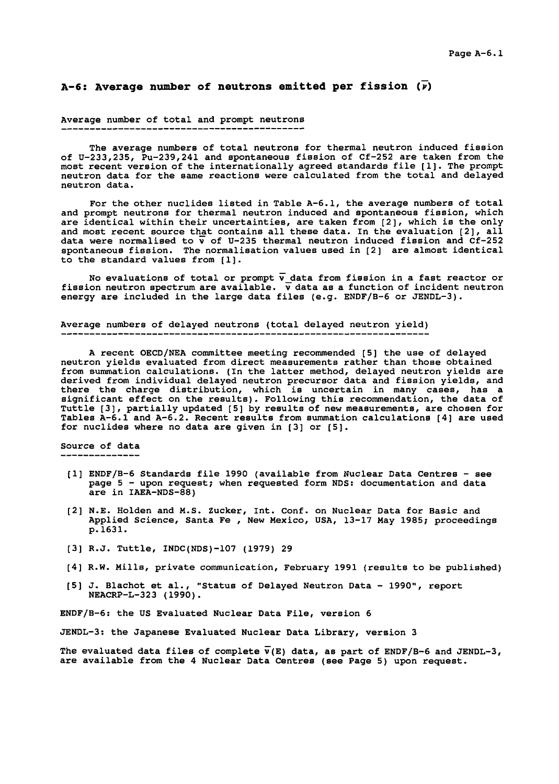### A-6: Average number of neutrons emitted per fission  $(\overline{\nu})$

### Average number of total and prompt neutrons

The average numbers of total neutrons for thermal neutron induced fission of U-233,235, Pu-239,241 and spontaneous fission of Cf-252 are taken from the most recent version of the internationally agreed standards file [1]. The prompt neutron data for the same reactions were calculated from the total and delayed neutron data.

For the other nuclides listed in Table A-6.1, the average numbers of total and prompt neutrons for thermal neutron induced and spontaneous fission, which are identical within their uncertainties, are taken from [2], which is the only and most recent source that contains all these data. In the evaluation [2], all data were normalised to  $\bar{v}$  of U-235 thermal neutron induced fission and Cf-252 spontaneous fission. The normalisation values used in [2] are almost identical to the standard values from [1].

No evaluations of total or prompt  $\overline{v}$  data from fission in a fast reactor or fission neutron spectrum are available.  $\bar{\textbf{v}}$  data as a function of incident neutron energy are included in the large data files (e.g. ENDF/B-6 or JENDL-3).

#### Average numbers of delayed neutrons (total delayed neutron yield)

A recent OECD/NEA committee meeting recommended [5] the use of delayed neutron yields evaluated from direct measurements rather than those obtained from summation calculations. (In the latter method, delayed neutron yields are derived from individual delayed neutron precursor data and fission yields, and there the charge distribution, which is uncertain in many cases, has a significant effect on the results). Following this recommendation, the data of Tuttle [3], partially updated [5] by results of new measurements, are chosen for Tables A-6.1 and A-6.2. Recent results from summation calculations [4] are used for nuclides where no data are given in [3] or [5].

### Source of data

- [1] ENDF/B-6 Standards file 1990 (available from Nuclear Data Centres see page 5 - upon request; when requested form NDS: documentation and data are in IAEA-NDS-88)
- [2] N.E. Holden and M.S. Zucker, Int. Conf. on Nuclear Data for Basic and Applied Science, Santa Fe , New Mexico, USA, 13-17 May 1985; proceedings p.1631.
- [3] R.J. Tuttle, INDC(NDS)-107 (1979) 29
- [4] R.W. Mills, private communication, February 1991 (results to be published)
- [5] J. Blachot et al., "Status of Delayed Neutron Data 1990", report NEACRP-L-323 (1990).

ENDF/B-6: the US Evaluated Nuclear Data File, version 6

JENDL-3: the Japanese Evaluated Nuclear Data Library, version 3

The evaluated data files of complete  $\overline{v}(E)$  data, as part of ENDF/B-6 and JENDL-3, are available from the 4 Nuclear Data Centres (see Page 5) upon request.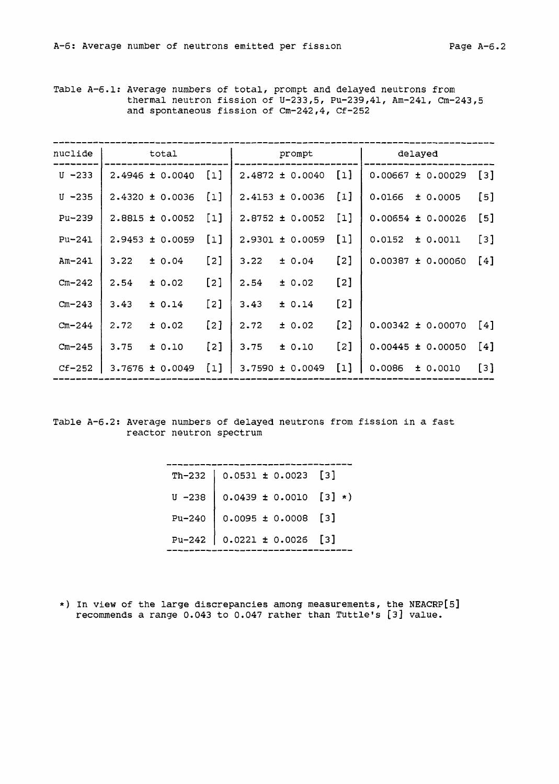Table A-6.1: Average numbers of total, prompt and delayed neutrons from thermal neutron fission of U-233,5, Pu-239,41, Am-241, Cm-243,5 and spontaneous fission of Cm-242,4, Cf-252

| nuclide    | total               |                     | prompt              |                                   | delayed               |                     |
|------------|---------------------|---------------------|---------------------|-----------------------------------|-----------------------|---------------------|
| $U - 233$  | 2.4946 ± 0.0040     | $\lceil 1 \rceil$   | $2.4872 \pm 0.0040$ | $\begin{bmatrix} 1 \end{bmatrix}$ | $0.00667 \pm 0.00029$ | $\lbrack 3 \rbrack$ |
| $U - 235$  | $2.4320 \pm 0.0036$ | $\left[1\right]$    | $2.4153 \pm 0.0036$ | $[1]$                             | 0.0166<br>± 0.0005    | $\left[5\right]$    |
| Pu-239     | $2.8815 \pm 0.0052$ | $\lbrack 1 \rbrack$ | $2.8752 \pm 0.0052$ | $\lceil 1 \rceil$                 | $0.00654 \pm 0.00026$ | [5]                 |
| $Pu-241$   | $2.9453 \pm 0.0059$ | $\lceil 1 \rceil$   | $2.9301 \pm 0.0059$ | $[1]$                             | $0.0152 \pm 0.0011$   | [3]                 |
| $Am-241$   | 3.22<br>± 0.04      | [2]                 | 3.22<br>± 0.04      | $\lceil 2 \rceil$                 | $0.00387 \pm 0.00060$ | [4]                 |
| $Cm - 242$ | 2.54<br>± 0.02      | $\lceil 2 \rceil$   | 2.54<br>± 0.02      | $\lceil 2 \rceil$                 |                       |                     |
| $Cm - 243$ | 3.43<br>± 0.14      | $\lceil 2 \rceil$   | 3.43<br>± 0.14      | $\lceil 2 \rceil$                 |                       |                     |
| $Cm - 244$ | 2.72<br>± 0.02      | $\lceil 2 \rceil$   | 2.72<br>± 0.02      | $\lceil 2 \rceil$                 | $0.00342 \pm 0.00070$ | [4]                 |
| $Cm - 245$ | 3.75<br>± 0.10      | [2]                 | 3.75<br>± 0.10      | $\lceil 2 \rceil$                 | $0.00445 \pm 0.00050$ | [4]                 |
| $CF-252$   | $3.7676 \pm 0.0049$ | $\lceil 1 \rceil$   | 3.7590 ± 0.0049     | $\lceil 1 \rceil$                 | 0.0086<br>± 0.0010    | [3]                 |

### Table A-6.2: Average numbers of delayed neutrons from fission in a fast reactor neutron spectrum

| Th-232   $0.0531 \pm 0.0023$ [3]           |  |
|--------------------------------------------|--|
| $U - 238$ 0.0439 ± 0.0010 [3] *)           |  |
| Pu-240 $\Big  0.0095 \pm 0.0008$ [3]       |  |
| Pu-242 $\Big  0.0221 \pm 0.0026 \Big $ [3] |  |

\*) In view of the large discrepancies among measurements, the NEACRP[5] recommends a range 0.043 to 0.047 rather than Tuttle's [3] value.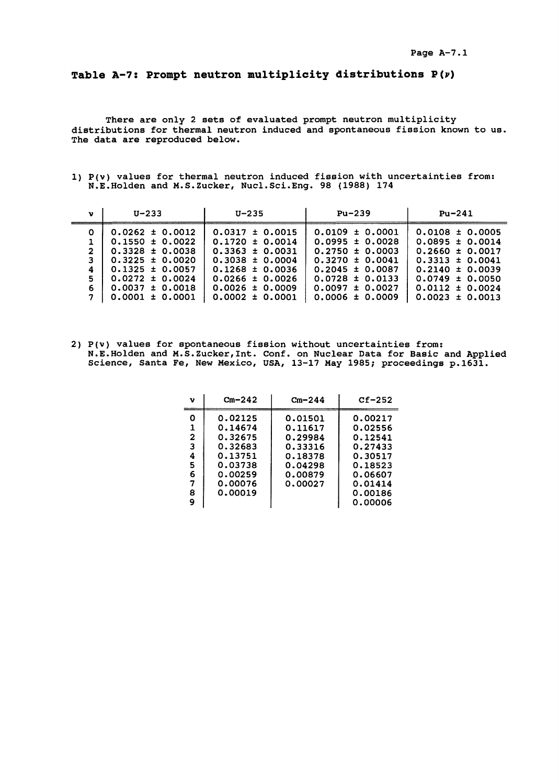#### **Pag e A-7. 1**

## **Table A-7: Prompt neutron multiplicity distributions**

**There are only 2 sets of evaluated prompt neutron multiplicity distributions for thermal neutron induced and spontaneous fission known to us. The data are reproduced below.**

**1) P(v) values for thermal neutron induced fission with uncertainties from: N.E.Holden and M.S.Zucker, Nucl.Sci.Eng. 98 (1988) 174**

| v                                                | U-233                                                                                                                                                                                | U-235                                                                                                                                                                                | Pu-239                                                                                                                                                                               | $Pu-241$                                                                                                                                                                             |
|--------------------------------------------------|--------------------------------------------------------------------------------------------------------------------------------------------------------------------------------------|--------------------------------------------------------------------------------------------------------------------------------------------------------------------------------------|--------------------------------------------------------------------------------------------------------------------------------------------------------------------------------------|--------------------------------------------------------------------------------------------------------------------------------------------------------------------------------------|
| $\Omega$<br>$\overline{2}$<br>3<br>4<br>5.<br>6. | $0.0262 \pm 0.0012$<br>$0.1550 \pm 0.0022$<br>$0.3328 \pm 0.0038$<br>$0.3225 \pm 0.0020$<br>$0.1325 \pm 0.0057$<br>$0.0272 \pm 0.0024$<br>$0.0037 \pm 0.0018$<br>$0.0001 \pm 0.0001$ | $0.0317 \pm 0.0015$<br>$0.1720 \pm 0.0014$<br>$0.3363 \pm 0.0031$<br>$0.3038 \pm 0.0004$<br>$0.1268 \pm 0.0036$<br>$0.0266 \pm 0.0026$<br>$0.0026 \pm 0.0009$<br>$0.0002 \pm 0.0001$ | $0.0109 \pm 0.0001$<br>$0.0995 \pm 0.0028$<br>$0.2750 \pm 0.0003$<br>$0.3270 \pm 0.0041$<br>$0.2045 \pm 0.0087$<br>$0.0728 \pm 0.0133$<br>$0.0097 \pm 0.0027$<br>$0.0006 \pm 0.0009$ | $0.0108 \pm 0.0005$<br>$0.0895 \pm 0.0014$<br>$0.2660 \pm 0.0017$<br>$0.3313 \pm 0.0041$<br>$0.2140 \pm 0.0039$<br>$0.0749 \pm 0.0050$<br>$0.0112 \pm 0.0024$<br>$0.0023 \pm 0.0013$ |

**2) P(v) values for spontaneous fission without uncertainties from: N.E.Holden and M.S.Zucker,Int. Conf. on Nuclear Data for Basic and Applied Science, Santa Fe, New Mexico, USA, 13-17 May 1985; proceedings p.1631.**

| ν                                    | $Cm - 242$                                                                                      | $Cm - 244$                                                                           | $Cf-252$                                                                                        |
|--------------------------------------|-------------------------------------------------------------------------------------------------|--------------------------------------------------------------------------------------|-------------------------------------------------------------------------------------------------|
| Ω<br>1<br>2<br>3<br>4<br>5<br>6<br>8 | 0.02125<br>0.14674<br>0.32675<br>0.32683<br>0.13751<br>0.03738<br>0.00259<br>0.00076<br>0.00019 | 0.01501<br>0.11617<br>0.29984<br>0.33316<br>0.18378<br>0.04298<br>0.00879<br>0.00027 | 0.00217<br>0.02556<br>0.12541<br>0.27433<br>0.30517<br>0.18523<br>0.06607<br>0.01414<br>0.00186 |
| ۹                                    |                                                                                                 |                                                                                      | 0.00006                                                                                         |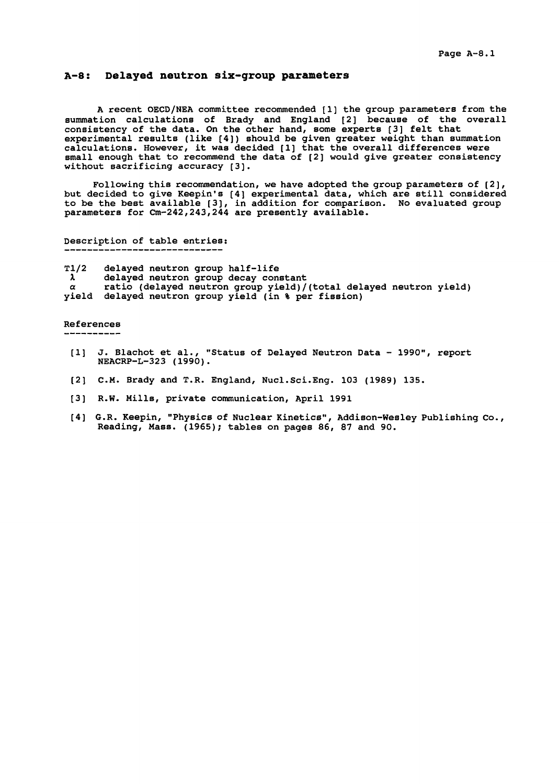### **A-8: Delayed neutron six-group parameters**

A recent OECD/NEA committee recommended [1] the group parameters from the summation calculations of Brady and England [2] because of the overall consistency of the data. On the other hand, some experts [3] felt that experimental results (like [4]) should be given greater weight than summation calculations. However, it was decided [1] that the overall differences were small enough that to recommend the data of [2] would give greater consistency without sacrificing accuracy [3].

Following this recommendation, we have adopted the group parameters of [2], but decided to give Keepin's [4] experimental data, which are still considered to be the best available [3], in addition for comparison. No evaluated group parameters for Cm-242,243,244 are presently available.

Description of table entries:<br>---------------------------

T1/2 delayed neutron group half-life<br>  $\lambda$  delayed neutron group decay cone  $\lambda'$  delayed neutron group decay constant a ratio (delayed neutron group yield)/(total delayed neutron yield) yield delayed neutron group yield (in % per fission)

#### References

\_\_\_\_\_\_\_\_\_\_\_\_\_

- [1] J. Blachot et al., "Status of Delayed Neutron Data 1990", report NEACRP-L-323 (1990).
- [2] CM . Brady and T.R. England, Nucl.Sci.Eng. 103 (1989) 135.
- [3] R.W. Mills, private communication, April 1991
- [4] G.R. Keepin, "Physics of Nuclear Kinetics", Addison-Wesley Publishing Co., Reading, Mass. (1965); tables on pages 86, 87 and 90.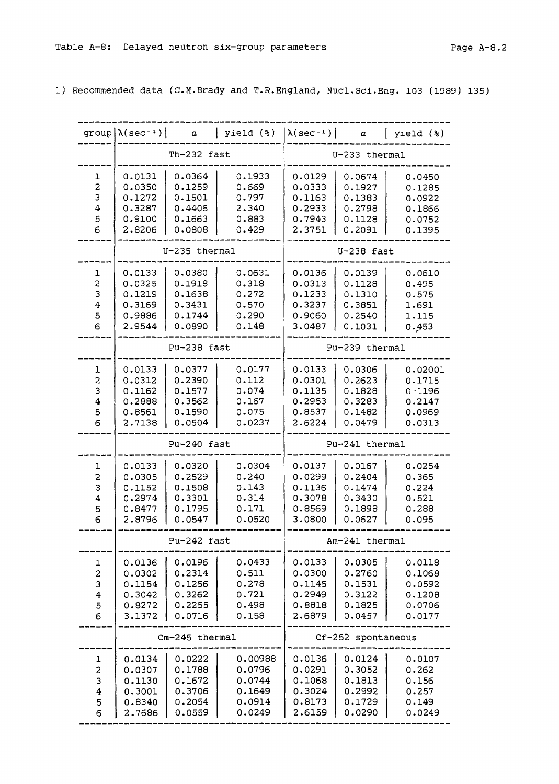1) Recommended data (C.M.Brady and T.R.England, Nucl.Sci.Eng. 103 (1989) 135)

|                                                  | $group \lambda (sec^{-1})$                               | $\alpha$                                                 | yield (%)                                                 | $\lambda(\sec^{-1})$                                     | $\alpha$                                                 | $y$ ield $(*)$                                               |
|--------------------------------------------------|----------------------------------------------------------|----------------------------------------------------------|-----------------------------------------------------------|----------------------------------------------------------|----------------------------------------------------------|--------------------------------------------------------------|
|                                                  | Th-232 fast                                              |                                                          |                                                           | U-233 thermal                                            |                                                          |                                                              |
| ı<br>$\mathbf 2$<br>3<br>4<br>5<br>6             | 0.0131<br>0.0350<br>0.1272<br>0.3287<br>0.9100<br>2.8206 | 0.0364<br>0.1259<br>0.1501<br>0.4406<br>0.1663<br>0.0808 | 0.1933<br>0.669<br>0.797<br>2.340<br>0.883<br>0.429       | 0.0129<br>0.0333<br>0.1163<br>0.2933<br>0.7943<br>2.3751 | 0.0674<br>0.1927<br>0.1383<br>0.2798<br>0.1128<br>0.2091 | 0.0450<br>0.1285<br>0.0922<br>0.1866<br>0.0752<br>0.1395     |
|                                                  | U-235 thermal                                            |                                                          |                                                           | $U-238$ fast                                             |                                                          |                                                              |
| ı<br>2<br>3<br>$\overline{\mathbf{4}}$<br>5<br>6 | 0.0133<br>0.0325<br>0.1219<br>0.3169<br>0.9886<br>2.9544 | 0.0380<br>0.1918<br>0.1638<br>0.3431<br>0.1744<br>0.0890 | 0.0631<br>0.318<br>0.272<br>0.570<br>0.290<br>0.148       | 0.0136<br>0.0313<br>0.1233<br>0.3237<br>0.9060<br>3.0487 | 0.0139<br>0.1128<br>0.1310<br>0.3851<br>0.2540<br>0.1031 | 0.0610<br>0.495<br>0.575<br>1.691<br>1.115<br>0.453          |
|                                                  | Pu-238 fast                                              |                                                          |                                                           | Pu-239 thermal                                           |                                                          |                                                              |
| ı<br>2<br>3<br>4<br>5<br>6                       | 0.0133<br>0.0312<br>0.1162<br>0.2888<br>0.8561<br>2.7138 | 0.0377<br>0.2390<br>0.1577<br>0.3562<br>0.1590<br>0.0504 | 0.0177<br>0.112<br>0.074<br>0.167<br>0.075<br>0.0237      | 0.0133<br>0.0301<br>0.1135<br>0.2953<br>0.8537<br>2.6224 | 0.0306<br>0.2623<br>0.1828<br>0.3283<br>0.1482<br>0.0479 | 0.02001<br>0.1715<br>$0 - 196$<br>0.2147<br>0.0969<br>0.0313 |
|                                                  | Pu-240 fast                                              |                                                          |                                                           | Pu-241 thermal                                           |                                                          |                                                              |
| ı<br>2<br>З<br>4<br>5<br>6                       | 0.0133<br>0.0305<br>0.1152<br>0.2974<br>0.8477<br>2.8796 | 0.0320<br>0.2529<br>0.1508<br>0.3301<br>0.1795<br>0.0547 | 0.0304<br>0.240<br>0.143<br>0.314<br>0.171<br>0.0520      | 0.0137<br>0.0299<br>0.1136<br>0.3078<br>0.8569<br>3.0800 | 0.0167<br>0.2404<br>0.1474<br>0.3430<br>0.1898<br>0.0627 | 0.0254<br>0.365<br>0.224<br>0.521<br>0.288<br>0.095          |
|                                                  | Pu-242 fast                                              |                                                          |                                                           | Am-241 thermal                                           |                                                          |                                                              |
| ı<br>$\overline{\mathbf{c}}$<br>3<br>4<br>5<br>6 | 0.0136<br>0.0302<br>0.1154<br>0.3042<br>0.8272<br>3.1372 | 0.0196<br>0.2314<br>0.1256<br>0.3262<br>0.2255<br>0.0716 | 0.0433<br>0.511<br>0.278<br>0.721<br>0.498<br>0.158       | 0.0133<br>0.0300<br>0.1145<br>0.2949<br>0.8818<br>2.6879 | 0.0305<br>0.2760<br>0.1531<br>0.3122<br>0.1825<br>0.0457 | 0.0118<br>0.1068<br>0.0592<br>0.1208<br>0.0706<br>0.0177     |
|                                                  | Cm-245 thermal                                           |                                                          |                                                           | Cf-252 spontaneous                                       |                                                          |                                                              |
| ı<br>2<br>3<br>4<br>5<br>6                       | 0.0134<br>0.0307<br>0.1130<br>0.3001<br>0.8340<br>2.7686 | 0.0222<br>0.1788<br>0.1672<br>0.3706<br>0.2054<br>0.0559 | 0.00988<br>0.0796<br>0.0744<br>0.1649<br>0.0914<br>0.0249 | 0.0136<br>0.0291<br>0.1068<br>0.3024<br>0.8173<br>2.6159 | 0.0124<br>0.3052<br>0.1813<br>0.2992<br>0.1729<br>0.0290 | 0.0107<br>0.262<br>0.156<br>0.257<br>0.149<br>0.0249         |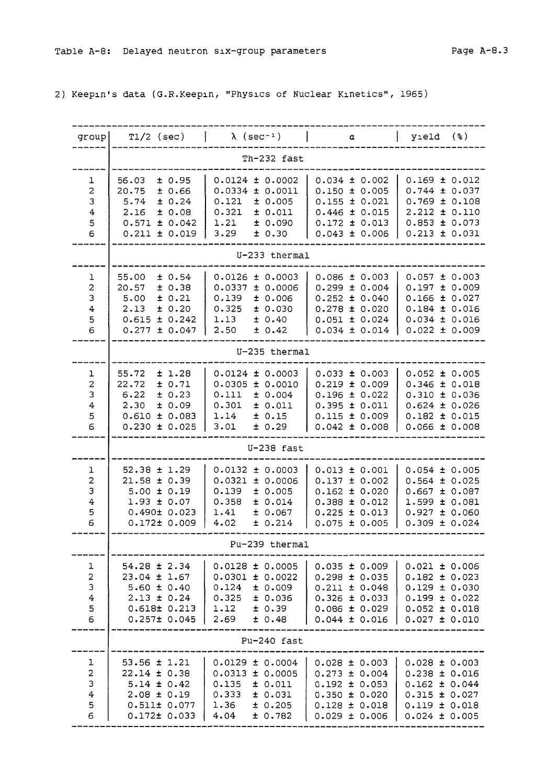2) Keepin's data (G.R.Keepin, "Physics of Nuclear Kinetics", 1965)

| group                                                           | $T1/2$ (sec)                                                                                                         | $\lambda$ (sec <sup>-1</sup> )                                                                                           | $\alpha$                                                                                                                   | $y_1eld$ (%)                                                                                                               |  |  |  |  |  |
|-----------------------------------------------------------------|----------------------------------------------------------------------------------------------------------------------|--------------------------------------------------------------------------------------------------------------------------|----------------------------------------------------------------------------------------------------------------------------|----------------------------------------------------------------------------------------------------------------------------|--|--|--|--|--|
|                                                                 | Th-232 fast                                                                                                          |                                                                                                                          |                                                                                                                            |                                                                                                                            |  |  |  |  |  |
| ı<br>2<br>3<br>$\overline{4}$<br>5<br>6                         | ± 0.95<br>56.03<br>20.75<br>± 0.66<br>± 0.24<br>5.74<br>2.16<br>± 0.08<br>± 0.042<br>0.571<br>$0.211 \pm 0.019$      | $0.0124 \pm 0.0002$<br>0.0334<br>± 0.0011<br>0.121<br>± 0.005<br>0.321<br>± 0.011<br>1.21<br>± 0.090<br>3.29<br>± 0.30   | $0.034 \pm 0.002$<br>$0.150 \pm 0.005$<br>$0.155 \pm 0.021$<br>$0.446 \pm 0.015$<br>$0.172 \pm 0.013$<br>$0.043 \pm 0.006$ | $0.169 \pm 0.012$<br>0.744<br>± 0.037<br>$0.769 \pm 0.108$<br>$2.212 \pm 0.110$<br>$0.853 \pm 0.073$<br>$0.213 \pm 0.031$  |  |  |  |  |  |
|                                                                 |                                                                                                                      | U-233 thermal                                                                                                            |                                                                                                                            |                                                                                                                            |  |  |  |  |  |
| ı<br>2<br>3<br>4<br>5<br>6                                      | 55.00<br>± 0.54<br>± 0.38<br>20.57<br>± 0.21<br>5.00<br>2.13<br>± 0.20<br>± 0.242<br>0.615<br>$0.277 \pm 0.047$      | 0.0126<br>± 0.0003<br>0.0337<br>± 0.0006<br>0.139<br>± 0.006<br>0.325<br>± 0.030<br>1.13<br>± 0.40<br>2.50<br>± 0.42     | $0.086 \pm 0.003$<br>$0.299 \pm 0.004$<br>$0.252 \pm 0.040$<br>$0.278 \pm 0.020$<br>$0.051 \pm 0.024$<br>$0.034 \pm 0.014$ | $0.057 \pm 0.003$<br>0.197<br>± 0.009<br>$0.166 \pm 0.027$<br>$0.184 \pm 0.016$<br>$0.034 \pm 0.016$<br>$0.022 \pm 0.009$  |  |  |  |  |  |
|                                                                 |                                                                                                                      | U-235 thermal                                                                                                            |                                                                                                                            |                                                                                                                            |  |  |  |  |  |
| ı<br>$\overline{c}$<br>3<br>4<br>5<br>6                         | 55.72<br>± 1.28<br>22.72<br>± 0.71<br>6.22<br>± 0.23<br>2.30<br>± 0.09<br>± 0.083<br>0.610<br>$0.230 \pm 0.025$      | 0.0124<br>± 0.0003<br>$0.0305 \pm 0.0010$<br>0.111<br>± 0.004<br>0.301<br>± 0.011<br>1.14<br>± 0.15<br>3.01<br>± 0.29    | $0.033 \pm 0.003$<br>$0.219 \pm 0.009$<br>$0.196 \pm 0.022$<br>$0.395 \pm 0.011$<br>$0.115 \pm 0.009$<br>$0.042 \pm 0.008$ | $0.052 \pm 0.005$<br>$0.346 \pm 0.018$<br>$0.310 \pm 0.036$<br>$0.624 \pm 0.026$<br>$0.182 \pm 0.015$<br>$0.066 \pm 0.008$ |  |  |  |  |  |
|                                                                 |                                                                                                                      | $U-238$ fast                                                                                                             |                                                                                                                            |                                                                                                                            |  |  |  |  |  |
| ı<br>$\overline{c}$<br>3<br>$\overline{\mathbf{4}}$<br>5<br>6   | $52.38 \pm 1.29$<br>$21.58 \pm 0.39$<br>$5.00 \pm 0.19$<br>$1.93 \pm 0.07$<br>$0.490 \pm 0.023$<br>$0.172 \pm 0.009$ | ± 0.0003<br>0.0132<br>0.0321<br>± 0.0006<br>0.139<br>± 0.005<br>0.358<br>± 0.014<br>1.41<br>± 0.067<br>4.02<br>± 0.214   | $0.013 \pm 0.001$<br>$0.137 \pm 0.002$<br>$0.162 \pm 0.020$<br>$0.388 \pm 0.012$<br>$0.225 \pm 0.013$<br>$0.075 \pm 0.005$ | $0.054 \pm 0.005$<br>$0.564 \pm 0.025$<br>$0.667 \pm 0.087$<br>$1.599 \pm 0.081$<br>$0.927 \pm 0.060$<br>$0.309 \pm 0.024$ |  |  |  |  |  |
|                                                                 |                                                                                                                      | Pu-239 thermal                                                                                                           |                                                                                                                            |                                                                                                                            |  |  |  |  |  |
| ı<br>$\overline{\mathbf{c}}$<br>3<br>$\boldsymbol{4}$<br>5<br>6 | $54.28 \pm 2.34$<br>$23.04 \pm 1.67$<br>$5.60 \pm 0.40$<br>$2.13 \pm 0.24$<br>0.618± 0.213<br>$0.257 \pm 0.045$      | $0.0128 \pm 0.0005$<br>$0.0301 \pm 0.0022$<br>0.124<br>± 0.009<br>0.325<br>± 0.036<br>1.12<br>± 0.39<br>2.69<br>± 0.48   | $0.035 \pm 0.009$<br>$0.298 \pm 0.035$<br>$0.211 \pm 0.048$<br>$0.326 \pm 0.033$<br>$0.086 \pm 0.029$<br>$0.044 \pm 0.016$ | $0.021 \pm 0.006$<br>$0.182 \pm 0.023$<br>$0.129 \pm 0.030$<br>$0.199 \pm 0.022$<br>$0.052 \pm 0.018$<br>$0.027 \pm 0.010$ |  |  |  |  |  |
|                                                                 |                                                                                                                      | Pu-240 fast                                                                                                              |                                                                                                                            |                                                                                                                            |  |  |  |  |  |
| 1<br>$\overline{c}$<br>3<br>4<br>5<br>6                         | $53.56 \pm 1.21$<br>$22.14 \pm 0.38$<br>$5.14 \pm 0.42$<br>$2.08 \pm 0.19$<br>0.511± 0.077<br>$0.172 \pm 0.033$      | $0.0129 \pm 0.0004$<br>$0.0313 \pm 0.0005$<br>0.135<br>± 0.011<br>0.333<br>± 0.031<br>1.36<br>± 0.205<br>4.04<br>± 0.782 | $0.028 \pm 0.003$<br>$0.273 \pm 0.004$<br>$0.192 \pm 0.053$<br>$0.350 \pm 0.020$<br>$0.128 \pm 0.018$<br>$0.029 \pm 0.006$ | $0.028 \pm 0.003$<br>$0.238 \pm 0.016$<br>$0.162 \pm 0.044$<br>$0.315 \pm 0.027$<br>$0.119 \pm 0.018$<br>$0.024 \pm 0.005$ |  |  |  |  |  |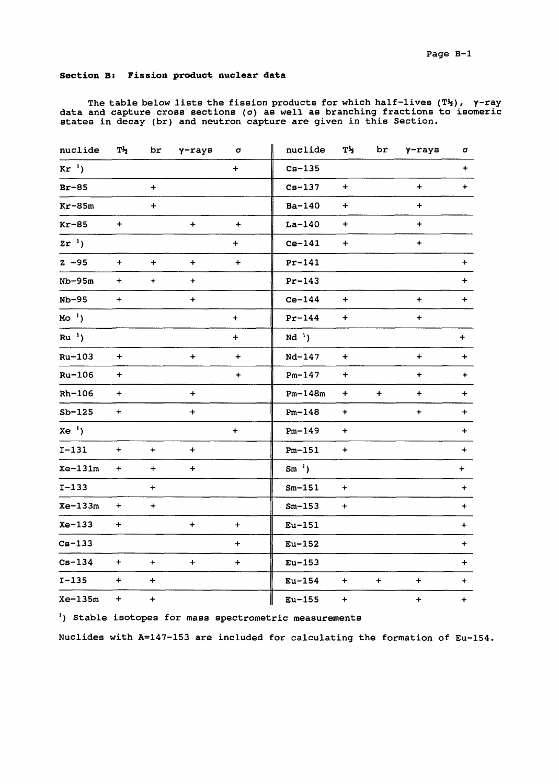### **Section B: Fission product nuclear data**

The table below lists the fission products for which half-lives  $(T^1_Z)$ ,  $\gamma$ -ray data and capture cross sections (o) as well as branching fractions to isomeric states in decay (br) and neutron capture are given in this Section.

| nuclide   | Tłz              | br               | $\gamma$ -rays | σ                | nuclide     | Th                               | br        | $\gamma$ -rays   | σ         |
|-----------|------------------|------------------|----------------|------------------|-------------|----------------------------------|-----------|------------------|-----------|
| $Kr^{-1}$ |                  |                  |                | $\ddot{}$        | $Cs-135$    |                                  |           |                  | $+$       |
| $Br-85$   |                  | $+$              |                |                  | $Cs-137$    | $\begin{array}{c} + \end{array}$ |           | $\ddot{}$        | $+$       |
| $Kr-85m$  |                  | $\ddot{}$        |                |                  | Ba-140      | $\ddot{}$                        |           | $\ddot{}$        |           |
| $Kr-85$   | $\ddot{}$        |                  | $+$            | $\boldsymbol{+}$ | $La-140$    | $\ddot{}$                        |           | $\ddag$          |           |
| $2r^{-1}$ |                  |                  |                | $\ddot{}$        | $Ce-141$    | $\ddot{}$                        |           | $\ddot{}$        |           |
| $Z - 95$  | $\pm$            | $+$              | $\ddot{}$      | $\ddot{}$        | $Pr-141$    |                                  |           |                  | $+$       |
| $Nb-95m$  | $+$              | $\ddot{}$        | $\ddot{}$      |                  | $Pr-143$    |                                  |           |                  | $+$       |
| $Nb-95$   | $\ddot{}$        |                  | $\ddot{}$      |                  | $Ce-144$    | $\begin{array}{c} + \end{array}$ |           | $\ddot{}$        | $+$       |
| $MO^{-1}$ |                  |                  |                | $\ddot{}$        | $Pr-144$    | $\ddot{}$                        |           | $\ddot{}$        |           |
| $Ru^{-1}$ |                  |                  |                | $\ddot{}$        | $Nd1$ )     |                                  |           |                  | $+$       |
| $Ru-103$  | $\ddot{}$        |                  | $\ddot{}$      | $\ddot{}$        | Nd-147      | $\ddot{}$                        |           | $\ddot{}$        | $\ddot{}$ |
| $Ru-106$  | $\ddot{}$        |                  |                | $\ddot{}$        | $Pm-147$    | $\ddot{}$                        |           | $\ddot{}$        | $+$       |
| $Rh-106$  | $\ddot{}$        |                  | $\ddot{}$      |                  | $Pm-148m$   | $\ddot{}$                        | $\ddot{}$ | $\ddot{}$        | $\ddot{}$ |
| $Sb-125$  | $\ddot{}$        |                  | $\ddot{}$      |                  | $Pm-148$    | $\begin{array}{c} + \end{array}$ |           | $\ddot{}$        | $+$       |
| $Xe^{-1}$ |                  |                  |                | $\ddot{}$        | $Pm - 149$  | $\ddot{}$                        |           |                  | $+$       |
| $I-131$   | $+$              | $\ddot{}$        | $\ddot{}$      |                  | $Pm-151$    | $\ddot{}$                        |           |                  | $+$       |
| $Xe-131m$ | $+$              | $\ddot{}$        | $\ddag$        |                  | $Sm^{-1}$ ) |                                  |           |                  | $+$       |
| $I-133$   |                  | $\ddot{}$        |                |                  | $Sm-151$    | $\ddot{}$                        |           |                  | $+$       |
| $Xe-133m$ | $\boldsymbol{+}$ | $\ddot{}$        |                |                  | $Sm-153$    | $\boldsymbol{+}$                 |           |                  | $+$       |
| $Xe-133$  | $\ddot{}$        |                  | $\ddot{}$      | $\ddot{}$        | $Eu-151$    |                                  |           |                  | $+$       |
| $Cs-133$  |                  |                  |                | $\ddot{}$        | $Eu-152$    |                                  |           |                  | $+$       |
| $Cs-134$  | $\ddot{}$        | $\ddot{}$        | $+$            | $\ddot{}$        | $Eu-153$    |                                  |           |                  | $+$       |
| $I - 135$ | $\ddot{}$        | $\pm$            |                |                  | $Eu-154$    | $+$                              | $\ddot{}$ | $\ddot{}$        | $+$       |
| Xe-135m   | $\pm$            | $\boldsymbol{+}$ |                |                  | $Eu-155$    | $\boldsymbol{+}$                 |           | $\boldsymbol{+}$ | $+$       |

') Stable isotopes for mass spectrometric measurements

Nuclides with A=147-153 are included for calculating the formation of Eu-154.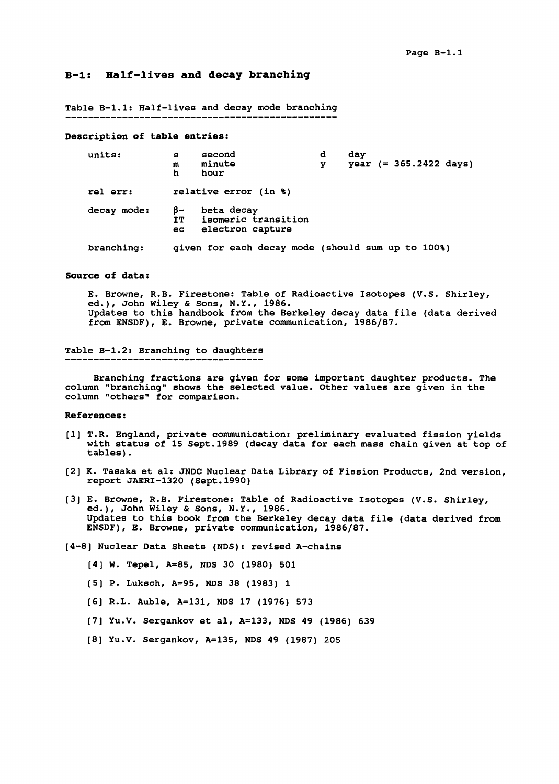### **B-l: Half-lives and decay branching**

Table B-l.l: Half-lives and decay mode branching

#### **Description of table entries:**

| units:      | s<br>m<br>h      | second<br>minute<br>hour                              | d<br>v | dav | $year (= 365.2422 days)$ |  |
|-------------|------------------|-------------------------------------------------------|--------|-----|--------------------------|--|
| rel err:    |                  | relative error (in %)                                 |        |     |                          |  |
| decay mode: | B-<br>TT.<br>ec. | beta decay<br>isomeric transition<br>electron capture |        |     |                          |  |
| branching:  |                  | given for each decay mode (should sum up to 100%)     |        |     |                          |  |

#### **Source of data:**

E. Browne, R.B. Firestone: Table of Radioactive Isotopes (V.S. Shirley, ed.)< John Wiley & Sons, N.Y., 1986. Updates to this handbook from the Berkeley decay data file (data derived from ENSDP), E. Browne, private communication, 1986/87.

#### Table B-l.2: Branching to daughters -----------------------

Branching fractions are given for some important daughter products. The

column "branching" shows the selected value. Other values are given in the column "others" for comparison.

#### **References**:

- [1] T.R. England, private communication: preliminary evaluated fission yields with status of 15 Sept.1989 (decay data for each mass chain given at top of tables).
- [2] K. Tasaka et al: JNDC Nuclear Data Library of Fission Products, 2nd version, report JAERI-1320 (Sept.1990)
- [3] E. Browne, R.B. Firestone: Table of Radioactive Isotopes (V.S. Shirley, ed.), John Wiley & Sons, N.Y., 1986. Updates to this book from the Berkeley decay data file (data derived from ENSDF), E. Browne, private communication, 1986/87.

[4-8] Nuclear Data Sheets (NDS): revised A-chains

- [4] W. Tepel, A=85, NDS 30 (1980) 501
- [5] P. Luksch, A=95, NDS 38 (1983) 1
- [6] R.L. Auble, A=131, NDS 17 (1976) 573
- [7] Yu.V. Sergankov et al, A=133, NDS 49 (1986) 639
- [8] Yu.V. Sergankov, A=135, NDS 49 (1987) 205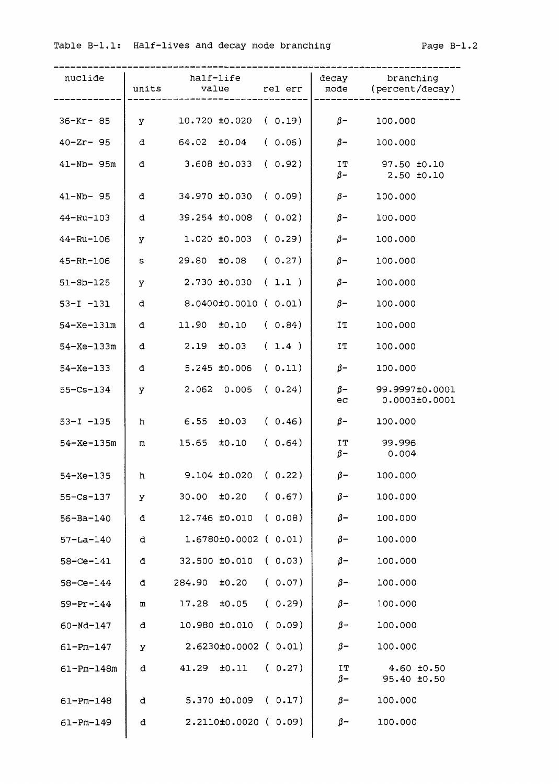# Table B-1.1: Half-lives and decay mode branching Fage B-1.2

| nuclide          | units   | half-life<br>value rel err        |        |                         | decay branching<br>mode (percent/decay) |
|------------------|---------|-----------------------------------|--------|-------------------------|-----------------------------------------|
|                  |         |                                   |        |                         |                                         |
| $36 - Kr - 85$   | У       | $10.720 \pm 0.020$ ( 0.19)        |        | $\beta$ –               | 100.000                                 |
| $40 - Zr - 95$   | đ       | $64.02 \pm 0.04$ (0.06)           |        | $\beta-$                | 100.000                                 |
| 41-Nb- 95m       | đ       | 3.608 ±0.033                      | (0.92) | IT<br>$\beta$ –         | 97.50 ±0.10<br>$2.50 \pm 0.10$          |
| 41-Nb- 95        | d       | $34.970 \pm 0.030$ (0.09)         |        | $\beta-$                | 100.000                                 |
| 44-Ru-103        | đ       | 39.254 ±0.008                     | (0.02) | $\beta-$                | 100.000                                 |
| 44-Ru-106        | У       | $1.020 \pm 0.003$ ( 0.29)         |        | $\beta-$                | 100.000                                 |
| 45-Rh-106        | $\tt S$ | $29.80 \t\t\pm\t0.08 \t\t( 0.27)$ |        | $\beta-$                | 100.000                                 |
| $51 - SD - 125$  | У       | $2.730 \pm 0.030$ ( 1.1 )         |        | $\beta-$                | 100.000                                 |
| $53 - I - 131$   | đ       | 8.0400±0.0010 ( 0.01)             |        | $\beta-$                | 100.000                                 |
| $54 - Xe - 131m$ | đ       | 11.90 $\pm 0.10$ ( 0.84)          |        | IT                      | 100.000                                 |
| $54 - Xe - 133m$ | đ       | $2.19 \t\pm 0.03$ (1.4)           |        | IT                      | 100.000                                 |
| $54 - Xe - 133$  | đ       | $5.245$ $±0.006$                  | (0.11) | $\beta-$                | 100.000                                 |
| $55 - Cs - 134$  | У       | $2.062$ 0.005                     | (0.24) | $\beta$ – $\beta$<br>ec | 99.9997±0.0001<br>0.0003±0.0001         |
| $53 - I - 135$   | h.      | $6.55$ $\pm 0.03$ ( 0.46)         |        | $\beta-$                | 100.000                                 |
| $54 - Xe - 135m$ | m       | $15.65$ $\pm 0.10$                | (0.64) |                         | IT 99.996<br>$\beta$ - 0.004            |
| $54 - Xe - 135$  | h.      | $9.104 \pm 0.020$ (0.22)          |        | $\beta$ –               | 100.000                                 |
| $55 - Cs - 137$  | У       | ±0.20<br>30.00                    | (0.67) | $\beta -$               | 100.000                                 |
| $56 - Ba - 140$  | đ       | 12.746 ±0.010                     | (0.08) | $\beta-$                | 100.000                                 |
| $57 - La - 140$  | đ.      | $1.6780 \pm 0.0002$ ( $0.01$ )    |        | $\beta-$                | 100.000                                 |
| 58-Ce-141        | đ       | 32.500 ±0.010                     | (0.03) | $\beta-$                | 100.000                                 |
| $58 - Ce - 144$  | d.      | 284.90<br>±0.20                   | (0.07) | $\beta-$                | 100.000                                 |
| $59 - Pr - 144$  | m       | 17.28 ±0.05                       | (0.29) | $\beta-$                | 100.000                                 |
| 60-Nd-147        | đ       | 10.980 ±0.010                     | (0.09) | $\beta-$                | 100.000                                 |
| $61 - Pm - 147$  | У       | $2.6230\pm0.0002$ ( $0.01$ )      |        | $\beta-$                | 100.000                                 |
| $61 - Pm - 148m$ | đ.      | 41.29<br>±0.11                    | (0.27) | IT<br>$\beta-$          | $4.60 \pm 0.50$<br>95.40 ±0.50          |
| $61 - Pm - 148$  | đ       | 5.370 ±0.009                      | (0.17) | $\beta-$                | 100.000                                 |
| 61-Pm-149        | đ       | $2.2110±0.0020$ (0.09)            |        | $\beta-$                | 100.000                                 |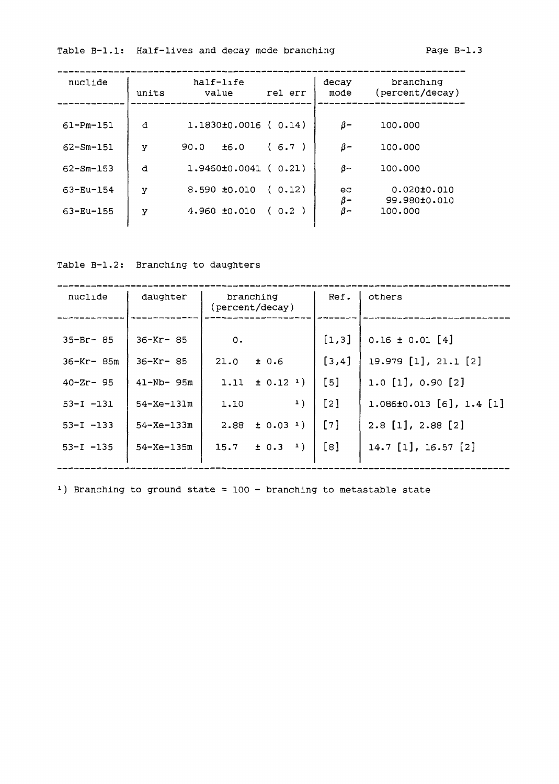Table B-1.1: Half-lives and decay mode branching Fage B-1.3

| nuclide         | units | half-life<br>value             | rel err | decay<br>mode | branching<br>(percent/decay)      |
|-----------------|-------|--------------------------------|---------|---------------|-----------------------------------|
| $61 - Pm - 151$ | đ     | $1.1830\pm0.0016$ ( $0.14$ )   |         | $\beta-$      | 100,000                           |
| $62 - 5m - 151$ | y     | ±6.0<br>90.0                   | (6.7)   | $\beta-$      | 100.000                           |
| $62 - 5m - 153$ | đ     | $1.9460 \pm 0.0041$ ( $0.21$ ) |         | $\beta-$      | 100,000                           |
| $63 - Eu - 154$ | у     | $8.590\_±0.010$                | (0.12)  | ec<br>β-      | $0.020 \pm 0.010$<br>99.980±0.010 |
| 63-Eu-155       | У     | 4.960 ±0.010                   | (0.2)   | β-            | 100,000                           |

Table B-1.2: Branching to daughters

| nuclide                                                                                              | daughter                                                                                                        | branching<br>(percent/decay)                                                                                                                   | Ref.                                                     | others                                                                                                                                                 |
|------------------------------------------------------------------------------------------------------|-----------------------------------------------------------------------------------------------------------------|------------------------------------------------------------------------------------------------------------------------------------------------|----------------------------------------------------------|--------------------------------------------------------------------------------------------------------------------------------------------------------|
| $35 - Br - 85$<br>36-Kr- 85m<br>$40 - Zr - 95$<br>$53 - 1 - 131$<br>$53 - 1 - 133$<br>$53 - I - 135$ | $36 - Kr - 85$<br>$36 - Kr - 85$<br>$41 - Nb - 95m$<br>$54 - Xe - 131m$<br>$54 - Xe - 133m$<br>$54 - Xe - 135m$ | 0.<br>21.0<br>± 0.6<br>1.11 $\pm$ 0.12 <sup>1</sup> )<br>1)<br>1.10<br>$\pm$ 0.03 <sup>1</sup> )<br>2.88<br>$\pm$ 0.3 $^{\frac{1}{1}}$<br>15.7 | [1,3]<br>[3,4]<br>[5]<br>$\lceil 2 \rceil$<br>[7]<br>[8] | $0.16 \pm 0.01$ [4]<br>19.979 [1], 21.1 [2]<br>$1.0$ [1], 0.90 [2]<br>$1.086\pm0.013$ [6], $1.4$ [1]<br>$2.8$ [1], $2.88$ [2]<br>$14.7$ [1], 16.57 [2] |

1) Branching to ground state =  $100 -$  branching to metastable state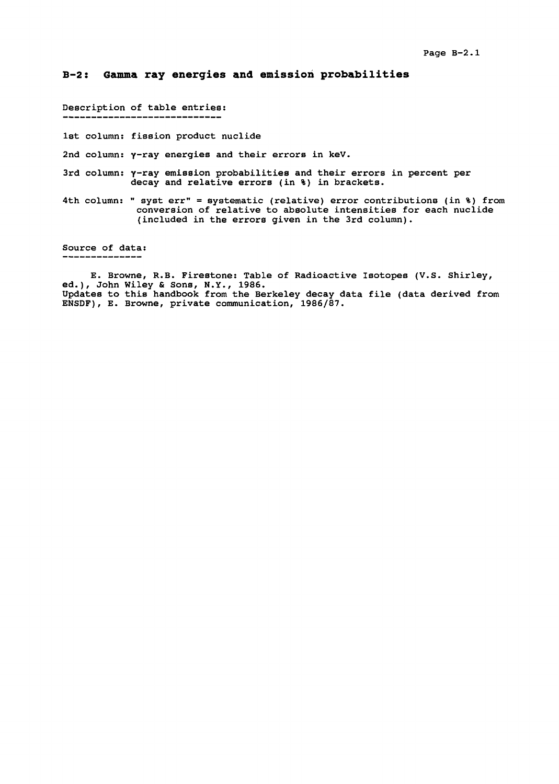### **B-2: Gamma ray energies and emission probabilities**

Description of table entries:

1st column: fission product nuclide

2nd column: y-ray energies and their errors in keV.

- 3rd column:  $\gamma$ -ray emission probabilities and their errors in percent per decay and relative errors (in %) in brackets.
- 4th column: " syst err" = systematic (relative) error contributions (in %) from conversion of relative to absolute intensities for each nuclide (included in the errors given in the 3rd column).

Source of data: 

E. Browne, R.B. Firestone: Table of Radioactive Isotopes (V.S. Shirley, ed.), John Wiley & Sons, N.Y., 1986. Updates to this handbook from the Berkeley decay data file (data derived from ENSDF), E. Browne, private communication, 1986/87.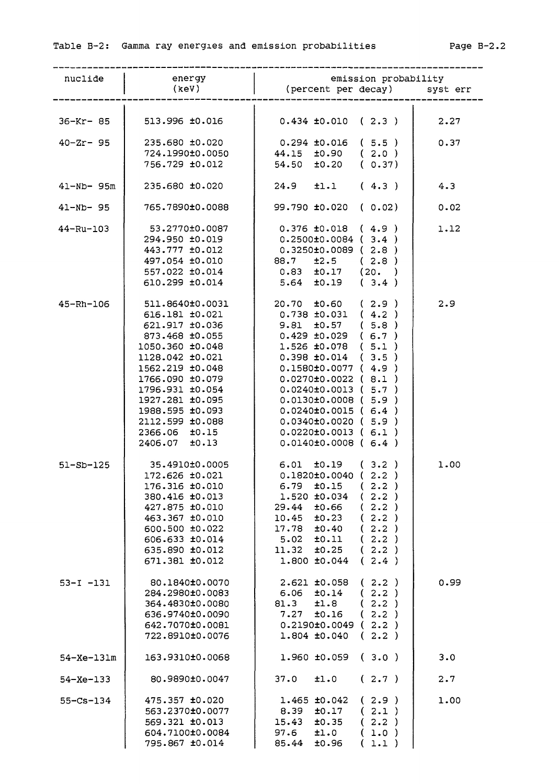| nuclide          | energy<br>(keV)                                                                                                                                                                                                                                                 | emission probability<br>(percent per decay) syst err                                                                                                                                                                                                                                                                                                                                                                   |      |
|------------------|-----------------------------------------------------------------------------------------------------------------------------------------------------------------------------------------------------------------------------------------------------------------|------------------------------------------------------------------------------------------------------------------------------------------------------------------------------------------------------------------------------------------------------------------------------------------------------------------------------------------------------------------------------------------------------------------------|------|
| $36 - Kr - 85$   | 513.996 ±0.016                                                                                                                                                                                                                                                  | $0.434$ ±0.010 ( 2.3 )                                                                                                                                                                                                                                                                                                                                                                                                 | 2.27 |
| $40 - Zr - 95$   | 235.680 ±0.020<br>724.1990±0.0050<br>756.729 ±0.012                                                                                                                                                                                                             | $0.294 \pm 0.016$ (5.5)<br>$44.15$ $\pm 0.90$ ( 2.0 )<br>$54.50$ $\pm 0.20$ (0.37)                                                                                                                                                                                                                                                                                                                                     | 0.37 |
| 41-Nb- 95m       | 235.680 ±0.020                                                                                                                                                                                                                                                  | $24.9$ $\pm 1.1$ $(4.3)$<br>4.3                                                                                                                                                                                                                                                                                                                                                                                        |      |
| 41-Nb- 95        | 765.7890±0.0088                                                                                                                                                                                                                                                 | 99.790 ±0.020 (0.02)                                                                                                                                                                                                                                                                                                                                                                                                   | 0.02 |
| $44 - Ru - 103$  | 53.2770±0.0087<br>294.950 ±0.019<br>443.777 ±0.012<br>497.054 ±0.010<br>557.022 ±0.014<br>610.299 ±0.014                                                                                                                                                        | $0.376 \pm 0.018$ (4.9)<br>$0.2500 \pm 0.0084$ (3.4)<br>$0.3250\pm0.0089$ ( 2.8 )<br>88.7 ±2.5 (2.8)<br>$0.83$ $\pm 0.17$ (20. )<br>$5.64$ $\pm 0.19$ (3.4)                                                                                                                                                                                                                                                            | 1.12 |
| $45 - Rh - 106$  | 511.8640±0.0031<br>616.181 ±0.021<br>621.917 ±0.036<br>873.468 ±0.055<br>1050.360 ±0.048<br>1128.042 ±0.021<br>1562.219 ±0.048<br>1766.090 ±0.079<br>1796.931 ±0.054<br>1927.281 ±0.095<br>1988.595 ±0.093<br>2112.599 ±0.088<br>2366.06 ±0.15<br>2406.07 ±0.13 | 2.9<br>$20.70 \quad \pm 0.60 \quad (2.9)$<br>$0.738 \pm 0.031$ (4.2)<br>$9.81$ $\pm 0.57$ (5.8)<br>$0.429 \pm 0.029$ (6.7)<br>$1.526 \pm 0.078$ (5.1)<br>$0.398 \pm 0.014$ (3.5)<br>$0.1580±0.0077$ ( 4.9 )<br>$0.0270 \pm 0.0022$ (8.1)<br>$0.0240 \pm 0.0013$ ( $5.7$ )<br>$0.0130±0.0008$ (5.9)<br>$0.0240 \pm 0.0015$ (6.4)<br>$0.0340\pm0.0020$ ( 5.9 )<br>$0.0220 \pm 0.0013$ (6.1)<br>$0.0140 \pm 0.0008$ (6.4) |      |
| $51 - SD - 125$  | 35.4910±0.0005<br>172.626 ±0.021<br>176.316 ±0.010<br>380.416 ±0.013<br>427.875 ±0.010<br>463.367 ±0.010<br>600.500 ±0.022<br>606.633 ±0.014<br>635.890 ±0.012<br>671.381 ±0.012                                                                                | $6.01 \tpm0.19 \t(3.2)$<br>$0.1820\pm0.0040$ (2.2)<br>2.2)<br>±0.15<br>6.79<br><b>C</b><br>2.2)<br>1.520 ±0.034<br>$\left($<br>(2.2)<br>29.44<br>±0.66<br>±0.23<br>(2.2)<br>10.45<br>±0.40<br>(2.2)<br>17.78<br>5.02<br>±0.11<br>2.2)<br>€<br>±0.25<br>11.32<br>2.2)<br>€<br>1.800 ±0.044<br>2.4)<br>€.                                                                                                                | 1.00 |
| $53 - 1 - 131$   | 80.1840±0.0070<br>284.2980±0.0083<br>364.4830±0.0080<br>636.9740±0.0090<br>642.7070±0.0081<br>722.8910±0.0076                                                                                                                                                   | $2.621$ $\pm 0.058$<br>2.2)<br>t.<br>2.2)<br>±0.14<br>6.06<br>C.<br>2.2)<br>81.3<br>±1.8<br>2.2)<br>7.27<br>±0.16<br>$\left($<br>$0.2190\pm0.0049$ ( $2.2$ )<br>(2.2)<br>$1.804$ $\pm 0.040$                                                                                                                                                                                                                           | 0.99 |
| $54 - Xe - 131m$ | 163.9310±0.0068                                                                                                                                                                                                                                                 | (3.0)<br>1.960 ±0.059<br>3.0                                                                                                                                                                                                                                                                                                                                                                                           |      |
| $54 - Xe - 133$  | 80.9890±0.0047                                                                                                                                                                                                                                                  | 2.7<br>37.0<br>±1.0<br>(2.7)                                                                                                                                                                                                                                                                                                                                                                                           |      |
| $55 - Cs - 134$  | 475.357 ±0.020<br>563.2370±0.0077<br>569.321 ±0.013<br>604.7100±0.0084<br>795.867 ±0.014                                                                                                                                                                        | $1.465$ $\pm 0.042$<br>(2.9)<br>(2.1)<br>8.39<br>±0.17<br>15.43<br>±0.35<br>2.2)<br>€<br>97.6<br>±1.0<br>$1.0$ )<br>€<br>85.44<br>±0.96<br>1.1)<br>€                                                                                                                                                                                                                                                                   | 1.00 |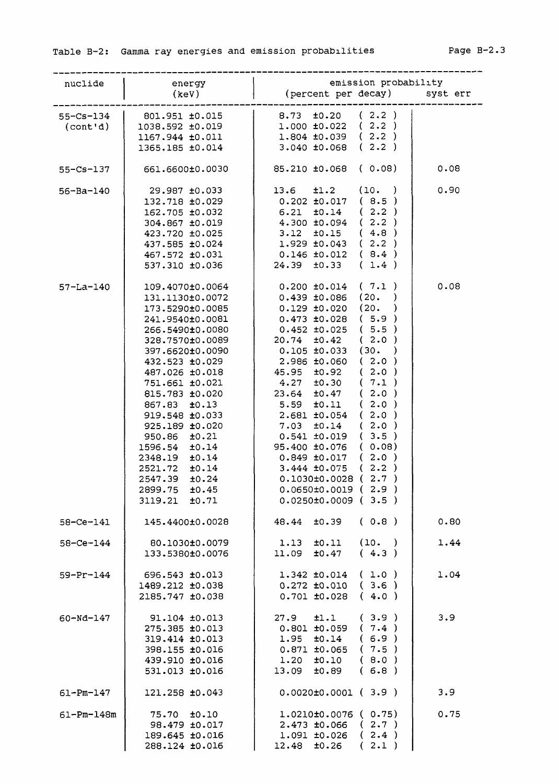| nuclide          | energy           | emission probability                             |      |
|------------------|------------------|--------------------------------------------------|------|
|                  | (keV)            | (percent per decay) syst err                     |      |
|                  |                  |                                                  |      |
| $55 - Cs - 134$  | 801.951 ±0.015   | $8.73 \pm 0.20$ (2.2)<br>$1.000 \pm 0.022$ (2.2) |      |
| (cont'd)         | 1038.592 ±0.019  |                                                  |      |
|                  | 1167.944 ±0.011  | $1.804 \pm 0.039$ (2.2)                          |      |
|                  | 1365.185 ±0.014  | $3.040 \pm 0.068$ (2.2)                          |      |
| $55 - Cs - 137$  | 661.6600±0.0030  | 85.210 ±0.068 (0.08)                             | 0.08 |
| $56 - Ba - 140$  | 29.987 ±0.033    | 13.6<br>$\pm 1.2$ (10.)                          | 0.90 |
|                  | 132.718 ±0.029   | $0.202 \pm 0.017$ (8.5)                          |      |
|                  | 162.705 ±0.032   | $6.21 \t\pm 0.14$ (2.2)                          |      |
|                  | 304.867 ±0.019   | $4.300 \pm 0.094$ (2.2)                          |      |
|                  | 423.720 ±0.025   | $3.12$ $\pm 0.15$ (4.8)                          |      |
|                  | 437.585 ±0.024   | $1.929 \pm 0.043$ (2.2)                          |      |
|                  | 467.572 ±0.031   | $0.146 \pm 0.012$ (8.4)                          |      |
|                  | 537.310 ±0.036   | $24.39$ $\pm 0.33$ (1.4)                         |      |
| $57 - La - 140$  | 109.4070±0.0064  | $0.200 \pm 0.014$ (7.1)                          | 0.08 |
|                  | 131.1130±0.0072  | $0.439 \pm 0.086$ (20. )                         |      |
|                  | 173.5290±0.0085  | $0.129 \pm 0.020$ (20.<br>$\lambda$              |      |
|                  | 241.9540±0.0081  | $0.473 \pm 0.028$ (5.9)                          |      |
|                  |                  | $0.452 \pm 0.025$ (5.5)                          |      |
|                  | 266.5490±0.0080  | $20.74$ $\pm 0.42$ (2.0)                         |      |
|                  | 328.7570±0.0089  |                                                  |      |
|                  | 397.6620±0.0090  | $0.105 \pm 0.033$ (30.)                          |      |
|                  | 432.523 ±0.029   | $2.986 \pm 0.060$ (2.0)                          |      |
|                  | 487.026 ±0.018   | 45.95 ±0.92 (2.0)                                |      |
|                  | 751.661 ±0.021   | $4.27$ $\pm 0.30$ ( $7.1$ )                      |      |
|                  | 815.783 ±0.020   | $23.64$ $\pm 0.47$ (2.0)                         |      |
|                  | 867.83 ±0.13     | $5.59$ $\pm 0.11$ (2.0)                          |      |
|                  | 919.548 ±0.033   | $2.681$ $\pm 0.054$ ( 2.0 )                      |      |
|                  | 925.189 ±0.020   | $7.03 \pm 0.14$ (2.0)                            |      |
|                  | 950.86 ±0.21     | $0.541 \pm 0.019$ (3.5)                          |      |
|                  | 1596.54 ±0.14    | 95.400 ±0.076 (0.08)                             |      |
|                  | 2348.19 ±0.14    | $0.849 \pm 0.017$ (2.0)                          |      |
|                  | 2521.72 ±0.14    | (2.2)<br>3.444 ±0.075                            |      |
|                  | 2547.39<br>±0.24 | $0.1030±0.0028$ (2.7)                            |      |
|                  | 2899.75 ±0.45    | $0.0650\pm0.0019$ ( 2.9 )                        |      |
|                  | 3119.21 ±0.71    | $0.0250\pm0.0009$ (3.5)                          |      |
| $58 - Ce - 141$  | 145.4400±0.0028  | ±0.39<br>(0.8)<br>48.44                          | 0.80 |
| $58 - Ce - 144$  | 80.1030±0.0079   | (10. )<br>1.13 ±0.11                             | 1.44 |
|                  | 133.5380±0.0076  | (4.3)<br>$11.09$ $\pm 0.47$                      |      |
| $59 - Pr - 144$  | 696.543 ±0.013   | $1.342 \pm 0.014$ ( $1.0$ )                      | 1.04 |
|                  | 1489.212 ±0.038  | $0.272 \pm 0.010$ (3.6)                          |      |
|                  | 2185.747 ±0.038  | $0.701 \pm 0.028$ (4.0)                          |      |
|                  | 91.104 ±0.013    | $\pm 1.1$ (3.9)<br>27.9                          | 3.9  |
| 60-Nd-147        | 275.385 ±0.013   | $0.801 \pm 0.059$ ( $7.4$ )                      |      |
|                  | 319.414 ±0.013   | $1.95$ $\pm 0.14$ (6.9)                          |      |
|                  | 398.155 ±0.016   | $0.871 \pm 0.065$ ( 7.5 )                        |      |
|                  | 439.910 ±0.016   | $1.20 \tpm 0.10 \t (8.0)$                        |      |
|                  | 531.013 ±0.016   | 13.09 ±0.89<br>(6.8)                             |      |
| $61 - Pm - 147$  | 121.258 ±0.043   | $0.0020 \pm 0.0001$ (3.9)                        | 3.9  |
|                  |                  |                                                  |      |
| $61 - Pm - 148m$ | 75.70 ±0.10      | $1.0210±0.0076$ ( 0.75)                          | 0.75 |
|                  | 98.479 ±0.017    | $2.473 \pm 0.066$ (2.7)                          |      |
|                  | 189.645 ±0.016   | (2.4)<br>$1.091$ $\pm 0.026$                     |      |
|                  | 288.124 ±0.016   | (2.1)<br>$12.48$ $\pm 0.26$                      |      |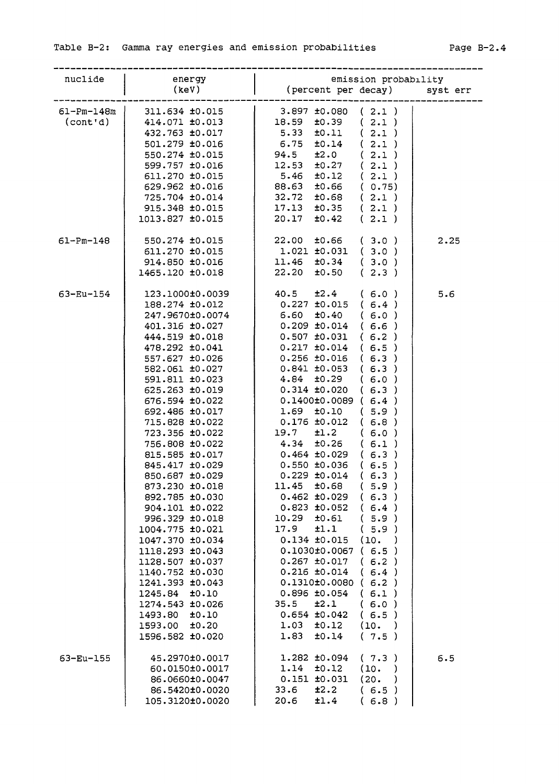| nuclide                      | energy<br>(keV)                                                                                                                                                                                                                                                                                                                                                                                                                                                                                                                                                                                                       | emission probability<br>(percent per decay) syst err                                                                                                                                                                                                                                                                                                                                                                                                                                                                                                                                                                                                                                                                                                                                                                                                                                                                                                                              |      |
|------------------------------|-----------------------------------------------------------------------------------------------------------------------------------------------------------------------------------------------------------------------------------------------------------------------------------------------------------------------------------------------------------------------------------------------------------------------------------------------------------------------------------------------------------------------------------------------------------------------------------------------------------------------|-----------------------------------------------------------------------------------------------------------------------------------------------------------------------------------------------------------------------------------------------------------------------------------------------------------------------------------------------------------------------------------------------------------------------------------------------------------------------------------------------------------------------------------------------------------------------------------------------------------------------------------------------------------------------------------------------------------------------------------------------------------------------------------------------------------------------------------------------------------------------------------------------------------------------------------------------------------------------------------|------|
| $61 - Pm - 148m$<br>(cont'd) | 311.634 ±0.015<br>414.071 ±0.013<br>432.763 ±0.017<br>501.279 ±0.016<br>550.274 ±0.015<br>599.757 ±0.016<br>611.270 ±0.015<br>629.962 ±0.016<br>725.704 ±0.014<br>915.348 ±0.015<br>1013.827 ±0.015                                                                                                                                                                                                                                                                                                                                                                                                                   | $3.897 \pm 0.080$ (2.1)<br>(2.1)<br>±0.39<br>18.59<br>±0.11<br>(2.1)<br>5.33<br>(2.1)<br>6.75<br>±0.14<br>94.5<br>±2.0<br>(2.1)<br>(2.1)<br>12.53<br>±0.27<br>5.46<br>$\pm 0.12$ (2.1)<br>±0.66 (0.75)<br>88.63<br>32.72<br>±0.68<br>(2.1)<br>(2.1)<br>$17.13$ $\pm 0.35$<br>(2.1)<br>20.17<br>±0.42                                                                                                                                                                                                                                                                                                                                                                                                                                                                                                                                                                                                                                                                              |      |
| $61 - Pm - 148$              | 550.274 ±0.015<br>611.270 ±0.015<br>914.850 ±0.016<br>1465.120 ±0.018                                                                                                                                                                                                                                                                                                                                                                                                                                                                                                                                                 | (3.0)<br>22.00<br>±0.66<br>$1.021 \pm 0.031$ (3.0)<br>(3.0)<br>$11.46$ $\pm 0.34$<br>(2.3)<br>$22.20$ $\pm 0.50$                                                                                                                                                                                                                                                                                                                                                                                                                                                                                                                                                                                                                                                                                                                                                                                                                                                                  | 2.25 |
| 63-Eu-154                    | 123.1000±0.0039<br>188.274 ±0.012<br>247.9670±0.0074<br>401.316 ±0.027<br>444.519 ±0.018<br>478.292 ±0.041<br>557.627 ±0.026<br>582.061 ±0.027<br>591.811 ±0.023<br>625.263 ±0.019<br>676.594 ±0.022<br>692.486 ±0.017<br>715.828 ±0.022<br>723.356 ±0.022<br>756.808 ±0.022<br>815.585 ±0.017<br>845.417 ±0.029<br>850.687 ±0.029<br>873.230 ±0.018<br>892.785 ±0.030<br>904.101 ±0.022<br>996.329 ±0.018<br>1004.775 ±0.021<br>1047.370 ±0.034<br>1118.293 ±0.043<br>1128.507 ±0.037<br>1140.752 ±0.030<br>1241.393 ±0.043<br>1245.84 ±0.10<br>1274.543 ±0.026<br>1493.80 ±0.10<br>1593.00 ±0.20<br>1596.582 ±0.020 | $40.5$ $\pm 2.4$ (6.0)<br>$0.227$ ±0.015 (6.4)<br>$6.60 \pm 0.40$<br>(6.0)<br>$0.209 \pm 0.014$ (6.6)<br>$0.507$ $\pm 0.031$<br>(6.2)<br>$0.217$ $\pm 0.014$<br>(6.5)<br>$0.256$ ± $0.016$<br>(6.3)<br>(6.3)<br>$0.841$ $\pm 0.053$<br>(6.0)<br>4.84 ±0.29<br>$0.314$ $\pm 0.020$ (6.3)<br>$0.1400 \pm 0.0089$ (6.4)<br>$1.69$ $\pm 0.10$ (5.9)<br>$0.176 \pm 0.012$ (6.8)<br>$19.7$ $\pm 1.2$<br>(6.0)<br>$4.34$ $\pm 0.26$ (6.1)<br>$0.464 \pm 0.029$ (6.3)<br>$0.550 \pm 0.036$ (6.5)<br>(6.3)<br>$0.229$ $\pm 0.014$<br>(5.9)<br>11.45<br>±0.68<br>(6.3)<br>$0.462 \pm 0.029$<br>(6.4)<br>$0.823$ $\pm 0.052$<br>10.29<br>±0.61<br>(5.9)<br>17.9<br>±1.1<br>5.9)<br>€<br>$0.134 \pm 0.015$<br>(10.<br>$\lambda$<br>0.1030±0.0067<br>(6.5)<br>$0.267$ $\pm 0.017$<br>(6.2)<br>$0.216 \pm 0.014$<br>(6.4)<br>(6.2)<br>0.1310±0.0080<br>$0.896 \pm 0.054$<br>(6.1)<br>35.5<br>±2.1<br>(6.0)<br>(6.5)<br>$0.654$ $\pm 0.042$<br>1.03<br>±0.12<br>(10. )<br>1.83<br>±0.14<br>(7.5) | 5.6  |
| 63-Eu-155                    | 45.2970±0.0017<br>60.0150±0.0017<br>86.0660±0.0047<br>86.5420±0.0020<br>105.3120±0.0020                                                                                                                                                                                                                                                                                                                                                                                                                                                                                                                               | $1.282$ $\pm 0.094$<br>(7.3)<br>1.14<br>±0.12<br>(10.<br>$\lambda$<br>$0.151$ $\pm 0.031$<br>(20.<br>$\lambda$<br>33.6<br>±2.2<br>(6.5)<br>20.6<br>±1.4<br>(6.8)                                                                                                                                                                                                                                                                                                                                                                                                                                                                                                                                                                                                                                                                                                                                                                                                                  | 6.5  |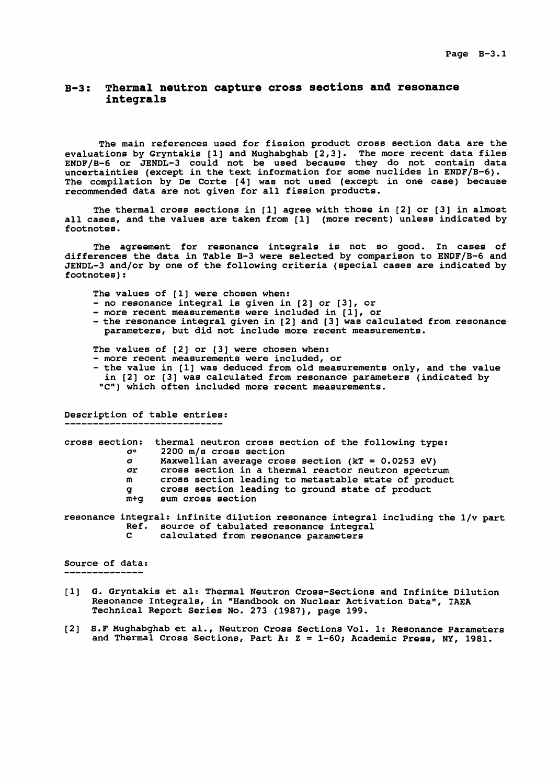### **B-3: Thermal neutron capture cross sections and resonance integrals**

The main references used for fission product cross section data are the evaluations by Gryntakis [1] and Hughabghab [2,3]. The more recent data files ENDF/B-6 or JENDL-3 could not be used because they do not contain data uncertainties (except in the text information for some nuclides in ENDF/B-6). The compilation by De Corte [4] was not used (except in one case) because recommended data are not given for all fission products.

The thermal cross sections in [1] agree with those in [2] or [3] in almost all cases, and the values are taken from [1] (more recent) unless indicated by footnotes.

The agreement for resonance integrals is not so good. In cases of differences the data in Table B-3 were selected by comparison to ENDF/B-6 and JENDL-3 and/or by one of the following criteria (special cases are indicated by footnotes):

The values of [1] were chosen when:

- no resonance integral is given in [2] or [3], or
- more recent measurements were included in [1], or
- the resonance integral given in [2] and [3] was calculated from resonance parameters, but did not include more recent measurements.

The values of [2] or [3] were chosen when:

- more recent measurements were included, or
- the value in [1] was deduced from old measurements only, and the value in [2] or [3] was calculated from resonance parameters (indicated by "C") which often included more recent measurements.

Description of table entries:

cross section: thermal neutron cross section of the following type:<br> $\sigma^o$  2200 m/s cross section o° 2200 m/s cross section

- a Maxwellian average cross section (kT = 0.0253 eV)
- cross section in a thermal reactor neutron spectrum
- m cross section leading to metastable state of product
- g cross section leading to ground state of product
- m+g sum cross section

resonance integral: infinite dilution resonance integral including the 1/v part Ref. source of tabulated resonance integral<br>C. calculated from resonance parameters calculated from resonance parameters

Source of data: ------------------

- [1] G. Gryntakis et al: Thermal Neutron Cross-Sections and Infinite Dilution Resonance Integrals, in "Handbook on Nuclear Activation Data", IAEA Technical Report Series No. 273 (1987), page 199.
- [2] S.F Mughabghab et al., Neutron Cross Sections Vol. 1: Resonance Parameters and Thermal Cross Sections, Part A:  $Z = 1-60$ ; Academic Press, NY, 1981.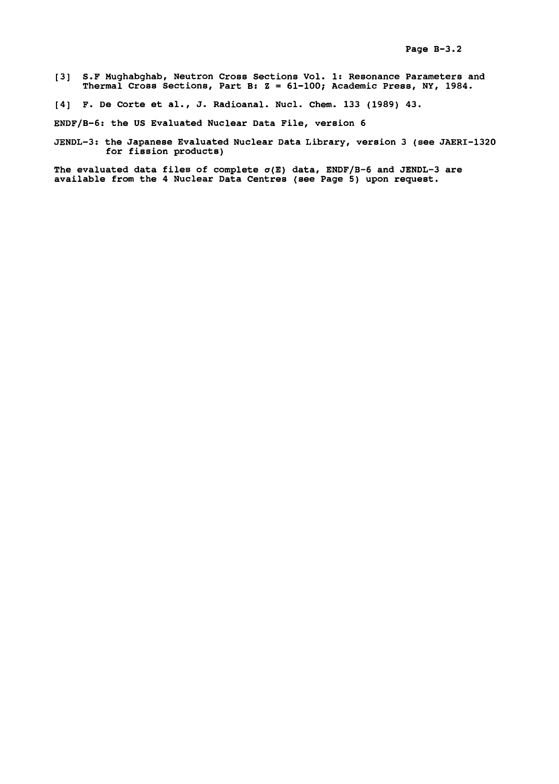- [3] S.F Hughabghab, Neutron Cross Sections Vol. 1: Resonance Parameters and Thermal Cross Sections, Part B: Z = 61-100; Academic Press, NY, 1984.
- [4] F. De Corte et al., J. Radioanal. Nucl. Chem. 133 (1989) 43.

ENDF/B-6: the US Evaluated Nuclear Data File, version 6

JENDL-3: the Japanese Evaluated Nuclear Data Library, version 3 (see JAERI-1320 for fission products)

The evaluated data files of complete  $\sigma(E)$  data, ENDF/B-6 and JENDL-3 are available from the 4 Nuclear Data Centres (see Page 5) upon request.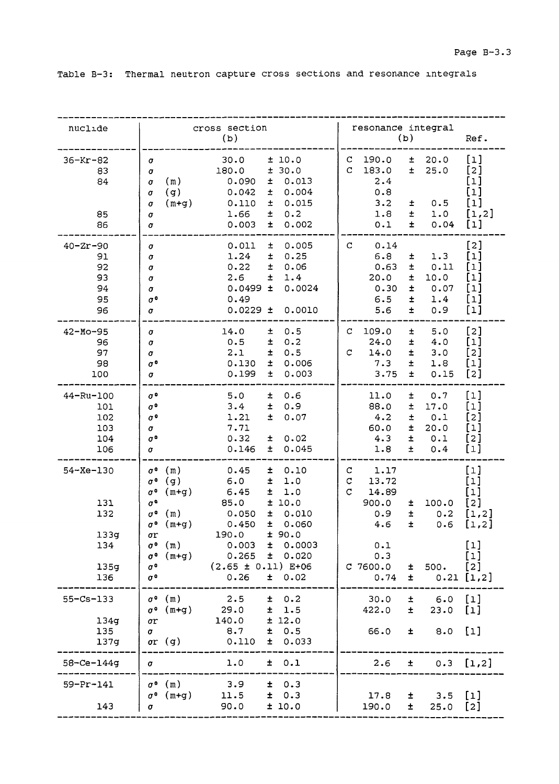Table B-3: Thermal neutron capture cross sections and resonance integrals

| nuclide                                                     | cross section<br>(b)                                                                                                                                                                                                                                                                                                                                                                                                                                                                                                                                | resonance integral<br>(b)                                                                                                                                                                       | Ref.                                                                                                                                                                                                                                                                                                                                                               |
|-------------------------------------------------------------|-----------------------------------------------------------------------------------------------------------------------------------------------------------------------------------------------------------------------------------------------------------------------------------------------------------------------------------------------------------------------------------------------------------------------------------------------------------------------------------------------------------------------------------------------------|-------------------------------------------------------------------------------------------------------------------------------------------------------------------------------------------------|--------------------------------------------------------------------------------------------------------------------------------------------------------------------------------------------------------------------------------------------------------------------------------------------------------------------------------------------------------------------|
| $36 - Kr - 82$<br>83<br>84<br>85<br>86                      | 30.0<br>± 10.0<br>σ<br>± 30.0<br>180.0<br>σ<br>0.013<br>(m)<br>0.090<br>Ŧ<br>σ<br>0.004<br>(g)<br>0.042<br>士<br>σ<br>0.015<br>$(m+g)$<br>0.110<br>士<br>σ<br>1.66<br>土<br>0.2<br>σ<br>0.003<br>0.002<br>土<br>σ                                                                                                                                                                                                                                                                                                                                       | $\mathbf{C}$<br>190.0<br>20.0<br>±.<br>$\mathbf C$<br>183.0<br>25.0<br>±.<br>2.4<br>0.8<br>3.2<br>0.5<br>士<br>1.8<br>±<br>1.0<br>0.1<br>$\pm$<br>0.04                                           | $\lbrack 1 \rbrack$<br>[2]<br>[1]<br>[1]<br>$[1] % \centering \includegraphics[width=0.9\columnwidth]{figures/fig_10.pdf} \caption{The figure shows the number of times on the right, and the number of times on the right, respectively. The left and right is the number of times on the right, respectively.} \label{fig:time}$<br>[1,2]<br>$\lbrack 1 \rbrack$ |
| $40 - 2r - 90$<br>91<br>92<br>93<br>94<br>95<br>96          | 0.011<br>0.005<br>±.<br>σ<br>1.24<br>0.25<br>±<br>σ<br>0.22<br>$\pm$<br>0.06<br>σ<br>2.6<br>$\pm$<br>1.4<br>σ<br>0.0024<br>$0.0499 \pm$<br>σ<br>0.49<br>$\sigma$ <sup>o</sup><br>$0.0229 \pm$<br>0.0010<br>σ                                                                                                                                                                                                                                                                                                                                        | 0.14<br>C<br>6.8<br>1.3<br>±<br>0.63<br>0.11<br>Ŧ<br>20.0<br>Ŧ<br>10.0<br>0.07<br>0.30<br>$\pm$<br>6.5<br>$\pm$<br>1.4<br>0.9<br>5.6<br>$\pm$                                                   | [2]<br>$[1]$<br>$\lbrack 1 \rbrack$<br>$[1]$<br>$\lbrack 1 \rbrack$<br>$\lbrack 1 \rbrack$<br>$[1]$                                                                                                                                                                                                                                                                |
| $42 - Mo - 95$<br>96<br>97<br>98<br>100                     | 14.0<br>0.5<br>±<br>σ<br>0.5<br>±.<br>0.2<br>σ<br>2.1<br>0.5<br>±<br>σ<br>0.006<br>0.130<br>±.<br>$\sigma$ °<br>0.199<br>0.003<br>$\pm$<br>σ                                                                                                                                                                                                                                                                                                                                                                                                        | C<br>109.0<br>5.0<br>±<br>24.0<br>4.0<br>士<br>С<br>14.0<br>±<br>3.0<br>7.3<br>$\pm$<br>1.8<br>3.75<br>$\pm$<br>0.15                                                                             | $\lceil 2 \rceil$<br>[1]<br>$\lbrack 2 \rbrack$<br>$\left[1\right]$<br>[2]                                                                                                                                                                                                                                                                                         |
| 44-Ru-100<br>101<br>102<br>103<br>104<br>106                | 0.6<br>$\sigma$ <sup>o</sup><br>5.0<br>Ŧ.<br>3.4<br>$\pm$<br>0.9<br>$\sigma$ <sup>o</sup><br>1.21<br>Ŧ<br>0.07<br>$\sigma$ °<br>7.71<br>σ<br>0.02<br>0.32<br>$\sigma$ °<br>±.<br>0.045<br>0.146<br>Ŧ.<br>σ                                                                                                                                                                                                                                                                                                                                          | 11.0<br>$\pm$<br>0.7<br>88.0<br>$\pm$<br>17.0<br>4.2<br>$\pm$<br>0.1<br>$\pm$<br>60.0<br>20.0<br>4.3<br>$\pm$<br>0.1<br>$\pm$<br>1.8<br>0.4                                                     | $[1]$<br>$\left[1\right]$<br>[2]<br>$[1]$<br>[2]<br>[1]                                                                                                                                                                                                                                                                                                            |
| $54 - Xe - 130$<br>131<br>132<br>133g<br>134<br>135g<br>136 | (m)<br>0.45<br>0.10<br>$\sigma^{\,0}$<br>±.<br>(g)<br>6.0<br>±.<br>1.0<br>$\sigma$ <sup>o</sup><br>$\sigma^{\,0}$<br>$(m+q)$<br>6.45<br>±.<br>1.0<br>$\sigma^{\mathbf{0}}$<br>85.0<br>±10.0<br>0.050<br>Ŧ.<br>0.010<br>$\sigma$ <sup>o</sup><br>(m)<br>$\sigma$ <sup>o</sup><br>0.450<br>Ŧ<br>0.060<br>$(m+q)$<br>190.0<br>± 90.0<br>σr<br>$\sigma$ <sup>o</sup> (m)<br>$0.003 \pm 0.0003$<br>$0.265 \pm 0.020$<br>$(m+g)$<br>$\sigma^{\,0}$<br>$(2.65 \pm 0.11)$ E+06<br>$\sigma^{\mathfrak{a}}$<br>$\sigma$ <sup>o</sup><br>0.26<br>$\pm$<br>0.02 | 1.17<br>С<br>13.72<br>C<br>$\mathbf C$<br>14.89<br>900.0<br>100.0<br>±.<br>$\pm$<br>0.9<br>0.2<br>4.6<br>$\pm$<br>0.6<br>0.1<br>0.3<br>$C$ 7600.0<br>500.<br>$\pm$<br>0.74<br>士<br>$0.21$ [1,2] | $\lbrack 1 \rbrack$<br>[1]<br>[ı]<br>[2]<br>[1,2]<br>[1,2]<br>$[1]$<br>$[1]$<br>[2]                                                                                                                                                                                                                                                                                |
| $55-Cs-133$<br>134g<br>135                                  | $\sigma$ <sup>o</sup> (m)<br>2.5<br>$\pm 0.2$<br>$\sigma$ <sup>o</sup> (m+g)<br>29.0<br>$\pm$<br>1.5<br>140.0<br>± 12.0<br>$\sigma r$<br>0.5<br>8.7<br>$\pm$<br>σ                                                                                                                                                                                                                                                                                                                                                                                   | 30.0<br>$\pm$<br>6.0<br>422.0<br>$\pm$<br>23.0<br>66.0<br>$\pm$<br>8.0                                                                                                                          | $\lceil 1 \rceil$<br>$[1]$<br>$[1]$                                                                                                                                                                                                                                                                                                                                |
| 137g<br>$58 - Ce - 144g$                                    | 0.033<br>$\sigma r$ (g)<br>0.110<br>$\pm$<br>1.0<br>$\pm$ 0.1<br>$\sigma$                                                                                                                                                                                                                                                                                                                                                                                                                                                                           | 2.6<br>$0.3$ [1,2]<br>$\pm$                                                                                                                                                                     |                                                                                                                                                                                                                                                                                                                                                                    |
| $59 - Pr - 141$<br>143                                      | 3.9<br>$\sigma$ <sup>o</sup> (m)<br>$\pm$ 0.3<br>$\sigma$ <sup>o</sup> (m+g)<br>± 0.3<br>11.5<br>90.0<br>± 10.0<br>$\pmb{\sigma}$                                                                                                                                                                                                                                                                                                                                                                                                                   | 17.8<br>$\pm$ 3.5 [1]<br>$25.0$ [2]<br>190.0<br>土                                                                                                                                               |                                                                                                                                                                                                                                                                                                                                                                    |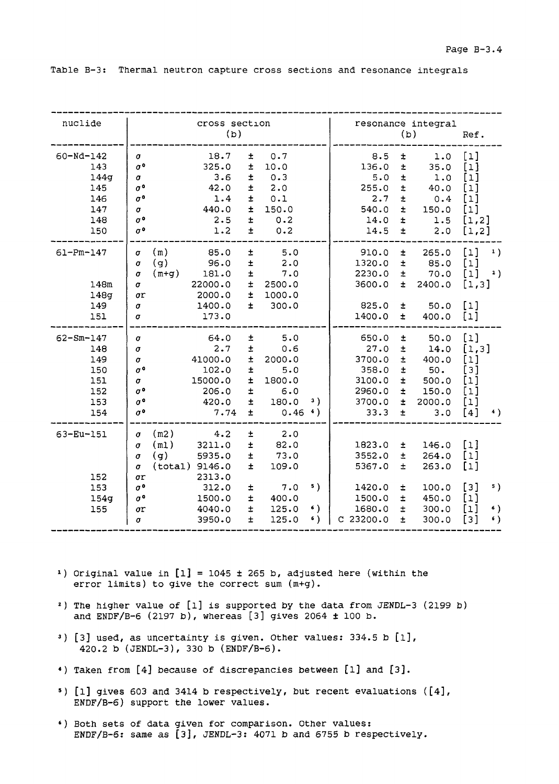|  |  |  |  |  |  |  |  | Table B-3: Thermal neutron capture cross sections and resonance integrals |  |  |
|--|--|--|--|--|--|--|--|---------------------------------------------------------------------------|--|--|
|--|--|--|--|--|--|--|--|---------------------------------------------------------------------------|--|--|

| nuclide                                                           | cross section<br>(b)                                                                                                                                                                                                                                                                                                                                             |                                    |                                                                        | (b)                                                                  | resonance integral                                              | Ref.                                                                                 |                              |
|-------------------------------------------------------------------|------------------------------------------------------------------------------------------------------------------------------------------------------------------------------------------------------------------------------------------------------------------------------------------------------------------------------------------------------------------|------------------------------------|------------------------------------------------------------------------|----------------------------------------------------------------------|-----------------------------------------------------------------|--------------------------------------------------------------------------------------|------------------------------|
| $60 - Nd - 142$<br>143<br>144g<br>145<br>146<br>147<br>148<br>150 | 18.7<br>0.7<br>$\pm$<br>$\sigma$<br>$\sigma^{\,0}$<br>325.0<br>$\pm$<br>10.0<br>3.6<br>$\pm$<br>0.3<br>$\sigma$<br>$\sigma^{\,0}$<br>42.0<br>$\pm$<br>2.0<br>$\sigma$ <sup>o</sup><br>$\pm$<br>0.1<br>1.4<br>$\pm$<br>440.0<br>150.0<br>$\sigma$<br>$\sigma$ <sup>o</sup><br>2.5<br>$\pm$<br>0.2<br>$\pm$<br>$\sigma$ <sup>o</sup><br>1.2<br>0.2                 |                                    | 8.5<br>136.0<br>5.0<br>255.0<br>2.7<br>540.0<br>14.0<br>14.5           | ŧ.<br>$\pm$<br>$\pm$<br>$\pm$<br>$\pm$<br>$\pm$<br>ŧ<br>$\pm$        | 1.0<br>35.0<br>1.0<br>40.0<br>0.4<br>150.0<br>1.5<br>2.0        | $[1]$<br>$[1]$<br>[1]<br>[1]<br>[1]<br>$[1]$<br>[1,2]<br>[1,2]                       |                              |
| $61 - Pm - 147$<br>148m<br>148g<br>149<br>151                     | 85.0<br>5.0<br>(m)<br>$\pm$<br>σ<br>(q)<br>$\pm$<br>96.0<br>2.0<br>$\sigma$<br>7.0<br>$(m+q)$<br>181.0<br>$\pm$<br>$\sigma$<br>22000.0<br>$\pm$<br>$\pmb{\sigma}$<br>2500.0<br>$\pm$<br>2000.0<br>1000.0<br>σr<br>$\pm$<br>$\sigma$<br>1400.0<br>300.0<br>173.0<br>σ                                                                                             |                                    | 910.0<br>1320.0<br>2230.0<br>3600.0<br>825.0<br>1400.0                 | Ŧ.<br>$\pm$<br>$\pm$<br>±.<br>$\pm$<br>$\pm$                         | 265.0<br>85.0<br>70.0<br>2400.0<br>50.0<br>400.0                | $[1]$<br>$[1]$<br>$[1]$<br>[1,3]<br>[1]<br>$[1]$                                     | $\left  \cdot \right $<br>2) |
| $62 - Sm - 147$<br>148<br>149<br>150<br>151<br>152<br>153<br>154  | 5.0<br>64.0<br>$\pm$<br>$\sigma$<br>2.7<br>$\pm$<br>0.6<br>$\sigma$<br>41000.0<br>2000.0<br>$\pm$<br>$\sigma$<br>$\sigma$ <sup>o</sup><br>102.0<br>$\pm$<br>5.0<br>15000.0<br>$\pm$<br>1800.0<br>$\sigma$<br>$\sigma$ <sup>o</sup><br>$\pm$<br>206.0<br>6.0<br>$\sigma$ <sup>o</sup><br>$\pm$<br>180.0<br>420.0<br>$\sigma$ <sup>o</sup><br>$\pm$<br>7.74        | з)<br>$0.46$ <sup>4</sup> )        | 650.0<br>27.0<br>3700.0<br>358.0<br>3100.0<br>2960.0<br>3700.0<br>33.3 | $\pm$<br>$\pm$<br>$\pm$<br>$\pm$<br>$\pm$<br>$\pm$<br>$\pm$<br>$\pm$ | 50.0<br>14.0<br>400.0<br>50.<br>500.0<br>150.0<br>2000.0<br>3.0 | $\lceil 1 \rceil$<br>[1,3]<br>[1]<br>[3]<br>$\lbrack 1 \rbrack$<br>[1]<br>[1]<br>[4] | 4)                           |
| 63-Eu-151<br>152<br>153<br>154g<br>155                            | 4.2<br>2.0<br>(m2)<br>$\pm$<br>σ<br>$\pm$<br>(m1)<br>3211.0<br>82.0<br>$\sigma$<br>(g)<br>5935.0<br>$\pm$<br>73.0<br>$\sigma$<br>(total) 9146.0<br>$\pm$<br>109.0<br>$\sigma$<br>2313.0<br>σr<br>$\sigma$ <sup>o</sup><br>7.0<br>312.0<br>$\pm$<br>$\pm$<br>$\sigma^{\,0}$<br>1500.0<br>400.0<br>$\pm$<br>125.0<br>4040.0<br>σr<br>$\pm$<br>3950.0<br>125.0<br>σ | 5)<br>6)<br>$\left( \cdot \right)$ | 1823.0<br>3552.0<br>5367.0<br>1420.0<br>1500.0<br>1680.0<br>C23200.0   | ±.<br>$\pm$<br>Ŧ<br>$\pm$<br>$\pm$<br>$\pm$<br>$\pm$                 | 146.0<br>264.0<br>263.0<br>100.0<br>450.0<br>300.0<br>300.0     | $[1]$<br>$\lbrack 1 \rbrack$<br>$[1]$<br>[3]<br>$[1]$<br>[1]<br>[3]                  | 5)<br>$\epsilon$ )<br>6)     |

- 1) Original value in  $[1] = 1045 \pm 265$  b, adjusted here (within the error limits) to give the correct sum (m+g).
- <sup>2</sup> ) The higher value of [l] is supported by the data from JENDL-3 (2199 b) and ENDF/B-6 (2197 b), whereas [3] gives 2064 ± 100 b.
- <sup>3</sup> ) [3] used, as uncertainty is given. Other values: 334.5 b [l], 420.2 b (JENDL-3), 330 b (ENDF/B-6).
- \*) Taken from [4] because of discrepancies between [l] and [3].
- <sup>s</sup> ) [l] gives 603 and 3414 b respectively, but recent evaluations ([4], ENDF/B-6) support the lower values.
- \*) Both sets of data given for comparison. Other values: ENDF/B-6: same as [3], JENDL-3: 4071 b and 6755 b respectively.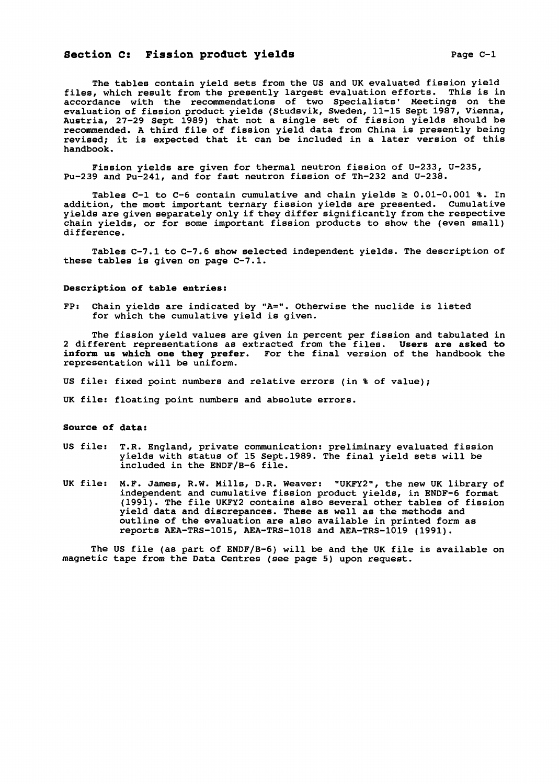The tables contain yield sets from the US and UK evaluated fission yield files, which result from the presently largest evaluation efforts. This is in accordance with the recommendations of two Specialists' Meetings on the evaluation of fission product yields (Studsvik, Sweden, 11-15 Sept 1987, Vienna, Austria, 27-29 Sept 1989) that not a single set of fission yields should be recommended. A third file of fission yield data from China is presently being revised; it is expected that it can be included in a later version of this handbook.

Fission yields are given for thermal neutron fission of U-233, U-235, Pu-239 and Pu-241, and for fast neutron fission of Th-232 and U-238.

Tables C-1 to C-6 contain cumulative and chain yields  $\geq 0.01-0.001$  %. In addition, the most important ternary fission yields are presented. Cumulative yields are given separately only if they differ significantly from the respective chain yields, or for some important fission products to show the (even small) difference.

Tables C-7.1 to C-7.6 show selected independent yields. The description of these tables is given on page C-7.1.

#### Description of table entries:

FP: Chain yields are indicated by "A=". Otherwise the nuclide is listed for which the cumulative yield is given.

The fission yield values are given in percent per fission and tabulated in 2 different representations as extracted from the files. Users **are** asked to inform us which **one they prefer.** For the final version of the handbook the representation will be uniform.

US file: fixed point numbers and relative errors (in % of value);

UK file: floating point numbers and absolute errors.

### **Source of data:**

- US file: T.R. England, private communication: preliminary evaluated fission yields with status of 15 Sept.1989. The final yield sets will be included in the ENDF/B-6 file.
- UK file: M.F. James, R.W. Mills, D.R. Weaver: "UKFY2", the new UK library of independent and cumulative fission product yields, in ENDF-6 format (1991). The file UKFY2 contains also several other tables of fission yield data and discrepances. These as well as the methods and outline of the evaluation are also available in printed form as reports AEA-TRS-1015, AEA-TRS-1018 and AEA-TRS-1019 (1991).

The US file (as part of ENDF/B-6) will be and the UK file is available on magnetic tape from the Data Centres (see page 5) upon request.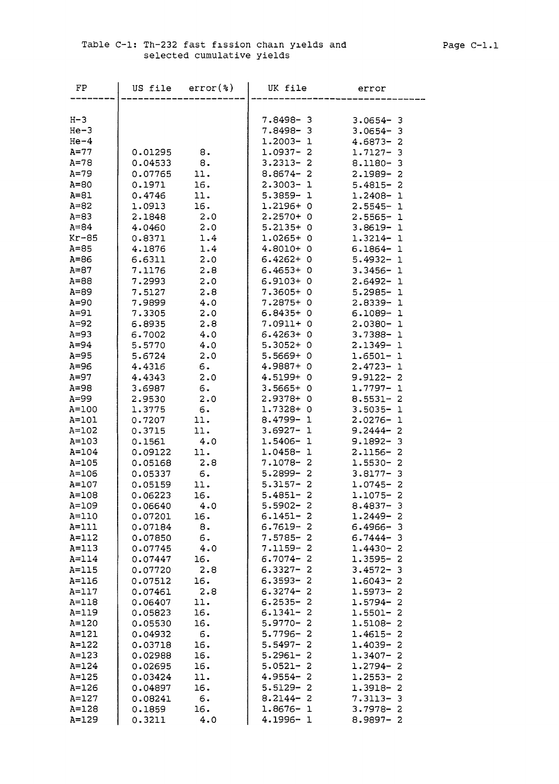| FP        |         | US file $error(*)$ | UK file      | error           |  |
|-----------|---------|--------------------|--------------|-----------------|--|
|           |         |                    |              |                 |  |
| $H-3$     |         |                    | 7.8498-3     | $3.0654 - 3$    |  |
| $He-3$    |         |                    | $7.8498 - 3$ | $3.0654 - 3$    |  |
| $He-4$    |         |                    | $1.2003 - 1$ | $4.6873 - 2$    |  |
| $A=77$    | 0.01295 | 8.                 | $1.0937 - 2$ | $1.7127 - 3$    |  |
| $A = 78$  | 0.04533 | 8.                 | $3.2313 - 2$ | $8.1180 - 3$    |  |
| $A=79$    | 0.07765 | 11.                | $8.8674 - 2$ | $2.1989 - 2$    |  |
| $A=80$    | 0.1971  | 16.                | $2.3003 - 1$ | $5.4815 - 2$    |  |
| $A=81$    | 0.4746  | 11.                | $5.3859 - 1$ | $1.2408 - 1$    |  |
| $A = 82$  | 1.0913  | 16.                | 1.2196+0     | $2.5545 - 1$    |  |
| $A = 83$  | 2.1848  | 2.0                | $2.2570+0$   | $2.5565 - 1$    |  |
| $A = 84$  | 4.0460  | 2.0                | $5.2135+0$   | $3.8619 - 1$    |  |
| Kr-85     | 0.8371  | 1.4                | $1.0265+0$   | $1.3214 - 1$    |  |
| $A=85$    | 4.1876  | 1.4                | $4.8010+0$   | $6.1864 - 1$    |  |
| $A = 86$  | 6.6311  | 2.0                | $6.4262+0$   | $5.4932 - 1$    |  |
| $A = 87$  | 7.1176  | 2.8                | $6.4653+0$   | $3.3456 - 1$    |  |
| $A = 88$  | 7.2993  | 2.0                | $6.9103+0$   | $2.6492 - 1$    |  |
| $A = 89$  | 7.5127  | 2.8                | 7.3605+ 0    | $5.2985 - 1$    |  |
| $A=90$    | 7.9899  | 4.0                | $7.2875+0$   | $2.8339 - 1$    |  |
| $A=91$    | 7.3305  | 2.0                | $6.8435+0$   | $6.1089 - 1$    |  |
| $A=92$    | 6.8935  | 2.8                | $7.0911 + 0$ | $2.0380 - 1$    |  |
| $A = 93$  | 6.7002  | 4.0                | $6.4263+0$   | $3.7388 - 1$    |  |
| $A=94$    | 5.5770  | 4.0                | $5.3052+0$   | $2.1349 - 1$    |  |
| $A = 95$  | 5.6724  | 2.0                | $5.5669+0$   | $1.6501 - 1$    |  |
| A=96      | 4.4316  | $\epsilon$ .       | 4.9887+ 0    | $2.4723 - 1$    |  |
| $A=97$    | 4.4343  | 2.0                | 4.5199+ 0    | $9.9122 - 2$    |  |
| $A=98$    | 3.6987  | б.                 | $3.5665+0$   | $1.7797 - 1$    |  |
| A=99      | 2.9530  | 2.0                | 2.9378+ 0    | $8.5531 - 2$    |  |
| $A = 100$ | 1.3775  | б.                 | $1.7328 + 0$ | $3.5035 - 1$    |  |
| $A = 101$ | 0.7207  | 11.                | $8.4799 - 1$ | $2.0276 - 1$    |  |
| $A = 102$ | 0.3715  | 11.                | $3.6927 - 1$ | $9.2444 - 2$    |  |
| $A = 103$ | 0.1561  | 4.0                | $1.5406 - 1$ | $9.1892 - 3$    |  |
| $A = 104$ | 0.09122 | 11.                | $1.0458 - 1$ | $2.1156 - 2$    |  |
| $A = 105$ | 0.05168 | 2.8                | 7.1078-2     | $1.5530 - 2$    |  |
| A=106     | 0.05337 | 6.                 | $5.2899 - 2$ | $3.8177 - 3$    |  |
| $A = 107$ | 0.05159 | 11.                | $5.3157 - 2$ | $1.0745 - 2$    |  |
| $A = 108$ | 0.06223 | 16.                | $5.4851 - 2$ | $1.1075 - 2$    |  |
| A=109     | 0.06640 | 4.0                | $5.5902 - 2$ | $8.4837 - 3$    |  |
| $A=110$   | 0.07201 | 16.                | $6.1451 - 2$ | $1.2449 - 2$    |  |
| $A=111$   | 0.07184 | 8.                 | $6.7619 - 2$ | $6.4966 - 3$    |  |
| $A=112$   | 0.07850 | 6.                 | $7.5785 - 2$ | $6.7444 - 3$    |  |
| $A=113$   | 0.07745 | 4.0                | $7.1159 - 2$ | $1.4430 - 2$    |  |
| $A = 114$ | 0.07447 | 16.                | $6.7074 - 2$ | $1.3595 - 2$    |  |
| $A=115$   | 0.07720 | 2.8                | $6.3327 - 2$ | $3.4572 - 3$    |  |
| $A=116$   | 0.07512 | 16.                | $6.3593 - 2$ | $1.6043 - 2$    |  |
| $A=117$   | 0.07461 | 2.8                | $6.3274 - 2$ | 1.5973-<br>2    |  |
| $A = 118$ | 0.06407 | 11.                | $6.2535 - 2$ | $1.5794 -$<br>2 |  |
| A=119     | 0.05823 | 16.                | $6.1341 - 2$ | $1.5501 - 2$    |  |
| $A = 120$ | 0.05530 | 16.                | $5.9770 - 2$ | $1.5108 - 2$    |  |
| $A = 121$ | 0.04932 | 6.                 | $5.7796 - 2$ | $1.4615 - 2$    |  |
| $A = 122$ | 0.03718 | 16.                | $5.5497 - 2$ | $1.4039 - 2$    |  |
| $A = 123$ | 0.02988 | 16.                | $5.2961 - 2$ | $1.3407 - 2$    |  |
| $A = 124$ | 0.02695 | 16.                | $5.0521 - 2$ | $1.2794 - 2$    |  |
| $A = 125$ | 0.03424 | 11.                | $4.9554 - 2$ | $1.2553 - 2$    |  |
| $A = 126$ | 0.04897 | 16.                | $5.5129 - 2$ | $1.3918 - 2$    |  |
| $A = 127$ | 0.08241 | 6.                 | $8.2144 - 2$ | $7.3113 - 3$    |  |
| $A = 128$ | 0.1859  | 16.                | $1.8676 - 1$ | $3.7978 -$<br>2 |  |
| $A = 129$ | 0.3211  | 4.0                | $4.1996 - 1$ | $8.9897 - 2$    |  |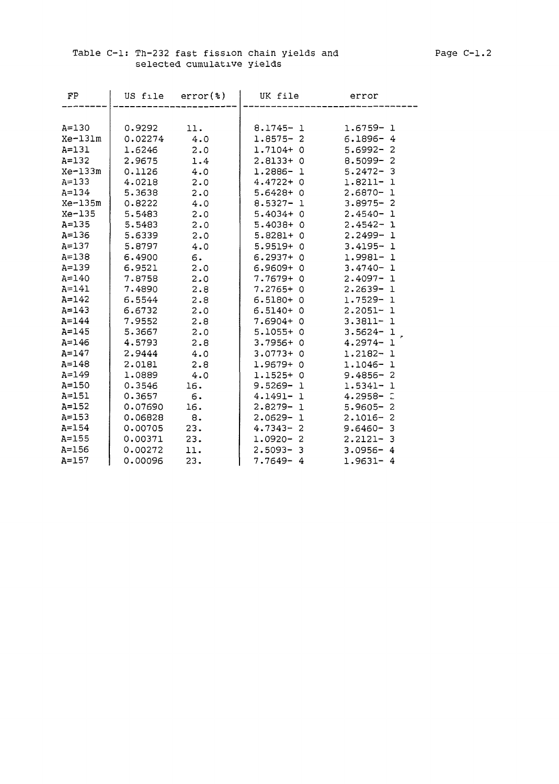### Table C-l: Th-232 fast fission chain yields and Page C-l.2 selected cumulative yields

| FP        | US file | $error(*)$ | UK file                 | error                    |
|-----------|---------|------------|-------------------------|--------------------------|
|           |         |            |                         |                          |
| $A = 130$ | 0.9292  | 11.        | $8.1745 - 1$            | $1.6759 - 1$             |
| $Xe-131m$ | 0.02274 | 4.0        | $1.8575 - 2$            | $6.1896 - 4$             |
| $A = 131$ | 1.6246  | 2.0        | $1.7104+0$              | $5.6992 - 2$             |
| $A = 132$ | 2.9675  | 1.4        | $2.8133+0$              | $8.5099 - 2$             |
| $Xe-133m$ | 0.1126  | 4.0        | 1.2886-<br>$\mathbf{1}$ | $5.2472 - 3$             |
| $A = 133$ | 4.0218  | 2.0        | $4.4722 + 0$            | $1.8211 - 1$             |
| $A = 134$ | 5.3638  | 2.0        | $5.6428 + 0$            | $2.6870-$<br>$\mathbf 1$ |
| $Xe-135m$ | 0.8222  | 4.0        | $8.5327 -$<br>-1        | $3.8975 - 2$             |
| Xe-135    | 5.5483  | 2.0        | $5.4034 + 0$            | $2.4540 - 1$             |
| $A = 135$ | 5.5483  | 2.0        | $5.4038 + 0$            | $2.4542 - 1$             |
| $A = 136$ | 5.6339  | 2.0        | $5.8281+ 0$             | $2.2499 - 1$             |
| $A = 137$ | 5.8797  | 4.0        | $5.9519+0$              | $3.4195 - 1$             |
| $A = 138$ | 6.4900  | 6.         | $6.2937 + 0$            | 1.9981- 1                |
| $A = 139$ | 6.9521  | 2.0        | $6.9609+0$              | $3.4740 - 1$             |
| $A = 140$ | 7.8758  | 2.0        | 7.7679+ 0               | $2.4097 - 1$             |
| $A = 141$ | 7.4890  | 2.8        | $7.2765+0$              | $2.2639 - 1$             |
| $A = 142$ | 6.5544  | 2.8        | $6.5180+0$              | $1.7529 - 1$             |
| $A = 143$ | 6.6732  | 2.0        | $6.5140+0$              | $2.2051 - 1$             |
| $A = 144$ | 7.9552  | 2.8        | $7.6904 + 0$            | $3.3811 - 1$             |
| $A = 145$ | 5.3667  | 2.0        | $5.1055+0$              | $3.5624 - 1$             |
| $A = 146$ | 4.5793  | 2.8        | $3.7956 + 0$            | $4.2974 - 1$             |
| $A = 147$ | 2.9444  | 4.0        | $3.0773+0$              | $1.2182 - 1$             |
| $A = 148$ | 2.0181  | 2.8        | $1.9679+0$              | $1.1046 - 1$             |
| $A = 149$ | 1.0889  | 4.0        | $1.1525+0$              | $9.4856 - 2$             |
| $A = 150$ | 0.3546  | 16.        | $9.5269 - 1$            | $1.5341 -$<br>- 1        |
| $A=151$   | 0.3657  | 6.         | 4.1491-1                | $4.2958 - 2$             |
| $A = 152$ | 0.07690 | 16.        | $2.8279 - 1$            | $5.9605 -$<br>- 2        |
| $A = 153$ | 0.06828 | 8.         | $2.0629 -$<br>1         | $2.1016 - 2$             |
| $A = 154$ | 0.00705 | 23.        | $4.7343 -$<br>2         | $9.6460 - 3$             |
| $A = 155$ | 0.00371 | 23.        | $1.0920 -$<br>2         | $2.2121 - 3$             |
| $A = 156$ | 0.00272 | 11.        | $2.5093 -$<br>3         | $3.0956 - 4$             |
| $A = 157$ | 0.00096 | 23.        | $7.7649 - 4$            | $1.9631 - 4$             |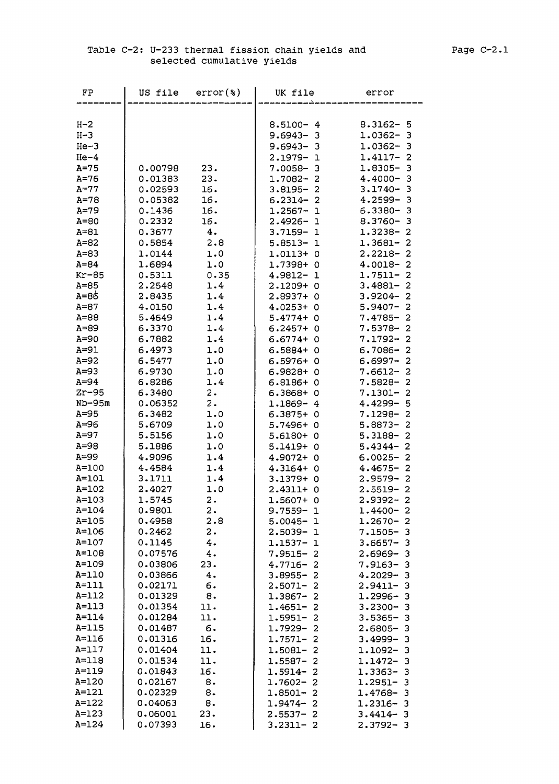| FP                | US file          | $error$ (%)    | UK file                      | error                                 |
|-------------------|------------------|----------------|------------------------------|---------------------------------------|
|                   |                  |                |                              |                                       |
| $H - 2$           |                  |                | $8.5100 - 4$                 | $8.3162 - 5$                          |
| $H - 3$           |                  |                | $9.6943 - 3$                 | $1.0362 -$<br>3                       |
| $He-3$            |                  |                | $9.6943 - 3$                 | $1.0362 -$<br>3                       |
| $He-4$            |                  |                | 2.1979-1                     | $1.4117 -$<br>2                       |
| $A=75$            | 0.00798          | 23.            | $7.0058 - 3$                 | $1.8305 -$<br>3                       |
| $A=76$            | 0.01383          | 23.            | $1.7082 - 2$                 | $4.4000 -$<br>3                       |
| $A=77$            | 0.02593          | 16.            | $3.8195 - 2$                 | $3.1740 -$<br>3                       |
| $A=78$            | 0.05382          | 16.            | $6.2314 - 2$                 | $4.2599 -$<br>3                       |
| $A=79$            | 0.1436           | 16.            | $1.2567 - 1$                 | $6.3380 - 3$                          |
| $A=80$            | 0.2332           | 16.            | $2.4926 - 1$                 | $8.3760 -$<br>з                       |
| $A = 81$          | 0.3677           | 4.             | $3.7159 - 1$                 | 1.3238-<br>$\overline{2}$             |
| $A = 82$          | 0.5854           | 2.8            | $5.8513 - 1$                 | $1.3681 -$<br>2                       |
| $A=83$            | 1.0144           | 1.0            | 1.0113+ 0                    | 2.2218-<br>$\overline{2}$             |
| $A=84$            | 1.6894           | 1.0            | 1.7398+0                     | $4.0018 -$<br>$\overline{2}$          |
| $Kr-85$           | 0.5311           | 0.35           | 4.9812-<br>-1                | $1.7511 -$<br>$\overline{2}$          |
| $A=85$            | 2.2548           | 1.4            | $2.1209 + 0$                 | $3.4881 -$<br>2                       |
| $A=86$            | 2.8435           | 1.4            | $2.8937+0$                   | $\overline{2}$<br>$3.9204 -$          |
| $A=87$            | 4.0150           | 1.4            | $4.0253 + 0$                 | $5.9407 -$<br>$\overline{2}$          |
| $A = 88$          | 5.4649           | 1.4            | $5.4774+0$                   | $7.4785 - 2$                          |
| $A=89$            | 6.3370           | 1.4            | $6.2457 + 0$                 | $7.5378 - 2$                          |
| $A=90$            | 6.7882           | 1.4            | $6.6774 + 0$                 | 7.1792-<br>$\overline{2}$             |
| $A=91$            | 6.4973           | 1.0            | $6.5884 + 0$                 | $6.7086 -$<br>-2                      |
| $A=92$            | 6.5477           | 1.0            | $6.5976+0$                   | $\overline{2}$<br>$6.6997 -$          |
| $A=93$            | 6.9730           | 1.0            | $6.9828 + 0$                 | $7.6612-$<br>$\overline{\mathbf{c}}$  |
| $A=94$<br>$Zr-95$ | 6.8286<br>6.3480 | 1.4<br>2.      | $6.8186+0$<br>$6.3868 + 0$   | $7.5828-$<br>2<br>$7.1301 -$<br>2     |
| $ND-95m$          | 0.06352          | 2.             | $1.1869 - 4$                 | $4.4299 -$<br>5                       |
| $A=95$            | 6.3482           | 1.0            | $6.3875+0$                   | $7.1298 -$<br>2                       |
| $A=96$            | 5.6709           | 1.0            | $5.7496+0$                   | 2<br>$5.8873-$                        |
| $A=97$            | 5.5156           | 1.0            | $5.6180+0$                   | 5.3188-<br>$\overline{a}$             |
| $A=98$            | 5.1886           | 1.0            | $5.1419 + 0$                 | $\overline{a}$<br>$5.4344-$           |
| $A=99$            | 4.9096           | 1.4            | 4.9072+ 0                    | $6.0025 - 2$                          |
| A=100             | 4.4584           | 1.4            | $4.3164 + 0$                 | $4.4675 -$<br>$\overline{\mathbf{2}}$ |
| $A = 101$         | 3.1711           | 1.4            | 3.1379+ 0                    | $\overline{2}$<br>$2.9579-$           |
| $A = 102$         | 2.4027           | 1.0            | $2.4311+ 0$                  | $2.5519 - 2$                          |
| $A = 103$         | 1.5745           | $2 \cdot$      | 1.5607+ 0                    | $\overline{\mathbf{c}}$<br>$2.9392 -$ |
| $A = 104$         | 0.9801           | $\mathbf{2}$ . | $9.7559 - 1$                 | $1.4400 -$<br>2                       |
| $A = 105$         | 0.4958           | 2.8            | $5.0045 - 1$                 | $1.2670 -$<br>2                       |
| A=106             | 0.2462           | $\mathbf{2}$ . | $2.5039 -$<br>1              | $7.1505 -$<br>3                       |
| A=107             | 0.1145           | 4.             | 1.1537-<br>-1                | $3.6657 -$<br>3                       |
| A=108             | 0.07576          | 4.             | $7.9515 -$<br>2              | $2.6969 -$<br>з                       |
| A=109             | 0.03806          | 23.            | $4.7716 -$<br>2              | $7.9163-$<br>3                        |
| A=110             | 0.03866          | 4.             | $3.8955 -$<br>2              | $4.2029 -$<br>з                       |
| $A=111$           | 0.02171          | 6.             | $2.5071 -$<br>2              | $2.9411 -$<br>з                       |
| $A=112$           | 0.01329          | 8.             | 1.3867-<br>2                 | 1.2996-<br>з                          |
| $A=113$           | 0.01354          | 11.            | $1.4651 -$<br>2              | $3.2300 -$<br>з                       |
| $A = 114$         | 0.01284          | 11.            | $1.5951 -$<br>2              | $3.5365 -$<br>з                       |
| $A=115$           | 0.01487          | 6.             | 1.7929-<br>2                 | $2.6805 -$<br>з                       |
| $A = 116$         | 0.01316          | 16.            | $1.7571 -$<br>2              | $3.4999 -$<br>з                       |
| $A=117$           | 0.01404          | 11.            | 1.5081-<br>2                 | 1.1092-<br>з                          |
| A=118             | 0.01534          | 11.            | 1.5587-<br>2                 | 1.1472-<br>3                          |
| A=119             | 0.01843          | 16.            | 1.5914-<br>2                 | $1.3363 -$<br>з                       |
| A=120             | 0.02167          | 8.             | $1.7602 -$<br>2              | $1.2951 -$<br>з                       |
| A=121             | 0.02329          | 8.             | $1.8501 -$<br>2              | 1.4768-<br>з                          |
| A=122             | 0.04063          | 8.             | $\overline{a}$<br>$1.9474 -$ | $1.2316 -$<br>з                       |
| A=123             | 0.06001          | 23.            | $2.5537-$<br>- 2             | $3.4414 - 3$                          |
| $A = 124$         | 0.07393          | 16.            | $3.2311 - 2$                 | $2.3792 - 3$                          |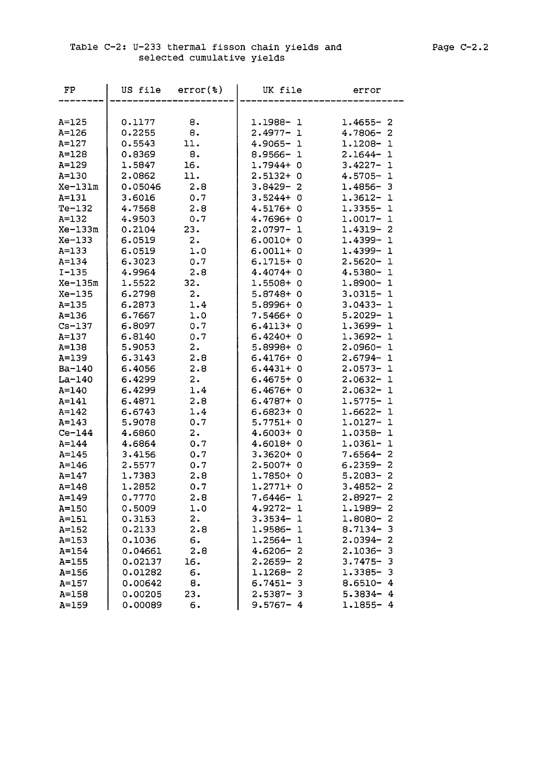### Table C-2: U-233 thermal fisson chain yields and Page C-2.2 selected cumulative yields

| FP         | US file | $error(*)$     | UK file                   | error                      |
|------------|---------|----------------|---------------------------|----------------------------|
|            |         |                |                           |                            |
| $A = 125$  | 0.1177  | 8.             | 1.1988-1                  | $1.4655 - 2$               |
| $A = 126$  | 0.2255  | 8.             | $2.4977 - 1$              | $4.7806 -$<br>2            |
| $A=127$    | 0.5543  | 11.            | $4.9065 - 1$              | 1.1208-<br>$\mathbf 1$     |
| $A = 128$  | 0.8369  | 8.             | $8.9566 -$<br>-1          | $2.1644 -$<br>$\mathbf 1$  |
| $A = 129$  | 1.5847  | 16.            | $1.7944 + 0$              | $3.4227 -$<br>ı            |
| $A = 130$  | 2,0862  | 11.            | $2.5132+$<br>0            | $4.5705 -$<br>ı            |
| Xe-131m    | 0.05046 | 2.8            | $3.8429 -$<br>2           | 1.4856-<br>3               |
| $A = 131$  | 3.6016  | $0\centerdot7$ | $3.5244+$<br>0            | 1.3612-<br>ı               |
| $Te-132$   | 4.7568  | 2.8            | $4.5176+$<br>0            | 1.3355-<br>ı               |
| $A = 132$  | 4.9503  | 0.7            | 4.7696+<br>0              | $1.0017 -$<br>ı            |
| $Xe-133m$  | 0.2104  | 23.            | $2.0797 -$<br>$\mathbf 1$ | 1.4319-<br>2               |
| $Xe-133$   | 6.0519  | 2.             | $6.0010+0$                | $1.4399 - 1$               |
| $A = 133$  | 6.0519  | 1.0            | $6.0011 + 0$              | $1.4399 - 1$               |
| $A = 134$  | 6.3023  | 0.7            | $6.1715+0$                | $2.5620 -$<br>$\mathbf 1$  |
| $I - 135$  | 4.9964  | 2.8            | $4.4074 + 0$              | 4.5380-<br>- 1             |
| $Xe-135m$  | 1.5522  | 32.            | $1.5508+0$                | $1.8900 - 1$               |
| $Xe-135$   | 6.2798  | 2.             | $5.8748+0$                | $3.0315 -$<br>1            |
| $A = 135$  | 6.2873  | 1.4            | $5.8996+0$                | $3.0433 -$<br>ı            |
| $A = 136$  | 6.7667  | 1.0            | $7.5466+$<br>- 0          | $5.2029 -$<br>1            |
| $Cs - 137$ | 6.8097  | 0.7            | $6.4113+$<br>- 0          | 1.3699-<br>1               |
| $A = 137$  | 6.8140  | 0.7            | $6.4240+$<br>-0           | 1.3692-<br>ı               |
| $A = 138$  | 5.9053  | 2.             | $5.8998+$<br>- 0          | $2.0960 -$<br>1            |
| $A = 139$  | 6.3143  | 2.8            | $6.4176+0$                | $2.6794-$<br>ı             |
| Ba-140     | 6.4056  | 2.8            | $6.4431 + 0$              | $2.0573 - 1$               |
| $La-140$   | 6.4299  | 2.             | $6.4675+0$                | $2.0632 -$<br>$\mathbf 1$  |
| $A = 140$  | 6.4299  | 1.4            | $6.4676+0$                | $2.0632 -$<br>1            |
| $A = 141$  | 6.4871  | 2.8            | $6.4787+$<br>- 0          | $1.5775 - 1$               |
| $A = 142$  | 6.6743  | 1.4            | $6.6823 + 0$              | $1.6622 - 1$               |
| $A = 143$  | 5.9078  | 0.7            | $5.7751+ 0$               | $1.0127 -$<br>ı            |
| $Ce-144$   | 4.6860  | 2.             | $4.6003+$<br>- 0          | 1.0358-<br>1               |
| $A = 144$  | 4.6864  | 0.7            | 4.6018+<br>-0             | $1.0361 -$<br>1            |
| $A = 145$  | 3.4156  | 0.7            | $3.3620+$<br>0            | $7.6564-$<br>2             |
| $A = 146$  | 2.5577  | 0.7            | $2.5007+$<br>-0           | $6.2359 -$<br>2            |
| $A = 147$  | 1.7383  | 2.8            | 1.7850+<br>- 0            | $5.2083 -$<br>$\mathbf{z}$ |
| $A = 148$  | 1.2852  | 0.7            | $1.2771+ 0$               | $3.4852 - 2$               |
| $A = 149$  | 0.7770  | 2.8            | 7.6446-<br>$\mathbf{1}$   | $2.8927 - 2$               |
| $A = 150$  | 0.5009  | 1.0            | $4.9272 - 1$              | 1.1989-<br>- 2             |
| $A = 151$  | 0.3153  | 2.             | $3.3534 - 1$              | 1.8080-<br>2               |
| $A = 152$  | 0.2133  | 2.8            | 1.9586-<br>$\mathbf 1$    | $8.7134 -$<br>3            |
| $A = 153$  | 0.1036  | б.             | 1.2564-<br>1              | $2.0394 -$<br>2            |
| $A = 154$  | 0.04661 | 2.8            | $4.6206 -$<br>2           | $2.1036 -$<br>3            |
| $A = 155$  | 0.02137 | 16.            | $2.2659 -$<br>2           | $3.7475 -$<br>з            |
| $A = 156$  | 0.01282 | б.             | 1.1268-<br>-2             | 1.3385-<br>з               |
| $A = 157$  | 0.00642 | 8.             | $6.7451 -$<br>- 3         | $8.6510 -$<br>4            |
| $A = 158$  | 0.00205 | 23.            | $2.5387 -$<br>- 3         | $5.3834 - 4$               |
| $A = 159$  | 0.00089 | 6.             | $9.5767 - 4$              | $1.1855 - 4$               |
|            |         |                |                           |                            |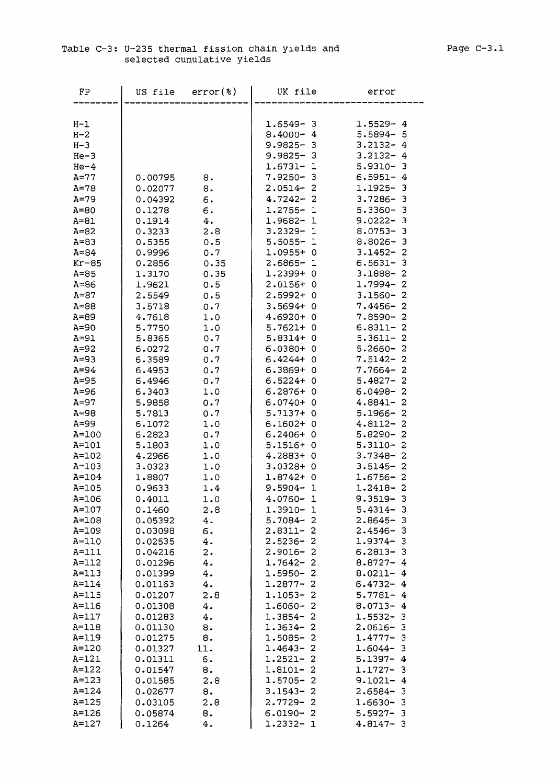### Table C-3: U-235 thermal fission chain yields and Page C-3.1 selected cumulative yields

| FP        | US file | $error(*)$ | UK file                              | error                                               |
|-----------|---------|------------|--------------------------------------|-----------------------------------------------------|
|           |         |            |                                      |                                                     |
|           |         |            |                                      |                                                     |
| $H-1$     |         |            | $1.6549 - 3$                         | $1.5529 - 4$                                        |
| $H - 2$   |         |            | $8.4000 - 4$                         | $5.5894 - 5$                                        |
| $H-3$     |         |            | $9.9825 -$<br>3                      | $3.2132 - 4$                                        |
| $He-3$    |         |            | $9.9825 -$<br>3                      | $3.2132 - 4$                                        |
| $He-4$    |         |            | $1.6731 -$<br>1                      | $5.9310 -$<br>3                                     |
| $A=77$    | 0.00795 | 8.         | 7.9250-<br>3                         | $6.5951 - 4$                                        |
| $A=78$    | 0.02077 | 8.         | $\overline{2}$<br>$2.0514-$          | 1.1925-<br>3                                        |
| $A=79$    | 0.04392 | 6.         | $\overline{2}$<br>$4.7242 -$         | $3.7286 -$<br>3                                     |
| $A=80$    | 0.1278  | 6.         | $1.2755 -$<br>ı                      | $5.3360 -$<br>3                                     |
| $A = 81$  | 0.1914  | 4.         | 1.9682-<br>$\mathbf 1$               | $9.0222 - 3$                                        |
| $A = 82$  | 0.3233  | 2.8        | $3.2329 -$<br>$\mathbf 1$            | $8.0753 - 3$                                        |
| $A = 83$  | 0.5355  | 0.5        | $5.5055 -$<br>1                      | $8.8026 - 3$                                        |
| $A = 84$  | 0.9996  | 0.7        | $1.0955 + 0$                         | $3.1452 - 2$                                        |
| $Kr-85$   | 0.2856  | 0.35       | $2.6865 - 1$                         | $6.5631 - 3$                                        |
| $A = 85$  | 1.3170  | 0.35       | 1.2399+0                             | $3.1888 -$<br>2                                     |
| $A=86$    | 1.9621  | 0.5        | 2.0156+ 0                            | 1.7994-<br>2                                        |
| $A = 87$  | 2.5549  | 0.5        | $2.5992+$<br>O                       | $3.1560 -$<br>2                                     |
| $A = 88$  | 3.5718  | 0.7        | $3.5694+$<br>0                       | $7.4456 -$<br>$\overline{2}$                        |
| $A=89$    | 4.7618  | 1.0        | 4.6920+<br>O                         | $7.8590 -$<br>2                                     |
| $A=90$    |         |            | $5.7621+$<br>0                       | $\overline{2}$                                      |
|           | 5.7750  | 1.0        | $5.8314+$<br>0                       | $6.8311 -$<br>$5.3611 -$<br>$\overline{\mathbf{c}}$ |
| $A=91$    | 5.8365  | 0.7        |                                      |                                                     |
| $A=92$    | 6.0272  | 0.7        | $6.0380 +$<br>0                      | $5.2660 -$<br>$\overline{2}$                        |
| $A=93$    | 6.3589  | 0.7        | $6.4244 +$<br>$\circ$                | $7.5142 -$<br>$\overline{2}$                        |
| $A = 94$  | 6.4953  | 0.7        | $6.3869 + 0$                         | $7.7664 - 2$                                        |
| $A=95$    | 6.4946  | 0.7        | $6.5224 + 0$                         | $5.4827 -$<br>$\overline{2}$                        |
| $A=96$    | 6.3403  | 1.0        | $6.2876+0$                           | $6.0498 -$<br>2                                     |
| $A=97$    | 5.9858  | 0.7        | $6.0740+$<br>$\circ$                 | $4.8841 -$<br>2                                     |
| $A = 98$  | 5.7813  | 0.7        | $5.7137+$<br>$\circ$                 | $5.1966 -$<br>2                                     |
| A=99      | 6.1072  | 1.0        | 6.1602+<br>0                         | $4.8112 -$<br>2                                     |
| $A = 100$ | 6.2823  | 0.7        | $6.2406+$<br>0                       | 5.8290-<br>$\overline{c}$                           |
| $A = 101$ | 5.1803  | 1.0        | $5.1516+$<br>0                       | $5.3110 - 2$                                        |
| $A = 102$ | 4.2966  | 1.0        | $4.2883+$<br>0                       | 2<br>$3.7348 -$                                     |
| $A = 103$ | 3.0323  | 1.0        | $3.0328 + 0$                         | $3.5145 - 2$                                        |
| $A = 104$ | 1.8807  | 1.0        | $1.8742 + 0$                         | $1.6756 - 2$                                        |
| $A = 105$ | 0.9633  | 1.4        | $9.5904 -$<br>$\mathbf{1}$           | $1.2418 - 2$                                        |
| $A = 106$ | 0.4011  | 1.0        | $4.0760 - 1$                         | $9.3519 - 3$                                        |
| $A = 107$ | 0.1460  | 2.8        | $1.3910 - 1$                         | $5.4314 - 3$                                        |
| $A = 108$ | 0.05392 | 4.         | $5.7084 - 2$                         | $2.8645 - 3$                                        |
| A=109     | 0.03098 | б.         | $2.8311 -$<br>2                      | $2.4546 - 3$                                        |
| $A=110$   | 0.02535 | 4.         | $2.5236 -$<br>2                      | $1.9374 - 3$                                        |
| $A=111$   | 0.04216 | 2.         | $2.9016 -$<br>2                      | $6.2813 - 3$                                        |
| $A=112$   | 0.01296 | 4.         | $1.7642 -$<br>2                      | $8.8727 - 4$                                        |
| $A = 113$ | 0.01399 | 4.         | 1.5950-<br>2                         | $8.0211 - 4$                                        |
| $A=114$   | 0.01163 | 4.         | $1.2877 -$<br>2                      | $6.4732 - 4$                                        |
| $A=115$   | 0.01207 | 2.8        | $1.1053 -$<br>2                      | $5.7781 - 4$                                        |
| $A = 116$ | 0.01308 | 4.         | $\overline{\mathbf{c}}$<br>1.6060-   | $8.0713 - 4$                                        |
| $A=117$   | 0.01283 | 4.         | $1.3854-$<br>$\overline{\mathbf{2}}$ | $1.5532 - 3$                                        |
| $A = 118$ | 0.01130 | 8.         | $1.3634 - 2$                         | $2.0616 - 3$                                        |
| $A = 119$ | 0.01275 | 8.         | $1.5085 - 2$                         | $1.4777 - 3$                                        |
| $A = 120$ | 0.01327 | 11.        | $1.4643 -$<br>2                      | $1.6044 - 3$                                        |
| $A=121$   | 0.01311 | б.         | 1.2521-<br>2                         | $5.1397 - 4$                                        |
| $A = 122$ | 0.01547 | 8.         | 1.8101-<br>2                         | $1.1727 - 3$                                        |
| $A = 123$ | 0.01585 | 2.8        | $1.5705 -$<br>2                      | $9.1021 - 4$                                        |
| $A = 124$ | 0.02677 |            | 2<br>$3.1543 -$                      | $2.6584 -$<br>- 3                                   |
|           |         | 8.         | $2.7729 -$<br>2                      |                                                     |
| $A = 125$ | 0.03105 | 2.8        |                                      | $1.6630 - 3$                                        |
| $A = 126$ | 0.05874 | 8.         | $6.0190 -$<br>-2                     | $5.5927 - 3$                                        |
| $A = 127$ | 0.1264  | 4.         | $1.2332 - 1$                         | $4.8147 - 3$                                        |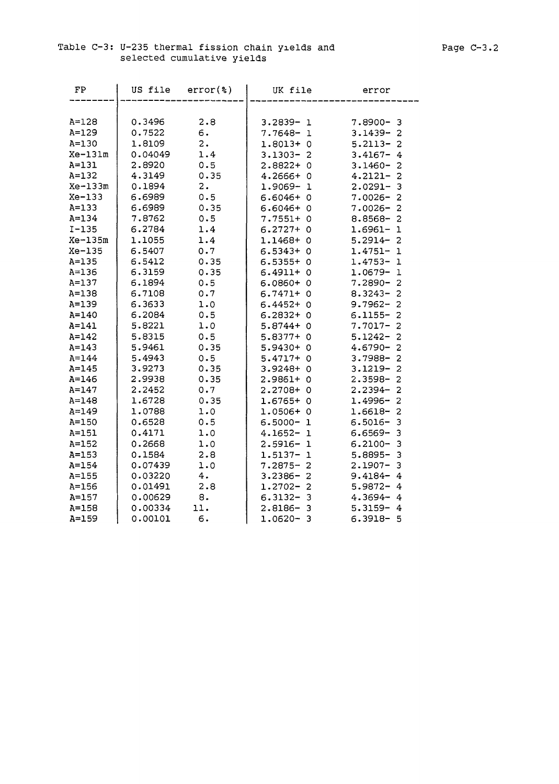### Table C-3: U-235 thermal fission chain yields and selected cumulative yields

| FP        | US file | $error(*)$ | UK file                            | error                        |
|-----------|---------|------------|------------------------------------|------------------------------|
|           |         |            |                                    |                              |
| $A = 128$ | 0.3496  | 2.8        | $3.2839 - 1$                       | $7.8900 - 3$                 |
| $A = 129$ | 0.7522  | б.         | 7.7648-<br>$\mathbf 1$             | $3.1439 -$<br>2              |
| $A = 130$ | 1.8109  | 2.         | $1.8013+0$                         | $\overline{2}$<br>$5.2113 -$ |
| $Xe-131m$ | 0.04049 | 1.4        | $3.1303 -$<br>2                    | $3.4167 - 4$                 |
| $A = 131$ | 2.8920  | 0.5        | $2.8822 + 0$                       | $3.1460 -$<br>$\overline{2}$ |
| $A = 132$ | 4.3149  | 0.35       | $4.2666 + 0$                       | $4.2121 - 2$                 |
| $Xe-133m$ | 0.1894  | 2.         | 1.9069-<br>ı                       | $2.0291 - 3$                 |
| $Xe-133$  | 6.6989  | 0.5        | $6.6046 + 0$                       | $7.0026 -$<br>$\overline{2}$ |
| $A = 133$ | 6.6989  | 0.35       | $6.6046 + 0$                       | $7.0026 -$<br>$\overline{c}$ |
| $A = 134$ | 7.8762  | 0.5        | $7.7551 + 0$                       | $8.8568 -$<br>$\overline{2}$ |
| $I-135$   | 6.2784  | 1.4        | $6.2727 + 0$                       | $1.6961 - 1$                 |
| $Xe-135m$ | 1.1055  | 1.4        | $1.1468 + 0$                       | $5.2914-$<br>$\overline{c}$  |
| $Xe-135$  | 6.5407  | 0.7        | $6.5343+0$                         | $1.4751 -$<br>$\mathbf{1}$   |
| $A = 135$ | 6.5412  | 0.35       | $6.5355+$<br>$\Omega$              | $1.4753 -$<br>1              |
| $A = 136$ | 6.3159  | 0.35       | $6.4911+0$                         | $1.0679 - 1$                 |
| $A = 137$ | 6.1894  | 0.5        | $6.0860 + 0$                       | $7.2890 - 2$                 |
| $A = 138$ | 6.7108  | 0.7        | $6.7471 + 0$                       | $8.3243 - 2$                 |
| $A = 139$ | 6.3633  | 1.0        | $6.4452 + 0$                       | $9.7962 - 2$                 |
| $A = 140$ | 6.2084  | 0.5        | $6.2832 + 0$                       | $6.1155 - 2$                 |
| $A = 141$ | 5.8221  | 1.0        | $5.8744+0$                         | $7.7017 - 2$                 |
| $A = 142$ | 5.8315  | 0.5        | $5.8377+0$                         | $5.1242 -$<br>$\overline{c}$ |
| $A = 143$ | 5.9461  | 0.35       | 5.9430+ 0                          | $4.6790 -$<br>$\overline{c}$ |
| $A = 144$ | 5.4943  | 0.5        | $5.4717+0$                         | $3.7988 - 2$                 |
| $A = 145$ | 3.9273  | 0.35       | 3.9248+0                           | $3.1219 -$<br>$\overline{2}$ |
| $A = 146$ | 2.9938  | 0.35       | 2.9861+<br>0                       | 2.3598-<br>2                 |
| $A = 147$ | 2.2452  | 0.7        | $2.2708 + 0$                       | $\overline{2}$<br>2.2394-    |
| $A = 148$ | 1.6728  | 0.35       | $1.6765+0$                         | $1.4996 - 2$                 |
| $A = 149$ | 1.0788  | 1.0        | $1.0506+0$                         | $1.6618 - 2$                 |
| $A = 150$ | 0.6528  | 0.5        | $6.5000 -$<br>ı                    | $6.5016 -$<br>3              |
| $A=151$   | 0.4171  | 1.0        | $4.1652 -$<br>$\mathbf 1$          | $6.6569 -$<br>3              |
| $A=152$   | 0.2668  | 1.0        | $2.5916 -$<br>1                    | $6.2100 -$<br>3              |
| $A = 153$ | 0.1584  | 2.8        | $\mathbf{1}$<br>$1.5137-$          | 5.8895-<br>3                 |
| $A = 154$ | 0.07439 | 1.0        | $7.2875 - 2$                       | $2.1907 -$<br>3              |
| $A=155$   | 0.03220 | 4.         | $\overline{2}$<br>$3.2386 -$       | $9.4184 -$<br>4              |
| $A=156$   | 0.01491 | 2.8        | $1.2702 -$<br>$\overline{2}$       | $5.9872 - 4$                 |
| $A = 157$ | 0.00629 | 8.         | $6.3132 -$<br>3                    | $4.3694 - 4$                 |
| $A = 158$ | 0.00334 | 11.        | 2.8186-<br>-3                      | $5.3159 - 4$                 |
| $A = 159$ | 0.00101 | 6.         | $\overline{\mathbf{3}}$<br>1.0620- | $6.3918 - 5$                 |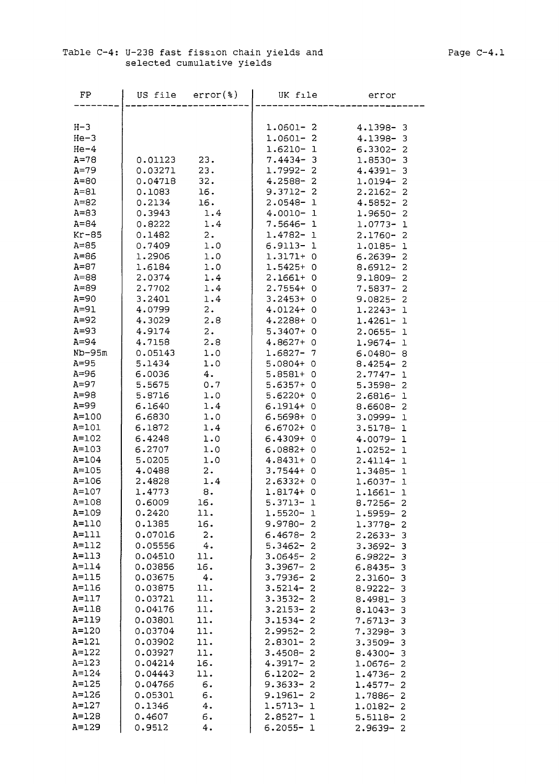### Table C-4: U-238 fast fission chain yields and selected cumulative yields

| FP                     | US file            | $error(*)$         | UK file                                                      | error                                                    |
|------------------------|--------------------|--------------------|--------------------------------------------------------------|----------------------------------------------------------|
|                        |                    |                    |                                                              |                                                          |
| $H-3$                  |                    |                    | $1.0601 - 2$                                                 | $4.1398 - 3$                                             |
| $He-3$                 |                    |                    | $1.0601 - 2$                                                 | 4.1398-3                                                 |
| $He-4$                 |                    |                    | $1.6210 - 1$                                                 | $6.3302 - 2$                                             |
| $A=78$                 | 0.01123            | 23.                | $7.4434 - 3$                                                 | 1.8530-<br>-3                                            |
| $A=79$                 | 0.03271            | 23.                | $1.7992 - 2$                                                 | $4.4391 - 3$                                             |
| $A = 80$               | 0.04718            | 32.                | $4.2588 - 2$                                                 | $1.0194 - 2$                                             |
| $A = 81$               | 0.1083             | 16.                | $9.3712 -$<br>$\overline{2}$                                 | $2.2162 -$<br>2                                          |
| $A = 82$               | 0.2134             | 16.                | $2.0548-$<br>ı                                               | $4.5852 -$<br>2                                          |
| $A = 83$               | 0.3943             | 1.4                | $4.0010 - 1$                                                 | 1.9650-<br>2                                             |
| $A = 84$               | 0.8222             | 1.4                | $7.5646 -$<br>ı                                              | $1.0773-$<br>1                                           |
| $Kr-85$                | 0.1482             | $\mathbf 2$ .      | 1.4782-<br>1                                                 | $2.1760 -$<br>2                                          |
| $A=85$                 | 0.7409             | 1.0                | 6.9113-<br>-1                                                | 1.0185-<br>$\mathbf{1}$                                  |
| $A=86$<br>$A = 87$     | 1.2906<br>1.6184   | 1.0<br>1.0         | $1.3171+ 0$<br>$1.5425+0$                                    | 6.2639-<br>2<br>$8.6912 -$<br>2                          |
| $A = 88$               | 2.0374             | 1.4                | $2.1661 + 0$                                                 | $9.1809 - 2$                                             |
| $A = 89$               | 2.7702             | 1.4                | $2.7554 + 0$                                                 | $7.5837 - 2$                                             |
| $A=90$                 | 3.2401             | 1.4                | $3.2453+0$                                                   | 9.0825-<br>2                                             |
| $A=91$                 | 4.0799             | 2.                 | $4.0124 + 0$                                                 | $1.2243 - 1$                                             |
| $A=92$                 | 4.3029             | 2.8                | $4.2288 + 0$                                                 | $1.4261 - 1$                                             |
| $A=93$                 | 4.9174             | 2.                 | $5.3407+0$                                                   | $2.0655 - 1$                                             |
| $A = 94$               | 4.7158             | 2.8                | $4.8627+0$                                                   | $1.9674 - 1$                                             |
| $ND-95m$               | 0.05143            | 1.0                | 1.6827-<br>7                                                 | $6.0480 - 8$                                             |
| $A = 95$               | 5.1434             | 1.0                | 5.0804+<br>0                                                 | $8.4254 -$<br>2                                          |
| $A=96$                 | 6.0036             | 4.                 | 5.8581+<br>$\circ$                                           | $2.7747 -$<br>1                                          |
| $A=97$                 | 5.5675             | 0.7                | 5.6357+<br>0                                                 | 5.3598-<br>2                                             |
| $A=98$                 | 5.8716             | 1.0                | $5.6220 + 0$                                                 | $2.6816 - 1$                                             |
| $A=99$<br>$A = 100$    | 6.1640<br>6.6830   | 1.4<br>1.0         | $6.1914 + 0$<br>$6.5698 + 0$                                 | $8.6608 - 2$                                             |
| $A=101$                | 6.1872             | 1.4                | $6.6702 + 0$                                                 | 3.0999-1<br>$3.5178 - 1$                                 |
| $A = 102$              | 6.4248             | 1.0                | $6.4309+$<br>- 0                                             | $4.0079 - 1$                                             |
| $A = 103$              | 6.2707             | 1.0                | $6.0882 + 0$                                                 | $1.0252 - 1$                                             |
| $A = 104$              | 5.0205             | 1.0                | 4.8431+<br>- 0                                               | $2.4114 - 1$                                             |
| $A = 105$              | 4.0488             | 2.                 | 3.7544+<br>0                                                 | $1.3485 - 1$                                             |
| $A = 106$              | 2.4828             | 1.4                | $2.6332+$<br>0                                               | 1.6037-<br>-1                                            |
| $A = 107$              | 1.4773             | 8.                 | $1.8174+$<br>0                                               | 1.1661-1                                                 |
| $A = 108$              | 0.6009             | 16.                | $5.3713-$<br>$\mathbf 1$                                     | $8.7256 -$<br>-2                                         |
| A=109                  | 0.2420             | 11.                | $1.5520 -$<br>-1                                             | 1.5959-2                                                 |
| $A=110$                | 0.1385             | 16.                | $9.9780 -$<br>$\overline{c}$                                 | $1.3778 - 2$                                             |
| $A=111$<br>$A = 112$   | 0.07016            | 2.                 | $6.4678 -$<br>$\overline{c}$                                 | $2.2633 - 3$                                             |
| $A=113$                | 0.05556<br>0.04510 | 4.<br>11.          | $5.3462 -$<br>$\overline{a}$<br>$3.0645 -$<br>$\overline{c}$ | $3.3692 -$<br>$\overline{\mathbf{3}}$<br>$6.9822 -$<br>3 |
| $A = 114$              | 0.03856            | 16.                | $3.3967 -$<br>2                                              | 3<br>$6.8435 -$                                          |
| $A=115$                | 0.03675            | 4.                 | $3.7936 -$<br>2                                              | $2.3160 -$<br>3                                          |
| $A = 116$              | 0.03875            | 11.                | $3.5214-$<br>2                                               | $8.9222 -$<br>3                                          |
| $A = 117$              | 0.03721            | 11.                | $3.3532 -$<br>2                                              | $8.4981 -$<br>-3                                         |
| $A = 118$              | 0.04176            | 11.                | $3.2153 -$<br>2                                              | $8.1043 - 3$                                             |
| $A = 119$              | 0.03801            | 11.                | $3.1534-$<br>2                                               | $7.6713 - 3$                                             |
| $A=120$                | 0.03704            | 11.                | $2.9952 -$<br>2                                              | $7.3298 -$<br>3                                          |
| $A=121$                | 0.03902            | 11.                | $2.8301 -$<br>2                                              | $3.3509 -$<br>3                                          |
| $A = 122$              | 0.03927            | 11.                | $3.4508 -$<br>$\overline{c}$                                 | $8.4300 -$<br>-3                                         |
| $A = 123$              | 0.04214            | 16.                | $4.3917 -$<br>2                                              | $1.0676 -$<br>2                                          |
| $A = 124$<br>$A = 125$ | 0.04443            | 11.                | $6.1202 -$<br>2                                              | $1.4736 -$<br>$\overline{\mathbf{c}}$                    |
| $A = 126$              | 0.04766<br>0.05301 | б.<br>6.           | $9.3633 -$<br>2<br>$9.1961 - 2$                              | $\overline{c}$<br>$1.4577 -$                             |
| $A = 127$              | 0.1346             | 4.                 | 1.5713-<br>-1                                                | $1.7886 - 2$<br>$1.0182 - 2$                             |
| $A = 128$              | 0.4607             | б.                 | $2.8527 -$<br>$\mathbf{1}$                                   | $5.5118 - 2$                                             |
| $A = 129$              | 0.9512             | $\boldsymbol{4}$ . | $6.2055 - 1$                                                 | $2.9639 - 2$                                             |
|                        |                    |                    |                                                              |                                                          |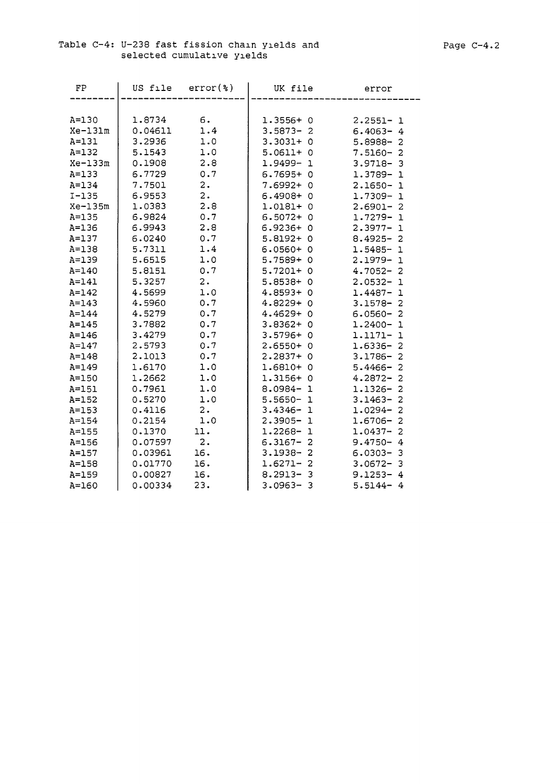A=160

0.00334

23.

| FP        | US file | $error(*)$ | UK file      | error                        |
|-----------|---------|------------|--------------|------------------------------|
|           |         |            |              |                              |
| $A=130$   | 1.8734  | б.         | $1.3556+0$   | $2.2551 - 1$                 |
| Xe-131m   | 0.04611 | 1.4        | $3.5873 - 2$ | $6.4063 - 4$                 |
| $A = 131$ | 3.2936  | 1.0        | $3.3031+0$   | $5.8988 - 2$                 |
| $A = 132$ | 5.1543  | 1.0        | $5.0611 + 0$ | $7.5160 - 2$                 |
| $Xe-133m$ | 0.1908  | 2.8        | 1.9499-1     | $3.9718 - 3$                 |
| $A = 133$ | 6.7729  | 0.7        | $6.7695+0$   | $1.3789 - 1$                 |
| $A = 134$ | 7.7501  | 2.         | 7.6992+ 0    | $2.1650 - 1$                 |
| $I - 135$ | 6.9553  | 2.         | $6.4908 + 0$ | $1.7309 - 1$                 |
| $Xe-135m$ | 1.0383  | 2.8        | $1.0181 + 0$ | $2.6901 - 2$                 |
| $A = 135$ | 6.9824  | 0.7        | $6.5072+0$   | $1.7279 - 1$                 |
| $A = 136$ | 6.9943  | 2.8        | $6.9236+0$   | $2.3977 - 1$                 |
| $A = 137$ | 6.0240  | 0.7        | $5.8192 + 0$ | $8.4925 - 2$                 |
| $A = 138$ | 5.7311  | 1.4        | $6.0560 + 0$ | $1.5485 - 1$                 |
| $A = 139$ | 5.6515  | 1.0        | $5.7589+0$   | $2.1979 - 1$                 |
| $A = 140$ | 5.8151  | 0.7        | $5.7201+ 0$  | $4.7052 - 2$                 |
| $A=141$   | 5.3257  | 2.         | $5.8538 + 0$ | $2.0532 - 1$                 |
| $A = 142$ | 4.5699  | 1.0        | $4.8593+0$   | $1.4487 - 1$                 |
| $A = 143$ | 4.5960  | 0.7        | $4.8229 + 0$ | $3.1578 - 2$                 |
| $A = 144$ | 4.5279  | 0.7        | $4.4629 + 0$ | $6.0560 - 2$                 |
| $A = 145$ | 3.7882  | 0.7        | $3.8362+0$   | $1.2400 - 1$                 |
| $A = 146$ | 3.4279  | 0.7        | $3.5796+0$   | 1.1171-1                     |
| $A = 147$ | 2.5793  | 0.7        | $2.6550+0$   | $1.6336 - 2$                 |
| $A = 148$ | 2.1013  | 0.7        | $2.2837+0$   | $3.1786 - 2$                 |
| $A = 149$ | 1.6170  | 1.0        | $1.6810+0$   | $5.4466 - 2$                 |
| $A = 150$ | 1.2662  | 1.0        | $1.3156+0$   | $4.2872 - 2$                 |
| $A = 151$ | 0.7961  | 1.0        | $8.0984 - 1$ | $1.1326 - 2$                 |
| $A = 152$ | 0.5270  | 1.0        | $5.5650 - 1$ | $3.1463 - 2$                 |
| $A = 153$ | 0.4116  | 2.         | $3.4346 - 1$ | $1.0294 - 2$                 |
| $A = 154$ | 0.2154  | 1.0        | $2.3905 - 1$ | $1.6706 - 2$                 |
| $A = 155$ | 0.1370  | 11.        | $1.2268 - 1$ | $\overline{a}$<br>$1.0437 -$ |
| $A = 156$ | 0.07597 | 2.         | $6.3167 - 2$ | $9.4750 - 4$                 |
| $A = 157$ | 0.03961 | 16.        | $3.1938 - 2$ | $6.0303 - 3$                 |
| $A = 158$ | 0.01770 | 16.        | $1.6271 - 2$ | $3.0672 - 3$                 |
| $A = 159$ | 0.00827 | 16.        | $8.2913 - 3$ | $9.1253 - 4$                 |

3.0963-

3

5.5144-

4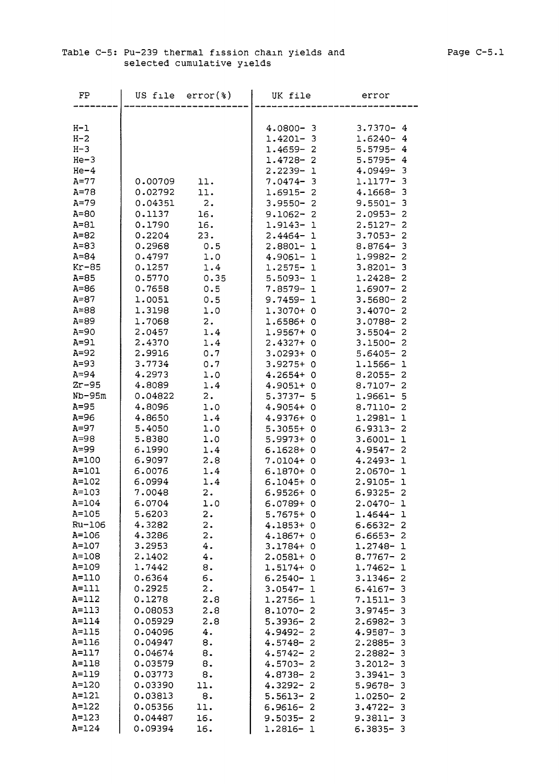### Table C-5: Pu-239 thermal fission chain yields and selected cumulative yields

| FP        | US file | $error(*)$         | UK file                      | error                        |
|-----------|---------|--------------------|------------------------------|------------------------------|
|           |         |                    |                              |                              |
| $H-1$     |         |                    | $4.0800 - 3$                 | $3.7370 - 4$                 |
| $H-2$     |         |                    | $1.4201 - 3$                 | $1.6240 - 4$                 |
| $H-3$     |         |                    | $1.4659 - 2$                 | $5.5795 - 4$                 |
| $He-3$    |         |                    | $1.4728 - 2$                 | $5.5795 - 4$                 |
| $He-4$    |         |                    | $2.2239 -$<br>$\mathbf 1$    | $4.0949 - 3$                 |
| $A=77$    | 0.00709 | 11.                | $7.0474 - 3$                 | 1.1177-<br>- 3               |
| $A = 78$  | 0.02792 | 11.                | $1.6915 - 2$                 | 4.1668-<br>- 3               |
| $A=79$    | 0.04351 | 2.                 | $3.9550 -$<br>$\overline{2}$ | $9.5501 -$<br>3              |
| $A=80$    | 0.1137  | 16.                | $9.1062 -$<br>2              | $2.0953 -$<br>2              |
| $A = 81$  | 0.1790  | 16.                | 1.9143-<br>ı                 | $2.5127 -$<br>2              |
| $A=82$    | 0.2204  | 23.                | $2.4464-$<br>$\mathbf 1$     | $3.7053 -$<br>$\overline{2}$ |
| $A=83$    | 0.2968  | 0.5                | 2.8801-<br>$\mathbf 1$       | $8.8764 -$<br>3              |
| $A = 84$  | 0.4797  | 1.0                | 4.9061-1                     | $\overline{c}$<br>1.9982-    |
| $Kr-85$   | 0.1257  | 1.4                | $1.2575 - 1$                 | $3.8201 - 3$                 |
| $A = 85$  | 0.5770  | 0.35               | $5.5093 - 1$                 | $1.2428 - 2$                 |
| $A = 86$  | 0.7658  | 0.5                | $7.8579 - 1$                 | $1.6907 - 2$                 |
| $A = 87$  | 1.0051  | 0.5                | $9.7459 -$<br>-1             | $3.5680 - 2$                 |
| $A = 88$  | 1.3198  | 1.0                | $1.3070+0$                   | $3.4070 - 2$                 |
| $A = 89$  | 1.7068  | 2.                 | 1.6586+0                     | $3.0788 - 2$                 |
| $A=90$    | 2.0457  | 1.4                | 1.9567+<br>- 0               | $3.5504 -$<br>2              |
| $A=91$    | 2.4370  | 1.4                | 2.4327+<br>0                 | $3.1500 -$<br>2              |
| $A=92$    | 2.9916  | 0.7                | $3.0293+$<br>0               | $5.6405 - 2$                 |
| $A=93$    | 3.7734  | 0.7                | 3.9275+<br>O                 | $1.1566 - 1$                 |
| $A = 94$  | 4.2973  | 1.0                | 4.2654+<br>O                 | $8.2055 - 2$                 |
| $Zr-95$   | 4.8089  | 1.4                | 4.9051+<br>O                 | $8.7107 - 2$                 |
| $Nb-95m$  | 0.04822 | 2.                 | $5.3737 - 5$                 | 1.9661- 5                    |
| $A=95$    | 4.8096  | 1.0                | 4.9054+ 0                    | $8.7110 - 2$                 |
| $A = 96$  | 4.8650  | 1.4                | $4.9376+$<br>O               | 1.2981-<br>-1                |
| $A=97$    | 5.4050  | 1.0                | $5.3055+$<br>0               | $6.9313 -$<br>-2             |
| $A = 98$  | 5.8380  | 1.0                | 5.9973+<br>0                 | $3.6001 -$<br>$\mathbf 1$    |
| $A = 99$  | 6.1990  | 1.4                | 6.1628+<br>$\circ$           | $4.9547 -$<br>-2             |
| $A=100$   | 6.9097  | 2.8                | $7.0104+$<br>0               | $4.2493 -$<br>1              |
| $A=101$   | 6.0076  | 1.4                | $6.1870+$<br>$\circ$         | $2.0670 -$<br>$\mathbf 1$    |
| $A = 102$ | 6.0994  | 1.4                | $6.1045+$<br>0               | 2.9105-<br>ı                 |
| $A = 103$ | 7.0048  | 2.                 | $6.9526+$<br>0               | $6.9325 - 2$                 |
| $A = 104$ | 6.0704  | 1.0                | $6.0789+$<br>- 0             | $2.0470 - 1$                 |
| $A = 105$ | 5.6203  | 2.                 | $5.7675+0$                   | 1.4644-<br>-1                |
| Ru-106    | 4.3282  | 2.                 | $4.1853 + 0$                 | $6.6632 - 2$                 |
| $A = 106$ | 4.3286  | 2.                 | 4.1867+ 0                    | $6.6653 - 2$                 |
| $A = 107$ | 3.2953  | 4.                 | 3.1784+ 0                    | 1.2748-<br>$\mathbf 1$       |
| $A = 108$ | 2.1402  | $\boldsymbol{4}$ . | $2.0581+0$                   | $8.7767 - 2$                 |
| A=109     | 1.7442  | 8.                 | $1.5174+0$                   | 1.7462-<br>1                 |
| $A=110$   | 0.6364  | 6.                 | $6.2540 -$<br>ı              | $3.1346 -$<br>-2             |
| $A=111$   | 0.2925  | 2.                 | $3.0547-$<br>ı               | $6.4167 -$<br>3              |
| $A = 112$ | 0.1278  | 2.8                | 1.2756-<br>ı                 | $7.1511 -$<br>-3             |
| $A = 113$ | 0.08053 | 2.8                | 8.1070-<br>2                 | $3.9745 -$<br>з              |
| $A=114$   | 0.05929 | 2.8                | $5.3936 -$<br>2              | $2.6982 -$<br>-3             |
| $A = 115$ | 0.04096 | 4.                 | $4.9492 -$<br>2              | $4.9587 -$<br>-3             |
| A=116     | 0.04947 | 8.                 | $4.5748-$<br>2               | $2.2885 - 3$                 |
| $A=117$   | 0.04674 | 8.                 | $4.5742-$<br>2               | $2.2882 -$<br>-3             |
| $A = 118$ | 0.03579 | 8.                 | $4.5703-$<br>2               | $3.2012 -$<br>-3             |
| $A = 119$ | 0.03773 | 8.                 | 4.8738-<br>2                 | $3.3941 -$<br>-3             |
| $A = 120$ | 0.03390 | 11.                | $4.3292 -$<br>$\overline{2}$ | 5.9678-<br>З                 |
| $A=121$   | 0.03813 | 8.                 | $5.5613 -$<br>2              | $1.0250 - 2$                 |
| $A = 122$ | 0.05356 | 11.                | $6.9616 -$<br>2              | $3.4722 -$<br>з              |
| $A = 123$ | 0.04487 | 16.                | $9.5035 -$<br>2              | $9.3811 - 3$                 |
| $A=124$   | 0.09394 | 16.                | $1.2816 - 1$                 | $6.3835 - 3$                 |
|           |         |                    |                              |                              |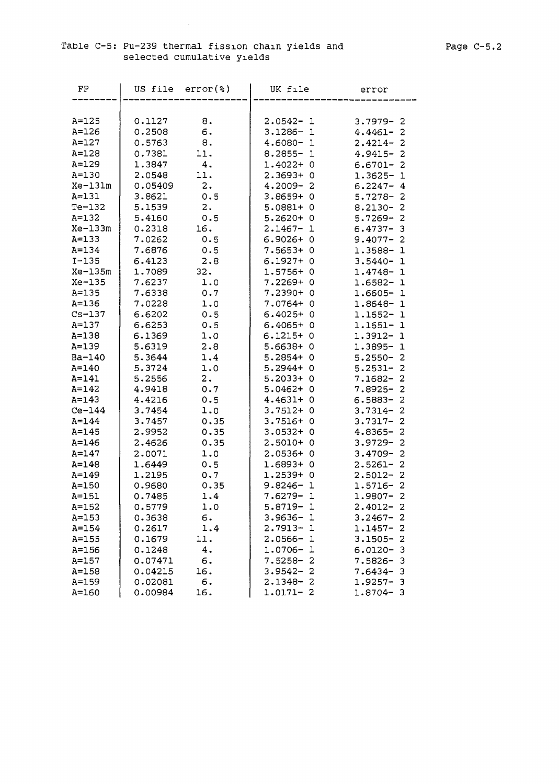$\sim 10$ 

| FP                 | US file $error(*)$ |          | UK file                      | error                        |
|--------------------|--------------------|----------|------------------------------|------------------------------|
|                    |                    |          |                              |                              |
| $A = 125$<br>A=126 | 0.1127<br>0.2508   | 8.<br>6. | $2.0542 - 1$<br>$3.1286 - 1$ | $3.7979 - 2$<br>$4.4461 - 2$ |
| $A=127$            | 0.5763             | 8.       | $4.6080 - 1$                 | $2.4214 - 2$                 |
| A=128              | 0.7381             | 11.      | $8.2855 - 1$                 | $4.9415 -$<br>2              |
| A=129              | 1.3847             | 4.       | $1.4022 + 0$                 | $6.6701 -$<br>2              |
| $A = 130$          | 2.0548             | 11.      | 2.3693+0                     | 1.3625-<br>ı                 |
| Xe-131m            | 0.05409            | 2.       | $4.2009 - 2$                 | $6.2247 -$<br>4              |
| A=131              | 3.8621             | 0.5      | $3.8659+0$                   | $5.7278-$<br>2               |
| $Te-132$           | 5.1539             | 2.       | $5.0881+0$                   | 2<br>$8.2130 -$              |
| $A = 132$          | 5.4160             | 0.5      | $5.2620+0$                   | $5.7269 -$<br>2              |
| Xe-133m            | 0.2318             | 16.      | $2.1467 - 1$                 | 3<br>$6.4737 -$              |
| $A = 133$          | 7.0262             | 0.5      | $6.9026 + 0$                 | 2<br>$9.4077 -$              |
| A=134              | 7.6876             | 0.5      | $7.5653+0$                   | 1.3588-<br>- 1               |
| $I - 135$          | 6.4123             | 2.8      | $6.1927 + 0$                 | $3.5440 -$<br>- 1            |
| Xe-135m            | 1.7089             | 32.      | $1.5756+0$                   | $1.4748 - 1$                 |
| Xe-135             | 7.6237             | 1.0      | $7.2269 + 0$                 | 1.6582- 1                    |
| $A = 135$          | 7.6338             | 0.7      | $7.2390+0$                   | 1.6605-<br>1                 |
| $A = 136$          | 7.0228             | 1.0      | 7.0764+ 0                    | 1.8648-<br>1                 |
| $Cs - 137$         | 6.6202             | 0.5      | $6.4025+0$                   | $1.1652 -$<br>ı              |
| $A = 137$          | 6.6253             | 0.5      | $6.4065+0$                   | 1.1651-<br>1                 |
| A=138              | 6.1369             | 1.0      | $6.1215+0$                   | 1.3912-<br>1                 |
| A=139              | 5.6319             | 2.8      | $5.6638 + 0$                 | $1.3895 -$<br>1              |
| Ba-140             | 5.3644             | 1.4      | $5.2854 + 0$                 | $5.2550 -$<br>2              |
| A=140              | 5.3724             | 1.0      | $5.2944 + 0$                 | $5.2531 -$<br>2              |
| A=141              | 5.2556             | 2.       | $5.2033+0$                   | 7.1682-<br>2                 |
| A=142              | 4.9418             | 0.7      | $5.0462+0$                   | 2<br>$7.8925 -$              |
| A=143              | 4.4216             | 0.5      | $4.4631+0$                   | $6.5883 -$<br>2              |
| $Ce-144$           | 3.7454             | 1.0      | 3.7512+ 0                    | $3.7314-$<br>2               |
| $A=144$            | 3.7457             | 0.35     | $3.7516+0$                   | $3.7317 -$<br>2              |
| A=145              | 2.9952             | 0.35     | $3.0532 + 0$                 | $4.8365 -$<br>2              |
| $A = 146$          | 2.4626             | 0.35     | $2.5010+0$                   | 3.9729-<br>2                 |
| $A = 147$          | 2.0071             | 1.0      | $2.0536+0$                   | $3.4709 -$<br>2              |
| $A = 148$          | 1.6449             | 0.5      | 1.6893+0                     | $2.5261 -$<br>2              |
| A=149              | 1.2195             | 0.7      | $1.2539+0$                   | 2<br>$2.5012 -$              |
| A=150              | 0.9680             | 0.35     | $9.8246 - 1$                 | $1.5716 - 2$                 |
| $A=151$            | 0.7485             | 1.4      | 7.6279- 1                    | $1.9807 - 2$                 |
| $A = 152$          | 0.5779             | 1.0      | 5.8719- 1                    | $2.4012 - 2$                 |
| $A = 153$          | 0.3638             | б.       | $3.9636 - 1$                 | $3.2467-$<br>2               |
| A=154              | 0.2617             | 1.4      | $2.7913 - 1$                 | $1.1457 -$<br>2              |
| $A = 155$          | 0.1679             | 11.      | $2.0566 - 1$                 | $3.1505 -$<br>2              |
| A=156              | 0.1248             | 4.       | $1.0706 - 1$                 | 6.0120-<br>3                 |
| $A=157$            | 0.07471            | б.       | $7.5258 - 2$                 | $7.5826 -$<br>3              |
| A=158              | 0.04215            | 16.      | $3.9542 - 2$                 | $7.6434-$<br>3               |
| A=159              | 0.02081            | 6.       | $2.1348 - 2$                 | $1.9257-$<br>з               |
| A=160              | 0.00984            | 16.      | $1.0171 - 2$                 | $1.8704 -$<br>- 3            |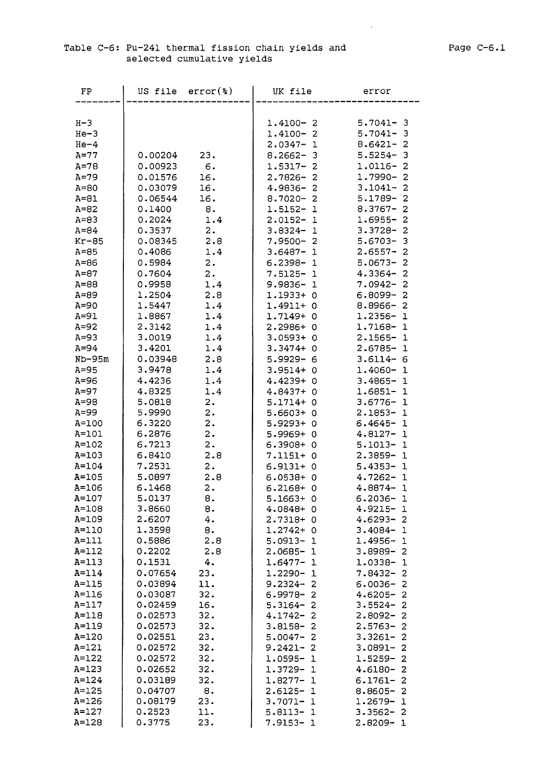$\sim 10^{11}$ 

### Table C-6: Pu-241 thermal fission chain yields and selected cumulative yields

| $H - 3$<br>$5.7041 - 3$<br>$1.4100 - 2$<br>$He-3$<br>$5.7041 - 3$<br>$1.4100 - 2$<br>$He-4$<br>$8.6421 - 2$<br>$2.0347 - 1$<br>$5.5254 - 3$<br>$A=77$<br>0.00204<br>23.<br>$8.2662 - 3$<br>0.00923<br>$1.0116 - 2$<br>$A = 78$<br>6.<br>$1.5317 - 2$<br>16.<br>$1.7990 - 2$<br>$A=79$<br>0.01576<br>$2.7826 - 2$<br>16.<br>$3.1041 -$<br>$\overline{2}$<br>$A=80$<br>0.03079<br>$4.9836 - 2$<br>16.<br>$5.1789 -$<br>$\overline{2}$<br>$A = 81$<br>0.06544<br>$8.7020 - 2$<br>$A = 82$<br>0.1400<br>8.<br>1.5152-1<br>$8.3767 -$<br>2<br>1.4<br>2<br>$A = 83$<br>0.2024<br>$2.0152 - 1$<br>1.6955-<br>$3.3728 -$<br>$A = 84$<br>0.3537<br>2.<br>$3.8324 - 1$<br>2<br>2.8<br>3<br>$Kr-85$<br>0.08345<br>$7.9500 - 2$<br>$5.6703-$<br>$\overline{\mathbf{c}}$<br>$A=85$<br>0.4086<br>$3.6487 - 1$<br>$2.6557 -$<br>1.4<br>2<br>0.5984<br>2.<br>$5.0673 -$<br>$A = 86$<br>$6.2398 - 1$<br>$\overline{2}$<br>$A=87$<br>0.7604<br>2.<br>$4.3364-$<br>$7.5125 - 1$<br>2<br>$A=88$<br>0.9958<br>1.4<br>$9.9836 - 1$<br>$7.0942 -$<br>2.8<br>1.1933+0<br>$\overline{2}$<br>$A = 89$<br>1.2504<br>$6.8099 -$<br>$A=90$<br>1.5447<br>1.4<br>1.4911+0<br>$8.8966 - 2$<br>$A=91$<br>1.4<br>$1.2356 - 1$<br>1.8867<br>1.7149+0<br>$A=92$<br>2.3142<br>1.4<br>2.2986+0<br>$1.7168 - 1$<br>$A = 93$<br>3.0019<br>1.4<br>$3.0593+0$<br>$2.1565 - 1$<br>$A=94$<br>3.4201<br>1.4<br>$3.3474 + 0$<br>2.6785-<br>ı<br>$Nb-95m$<br>0.03948<br>2.8<br>5.9929-6<br>$3.6114 - 6$<br>$A = 95$<br>3.9478<br>$3.9514 + 0$<br>1.4060-<br>1.4<br>1<br>$A=96$<br>4.4236<br>1.4<br>4.4239+0<br>$3.4865 -$<br>ı<br>$A=97$<br>4.8325<br>1.4<br>$4.8437 + 0$<br>1.6851-<br>-1<br>$A = 98$<br>5.0818<br>2.<br>$5.1714 + 0$<br>$3.6776 -$<br>1<br>$A=99$<br>5.9990<br>2.<br>$5.6603+0$<br>$2.1853 - 1$<br>$\overline{2}$ .<br>6.3220<br>A=100<br>5.9293+ 0<br>$6.4645 - 1$<br>2.<br>A=101<br>6.2876<br>5.9969+0<br>$4.8127 - 1$<br>2.<br>$A = 102$<br>6.7213<br>$6.3908+0$<br>$5.1013 - 1$<br>2.8<br>$A = 103$<br>6.8410<br>$2.3859 - 1$<br>7.1151+0<br>2.<br>$A = 104$<br>7.2531<br>$6.9131 + 0$<br>$5.4353 - 1$<br>2.8<br>$A = 105$<br>5.0897<br>$6.0538 + 0$<br>$4.7262 - 1$<br>$A = 106$<br>6.1468<br>$\mathbf{2}$ .<br>6.2168+<br>$4.8874 - 1$<br>- 0<br>$A=107$<br>5.0137<br>8.<br>5.1663+ 0<br>$6.2036 -$<br>$\mathbf{1}$<br>$A = 108$<br>3.8660<br>8.<br>4.0848+0<br>$4.9215 -$<br>-1<br>A=109<br>2.6207<br>4.<br>$2.7318+0$<br>$4.6293 - 2$<br>1.3598<br>8.<br>$A = 110$<br>$1.2742 + 0$<br>$3.4084-$<br>-1<br>2.8<br>$A=111$<br>0.5886<br>$5.0913 - 1$<br>1.4956-<br>$\mathbf 1$<br>0.2202<br>$A = 112$<br>2.8<br>$2.0685 - 1$<br>$3.8989 -$<br>2<br>4.<br>$A = 113$<br>0.1531<br>$1.6477 -$<br>1.0338-<br>1<br>1<br>$A = 114$<br>0.07654<br>23.<br>$1.2290 - 1$<br>$7.8432 -$<br>2<br>$A = 115$<br>0.03894<br>11.<br>$9.2324 - 2$<br>$6.0036 -$<br>2<br>A=116<br>0.03087<br>32.<br>$6.9978 -$<br>$\overline{2}$<br>$4.6205 -$<br>2<br>16.<br>$A=117$<br>0.02459<br>5.3164-<br>2<br>$3.5524-$<br>2<br>32.<br>$A = 118$<br>0.02573<br>$4.1742 -$<br>2<br>$2.8092 -$<br>2<br>32.<br>$A = 119$<br>0.02573<br>$3.8158 -$<br>$\overline{c}$<br>$2.5763-$<br>2<br>0.02551<br>23.<br>$A = 120$<br>$5.0047 -$<br>2<br>$3.3261 -$<br>2<br>0.02572<br>32.<br>$A = 121$<br>$3.0891 -$<br>$9.2421 - 2$<br>2<br>$A = 122$<br>0.02572<br>32.<br>1.5259-<br>$1.0595 - 1$<br>2<br>32.<br>$A = 123$<br>0.02652<br>4.6180-<br>1.3729-<br>$\mathbf 1$<br>2<br>$A = 124$<br>0.03189<br>32.<br>$1.8277 -$<br>$\mathbf{1}$<br>6.1761-<br>2<br>8.<br>$A = 125$<br>0.04707<br>$2.6125 - 1$<br>$8.8605 -$<br>2<br>0.08179<br>23.<br>$A = 126$<br>$3.7071 - 1$<br>$1.2679-$<br>$\mathbf 1$<br>0.2523<br>$A = 127$<br>11.<br>$5.8113 - 1$<br>$3.3562 - 2$<br>0.3775<br>A=128<br>23.<br>7.9153-1<br>2.8209-<br>1 | FP | US file | error(%) | UK file | error |
|------------------------------------------------------------------------------------------------------------------------------------------------------------------------------------------------------------------------------------------------------------------------------------------------------------------------------------------------------------------------------------------------------------------------------------------------------------------------------------------------------------------------------------------------------------------------------------------------------------------------------------------------------------------------------------------------------------------------------------------------------------------------------------------------------------------------------------------------------------------------------------------------------------------------------------------------------------------------------------------------------------------------------------------------------------------------------------------------------------------------------------------------------------------------------------------------------------------------------------------------------------------------------------------------------------------------------------------------------------------------------------------------------------------------------------------------------------------------------------------------------------------------------------------------------------------------------------------------------------------------------------------------------------------------------------------------------------------------------------------------------------------------------------------------------------------------------------------------------------------------------------------------------------------------------------------------------------------------------------------------------------------------------------------------------------------------------------------------------------------------------------------------------------------------------------------------------------------------------------------------------------------------------------------------------------------------------------------------------------------------------------------------------------------------------------------------------------------------------------------------------------------------------------------------------------------------------------------------------------------------------------------------------------------------------------------------------------------------------------------------------------------------------------------------------------------------------------------------------------------------------------------------------------------------------------------------------------------------------------------------------------------------------------------------------------------------------------------------------------------------------------------------------------------------------------------------------------------------------------------------------------------------------------------------------------------------------------------------------------------------------------------------------------------------------------------------------------------------------------------------------------------------------------------------------------------------------------------------------------------------------------------------------------------------------------------------------------------------------------------------------------|----|---------|----------|---------|-------|
|                                                                                                                                                                                                                                                                                                                                                                                                                                                                                                                                                                                                                                                                                                                                                                                                                                                                                                                                                                                                                                                                                                                                                                                                                                                                                                                                                                                                                                                                                                                                                                                                                                                                                                                                                                                                                                                                                                                                                                                                                                                                                                                                                                                                                                                                                                                                                                                                                                                                                                                                                                                                                                                                                                                                                                                                                                                                                                                                                                                                                                                                                                                                                                                                                                                                                                                                                                                                                                                                                                                                                                                                                                                                                                                                                            |    |         |          |         |       |
|                                                                                                                                                                                                                                                                                                                                                                                                                                                                                                                                                                                                                                                                                                                                                                                                                                                                                                                                                                                                                                                                                                                                                                                                                                                                                                                                                                                                                                                                                                                                                                                                                                                                                                                                                                                                                                                                                                                                                                                                                                                                                                                                                                                                                                                                                                                                                                                                                                                                                                                                                                                                                                                                                                                                                                                                                                                                                                                                                                                                                                                                                                                                                                                                                                                                                                                                                                                                                                                                                                                                                                                                                                                                                                                                                            |    |         |          |         |       |
|                                                                                                                                                                                                                                                                                                                                                                                                                                                                                                                                                                                                                                                                                                                                                                                                                                                                                                                                                                                                                                                                                                                                                                                                                                                                                                                                                                                                                                                                                                                                                                                                                                                                                                                                                                                                                                                                                                                                                                                                                                                                                                                                                                                                                                                                                                                                                                                                                                                                                                                                                                                                                                                                                                                                                                                                                                                                                                                                                                                                                                                                                                                                                                                                                                                                                                                                                                                                                                                                                                                                                                                                                                                                                                                                                            |    |         |          |         |       |
|                                                                                                                                                                                                                                                                                                                                                                                                                                                                                                                                                                                                                                                                                                                                                                                                                                                                                                                                                                                                                                                                                                                                                                                                                                                                                                                                                                                                                                                                                                                                                                                                                                                                                                                                                                                                                                                                                                                                                                                                                                                                                                                                                                                                                                                                                                                                                                                                                                                                                                                                                                                                                                                                                                                                                                                                                                                                                                                                                                                                                                                                                                                                                                                                                                                                                                                                                                                                                                                                                                                                                                                                                                                                                                                                                            |    |         |          |         |       |
|                                                                                                                                                                                                                                                                                                                                                                                                                                                                                                                                                                                                                                                                                                                                                                                                                                                                                                                                                                                                                                                                                                                                                                                                                                                                                                                                                                                                                                                                                                                                                                                                                                                                                                                                                                                                                                                                                                                                                                                                                                                                                                                                                                                                                                                                                                                                                                                                                                                                                                                                                                                                                                                                                                                                                                                                                                                                                                                                                                                                                                                                                                                                                                                                                                                                                                                                                                                                                                                                                                                                                                                                                                                                                                                                                            |    |         |          |         |       |
|                                                                                                                                                                                                                                                                                                                                                                                                                                                                                                                                                                                                                                                                                                                                                                                                                                                                                                                                                                                                                                                                                                                                                                                                                                                                                                                                                                                                                                                                                                                                                                                                                                                                                                                                                                                                                                                                                                                                                                                                                                                                                                                                                                                                                                                                                                                                                                                                                                                                                                                                                                                                                                                                                                                                                                                                                                                                                                                                                                                                                                                                                                                                                                                                                                                                                                                                                                                                                                                                                                                                                                                                                                                                                                                                                            |    |         |          |         |       |
|                                                                                                                                                                                                                                                                                                                                                                                                                                                                                                                                                                                                                                                                                                                                                                                                                                                                                                                                                                                                                                                                                                                                                                                                                                                                                                                                                                                                                                                                                                                                                                                                                                                                                                                                                                                                                                                                                                                                                                                                                                                                                                                                                                                                                                                                                                                                                                                                                                                                                                                                                                                                                                                                                                                                                                                                                                                                                                                                                                                                                                                                                                                                                                                                                                                                                                                                                                                                                                                                                                                                                                                                                                                                                                                                                            |    |         |          |         |       |
|                                                                                                                                                                                                                                                                                                                                                                                                                                                                                                                                                                                                                                                                                                                                                                                                                                                                                                                                                                                                                                                                                                                                                                                                                                                                                                                                                                                                                                                                                                                                                                                                                                                                                                                                                                                                                                                                                                                                                                                                                                                                                                                                                                                                                                                                                                                                                                                                                                                                                                                                                                                                                                                                                                                                                                                                                                                                                                                                                                                                                                                                                                                                                                                                                                                                                                                                                                                                                                                                                                                                                                                                                                                                                                                                                            |    |         |          |         |       |
|                                                                                                                                                                                                                                                                                                                                                                                                                                                                                                                                                                                                                                                                                                                                                                                                                                                                                                                                                                                                                                                                                                                                                                                                                                                                                                                                                                                                                                                                                                                                                                                                                                                                                                                                                                                                                                                                                                                                                                                                                                                                                                                                                                                                                                                                                                                                                                                                                                                                                                                                                                                                                                                                                                                                                                                                                                                                                                                                                                                                                                                                                                                                                                                                                                                                                                                                                                                                                                                                                                                                                                                                                                                                                                                                                            |    |         |          |         |       |
|                                                                                                                                                                                                                                                                                                                                                                                                                                                                                                                                                                                                                                                                                                                                                                                                                                                                                                                                                                                                                                                                                                                                                                                                                                                                                                                                                                                                                                                                                                                                                                                                                                                                                                                                                                                                                                                                                                                                                                                                                                                                                                                                                                                                                                                                                                                                                                                                                                                                                                                                                                                                                                                                                                                                                                                                                                                                                                                                                                                                                                                                                                                                                                                                                                                                                                                                                                                                                                                                                                                                                                                                                                                                                                                                                            |    |         |          |         |       |
|                                                                                                                                                                                                                                                                                                                                                                                                                                                                                                                                                                                                                                                                                                                                                                                                                                                                                                                                                                                                                                                                                                                                                                                                                                                                                                                                                                                                                                                                                                                                                                                                                                                                                                                                                                                                                                                                                                                                                                                                                                                                                                                                                                                                                                                                                                                                                                                                                                                                                                                                                                                                                                                                                                                                                                                                                                                                                                                                                                                                                                                                                                                                                                                                                                                                                                                                                                                                                                                                                                                                                                                                                                                                                                                                                            |    |         |          |         |       |
|                                                                                                                                                                                                                                                                                                                                                                                                                                                                                                                                                                                                                                                                                                                                                                                                                                                                                                                                                                                                                                                                                                                                                                                                                                                                                                                                                                                                                                                                                                                                                                                                                                                                                                                                                                                                                                                                                                                                                                                                                                                                                                                                                                                                                                                                                                                                                                                                                                                                                                                                                                                                                                                                                                                                                                                                                                                                                                                                                                                                                                                                                                                                                                                                                                                                                                                                                                                                                                                                                                                                                                                                                                                                                                                                                            |    |         |          |         |       |
|                                                                                                                                                                                                                                                                                                                                                                                                                                                                                                                                                                                                                                                                                                                                                                                                                                                                                                                                                                                                                                                                                                                                                                                                                                                                                                                                                                                                                                                                                                                                                                                                                                                                                                                                                                                                                                                                                                                                                                                                                                                                                                                                                                                                                                                                                                                                                                                                                                                                                                                                                                                                                                                                                                                                                                                                                                                                                                                                                                                                                                                                                                                                                                                                                                                                                                                                                                                                                                                                                                                                                                                                                                                                                                                                                            |    |         |          |         |       |
|                                                                                                                                                                                                                                                                                                                                                                                                                                                                                                                                                                                                                                                                                                                                                                                                                                                                                                                                                                                                                                                                                                                                                                                                                                                                                                                                                                                                                                                                                                                                                                                                                                                                                                                                                                                                                                                                                                                                                                                                                                                                                                                                                                                                                                                                                                                                                                                                                                                                                                                                                                                                                                                                                                                                                                                                                                                                                                                                                                                                                                                                                                                                                                                                                                                                                                                                                                                                                                                                                                                                                                                                                                                                                                                                                            |    |         |          |         |       |
|                                                                                                                                                                                                                                                                                                                                                                                                                                                                                                                                                                                                                                                                                                                                                                                                                                                                                                                                                                                                                                                                                                                                                                                                                                                                                                                                                                                                                                                                                                                                                                                                                                                                                                                                                                                                                                                                                                                                                                                                                                                                                                                                                                                                                                                                                                                                                                                                                                                                                                                                                                                                                                                                                                                                                                                                                                                                                                                                                                                                                                                                                                                                                                                                                                                                                                                                                                                                                                                                                                                                                                                                                                                                                                                                                            |    |         |          |         |       |
|                                                                                                                                                                                                                                                                                                                                                                                                                                                                                                                                                                                                                                                                                                                                                                                                                                                                                                                                                                                                                                                                                                                                                                                                                                                                                                                                                                                                                                                                                                                                                                                                                                                                                                                                                                                                                                                                                                                                                                                                                                                                                                                                                                                                                                                                                                                                                                                                                                                                                                                                                                                                                                                                                                                                                                                                                                                                                                                                                                                                                                                                                                                                                                                                                                                                                                                                                                                                                                                                                                                                                                                                                                                                                                                                                            |    |         |          |         |       |
|                                                                                                                                                                                                                                                                                                                                                                                                                                                                                                                                                                                                                                                                                                                                                                                                                                                                                                                                                                                                                                                                                                                                                                                                                                                                                                                                                                                                                                                                                                                                                                                                                                                                                                                                                                                                                                                                                                                                                                                                                                                                                                                                                                                                                                                                                                                                                                                                                                                                                                                                                                                                                                                                                                                                                                                                                                                                                                                                                                                                                                                                                                                                                                                                                                                                                                                                                                                                                                                                                                                                                                                                                                                                                                                                                            |    |         |          |         |       |
|                                                                                                                                                                                                                                                                                                                                                                                                                                                                                                                                                                                                                                                                                                                                                                                                                                                                                                                                                                                                                                                                                                                                                                                                                                                                                                                                                                                                                                                                                                                                                                                                                                                                                                                                                                                                                                                                                                                                                                                                                                                                                                                                                                                                                                                                                                                                                                                                                                                                                                                                                                                                                                                                                                                                                                                                                                                                                                                                                                                                                                                                                                                                                                                                                                                                                                                                                                                                                                                                                                                                                                                                                                                                                                                                                            |    |         |          |         |       |
|                                                                                                                                                                                                                                                                                                                                                                                                                                                                                                                                                                                                                                                                                                                                                                                                                                                                                                                                                                                                                                                                                                                                                                                                                                                                                                                                                                                                                                                                                                                                                                                                                                                                                                                                                                                                                                                                                                                                                                                                                                                                                                                                                                                                                                                                                                                                                                                                                                                                                                                                                                                                                                                                                                                                                                                                                                                                                                                                                                                                                                                                                                                                                                                                                                                                                                                                                                                                                                                                                                                                                                                                                                                                                                                                                            |    |         |          |         |       |
|                                                                                                                                                                                                                                                                                                                                                                                                                                                                                                                                                                                                                                                                                                                                                                                                                                                                                                                                                                                                                                                                                                                                                                                                                                                                                                                                                                                                                                                                                                                                                                                                                                                                                                                                                                                                                                                                                                                                                                                                                                                                                                                                                                                                                                                                                                                                                                                                                                                                                                                                                                                                                                                                                                                                                                                                                                                                                                                                                                                                                                                                                                                                                                                                                                                                                                                                                                                                                                                                                                                                                                                                                                                                                                                                                            |    |         |          |         |       |
|                                                                                                                                                                                                                                                                                                                                                                                                                                                                                                                                                                                                                                                                                                                                                                                                                                                                                                                                                                                                                                                                                                                                                                                                                                                                                                                                                                                                                                                                                                                                                                                                                                                                                                                                                                                                                                                                                                                                                                                                                                                                                                                                                                                                                                                                                                                                                                                                                                                                                                                                                                                                                                                                                                                                                                                                                                                                                                                                                                                                                                                                                                                                                                                                                                                                                                                                                                                                                                                                                                                                                                                                                                                                                                                                                            |    |         |          |         |       |
|                                                                                                                                                                                                                                                                                                                                                                                                                                                                                                                                                                                                                                                                                                                                                                                                                                                                                                                                                                                                                                                                                                                                                                                                                                                                                                                                                                                                                                                                                                                                                                                                                                                                                                                                                                                                                                                                                                                                                                                                                                                                                                                                                                                                                                                                                                                                                                                                                                                                                                                                                                                                                                                                                                                                                                                                                                                                                                                                                                                                                                                                                                                                                                                                                                                                                                                                                                                                                                                                                                                                                                                                                                                                                                                                                            |    |         |          |         |       |
|                                                                                                                                                                                                                                                                                                                                                                                                                                                                                                                                                                                                                                                                                                                                                                                                                                                                                                                                                                                                                                                                                                                                                                                                                                                                                                                                                                                                                                                                                                                                                                                                                                                                                                                                                                                                                                                                                                                                                                                                                                                                                                                                                                                                                                                                                                                                                                                                                                                                                                                                                                                                                                                                                                                                                                                                                                                                                                                                                                                                                                                                                                                                                                                                                                                                                                                                                                                                                                                                                                                                                                                                                                                                                                                                                            |    |         |          |         |       |
|                                                                                                                                                                                                                                                                                                                                                                                                                                                                                                                                                                                                                                                                                                                                                                                                                                                                                                                                                                                                                                                                                                                                                                                                                                                                                                                                                                                                                                                                                                                                                                                                                                                                                                                                                                                                                                                                                                                                                                                                                                                                                                                                                                                                                                                                                                                                                                                                                                                                                                                                                                                                                                                                                                                                                                                                                                                                                                                                                                                                                                                                                                                                                                                                                                                                                                                                                                                                                                                                                                                                                                                                                                                                                                                                                            |    |         |          |         |       |
|                                                                                                                                                                                                                                                                                                                                                                                                                                                                                                                                                                                                                                                                                                                                                                                                                                                                                                                                                                                                                                                                                                                                                                                                                                                                                                                                                                                                                                                                                                                                                                                                                                                                                                                                                                                                                                                                                                                                                                                                                                                                                                                                                                                                                                                                                                                                                                                                                                                                                                                                                                                                                                                                                                                                                                                                                                                                                                                                                                                                                                                                                                                                                                                                                                                                                                                                                                                                                                                                                                                                                                                                                                                                                                                                                            |    |         |          |         |       |
|                                                                                                                                                                                                                                                                                                                                                                                                                                                                                                                                                                                                                                                                                                                                                                                                                                                                                                                                                                                                                                                                                                                                                                                                                                                                                                                                                                                                                                                                                                                                                                                                                                                                                                                                                                                                                                                                                                                                                                                                                                                                                                                                                                                                                                                                                                                                                                                                                                                                                                                                                                                                                                                                                                                                                                                                                                                                                                                                                                                                                                                                                                                                                                                                                                                                                                                                                                                                                                                                                                                                                                                                                                                                                                                                                            |    |         |          |         |       |
|                                                                                                                                                                                                                                                                                                                                                                                                                                                                                                                                                                                                                                                                                                                                                                                                                                                                                                                                                                                                                                                                                                                                                                                                                                                                                                                                                                                                                                                                                                                                                                                                                                                                                                                                                                                                                                                                                                                                                                                                                                                                                                                                                                                                                                                                                                                                                                                                                                                                                                                                                                                                                                                                                                                                                                                                                                                                                                                                                                                                                                                                                                                                                                                                                                                                                                                                                                                                                                                                                                                                                                                                                                                                                                                                                            |    |         |          |         |       |
|                                                                                                                                                                                                                                                                                                                                                                                                                                                                                                                                                                                                                                                                                                                                                                                                                                                                                                                                                                                                                                                                                                                                                                                                                                                                                                                                                                                                                                                                                                                                                                                                                                                                                                                                                                                                                                                                                                                                                                                                                                                                                                                                                                                                                                                                                                                                                                                                                                                                                                                                                                                                                                                                                                                                                                                                                                                                                                                                                                                                                                                                                                                                                                                                                                                                                                                                                                                                                                                                                                                                                                                                                                                                                                                                                            |    |         |          |         |       |
|                                                                                                                                                                                                                                                                                                                                                                                                                                                                                                                                                                                                                                                                                                                                                                                                                                                                                                                                                                                                                                                                                                                                                                                                                                                                                                                                                                                                                                                                                                                                                                                                                                                                                                                                                                                                                                                                                                                                                                                                                                                                                                                                                                                                                                                                                                                                                                                                                                                                                                                                                                                                                                                                                                                                                                                                                                                                                                                                                                                                                                                                                                                                                                                                                                                                                                                                                                                                                                                                                                                                                                                                                                                                                                                                                            |    |         |          |         |       |
|                                                                                                                                                                                                                                                                                                                                                                                                                                                                                                                                                                                                                                                                                                                                                                                                                                                                                                                                                                                                                                                                                                                                                                                                                                                                                                                                                                                                                                                                                                                                                                                                                                                                                                                                                                                                                                                                                                                                                                                                                                                                                                                                                                                                                                                                                                                                                                                                                                                                                                                                                                                                                                                                                                                                                                                                                                                                                                                                                                                                                                                                                                                                                                                                                                                                                                                                                                                                                                                                                                                                                                                                                                                                                                                                                            |    |         |          |         |       |
|                                                                                                                                                                                                                                                                                                                                                                                                                                                                                                                                                                                                                                                                                                                                                                                                                                                                                                                                                                                                                                                                                                                                                                                                                                                                                                                                                                                                                                                                                                                                                                                                                                                                                                                                                                                                                                                                                                                                                                                                                                                                                                                                                                                                                                                                                                                                                                                                                                                                                                                                                                                                                                                                                                                                                                                                                                                                                                                                                                                                                                                                                                                                                                                                                                                                                                                                                                                                                                                                                                                                                                                                                                                                                                                                                            |    |         |          |         |       |
|                                                                                                                                                                                                                                                                                                                                                                                                                                                                                                                                                                                                                                                                                                                                                                                                                                                                                                                                                                                                                                                                                                                                                                                                                                                                                                                                                                                                                                                                                                                                                                                                                                                                                                                                                                                                                                                                                                                                                                                                                                                                                                                                                                                                                                                                                                                                                                                                                                                                                                                                                                                                                                                                                                                                                                                                                                                                                                                                                                                                                                                                                                                                                                                                                                                                                                                                                                                                                                                                                                                                                                                                                                                                                                                                                            |    |         |          |         |       |
|                                                                                                                                                                                                                                                                                                                                                                                                                                                                                                                                                                                                                                                                                                                                                                                                                                                                                                                                                                                                                                                                                                                                                                                                                                                                                                                                                                                                                                                                                                                                                                                                                                                                                                                                                                                                                                                                                                                                                                                                                                                                                                                                                                                                                                                                                                                                                                                                                                                                                                                                                                                                                                                                                                                                                                                                                                                                                                                                                                                                                                                                                                                                                                                                                                                                                                                                                                                                                                                                                                                                                                                                                                                                                                                                                            |    |         |          |         |       |
|                                                                                                                                                                                                                                                                                                                                                                                                                                                                                                                                                                                                                                                                                                                                                                                                                                                                                                                                                                                                                                                                                                                                                                                                                                                                                                                                                                                                                                                                                                                                                                                                                                                                                                                                                                                                                                                                                                                                                                                                                                                                                                                                                                                                                                                                                                                                                                                                                                                                                                                                                                                                                                                                                                                                                                                                                                                                                                                                                                                                                                                                                                                                                                                                                                                                                                                                                                                                                                                                                                                                                                                                                                                                                                                                                            |    |         |          |         |       |
|                                                                                                                                                                                                                                                                                                                                                                                                                                                                                                                                                                                                                                                                                                                                                                                                                                                                                                                                                                                                                                                                                                                                                                                                                                                                                                                                                                                                                                                                                                                                                                                                                                                                                                                                                                                                                                                                                                                                                                                                                                                                                                                                                                                                                                                                                                                                                                                                                                                                                                                                                                                                                                                                                                                                                                                                                                                                                                                                                                                                                                                                                                                                                                                                                                                                                                                                                                                                                                                                                                                                                                                                                                                                                                                                                            |    |         |          |         |       |
|                                                                                                                                                                                                                                                                                                                                                                                                                                                                                                                                                                                                                                                                                                                                                                                                                                                                                                                                                                                                                                                                                                                                                                                                                                                                                                                                                                                                                                                                                                                                                                                                                                                                                                                                                                                                                                                                                                                                                                                                                                                                                                                                                                                                                                                                                                                                                                                                                                                                                                                                                                                                                                                                                                                                                                                                                                                                                                                                                                                                                                                                                                                                                                                                                                                                                                                                                                                                                                                                                                                                                                                                                                                                                                                                                            |    |         |          |         |       |
|                                                                                                                                                                                                                                                                                                                                                                                                                                                                                                                                                                                                                                                                                                                                                                                                                                                                                                                                                                                                                                                                                                                                                                                                                                                                                                                                                                                                                                                                                                                                                                                                                                                                                                                                                                                                                                                                                                                                                                                                                                                                                                                                                                                                                                                                                                                                                                                                                                                                                                                                                                                                                                                                                                                                                                                                                                                                                                                                                                                                                                                                                                                                                                                                                                                                                                                                                                                                                                                                                                                                                                                                                                                                                                                                                            |    |         |          |         |       |
|                                                                                                                                                                                                                                                                                                                                                                                                                                                                                                                                                                                                                                                                                                                                                                                                                                                                                                                                                                                                                                                                                                                                                                                                                                                                                                                                                                                                                                                                                                                                                                                                                                                                                                                                                                                                                                                                                                                                                                                                                                                                                                                                                                                                                                                                                                                                                                                                                                                                                                                                                                                                                                                                                                                                                                                                                                                                                                                                                                                                                                                                                                                                                                                                                                                                                                                                                                                                                                                                                                                                                                                                                                                                                                                                                            |    |         |          |         |       |
|                                                                                                                                                                                                                                                                                                                                                                                                                                                                                                                                                                                                                                                                                                                                                                                                                                                                                                                                                                                                                                                                                                                                                                                                                                                                                                                                                                                                                                                                                                                                                                                                                                                                                                                                                                                                                                                                                                                                                                                                                                                                                                                                                                                                                                                                                                                                                                                                                                                                                                                                                                                                                                                                                                                                                                                                                                                                                                                                                                                                                                                                                                                                                                                                                                                                                                                                                                                                                                                                                                                                                                                                                                                                                                                                                            |    |         |          |         |       |
|                                                                                                                                                                                                                                                                                                                                                                                                                                                                                                                                                                                                                                                                                                                                                                                                                                                                                                                                                                                                                                                                                                                                                                                                                                                                                                                                                                                                                                                                                                                                                                                                                                                                                                                                                                                                                                                                                                                                                                                                                                                                                                                                                                                                                                                                                                                                                                                                                                                                                                                                                                                                                                                                                                                                                                                                                                                                                                                                                                                                                                                                                                                                                                                                                                                                                                                                                                                                                                                                                                                                                                                                                                                                                                                                                            |    |         |          |         |       |
|                                                                                                                                                                                                                                                                                                                                                                                                                                                                                                                                                                                                                                                                                                                                                                                                                                                                                                                                                                                                                                                                                                                                                                                                                                                                                                                                                                                                                                                                                                                                                                                                                                                                                                                                                                                                                                                                                                                                                                                                                                                                                                                                                                                                                                                                                                                                                                                                                                                                                                                                                                                                                                                                                                                                                                                                                                                                                                                                                                                                                                                                                                                                                                                                                                                                                                                                                                                                                                                                                                                                                                                                                                                                                                                                                            |    |         |          |         |       |
|                                                                                                                                                                                                                                                                                                                                                                                                                                                                                                                                                                                                                                                                                                                                                                                                                                                                                                                                                                                                                                                                                                                                                                                                                                                                                                                                                                                                                                                                                                                                                                                                                                                                                                                                                                                                                                                                                                                                                                                                                                                                                                                                                                                                                                                                                                                                                                                                                                                                                                                                                                                                                                                                                                                                                                                                                                                                                                                                                                                                                                                                                                                                                                                                                                                                                                                                                                                                                                                                                                                                                                                                                                                                                                                                                            |    |         |          |         |       |
|                                                                                                                                                                                                                                                                                                                                                                                                                                                                                                                                                                                                                                                                                                                                                                                                                                                                                                                                                                                                                                                                                                                                                                                                                                                                                                                                                                                                                                                                                                                                                                                                                                                                                                                                                                                                                                                                                                                                                                                                                                                                                                                                                                                                                                                                                                                                                                                                                                                                                                                                                                                                                                                                                                                                                                                                                                                                                                                                                                                                                                                                                                                                                                                                                                                                                                                                                                                                                                                                                                                                                                                                                                                                                                                                                            |    |         |          |         |       |
|                                                                                                                                                                                                                                                                                                                                                                                                                                                                                                                                                                                                                                                                                                                                                                                                                                                                                                                                                                                                                                                                                                                                                                                                                                                                                                                                                                                                                                                                                                                                                                                                                                                                                                                                                                                                                                                                                                                                                                                                                                                                                                                                                                                                                                                                                                                                                                                                                                                                                                                                                                                                                                                                                                                                                                                                                                                                                                                                                                                                                                                                                                                                                                                                                                                                                                                                                                                                                                                                                                                                                                                                                                                                                                                                                            |    |         |          |         |       |
|                                                                                                                                                                                                                                                                                                                                                                                                                                                                                                                                                                                                                                                                                                                                                                                                                                                                                                                                                                                                                                                                                                                                                                                                                                                                                                                                                                                                                                                                                                                                                                                                                                                                                                                                                                                                                                                                                                                                                                                                                                                                                                                                                                                                                                                                                                                                                                                                                                                                                                                                                                                                                                                                                                                                                                                                                                                                                                                                                                                                                                                                                                                                                                                                                                                                                                                                                                                                                                                                                                                                                                                                                                                                                                                                                            |    |         |          |         |       |
|                                                                                                                                                                                                                                                                                                                                                                                                                                                                                                                                                                                                                                                                                                                                                                                                                                                                                                                                                                                                                                                                                                                                                                                                                                                                                                                                                                                                                                                                                                                                                                                                                                                                                                                                                                                                                                                                                                                                                                                                                                                                                                                                                                                                                                                                                                                                                                                                                                                                                                                                                                                                                                                                                                                                                                                                                                                                                                                                                                                                                                                                                                                                                                                                                                                                                                                                                                                                                                                                                                                                                                                                                                                                                                                                                            |    |         |          |         |       |
|                                                                                                                                                                                                                                                                                                                                                                                                                                                                                                                                                                                                                                                                                                                                                                                                                                                                                                                                                                                                                                                                                                                                                                                                                                                                                                                                                                                                                                                                                                                                                                                                                                                                                                                                                                                                                                                                                                                                                                                                                                                                                                                                                                                                                                                                                                                                                                                                                                                                                                                                                                                                                                                                                                                                                                                                                                                                                                                                                                                                                                                                                                                                                                                                                                                                                                                                                                                                                                                                                                                                                                                                                                                                                                                                                            |    |         |          |         |       |
|                                                                                                                                                                                                                                                                                                                                                                                                                                                                                                                                                                                                                                                                                                                                                                                                                                                                                                                                                                                                                                                                                                                                                                                                                                                                                                                                                                                                                                                                                                                                                                                                                                                                                                                                                                                                                                                                                                                                                                                                                                                                                                                                                                                                                                                                                                                                                                                                                                                                                                                                                                                                                                                                                                                                                                                                                                                                                                                                                                                                                                                                                                                                                                                                                                                                                                                                                                                                                                                                                                                                                                                                                                                                                                                                                            |    |         |          |         |       |
|                                                                                                                                                                                                                                                                                                                                                                                                                                                                                                                                                                                                                                                                                                                                                                                                                                                                                                                                                                                                                                                                                                                                                                                                                                                                                                                                                                                                                                                                                                                                                                                                                                                                                                                                                                                                                                                                                                                                                                                                                                                                                                                                                                                                                                                                                                                                                                                                                                                                                                                                                                                                                                                                                                                                                                                                                                                                                                                                                                                                                                                                                                                                                                                                                                                                                                                                                                                                                                                                                                                                                                                                                                                                                                                                                            |    |         |          |         |       |
|                                                                                                                                                                                                                                                                                                                                                                                                                                                                                                                                                                                                                                                                                                                                                                                                                                                                                                                                                                                                                                                                                                                                                                                                                                                                                                                                                                                                                                                                                                                                                                                                                                                                                                                                                                                                                                                                                                                                                                                                                                                                                                                                                                                                                                                                                                                                                                                                                                                                                                                                                                                                                                                                                                                                                                                                                                                                                                                                                                                                                                                                                                                                                                                                                                                                                                                                                                                                                                                                                                                                                                                                                                                                                                                                                            |    |         |          |         |       |
|                                                                                                                                                                                                                                                                                                                                                                                                                                                                                                                                                                                                                                                                                                                                                                                                                                                                                                                                                                                                                                                                                                                                                                                                                                                                                                                                                                                                                                                                                                                                                                                                                                                                                                                                                                                                                                                                                                                                                                                                                                                                                                                                                                                                                                                                                                                                                                                                                                                                                                                                                                                                                                                                                                                                                                                                                                                                                                                                                                                                                                                                                                                                                                                                                                                                                                                                                                                                                                                                                                                                                                                                                                                                                                                                                            |    |         |          |         |       |
|                                                                                                                                                                                                                                                                                                                                                                                                                                                                                                                                                                                                                                                                                                                                                                                                                                                                                                                                                                                                                                                                                                                                                                                                                                                                                                                                                                                                                                                                                                                                                                                                                                                                                                                                                                                                                                                                                                                                                                                                                                                                                                                                                                                                                                                                                                                                                                                                                                                                                                                                                                                                                                                                                                                                                                                                                                                                                                                                                                                                                                                                                                                                                                                                                                                                                                                                                                                                                                                                                                                                                                                                                                                                                                                                                            |    |         |          |         |       |
|                                                                                                                                                                                                                                                                                                                                                                                                                                                                                                                                                                                                                                                                                                                                                                                                                                                                                                                                                                                                                                                                                                                                                                                                                                                                                                                                                                                                                                                                                                                                                                                                                                                                                                                                                                                                                                                                                                                                                                                                                                                                                                                                                                                                                                                                                                                                                                                                                                                                                                                                                                                                                                                                                                                                                                                                                                                                                                                                                                                                                                                                                                                                                                                                                                                                                                                                                                                                                                                                                                                                                                                                                                                                                                                                                            |    |         |          |         |       |
|                                                                                                                                                                                                                                                                                                                                                                                                                                                                                                                                                                                                                                                                                                                                                                                                                                                                                                                                                                                                                                                                                                                                                                                                                                                                                                                                                                                                                                                                                                                                                                                                                                                                                                                                                                                                                                                                                                                                                                                                                                                                                                                                                                                                                                                                                                                                                                                                                                                                                                                                                                                                                                                                                                                                                                                                                                                                                                                                                                                                                                                                                                                                                                                                                                                                                                                                                                                                                                                                                                                                                                                                                                                                                                                                                            |    |         |          |         |       |
|                                                                                                                                                                                                                                                                                                                                                                                                                                                                                                                                                                                                                                                                                                                                                                                                                                                                                                                                                                                                                                                                                                                                                                                                                                                                                                                                                                                                                                                                                                                                                                                                                                                                                                                                                                                                                                                                                                                                                                                                                                                                                                                                                                                                                                                                                                                                                                                                                                                                                                                                                                                                                                                                                                                                                                                                                                                                                                                                                                                                                                                                                                                                                                                                                                                                                                                                                                                                                                                                                                                                                                                                                                                                                                                                                            |    |         |          |         |       |
|                                                                                                                                                                                                                                                                                                                                                                                                                                                                                                                                                                                                                                                                                                                                                                                                                                                                                                                                                                                                                                                                                                                                                                                                                                                                                                                                                                                                                                                                                                                                                                                                                                                                                                                                                                                                                                                                                                                                                                                                                                                                                                                                                                                                                                                                                                                                                                                                                                                                                                                                                                                                                                                                                                                                                                                                                                                                                                                                                                                                                                                                                                                                                                                                                                                                                                                                                                                                                                                                                                                                                                                                                                                                                                                                                            |    |         |          |         |       |
|                                                                                                                                                                                                                                                                                                                                                                                                                                                                                                                                                                                                                                                                                                                                                                                                                                                                                                                                                                                                                                                                                                                                                                                                                                                                                                                                                                                                                                                                                                                                                                                                                                                                                                                                                                                                                                                                                                                                                                                                                                                                                                                                                                                                                                                                                                                                                                                                                                                                                                                                                                                                                                                                                                                                                                                                                                                                                                                                                                                                                                                                                                                                                                                                                                                                                                                                                                                                                                                                                                                                                                                                                                                                                                                                                            |    |         |          |         |       |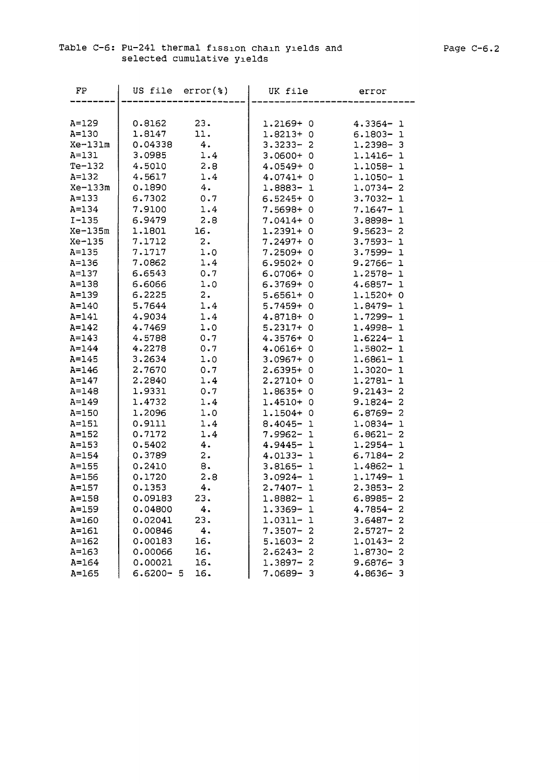| FP        | US file      | $error(*)$ | UK file         | error                        |
|-----------|--------------|------------|-----------------|------------------------------|
|           |              |            |                 |                              |
| A=129     | 0.8162       | 23.        | 1.2169+0        | $4.3364 - 1$                 |
| A=130     | 1.8147       | 11.        | $1.8213+0$      | $6.1803 - 1$                 |
| Xe-131m   | 0.04338      | 4.         | $3.3233 - 2$    | $1.2398 - 3$                 |
| $A=131$   | 3.0985       | 1.4        | $3.0600+$<br>0  | 1.1416-<br>ı                 |
| $Te-132$  | 4.5010       | 2.8        | $4.0549+$<br>0  | 1.1058-<br>1                 |
| $A = 132$ | 4.5617       | 1.4        | $4.0741 + 0$    | 1.1050-<br>ı                 |
| Xe-133m   | 0.1890       | 4.         | $1.8883 - 1$    | $1.0734 - 2$                 |
| $A = 133$ | 6.7302       | 0.7        | $6.5245+0$      | $3.7032 -$<br>$\mathbf 1$    |
| $A = 134$ | 7.9100       | 1.4        | 7.5698+0        | $7.1647 -$<br>1              |
| $I - 135$ | 6.9479       | 2.8        | $7.0414 + 0$    | 3.8898-<br>$\mathbf{1}$      |
| Xe-135m   | 1.1801       | 16.        | $1.2391 + 0$    | $9.5623 -$<br>$\overline{c}$ |
| Xe-135    | 7.1712       | 2.         | $7.2497 + 0$    | $3.7593 -$<br>$\mathbf 1$    |
| A=135     | 7.1717       | 1.0        | $7.2509 + 0$    | $3.7599 -$<br>$\mathbf 1$    |
| A=136     | 7.0862       | 1.4        | $6.9502 + 0$    | $9.2766 - 1$                 |
| A=137     | 6.6543       | 0.7        | $6.0706 + 0$    | $1.2578 - 1$                 |
| A=138     | 6.6066       | 1.0        | $6.3769 + 0$    | $4.6857 -$<br>ı              |
| A=139     | 6.2225       | 2.         | $5.6561+ 0$     | $1.1520+0$                   |
| A=140     | 5.7644       | 1.4        | $5.7459+$<br>0  | 1.8479-<br>1                 |
| A=141     | 4.9034       | 1.4        | 4.8718+<br>0    | 1.7299-<br>$\mathbf{1}$      |
| $A=142$   | 4.7469       | 1.0        | $5.2317+$<br>0  | 1.4998-<br>$\mathbf{1}$      |
| $A = 143$ | 4.5788       | 0.7        | $4.3576+0$      | 1.6224-<br>$\mathbf{1}$      |
| $A=144$   | 4.2278       | 0.7        | $4.0616+0$      | 1.5802-<br>$\mathbf{1}$      |
| A=145     | 3.2634       | 1.0        | $3.0967 + 0$    | 1.6861-<br>1                 |
| A=146     | 2.7670       | 0.7        | $2.6395+0$      | $1.3020 -$<br>1              |
| A=147     | 2.2840       | 1.4        | $2.2710+0$      | 1.2781-<br>1                 |
| $A = 148$ | 1.9331       | 0.7        | $1.8635+0$      | $9.2143 -$<br>2              |
| A=149     | 1.4732       | 1.4        | $1.4510+0$      | $9.1824 -$<br>2              |
| A=150     | 1.2096       | 1.0        | 1.1504+<br>0    | $6.8769 -$<br>2              |
| A=151     | 0.9111       | 1.4        | $8.4045 -$<br>1 | 1.0834-<br>$\mathbf{1}$      |
| $A = 152$ | 0.7172       | 1.4        | $7.9962 -$<br>ı | $6.8621 -$<br>2              |
| $A = 153$ | 0.5402       | 4.         | $4.9445 - 1$    | 1.2954-<br>ı                 |
| A=154     | 0.3789       | 2.         | $4.0133 - 1$    | $6.7184 -$<br>2              |
| A=155     | 0.2410       | 8.         | $3.8165 - 1$    | $1.4862 -$<br>1              |
| A=156     | 0.1720       | 2.8        | $3.0924 - 1$    | 1.1749-1                     |
| A=157     | 0.1353       | 4.         | $2.7407 - 1$    | $2.3853 - 2$                 |
| $A = 158$ | 0.09183      | 23.        | 1.8882-1        | $6.8985 - 2$                 |
| A=159     | 0.04800      | 4.         | 1.3369-<br>-1   | $4.7854 -$<br>2              |
| A=160     | 0.02041      | 23.        | $1.0311 -$<br>ı | $3.6487 -$<br>2              |
| $A = 161$ | 0.00846      | 4.         | $7.3507 -$<br>2 | $2.5727 -$<br>2              |
| A=162     | 0.00183      | 16.        | $5.1603 -$<br>2 | 1.0143-<br>2                 |
| A=163     | 0.00066      | 16.        | $2.6243 -$<br>2 | 1.8730-<br>2                 |
| A=164     | 0.00021      | 16.        | $1.3897 -$<br>2 | $9.6876 -$<br>з              |
| $A = 165$ | $6.6200 - 5$ | 16.        | 7.0689-<br>3    | 4.8636-<br>-3                |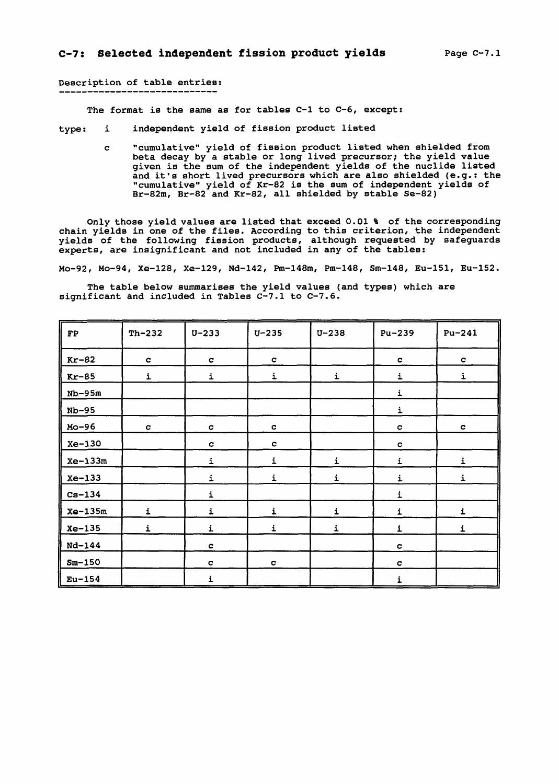### Description of table entries:

The format is the same as for tables C-l to C-6, except:

type: i independent yield of fission product listed

c "cumulative" yield of fission product listed when shielded from beta decay by a stable or long lived precursor; the yield value given is the sum of the independent yields of the nuclide listed and it's short lived precursors which are also shielded (e.g.: the "cumulative" yield of Kr-82 is the sum of independent yields of Br-82m, Br-82 and Kr-82, all shielded by stable Se-82)

Only those yield values are listed that exceed 0.01 % of the corresponding chain yields in one of the files. According to this criterion, the independent yields of the following fission products, although requested by safeguards experts, are insignificant and not included in any of the tables:

Mo-92, Mo-94, Xe-128, Xe-129, Nd-142, Pm-148m, Pm-148, Sm-148, Eu-151, Eu-152.

The table below summarises the yield values (and types) which are significant and included in Tables C-7.1 to C-7.6.

| $\mathbf{FP}$ | $Th-232$     | $U - 233$    | $U - 235$    | $U - 238$    | $Pu-239$     | $Pu-241$     |
|---------------|--------------|--------------|--------------|--------------|--------------|--------------|
| $Kr-82$       | $\mathbf{C}$ | $\mathbf{C}$ | $\mathbf{C}$ |              | $\mathbf{C}$ | $\mathbf c$  |
| $Kr-85$       | $\mathbf i$  | $\mathbf i$  | i            | i            | i            | i            |
| $Nb-95m$      |              |              |              |              | i            |              |
| $Nb-95$       |              |              |              |              | i            |              |
| Mo-96         | $\mathbf{C}$ | $\mathbf{C}$ | $\mathbf{C}$ |              | $\mathbf{C}$ | c            |
| Xe-130        |              | $\mathbf{C}$ | $\mathbf c$  |              | c            |              |
| $Xe-133m$     |              | $\mathbf i$  | $\mathbf{i}$ | $\mathbf{i}$ | i            | $\mathbf i$  |
| $Xe-133$      |              | i            | $\mathbf i$  | i            | i            | i            |
| $Cs-134$      |              | i            |              |              | i            |              |
| $Xe-135m$     | i            | i            | $\mathbf i$  | i            | i            | $\mathbf{i}$ |
| $Xe-135$      | i            | $\mathbf{i}$ | i            | i            | $\mathbf i$  | i            |
| $Nd - 144$    |              | $\mathbf{C}$ |              |              | c            |              |
| $Sm-150$      |              | c            | $\mathbf c$  |              | $\mathbf{C}$ |              |
| $Eu-154$      |              | i            |              |              | i            |              |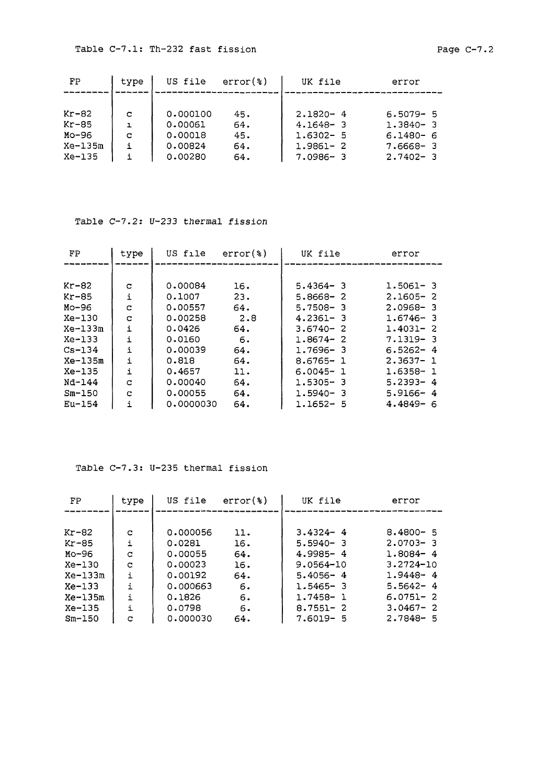| FP        | type | US file  | $error(*)$ | UK file      | error        |
|-----------|------|----------|------------|--------------|--------------|
|           |      |          |            |              |              |
| $Kr-82$   | C    | 0.000100 | 45.        | $2.1820 - 4$ | $6.5079 - 5$ |
| $Kr-85$   | ı    | 0.00061  | 64.        | $4.1648 - 3$ | $1.3840 - 3$ |
| Mo-96     | c    | 0.00018  | 45.        | $1.6302 - 5$ | $6.1480 - 6$ |
| $Xe-135m$ |      | 0.00824  | 64.        | 1.9861-2     | $7.6668 - 3$ |
| $Xe-135$  |      | 0.00280  | 64.        | 7.0986-3     | $2.7402 - 3$ |

### Table C-7.2: U-233 thermal fission

| FP         | type | US file   | $error(*)$ | UK file      | error        |
|------------|------|-----------|------------|--------------|--------------|
|            |      |           |            |              |              |
| $Kr-82$    | c    | 0,00084   | 16.        | $5.4364 - 3$ | $1.5061 - 3$ |
| $Kr-85$    | i    | 0.1007    | 23.        | $5.8668 - 2$ | $2.1605 - 2$ |
| $Mo-96$    | C    | 0.00557   | 64.        | $5.7508 - 3$ | $2.0968 - 3$ |
| $Xe-130$   | C    | 0.00258   | 2.8        | $4.2361 - 3$ | $1.6746 - 3$ |
| $Xe-133m$  | i    | 0.0426    | 64.        | $3.6740 - 2$ | $1.4031 - 2$ |
| $Xe-133$   | i    | 0.0160    | 6.         | $1.8674 - 2$ | $7.1319 - 3$ |
| $Cs - 134$ | i    | 0.00039   | 64.        | 1.7696-3     | $6.5262 - 4$ |
| Xe-135m    | i    | 0.818     | 64.        | $8.6765 - 1$ | $2.3637 - 1$ |
| $Xe-135$   | i    | 0.4657    | 11.        | $6.0045 - 1$ | 1.6358- 1    |
| Nd-144     | C    | 0.00040   | 64.        | 1.5305-3     | $5.2393 - 4$ |
| $Sm-150$   | C    | 0.00055   | 64.        | $1.5940 - 3$ | $5.9166 - 4$ |
| $Eu-154$   | ÷    | 0.0000030 | 64.        | $1.1652 - 5$ | $4.4849 - 6$ |

### Table C-7.3: U-235 thermal fission

| FP       | type | US file  | $error(*)$ | UK file       | error         |  |  |
|----------|------|----------|------------|---------------|---------------|--|--|
|          |      |          |            |               |               |  |  |
| Kr-82    | c    | 0.000056 | 11.        | $3.4324 - 4$  | $8.4800 - 5$  |  |  |
| Kr-85    | i    | 0.0281   | 16.        | $5.5940 - 3$  | $2.0703 - 3$  |  |  |
| Мо-96    | C    | 0.00055  | 64.        | $4.9985 - 4$  | $1.8084 - 4$  |  |  |
| Xe-130   | C    | 0.00023  | 16.        | $9.0564 - 10$ | $3.2724 - 10$ |  |  |
| Xe-133m  | i    | 0.00192  | 64.        | $5.4056 - 4$  | $1.9448 - 4$  |  |  |
| Xe-133   | i.   | 0.000663 | 6.         | $1.5465 - 3$  | $5.5642 - 4$  |  |  |
| Xe-135m  | i    | 0.1826   | 6.         | 1.7458- 1     | $6.0751 - 2$  |  |  |
| Xe-135   | i    | 0.0798   | 6.         | $8.7551 - 2$  | $3.0467 - 2$  |  |  |
| $Sm-150$ | с    | 0.000030 | 64.        | $7.6019 - 5$  | $2.7848 - 5$  |  |  |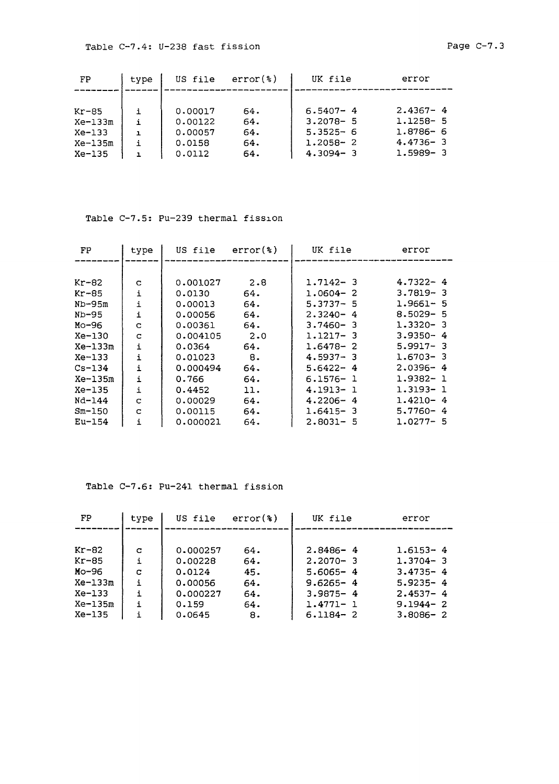| FP      | type         | US file | $error(*)$ | UK file      | error        |
|---------|--------------|---------|------------|--------------|--------------|
| Kr-85   | i.           | 0.00017 | 64.        | $6.5407 - 4$ | $2.4367 - 4$ |
| Xe-133m | i            | 0.00122 | 64.        | $3.2078 - 5$ | $1.1258 - 5$ |
| Xe-133  | $\mathbf{I}$ | 0.00057 | 64.        | $5.3525 - 6$ | $1.8786 - 6$ |
| Xe-135m | i            | 0.0158  | 64.        | $1.2058 - 2$ | $4.4736 - 3$ |
| Xe-135  | ı.           | 0.0112  | 64.        | $4.3094 - 3$ | $1.5989 - 3$ |

### Table C-7.5: Pu-239 thermal fission

| FP         | type         | US file  | $error(*)$  | UK file      | error        |
|------------|--------------|----------|-------------|--------------|--------------|
|            |              |          |             |              |              |
| Kr-82      | c            | 0.001027 | 2.8         | $1.7142 - 3$ | $4.7322 - 4$ |
| Kr-85      | i            | 0.0130   | 64.         | $1.0604 - 2$ | $3.7819 - 3$ |
| $ND-95m$   | i            | 0.00013  | 64.         | $5.3737 - 5$ | $1.9661 - 5$ |
| Nb-95      | i            | 0.00056  | 64.         | $2.3240 - 4$ | $8.5029 - 5$ |
| Mo-96      | C            | 0.00361  | 64.         | $3.7460 - 3$ | $1.3320 - 3$ |
| Xe-130     | c            | 0.004105 | $2 \cdot 0$ | $1.1217 - 3$ | $3.9350 - 4$ |
| $Xe-133m$  | $\mathbf{i}$ | 0.0364   | 64.         | $1.6478 - 2$ | $5.9917 - 3$ |
| Xe-133     | i            | 0.01023  | 8.          | $4.5937 - 3$ | $1.6703 - 3$ |
| $Cs - 134$ | i            | 0.000494 | 64.         | $5.6422 - 4$ | $2.0396 - 4$ |
| Xe-135m    | i            | 0.766    | 64.         | $6.1576 - 1$ | $1.9382 - 1$ |
| Xe-135     | i            | 0.4452   | 11.         | 4.1913-1     | 1.3193-1     |
| Nd-144     | C            | 0.00029  | 64.         | $4.2206 - 4$ | $1.4210 - 4$ |
| $Sm-150$   | C            | 0.00115  | 64.         | $1.6415 - 3$ | $5.7760 - 4$ |
| $Eu-154$   | i            | 0.000021 | 64.         | $2.8031 - 5$ | $1.0277 - 5$ |

### Table C-7.6: Pu-241 thermal fission

| FP        | type         | US file  | $error(*)$ | UK file      | error        |
|-----------|--------------|----------|------------|--------------|--------------|
|           |              |          |            |              |              |
| Kr-82     | C            | 0.000257 | 64.        | $2.8486 - 4$ | $1.6153 - 4$ |
| Kr-85     | i            | 0.00228  | 64.        | $2.2070 - 3$ | $1.3704 - 3$ |
| Mo-96     | с            | 0.0124   | 45.        | $5.6065 - 4$ | $3.4735 - 4$ |
| $Xe-133m$ | i            | 0.00056  | 64.        | $9.6265 - 4$ | $5.9235 - 4$ |
| $Xe-133$  | $\mathbf{i}$ | 0.000227 | 64.        | $3.9875 - 4$ | $2.4537 - 4$ |
| $Xe-135m$ | i            | 0.159    | 64.        | $1.4771 - 1$ | $9.1944 - 2$ |
| $Xe-135$  |              | 0.0645   | 8.         | $6.1184 - 2$ | $3.8086 - 2$ |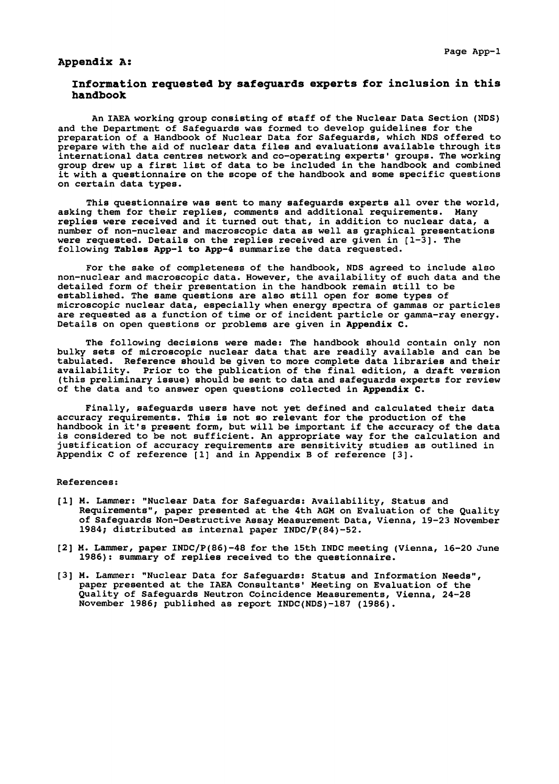### **Appendix A:**

### **Information requested by safeguards experts for inclusion in this handbook**

An IAEA working group consisting of staff of the Nuclear Data Section (NDS) and the Department of Safeguards was formed to develop guidelines for the preparation of a Handbook of Nuclear Data for Safeguards, which NDS offered to prepare with the aid of nuclear data files and evaluations available through its international data centres network and co-operating experts' groups. The working group drew up a first list of data to be included in the handbook and combined it with a questionnaire on the scope of the handbook and some specific questions on certain data types.

This questionnaire was sent to many safeguards experts all over the world, asking them for their replies, comments and additional requirements. Many replies were received and it turned out that, in addition to nuclear data, a number of non-nuclear and macroscopic data as well as graphical presentations were requested. Details on the replies received are given in  $[1-3]$ . The following **Tables App-1 to App-4** summarize the data requested.

For the sake of completeness of the handbook, NDS agreed to include also non-nuclear and macroscopic data. However, the availability of such data and the detailed form of their presentation in the handbook remain still to be established. The same questions are also still open for some types of microscopic nuclear data, especially when energy spectra of gammas or particles are requested as a function of time or of incident particle or gamma-ray energy. Details on open questions or problems are given in **Appendix C.**

The following decisions were made: The handbook should contain only non bulky sets of microscopic nuclear data that are readily available and can be tabulated. Reference should be given to more complete data libraries and their availability. Prior to the publication of the final edition, a draft version (this preliminary issue) should be sent to data and safeguards experts for review of the data and to answer open questions collected in **Appendix C.**

Finally, safeguards users have not yet defined and calculated their data accuracy requirements. This is not so relevant for the production of the handbook in it's present form, but will be important if the accuracy of the data is considered to be not sufficient. An appropriate way for the calculation and justification of accuracy requirements are sensitivity studies as outlined in Appendix C of reference [1] and in Appendix B of reference [3].

#### References:

- [1] M. Lammer: "Nuclear Data for Safeguards: Availability, Status and Requirements", paper presented at the 4th AGM on Evaluation of the Quality of Safeguards Non-Destructive Assay Measurement Data, Vienna, 19-23 November 1984; distributed as internal paper INDC/P(84)-52.
- [2] M. Lammer, paper INDC/P(86)-48 for the 15th INDC meeting (Vienna, 16-20 June 1986): summary of replies received to the questionnaire.
- [3] M. Lammer: "Nuclear Data for Safeguards: Status and Information Needs", paper presented at the IAEA Consultants' Meeting on Evaluation of the Quality of Safeguards Neutron Coincidence Measurements, Vienna, 24-28 November 1986; published as report INDC(NDS)-187 (1986).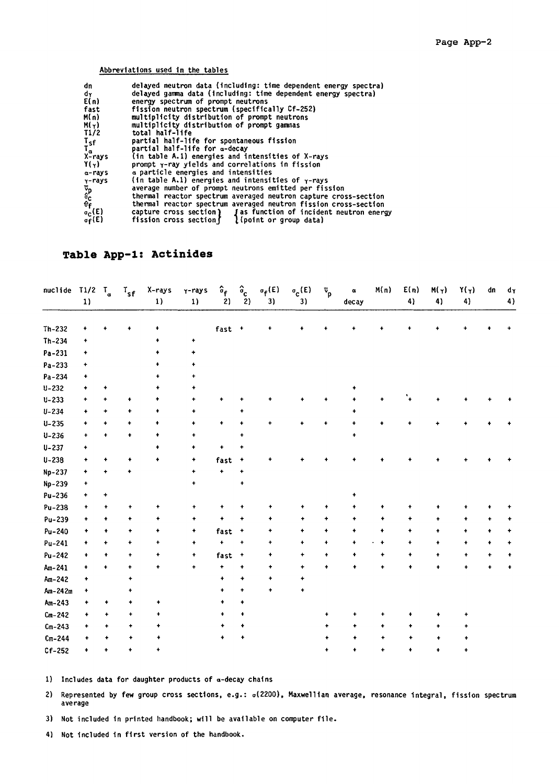### Abbreviations used in the tables

| dn<br>delayed neutron data (including: time dependent energy spectra)                                                |  |
|----------------------------------------------------------------------------------------------------------------------|--|
| delayed gamma data (including: time dependent energy spectra)<br>dγ                                                  |  |
| E(n)<br>energy spectrum of prompt neutrons                                                                           |  |
| fission neutron spectrum (specifically Cf-252)<br>fast                                                               |  |
| M(n)<br>multiplicity distribution of prompt neutrons                                                                 |  |
| M(y)<br>multiplicity distribution of prompt gammas                                                                   |  |
| T1/2<br>total half-life                                                                                              |  |
| partial half-life for spontaneous fission                                                                            |  |
| partial half-life for a-decay                                                                                        |  |
| Tsf<br>Ta<br>X-rays<br>(in table A.1) energies and intensities of X-rays                                             |  |
| Y(y)<br>prompt y-ray yields and correlations in fission                                                              |  |
| a particle energies and intensities<br>a-rays                                                                        |  |
| (in table A.1) energies and intensities of $\gamma$ -rays                                                            |  |
| average number of prompt neutrons emitted per fission                                                                |  |
| thermal reactor spectrum averaged neutron capture cross-section                                                      |  |
| y-rays<br>Pp<br><sup>G</sup> C<br><sup>O</sup> f,<br>thermal reactor spectrum averaged neutron fission cross-section |  |
| $\sigma_{\rm C}(\rm E)$<br>capture cross section) <i>J</i> as function of incident neutron energy                    |  |
| fission cross section $\int$ (point or group data)<br>$\sigma_{\mathbf{f}}(\mathsf{E})$                              |  |

## **Table App-1: Actinides**

| nuclide T1/2 | 1)                   | $T_a$                | $T_{sf}$  | X-rays<br>1) | Y-rays<br>$1)$       | $\hat{\mathfrak{o}}_{\mathbf{f}}$<br>2) | $\hat{\mathbf{a}}_{\mathbf{c}}$<br>$\overline{2}$ | $\sigma_f(E)$<br>3) | $\sigma$ <sub>C</sub> $(E)$<br>3) | $\bar{v}_p$          | $\pmb{\alpha}$<br>decay | M(n)                 | E(n)<br>4) | $M(\gamma)$<br>4)    | $Y(\gamma)$<br>4)    | dn        | dγ<br>4)  |
|--------------|----------------------|----------------------|-----------|--------------|----------------------|-----------------------------------------|---------------------------------------------------|---------------------|-----------------------------------|----------------------|-------------------------|----------------------|------------|----------------------|----------------------|-----------|-----------|
| $Th-232$     | ۰                    |                      | 4         | ٠            |                      | fast +                                  |                                                   | ۰                   |                                   |                      |                         |                      |            |                      |                      |           |           |
| $Th-234$     | $\bullet$            |                      |           |              | $\bullet$            |                                         |                                                   |                     |                                   |                      |                         |                      |            |                      |                      |           |           |
| Pa-231       | $\bullet$            |                      |           |              | $\ddag$              |                                         |                                                   |                     |                                   |                      |                         |                      |            |                      |                      |           |           |
| Pa-233       | ٠                    |                      |           |              | ۰                    |                                         |                                                   |                     |                                   |                      |                         |                      |            |                      |                      |           |           |
| Pa-234       | ٠                    |                      |           |              | ۰                    |                                         |                                                   |                     |                                   |                      |                         |                      |            |                      |                      |           |           |
| $U - 232$    | $\ddot{\phantom{1}}$ | ۰                    |           |              | $\ddot{\phantom{1}}$ |                                         |                                                   |                     |                                   |                      | $\ddot{}$               |                      |            |                      |                      |           |           |
| $U - 233$    | $\ddot{}$            |                      | ۰         | ۰            | $\ddot{}$            | $\ddag$                                 |                                                   |                     |                                   |                      |                         |                      |            |                      |                      |           |           |
| $U - 234$    | $\ddot{\phantom{1}}$ | ۰                    | ۰         | ٠            | ٠                    |                                         |                                                   |                     |                                   |                      | ۰                       |                      |            |                      |                      |           |           |
| $U - 235$    | $\ddag$              | $\ddot{\phantom{1}}$ | ۰         | ٠            | $\ddotmark$          | $\ddot{}$                               |                                                   |                     |                                   |                      |                         |                      |            |                      |                      |           |           |
| $U - 236$    | $\ddot{}$            | $\ddag$              | ۰         | ۰            | $\ddot{\phantom{1}}$ |                                         | ۰                                                 |                     |                                   |                      | $\color{red}$ +         |                      |            |                      |                      |           |           |
| $U - 237$    | ٠                    |                      |           | ۰            | ۰                    | $\color{red} \blacklozenge$             | ۰                                                 |                     |                                   |                      |                         |                      |            |                      |                      |           |           |
| $U - 238$    | $\ddot{}$            | 4                    |           | $\ddot{}$    | $\bullet$            | fast                                    | $\ddot{}$                                         | ۰                   |                                   |                      |                         |                      |            |                      |                      |           |           |
| Np-237       | $\ddotmark$          | $\ddot{}$            | ÷         |              | $\bullet$            | $\ddot{\phantom{1}}$                    | $\ddot{}$                                         |                     |                                   |                      |                         |                      |            |                      |                      |           |           |
| Np-239       | ٠                    |                      |           |              | $\ddot{\phantom{1}}$ |                                         | ۰                                                 |                     |                                   |                      |                         |                      |            |                      |                      |           |           |
| Pu-236       | $\ddot{}$            | $\ddot{}$            |           |              |                      |                                         |                                                   |                     |                                   |                      | $\ddot{\phantom{1}}$    |                      |            |                      |                      |           |           |
| Pu-238       | ۰                    | ۰                    | ۰         | $\ddot{}$    | $\ddag$              | $\ddot{}$                               | $\ddot{\phantom{0}}$                              | ۰                   |                                   | ۰                    | ۰                       |                      |            |                      |                      |           |           |
| Pu-239       | ٠                    | ۰                    | ٠         | ۰            | ۰                    | ۰                                       |                                                   |                     |                                   | ٠                    | ۰                       | ۰                    | ۰          | ٠                    | ۰                    |           |           |
| Pu-240       | ٠                    | ۰                    | ٠         | ٠            | ٠                    | fast                                    | $\ddot{\phantom{1}}$                              | ٠                   | ۰                                 | $\ddot{}$            | $\ddot{\phantom{1}}$    | $\ddot{\phantom{1}}$ | ٠          | ۰                    | $\ddotmark$          | ۰         | ٠         |
| Pu-241       | ۰                    | ÷                    | ٠         | $\ddot{}$    | ۰                    | $\ddot{\bullet}$                        | $\ddot{}$                                         | ٠                   | ۰                                 | $\ddot{\phantom{1}}$ | $\ddot{}$               | $\ddot{\phantom{1}}$ | $\bullet$  | ۰                    | $\ddot{}$            | $\ddot{}$ | $\ddot{}$ |
| Pu-242       | ۰                    | ۰                    | ٠         | ۰            | ٠                    | fast                                    | $\ddag$                                           | ۰                   | ۰                                 | ۰                    | ۰                       | ٠                    | ۰          | $\ddot{}$            | $\ddot{\phantom{0}}$ | ٠         | ٠         |
| Am-241       | ۰                    | $\ddot{\phantom{0}}$ | ۰         | $\ddag$      | $\ddot{}$            | $\ddot{}$                               | $\bullet$                                         | ٠                   | ٠                                 | $\ddot{}$            | ٠                       |                      | ۰          | 4                    | ÷                    |           | $\ddot{}$ |
| Am-242       | $\ddot{}$            |                      | ٠         |              |                      | ۰                                       | ۰                                                 | ۰                   |                                   |                      |                         |                      |            |                      |                      |           |           |
| Am-242m      | ٠                    |                      | ٠         |              |                      | $\ddot{\phantom{1}}$                    | $\ddot{\phantom{1}}$                              | ۰                   |                                   |                      |                         |                      |            |                      |                      |           |           |
| $Am-243$     |                      | ٠                    | ٠         | $\ddot{}$    |                      | $\ddot{\phantom{1}}$                    | $\ddot{}$                                         |                     |                                   |                      |                         |                      |            |                      |                      |           |           |
| $Cm - 242$   |                      | ٠                    | ۰         | ٠            |                      | $\ddot{\phantom{1}}$                    | ۰                                                 |                     |                                   |                      | ۰                       |                      |            | ۰                    |                      |           |           |
| $Cm-243$     |                      | ٠                    | ٠         | ۰            |                      | ۰                                       | ۰                                                 |                     |                                   | ٠                    | $\ddot{\phantom{1}}$    | ۰                    | ۰          | ۰                    | ۰                    |           |           |
| $Cm-244$     |                      | ۰                    | ٠         | ۰            |                      | ۰                                       |                                                   |                     |                                   |                      | ٠                       | ۰                    |            |                      |                      |           |           |
| $Cf-252$     | ۰                    | $\ddot{}$            | $\ddot{}$ | ۰            |                      |                                         |                                                   |                     |                                   | ۰                    | $\ddot{\phantom{1}}$    | ٠                    | ۰          | $\ddot{\phantom{1}}$ | ٠                    |           |           |

1) Includes data for daughter products of a-decay chains

2) Represented by few group cross sections, e.g.: o(2200), Maxwellian average, resonance integral, fission spectrum average

3) Not included in printed handbook; will be available on computer file.

4) Not included in first version of the handbook.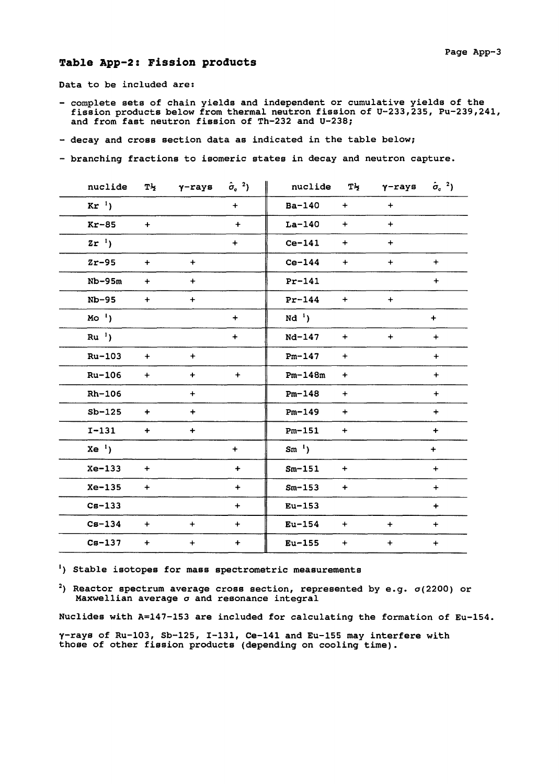### **Table App-2: Fission products**

Data to be included are:

- complete sets of chain yields and independent or cumulative yields of the fission products below from thermal neutron fission of U-233,235, Pu-239,241, and from fast neutron fission of Th-232 and U-238;
- decay and cross section data as indicated in the table below;
- branching fractions to isomeric states in decay and neutron capture.

|                 | nuclide     | $T^{\frac{1}{2}}$ $\gamma$ -rays $\hat{\sigma}_{c}^{2}$ ) |             | nuclide     | $T\frac{1}{2}$ | $\gamma$ -rays $\hat{\sigma}_c^2$ ) |                                  |
|-----------------|-------------|-----------------------------------------------------------|-------------|-------------|----------------|-------------------------------------|----------------------------------|
| $Kr^{-1}$       |             |                                                           | $\ddot{}$   | $Ba-140$    | $+$            | $+$                                 |                                  |
| $Kr-85$         | $+$         |                                                           | $+$         | $La-140$    | $+$            | $+$                                 |                                  |
| $Zr^{-1}$       |             |                                                           | $\ddot{}$   | $Ce-141$    | $\ddot{}$      | $\ddotmark$                         |                                  |
| $zr-95$         | $\ddot{}$   | $+$                                                       |             | $Ce-144$    | $+$            | $+$                                 | $\ddotmark$                      |
| $Nb-95m$        | $\ddotmark$ | $+$                                                       |             | $Pr-141$    |                |                                     | $\ddotmark$                      |
| $Nb-95$         | $\ddot{}$   | $\ddot{}$                                                 |             | $Pr-144$    | $\ddot{}$      | $\ddot{}$                           |                                  |
| MO <sup>1</sup> |             |                                                           | $+$         | $Nd-1$      |                |                                     | $\ddot{}$                        |
| $Ru^{-1}$       |             |                                                           | $\ddot{}$   | $Nd-147$    | $\ddot{}$      | $\ddot{}$                           | $\begin{array}{c} + \end{array}$ |
| $Ru-103$        | $\ddot{}$   | $\ddot{}$                                                 |             | $Pm - 147$  | $\ddot{}$      |                                     | $\ddot{}$                        |
| Ru-106          | $\ddot{}$   | $\ddot{}$                                                 | $\ddot{}$   | $Pm-148m$   | $\ddot{}$      |                                     | $\ddot{}$                        |
| $Rh-106$        |             | $\ddot{}$                                                 |             | $Pm-148$    | $\ddot{}$      |                                     | $\ddot{}$                        |
| $Sb-125$        | $\ddotmark$ | $\ddot{}$                                                 |             | $Pm-149$    | $+$            |                                     | $+$                              |
| $I-131$         | $\ddot{}$   | $\ddot{}$                                                 |             | $Pm-151$    | $\ddot{}$      |                                     | $\ddot{+}$                       |
| $Xe^{-1}$       |             |                                                           | $\ddot{}$   | $Sm^{-1}$ ) |                |                                     | $\ddot{}$                        |
| $Xe-133$        | $\ddotmark$ |                                                           | $\ddotmark$ | $Sm-151$    | $\ddotmark$    |                                     | $\ddotmark$                      |
| $Xe-135$        | $\ddot{}$   |                                                           | $\ddot{}$   | $Sm-153$    | $\ddot{}$      |                                     | $\ddotmark$                      |
| $Cs-133$        |             |                                                           | $\ddot{}$   | $Eu-153$    |                |                                     | $\ddot{}$                        |
| $Cs-134$        | $\ddot{}$   | $\ddot{}$                                                 | $\ddot{}$   | $Eu-154$    | $\ddot{}$      | $\ddot{}$                           | $\ddot{}$                        |
| $Cs-137$        | $\ddot{}$   | $\ddot{}$                                                 | $\ddot{}$   | $Eu-155$    | $\ddot{}$      | $\ddot{}$                           | $\ddot{}$                        |

') Stable isotopes for mass spectrometric measurements

<sup>2</sup>) Reactor spectrum average cross section, represented by e.g.  $\sigma(2200)$  or Maxwellian average  $\sigma$  and resonance integral

Nuclides with A=147-153 are included for calculating the formation of Eu-154.

Y-rays of Ru-103, Sb-125, 1-131, Ce-141 and Eu-155 may interfere with those of other fission products (depending on cooling time).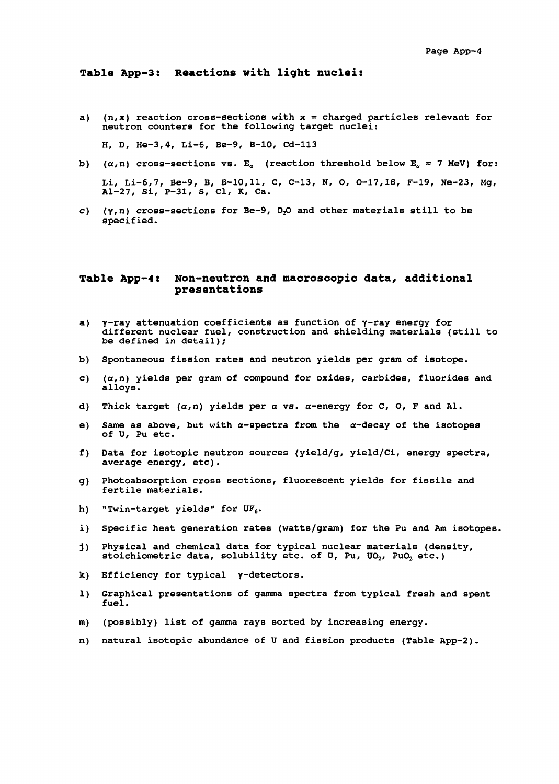**a) (n,x) reaction cross-sections with x = charged particles relevant for neutron counters for the following target nuclei:**

**H, D, He-3,4, Li-6, Be-9, B-10, Cd-113**

- b)  $(\alpha, n)$  cross-sections vs. E<sub>a</sub> (reaction threshold below E<sub>a</sub>  $\approx$  7 MeV) for: Li, Li-6,7, Be-9, B, B-10,11, C, C-13, N, O, O-17,18, F-19, Ne-23, Mg, Al-27, Si, P-31, S, Cl, K, Ca.
- c)  $(\gamma, n)$  cross-sections for Be-9, D<sub>2</sub>O and other materials still to be specified.

### **Table App-4: Non-neutron and macroscopic data, additional presentations**

- a)  $\gamma$ -ray attenuation coefficients as function of  $\gamma$ -ray energy for different nuclear fuel, construction and shielding materials (still to be defined in detail);
- b) Spontaneous fission rates and neutron yields per gram of isotope.
- c)  $(\alpha, n)$  yields per gram of compound for oxides, carbides, fluorides and alloys.
- d) Thick target  $(a, n)$  yields per  $\alpha$  vs.  $\alpha$ -energy for C, O, F and Al.
- e) Same as above, but with  $\alpha$ -spectra from the  $\alpha$ -decay of the isotopes of U, Pu etc.
- f) Data for isotopic neutron sources (yield/g, yield/Ci, energy spectra, average energy, etc).
- g) Photoabsorption cross sections, fluorescent yields for fissile and fertile materials.
- h) "Twin-target yields" for  $UF_6$ .
- i) Specific heat generation rates (watts/gram) for the Pu and Am isotopes.
- j) Physical and chemical data for typical nuclear materials (density, stoichiometric data, solubility etc. of U, Pu, UO<sub>2</sub>, PuO<sub>2</sub> etc.)
- k) Efficiency for typical  $\gamma$ -detectors.
- 1) Graphical presentations of gamma spectra from typical fresh and spent fuel.
- m) (possibly) list of gamma rays sorted by increasing energy.
- n) natural isotopic abundance of U and fission products (Table App-2).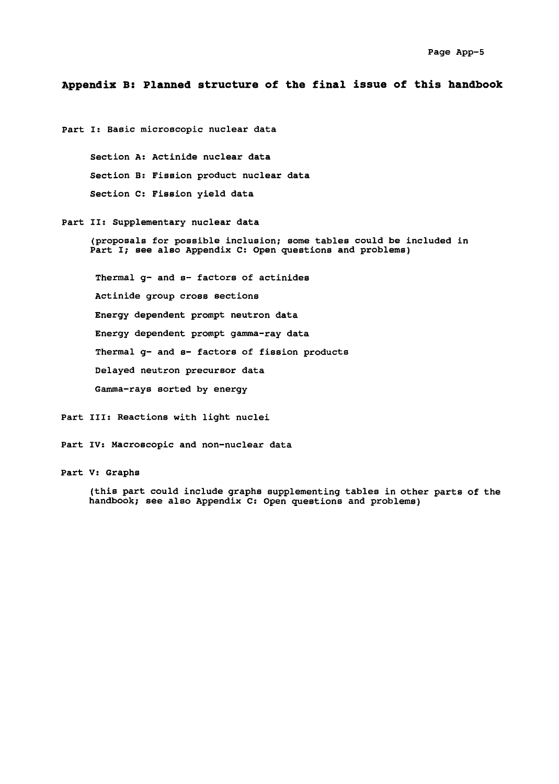### **Appendix B: Planned structure of the final issue of this handbook**

Part I: Basic microscopic nuclear data Section A: Actinide nuclear data Section B: Fission product nuclear data Section C: Fission yield data Part II: Supplementary nuclear data (proposals for possible inclusion; some tables could be included in Part I; see also Appendix C: Open questions and problems) Thermal g- and s- factors of actinides Actinide group cross sections Energy dependent prompt neutron data Energy dependent prompt gamma-ray data Thermal g- and s- factors of fission products Delayed neutron precursor data

Gamma-rays sorted by energy

Part III: Reactions with light nuclei

Part IV: Macroscopic and non-nuclear data

Part V: Graphs

(this part could include graphs supplementing tables in other parts of the handbook; see also Appendix C: Open questions and problems)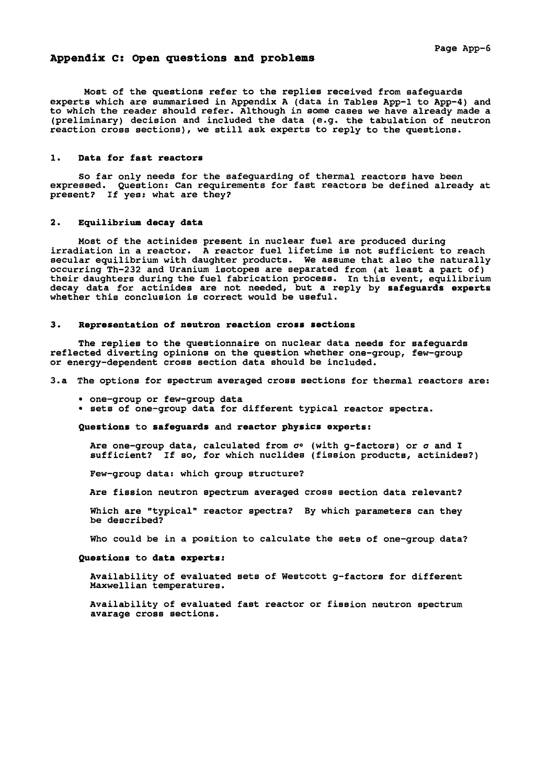### **Appendix C: Open questions and problems**

Page App-6

Most of the questions refer to the replies received from safeguards experts which are summarised in Appendix A (data in Tables App-1 to App-4) and to which the reader should refer. Although in some cases we have already made a (preliminary) decision and included the data (e.g. the tabulation of neutron reaction cross sections), we still ask experts to reply to the questions.

### **1**. **Data for fast reactors**

So far only needs for the safeguarding of thermal reactors have been expressed. Question: Can requirements for fast reactors be defined already at present? If yes: what are they?

#### **2. Equilibrium decay data**

Most of the actinides present in nuclear fuel are produced during irradiation in a reactor. A reactor fuel lifetime is not sufficient to reach secular equilibrium with daughter products. We assume that also the naturally occurring Th-232 and Uranium isotopes are separated from (at least a part of) their daughters during the fuel fabrication process. In this event, equilibrium decay data for actinides are not needed, but a reply by **safeguards experts** whether this conclusion is correct would be useful.

#### **3. Representation of neutron reaction cross sections**

The replies to the questionnaire on nuclear data needs for safeguards reflected diverting opinions on the question whether one-group, few-group or energy-dependent cross section data should be included.

3.a The options for spectrum averaged cross sections for thermal reactors are:

- one-group or few-group data
- sets of one-group data for different typical reactor spectra.

**Questions** to **safeguards** and **reactor physics experts:**

Are one-group data, calculated from  $\sigma$ ° (with g-factors) or  $\sigma$  and I sufficient? If so, for which nuclides (fission products, actinides?)

Few-group data: which group structure?

Are fission neutron spectrum averaged cross section data relevant?

Which are "typical" reactor spectra? By which parameters can they be described?

Who could be in a position to calculate the sets of one-group data?

#### **Questions** to **data experts:**

Availability of evaluated sets of Westcott g-factors for different Maxwellian temperatures.

Availability of evaluated fast reactor or fission neutron spectrum avarage cross sections.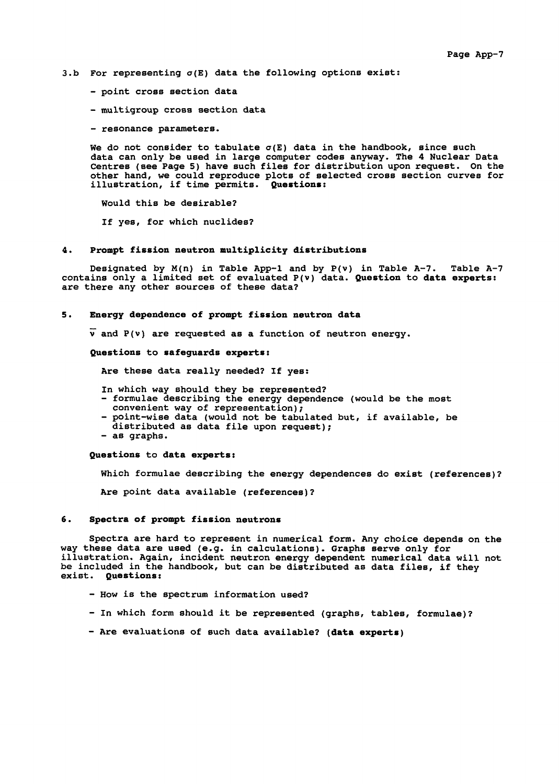- 3.b For representing  $\sigma(E)$  data the following options exist:
	- point cross section data
	- multigroup cross section data
	- resonance parameters.

We do not consider to tabulate  $\sigma(E)$  data in the handbook, since such data can only be used in large computer codes anyway. The 4 Nuclear Data Centres (see Page 5) have such files for distribution upon request. On the other hand, we could reproduce plots of selected cross section curves for illustration, if time permits. **Questions:**

Would this be desirable?

If yes, for which nuclides?

### **4. Prompt fission neutron multiplicity distributions**

Designated by  $M(n)$  in Table App-1 and by  $P(v)$  in Table A-7. Table A-7 contains only a limited set of evaluated P(v) data. **Question** to **data experts:** are there any other sources of these data?

#### **5**. **Energy dependence of prompt fission neutron data**

 $\overline{v}$  and P(v) are requested as a function of neutron energy.

**Questions** to **safeguards experts:**

Are these data really needed? If yes:

- In which way should they be represented? - formulae describing the energy dependence (would be the most
- convenient way of representation); - point-wise data (would not be tabulated but, if available, be
- distributed as data file upon request);
- as graphs.

**Questions** to **data experts:**

Which formulae describing the energy dependences do exist (references)?

Are point data available (references)?

#### **6. Spectra of prompt fission neutrons**

Spectra are hard to represent in numerical form. Any choice depends on the way these data are used (e.g. in calculations). Graphs serve only for illustration. Again, incident neutron energy dependent numerical data will not be included in the handbook, but can be distributed as data files, if they exist. **Questions:**

- How is the spectrum information used?
- In which form should it be represented (graphs, tables, formulae)?
- Are evaluations of such data available? **(data experts)**